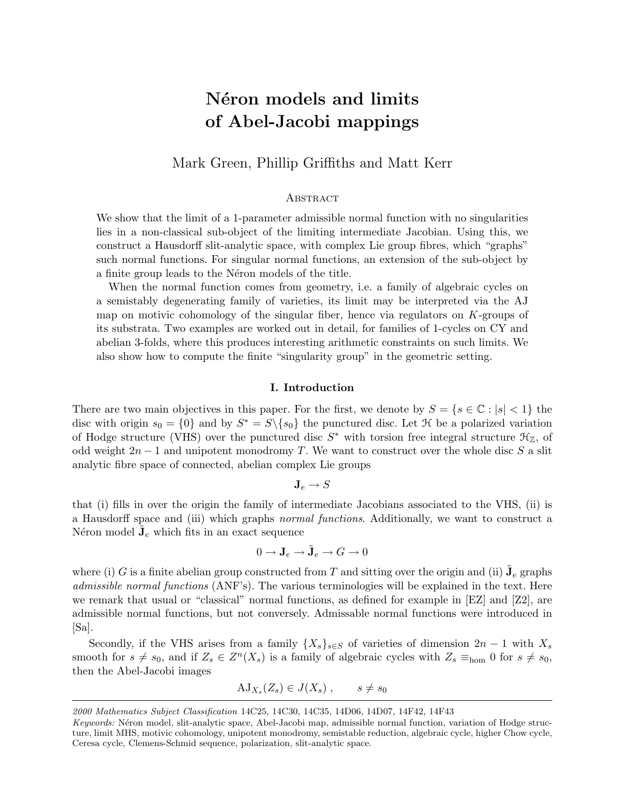# Néron models and limits of Abel-Jacobi mappings

## Mark Green, Phillip Griffiths and Matt Kerr

## **ABSTRACT**

We show that the limit of a 1-parameter admissible normal function with no singularities lies in a non-classical sub-object of the limiting intermediate Jacobian. Using this, we construct a Hausdorff slit-analytic space, with complex Lie group fibres, which "graphs" such normal functions. For singular normal functions, an extension of the sub-object by a finite group leads to the Néron models of the title.

When the normal function comes from geometry, i.e. a family of algebraic cycles on a semistably degenerating family of varieties, its limit may be interpreted via the AJ map on motivic cohomology of the singular fiber, hence via regulators on  $K$ -groups of its substrata. Two examples are worked out in detail, for families of 1-cycles on CY and abelian 3-folds, where this produces interesting arithmetic constraints on such limits. We also show how to compute the finite "singularity group" in the geometric setting.

## I. Introduction

There are two main objectives in this paper. For the first, we denote by  $S = \{s \in \mathbb{C} : |s| < 1\}$  the disc with origin  $s_0 = \{0\}$  and by  $S^* = S \setminus \{s_0\}$  the punctured disc. Let  $\mathcal H$  be a polarized variation of Hodge structure (VHS) over the punctured disc  $S^*$  with torsion free integral structure  $\mathcal{H}_{\mathbb{Z}}$ , of odd weight  $2n-1$  and unipotent monodromy T. We want to construct over the whole disc S a slit analytic fibre space of connected, abelian complex Lie groups

$$
\mathbf{J}_e \to S
$$

that (i) fills in over the origin the family of intermediate Jacobians associated to the VHS, (ii) is a Hausdorff space and (iii) which graphs normal functions. Additionally, we want to construct a Néron model  $\tilde{J}_e$  which fits in an exact sequence

$$
0 \to \mathbf{J}_e \to \tilde{\mathbf{J}}_e \to G \to 0
$$

where (i) G is a finite abelian group constructed from T and sitting over the origin and (ii)  $\tilde{\mathbf{J}}_e$  graphs admissible normal functions (ANF's). The various terminologies will be explained in the text. Here we remark that usual or "classical" normal functions, as defined for example in [EZ] and [Z2], are admissible normal functions, but not conversely. Admissable normal functions were introduced in [Sa].

Secondly, if the VHS arises from a family  $\{X_s\}_{s\in S}$  of varieties of dimension  $2n-1$  with  $X_s$ smooth for  $s \neq s_0$ , and if  $Z_s \in Z^n(X_s)$  is a family of algebraic cycles with  $Z_s \equiv_{\text{hom}} 0$  for  $s \neq s_0$ , then the Abel-Jacobi images

$$
AJ_{X_s}(Z_s) \in J(X_s) , \qquad s \neq s_0
$$

<sup>2000</sup> Mathematics Subject Classification 14C25, 14C30, 14C35, 14D06, 14D07, 14F42, 14F43

Keywords: Néron model, slit-analytic space, Abel-Jacobi map, admissible normal function, variation of Hodge structure, limit MHS, motivic cohomology, unipotent monodromy, semistable reduction, algebraic cycle, higher Chow cycle, Ceresa cycle, Clemens-Schmid sequence, polarization, slit-analytic space.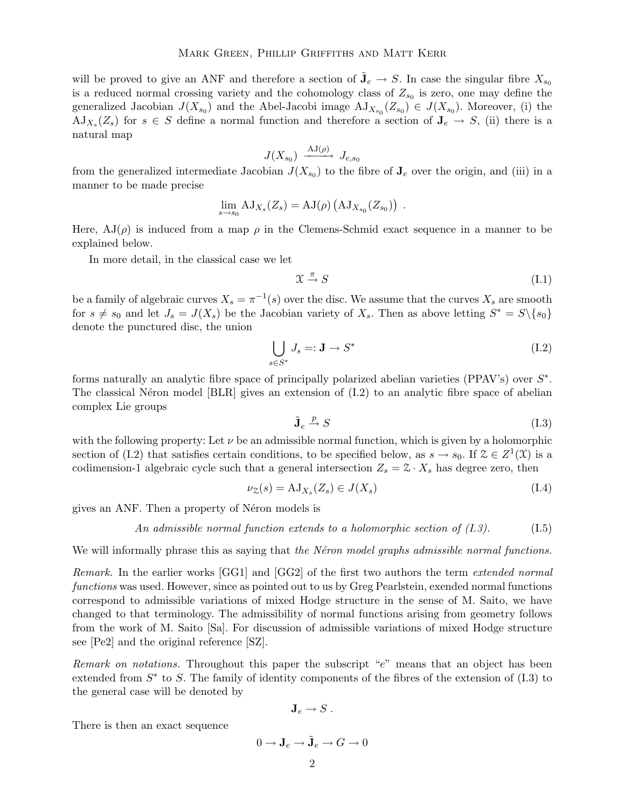will be proved to give an ANF and therefore a section of  $\tilde{\mathbf{J}}_e \to S$ . In case the singular fibre  $X_{s_0}$ is a reduced normal crossing variety and the cohomology class of  $Z_{s_0}$  is zero, one may define the generalized Jacobian  $J(X_{s_0})$  and the Abel-Jacobi image  $\mathrm{AJ}_{X_{s_0}}(Z_{s_0}) \in J(X_{s_0})$ . Moreover, (i) the  $A J_{X_s}(Z_s)$  for  $s \in S$  define a normal function and therefore a section of  $J_e \rightarrow S$ , (ii) there is a natural map

$$
J(X_{s_0}) \xrightarrow{\text{AJ}(\rho)} J_{e,s_0}
$$

from the generalized intermediate Jacobian  $J(X_{s_0})$  to the fibre of  $J_e$  over the origin, and (iii) in a manner to be made precise

$$
\lim_{s \to s_0} AJ_{X_s}(Z_s) = AJ(\rho) (AJ_{X_{s_0}}(Z_{s_0})) .
$$

Here,  $AJ(\rho)$  is induced from a map  $\rho$  in the Clemens-Schmid exact sequence in a manner to be explained below.

In more detail, in the classical case we let

$$
\mathfrak{X} \stackrel{\pi}{\to} S \tag{I.1}
$$

be a family of algebraic curves  $X_s = \pi^{-1}(s)$  over the disc. We assume that the curves  $X_s$  are smooth for  $s \neq s_0$  and let  $J_s = J(X_s)$  be the Jacobian variety of  $X_s$ . Then as above letting  $S^* = S \setminus \{s_0\}$ denote the punctured disc, the union

$$
\bigcup_{s \in S^*} J_s =: \mathbf{J} \to S^* \tag{I.2}
$$

forms naturally an analytic fibre space of principally polarized abelian varieties (PPAV's) over  $S^*$ . The classical Néron model  $|BLR|$  gives an extension of  $(I.2)$  to an analytic fibre space of abelian complex Lie groups

$$
\tilde{\mathbf{J}}_e \xrightarrow{p} S \tag{I.3}
$$

with the following property: Let  $\nu$  be an admissible normal function, which is given by a holomorphic section of (I.2) that satisfies certain conditions, to be specified below, as  $s \to s_0$ . If  $\mathcal{Z} \in Z^1(\mathcal{X})$  is a codimension-1 algebraic cycle such that a general intersection  $Z_s = \mathcal{Z} \cdot X_s$  has degree zero, then

$$
\nu_{\mathcal{Z}}(s) = \mathrm{AJ}_{X_s}(Z_s) \in J(X_s) \tag{I.4}
$$

gives an ANF. Then a property of Néron models is

An admissible normal function extends to a holomorphic section of  $(I.3)$ . (I.5)

We will informally phrase this as saying that the Néron model graphs admissible normal functions.

Remark. In the earlier works [GG1] and [GG2] of the first two authors the term extended normal functions was used. However, since as pointed out to us by Greg Pearlstein, exended normal functions correspond to admissible variations of mixed Hodge structure in the sense of M. Saito, we have changed to that terminology. The admissibility of normal functions arising from geometry follows from the work of M. Saito [Sa]. For discussion of admissible variations of mixed Hodge structure see [Pe2] and the original reference [SZ].

Remark on notations. Throughout this paper the subscript "e" means that an object has been extended from  $S^*$  to S. The family of identity components of the fibres of the extension of  $(1.3)$  to the general case will be denoted by

$$
\mathbf{J}_e \to S \ .
$$

There is then an exact sequence

$$
0 \to \mathbf{J}_e \to \tilde{\mathbf{J}}_e \to G \to 0
$$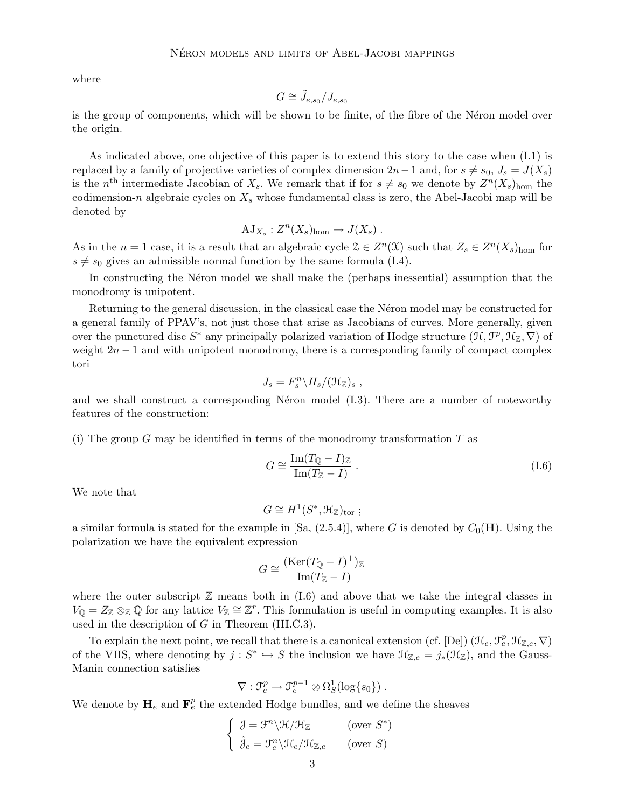where

$$
G\cong \tilde{J}_{e,s_0}/J_{e,s_0}
$$

is the group of components, which will be shown to be finite, of the fibre of the Néron model over the origin.

As indicated above, one objective of this paper is to extend this story to the case when (I.1) is replaced by a family of projective varieties of complex dimension  $2n-1$  and, for  $s \neq s_0$ ,  $J_s = J(X_s)$ is the n<sup>th</sup> intermediate Jacobian of  $X_s$ . We remark that if for  $s \neq s_0$  we denote by  $Z^n(X_s)_{\text{hom}}$  the codimension-n algebraic cycles on  $X_s$  whose fundamental class is zero, the Abel-Jacobi map will be denoted by

$$
AJ_{X_s}: Z^n(X_s)_{hom} \to J(X_s) .
$$

As in the  $n = 1$  case, it is a result that an algebraic cycle  $\mathcal{Z} \in Z^n(\mathcal{X})$  such that  $Z_s \in Z^n(X_s)_{\text{hom}}$  for  $s \neq s_0$  gives an admissible normal function by the same formula (I.4).

In constructing the Néron model we shall make the (perhaps inessential) assumption that the monodromy is unipotent.

Returning to the general discussion, in the classical case the Neron model may be constructed for a general family of PPAV's, not just those that arise as Jacobians of curves. More generally, given over the punctured disc  $S^*$  any principally polarized variation of Hodge structure  $(\mathcal{H}, \mathcal{F}^p, \mathcal{H}_\mathbb{Z}, \nabla)$  of weight  $2n - 1$  and with unipotent monodromy, there is a corresponding family of compact complex tori

$$
J_s = F_s^n \backslash H_s / (\mathfrak{H}_{\mathbb{Z}})_s ,
$$

and we shall construct a corresponding Néron model  $(1.3)$ . There are a number of noteworthy features of the construction:

(i) The group G may be identified in terms of the monodromy transformation  $T$  as

$$
G \cong \frac{\operatorname{Im}(T_{\mathbb{Q}} - I)_{\mathbb{Z}}}{\operatorname{Im}(T_{\mathbb{Z}} - I)}\,. \tag{I.6}
$$

We note that

$$
G \cong H^1(S^*, \mathfrak{H}_{\mathbb{Z}})_{\text{tor}} ;
$$

a similar formula is stated for the example in [Sa,  $(2.5.4)$ ], where G is denoted by  $C_0(H)$ . Using the polarization we have the equivalent expression

$$
G \cong \frac{(\text{Ker}(T_{\mathbb{Q}} - I)^{\perp})_{\mathbb{Z}}}{\text{Im}(T_{\mathbb{Z}} - I)}
$$

where the outer subscript  $\mathbb Z$  means both in (I.6) and above that we take the integral classes in  $V_{\mathbb{Q}} = Z_{\mathbb{Z}} \otimes_{\mathbb{Z}} \mathbb{Q}$  for any lattice  $V_{\mathbb{Z}} \cong \mathbb{Z}^r$ . This formulation is useful in computing examples. It is also used in the description of  $G$  in Theorem (III.C.3).

To explain the next point, we recall that there is a canonical extension (cf. [De])  $(\mathcal{H}_e, \mathcal{F}_e^p, \mathcal{H}_{\mathbb{Z},e}, \nabla)$ of the VHS, where denoting by  $j: S^* \hookrightarrow S$  the inclusion we have  $\mathfrak{H}_{\mathbb{Z},e} = j_*(\mathfrak{H}_{\mathbb{Z}})$ , and the Gauss-Manin connection satisfies

$$
\nabla: \mathfrak{F}_e^p \to \mathfrak{F}_e^{p-1} \otimes \Omega_S^1(\log\{s_0\}) .
$$

We denote by  $H_e$  and  $\mathbf{F}_e^p$  the extended Hodge bundles, and we define the sheaves

$$
\begin{cases} \n\mathcal{J} = \mathcal{F}^n \backslash \mathcal{H} / \mathcal{H}_{\mathbb{Z}} \quad \text{(over } S^*) \\ \n\hat{\mathcal{J}}_e = \mathcal{F}_e^n \backslash \mathcal{H}_e / \mathcal{H}_{\mathbb{Z}, e} \quad \text{(over } S) \n\end{cases}
$$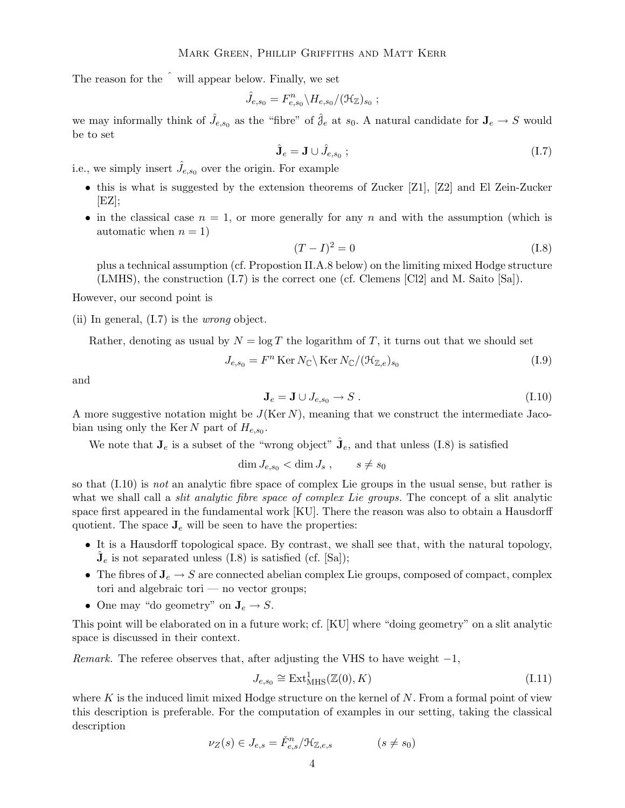The reason for the  $\hat{ }$  will appear below. Finally, we set

$$
\hat{J}_{e,s_0} = F_{e,s_0}^n \backslash H_{e,s_0} / (\mathfrak{H}_{\mathbb{Z}})_{s_0} ;
$$

we may informally think of  $\hat{J}_{e,s_0}$  as the "fibre" of  $\hat{J}_e$  at  $s_0$ . A natural candidate for  $J_e \to S$  would be to set

$$
\hat{\mathbf{J}}_e = \mathbf{J} \cup \hat{J}_{e,s_0} ; \tag{I.7}
$$

i.e., we simply insert  $\hat{J}_{e,s_0}$  over the origin. For example

- this is what is suggested by the extension theorems of Zucker [Z1], [Z2] and El Zein-Zucker  $[EZ];$
- in the classical case  $n = 1$ , or more generally for any n and with the assumption (which is automatic when  $n = 1$ )

$$
(T - I)2 = 0
$$
\n
$$
(I.8)
$$

plus a technical assumption (cf. Propostion II.A.8 below) on the limiting mixed Hodge structure (LMHS), the construction (I.7) is the correct one (cf. Clemens [Cl2] and M. Saito [Sa]).

However, our second point is

(ii) In general,  $(I.7)$  is the *wrong* object.

Rather, denoting as usual by  $N = \log T$  the logarithm of T, it turns out that we should set

$$
J_{e,s_0} = F^n \operatorname{Ker} N_{\mathbb{C}} \backslash \operatorname{Ker} N_{\mathbb{C}} / (\mathfrak{H}_{\mathbb{Z},e})_{s_0}
$$
\n(1.9)

and

$$
\mathbf{J}_e = \mathbf{J} \cup J_{e,s_0} \to S \,. \tag{I.10}
$$

A more suggestive notation might be  $J(Ker N)$ , meaning that we construct the intermediate Jacobian using only the Ker N part of  $H_{e,s_0}$ .

We note that  $J_e$  is a subset of the "wrong object"  $\hat{J}_e$ , and that unless (I.8) is satisfied

 $\dim J_{e,s_0} < \dim J_s , \qquad s \neq s_0$ 

so that  $(1.10)$  is not an analytic fibre space of complex Lie groups in the usual sense, but rather is what we shall call a *slit analytic fibre space of complex Lie groups*. The concept of a slit analytic space first appeared in the fundamental work [KU]. There the reason was also to obtain a Hausdorff quotient. The space  $J_e$  will be seen to have the properties:

- It is a Hausdorff topological space. By contrast, we shall see that, with the natural topology,  $\hat{\mathbf{J}}_e$  is not separated unless (I.8) is satisfied (cf. [Sa]);
- The fibres of  $J_e \rightarrow S$  are connected abelian complex Lie groups, composed of compact, complex tori and algebraic tori — no vector groups;
- One may "do geometry" on  $J_e \rightarrow S$ .

This point will be elaborated on in a future work; cf. [KU] where "doing geometry" on a slit analytic space is discussed in their context.

*Remark.* The referee observes that, after adjusting the VHS to have weight  $-1$ ,

$$
J_{e,s_0} \cong \text{Ext}^1_{\text{MHS}}(\mathbb{Z}(0), K) \tag{I.11}
$$

where K is the induced limit mixed Hodge structure on the kernel of  $N$ . From a formal point of view this description is preferable. For the computation of examples in our setting, taking the classical description

$$
\nu_Z(s) \in J_{e,s} = \check{F}_{e,s}^n / \mathcal{H}_{\mathbb{Z},e,s} \tag{8 \neq s_0}
$$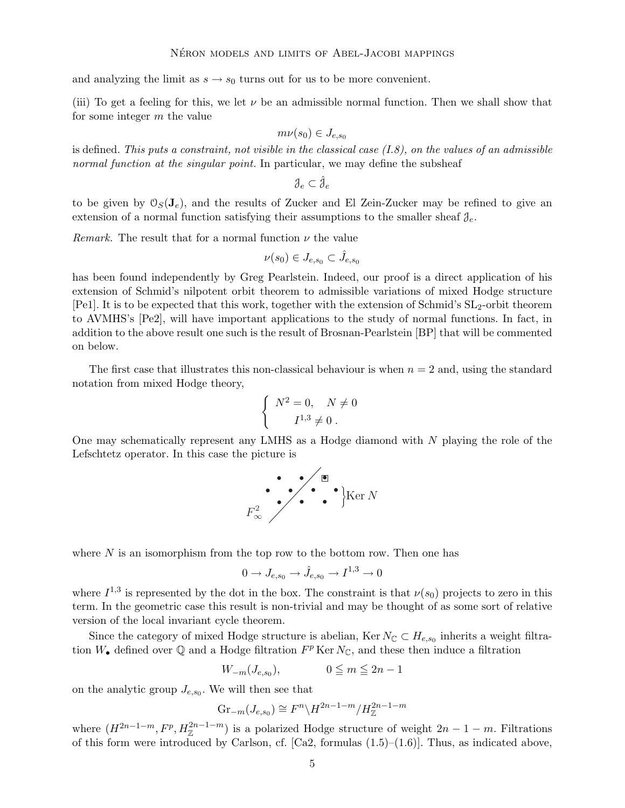and analyzing the limit as  $s \to s_0$  turns out for us to be more convenient.

(iii) To get a feeling for this, we let  $\nu$  be an admissible normal function. Then we shall show that for some integer m the value

$$
m\nu(s_0)\in J_{e,s_0}
$$

is defined. This puts a constraint, not visible in the classical case  $(I.8)$ , on the values of an admissible normal function at the singular point. In particular, we may define the subsheaf

$$
\mathcal{J}_e \subset \hat{\mathcal{J}}_e
$$

to be given by  $\mathcal{O}_S(\mathbf{J}_e)$ , and the results of Zucker and El Zein-Zucker may be refined to give an extension of a normal function satisfying their assumptions to the smaller sheaf  $\mathcal{J}_e$ .

*Remark.* The result that for a normal function  $\nu$  the value

$$
\nu(s_0) \in J_{e,s_0} \subset \hat{J}_{e,s_0}
$$

has been found independently by Greg Pearlstein. Indeed, our proof is a direct application of his extension of Schmid's nilpotent orbit theorem to admissible variations of mixed Hodge structure  $[Pe1]$ . It is to be expected that this work, together with the extension of Schmid's  $SL_2$ -orbit theorem to AVMHS's [Pe2], will have important applications to the study of normal functions. In fact, in addition to the above result one such is the result of Brosnan-Pearlstein [BP] that will be commented on below.

The first case that illustrates this non-classical behaviour is when  $n = 2$  and, using the standard notation from mixed Hodge theory,

$$
\left\{ \begin{array}{cc} N^2=0, & N\neq 0 \\[0.2cm] I^{1,3}\neq 0\ . \end{array} \right.
$$

One may schematically represent any LMHS as a Hodge diamond with N playing the role of the Lefschtetz operator. In this case the picture is

$$
F_{\infty}^{2}
$$
 
$$
\sum_{n=1}^{\infty} \sum_{k=1}^{\infty} \mathbf{K} \mathbf{e}^{\mathbf{e}} \mathbf{e}^{\mathbf{e}} \mathbf{e}^{\mathbf{e}} \mathbf{e}^{\mathbf{e}} \mathbf{e}^{\mathbf{e}} \mathbf{e}^{\mathbf{e}} \mathbf{e}^{\mathbf{e}} \mathbf{e}^{\mathbf{e}} \mathbf{e}^{\mathbf{e}} \mathbf{e}^{\mathbf{e}} \mathbf{e}^{\mathbf{e}} \mathbf{e}^{\mathbf{e}} \mathbf{e}^{\mathbf{e}} \mathbf{e}^{\mathbf{e}} \mathbf{e}^{\mathbf{e}} \mathbf{e}^{\mathbf{e}} \mathbf{e}^{\mathbf{e}} \mathbf{e}^{\mathbf{e}} \mathbf{e}^{\mathbf{e}} \mathbf{e}^{\mathbf{e}} \mathbf{e}^{\mathbf{e}} \mathbf{e}^{\mathbf{e}} \mathbf{e}^{\mathbf{e}} \mathbf{e}^{\mathbf{e}} \mathbf{e}^{\mathbf{e}} \mathbf{e}^{\mathbf{e}} \mathbf{e}^{\mathbf{e}} \mathbf{e}^{\mathbf{e}} \mathbf{e}^{\mathbf{e}} \mathbf{e}^{\mathbf{e}} \mathbf{e}^{\mathbf{e}} \mathbf{e}^{\mathbf{e}} \mathbf{e}^{\mathbf{e}} \mathbf{e}^{\mathbf{e}} \mathbf{e}^{\mathbf{e}} \mathbf{e}^{\mathbf{e}} \mathbf{e}^{\mathbf{e}} \mathbf{e}^{\mathbf{e}} \mathbf{e}^{\mathbf{e}} \mathbf{e}^{\mathbf{e}} \mathbf{e}^{\mathbf{e}} \mathbf{e}^{\mathbf{e}} \mathbf{e}^{\mathbf{e}} \mathbf{e}^{\mathbf{e}} \mathbf{e}^{\mathbf{e}} \mathbf{e}^{\mathbf{e}} \mathbf{e}^{\mathbf{e}} \mathbf{e}^{\mathbf{e}} \mathbf{e}^{\mathbf{e}} \mathbf{e}^{\mathbf{e}} \mathbf{e}^{\mathbf{e}} \mathbf{e}^{\mathbf{e}} \mathbf{e}^{\mathbf{e}} \mathbf{e}^{\mathbf{e}} \mathbf{e}^{\mathbf{
$$

where  $N$  is an isomorphism from the top row to the bottom row. Then one has

$$
0\to J_{e,s_0}\to \hat J_{e,s_0}\to I^{1,3}\to 0
$$

where  $I^{1,3}$  is represented by the dot in the box. The constraint is that  $\nu(s_0)$  projects to zero in this term. In the geometric case this result is non-trivial and may be thought of as some sort of relative version of the local invariant cycle theorem.

Since the category of mixed Hodge structure is abelian, Ker  $N_{\mathbb{C}} \subset H_{e,s_0}$  inherits a weight filtration  $W_{\bullet}$  defined over  $\mathbb Q$  and a Hodge filtration  $F^p$  Ker  $N_{\mathbb C}$ , and these then induce a filtration

$$
W_{-m}(J_{e,s_0}), \qquad \qquad 0 \leqq m \leqq 2n-1
$$

on the analytic group  $J_{e,s_0}$ . We will then see that

$$
\operatorname{Gr}_{-m}(J_{e,s_0}) \cong F^n \backslash H^{2n-1-m} / H^{2n-1-m}_{\mathbb{Z}}
$$

where  $(H^{2n-1-m}, F^p, H_{\mathbb{Z}}^{2n-1-m})$  is a polarized Hodge structure of weight  $2n-1-m$ . Filtrations of this form were introduced by Carlson, cf.  $[Ca2,$  formulas  $(1.5)–(1.6)$ ]. Thus, as indicated above,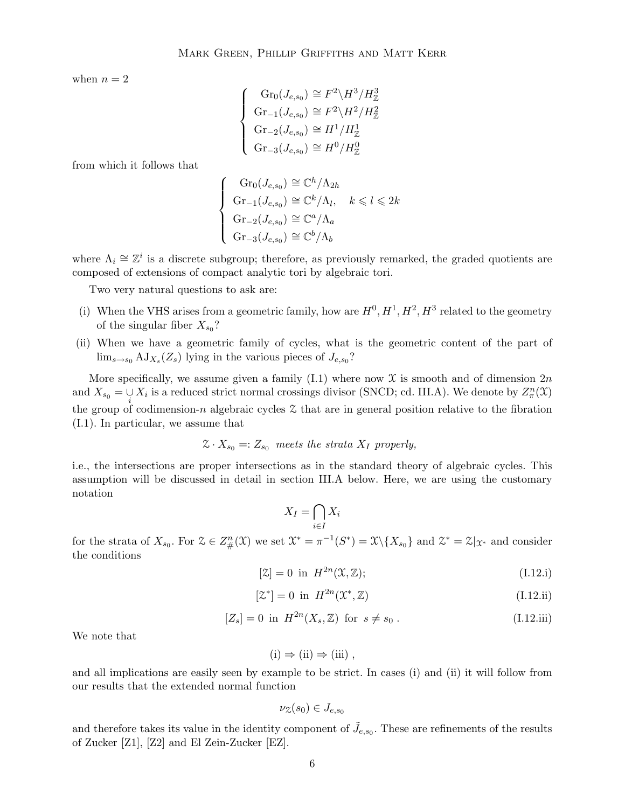when  $n = 2$ 

$$
\begin{cases} \operatorname{Gr}_0(J_{e,s_0}) \cong F^2 \backslash H^3 / H^3_{\mathbb{Z}} \\ \operatorname{Gr}_{-1}(J_{e,s_0}) \cong F^2 \backslash H^2 / H^2_{\mathbb{Z}} \\ \operatorname{Gr}_{-2}(J_{e,s_0}) \cong H^1 / H^1_{\mathbb{Z}} \\ \operatorname{Gr}_{-3}(J_{e,s_0}) \cong H^0 / H^0_{\mathbb{Z}} \end{cases}
$$

from which it follows that

$$
\begin{cases} \operatorname{Gr}_0(J_{e,s_0}) \cong \mathbb{C}^h/\Lambda_{2h} \\ \operatorname{Gr}_{-1}(J_{e,s_0}) \cong \mathbb{C}^k/\Lambda_l, \quad k \leq l \leq 2k \\ \operatorname{Gr}_{-2}(J_{e,s_0}) \cong \mathbb{C}^a/\Lambda_a \\ \operatorname{Gr}_{-3}(J_{e,s_0}) \cong \mathbb{C}^b/\Lambda_b \end{cases}
$$

where  $\Lambda_i \cong \mathbb{Z}^i$  is a discrete subgroup; therefore, as previously remarked, the graded quotients are composed of extensions of compact analytic tori by algebraic tori.

Two very natural questions to ask are:

- (i) When the VHS arises from a geometric family, how are  $H^0, H^1, H^2, H^3$  related to the geometry of the singular fiber  $X_{s_0}$ ?
- (ii) When we have a geometric family of cycles, what is the geometric content of the part of  $\lim_{s\to s_0} A J_{X_s}(Z_s)$  lying in the various pieces of  $J_{e,s_0}$ ?

More specifically, we assume given a family (I.1) where now  $\mathfrak X$  is smooth and of dimension  $2n$ and  $X_{s_0} = \bigcup_i X_i$  is a reduced strict normal crossings divisor (SNCD; cd. III.A). We denote by  $Z_{\pi}^n(\mathfrak{X})$ the group of codimension-n algebraic cycles  $\mathfrak X$  that are in general position relative to the fibration (I.1). In particular, we assume that

$$
\mathcal{Z} \cdot X_{s_0} =: Z_{s_0} \text{ meets the strata } X_I \text{ properly,}
$$

i.e., the intersections are proper intersections as in the standard theory of algebraic cycles. This assumption will be discussed in detail in section III.A below. Here, we are using the customary notation

$$
X_I = \bigcap_{i \in I} X_i
$$

for the strata of  $X_{s_0}$ . For  $\mathcal{Z} \in Z^n_{\#}(\mathcal{X})$  we set  $\mathcal{X}^* = \pi^{-1}(S^*) = \mathcal{X} \setminus \{X_{s_0}\}\$  and  $\mathcal{Z}^* = \mathcal{Z}|_{\mathcal{X}^*}$  and consider the conditions

$$
[\mathcal{Z}] = 0 \quad \text{in} \quad H^{2n}(\mathcal{X}, \mathbb{Z});\tag{I.12.i}
$$

$$
[\mathcal{Z}^*] = 0 \quad \text{in} \quad H^{2n}(\mathcal{X}^*, \mathbb{Z}) \tag{I.12.ii}
$$

$$
[Z_s] = 0 \text{ in } H^{2n}(X_s, \mathbb{Z}) \text{ for } s \neq s_0. \tag{I.12.iii}
$$

We note that

$$
(i) \Rightarrow (ii) \Rightarrow (iii) ,
$$

and all implications are easily seen by example to be strict. In cases (i) and (ii) it will follow from our results that the extended normal function

$$
\nu_{\mathcal{Z}}(s_0) \in J_{e,s_0}
$$

and therefore takes its value in the identity component of  $\tilde{J}_{e,s_0}$ . These are refinements of the results of Zucker [Z1], [Z2] and El Zein-Zucker [EZ].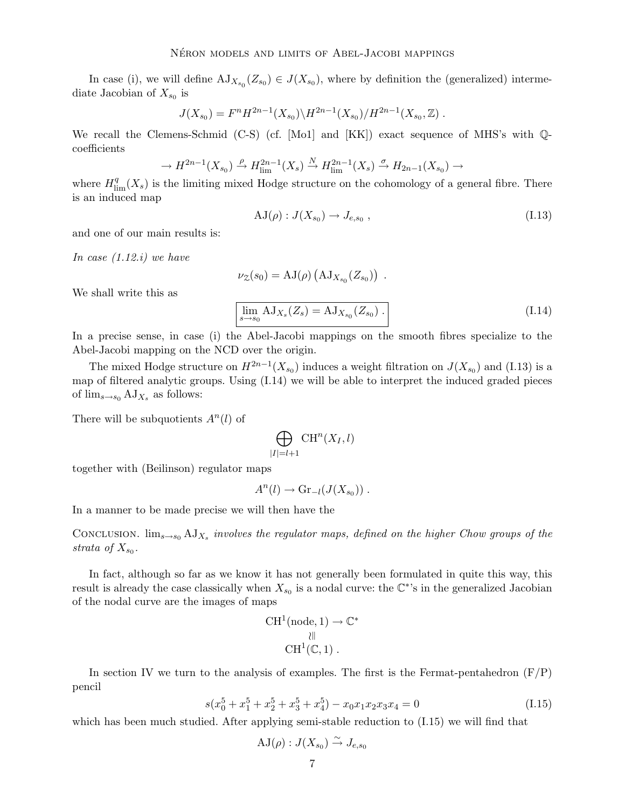In case (i), we will define  $AJ_{X_{s_0}}(Z_{s_0}) \in J(X_{s_0})$ , where by definition the (generalized) intermediate Jacobian of  $X_{s_0}$  is

$$
J(X_{s_0}) = F^n H^{2n-1}(X_{s_0}) \backslash H^{2n-1}(X_{s_0}) / H^{2n-1}(X_{s_0}, \mathbb{Z}) .
$$

We recall the Clemens-Schmid (C-S) (cf. [Mo1] and [KK]) exact sequence of MHS's with  $\mathbb{Q}$ coefficients

$$
\to H^{2n-1}(X_{s_0}) \xrightarrow{\rho} H^{2n-1}_{\text{lim}}(X_s) \xrightarrow{N} H^{2n-1}_{\text{lim}}(X_s) \xrightarrow{\sigma} H_{2n-1}(X_{s_0}) \to
$$

where  $H_{\text{lim}}^q(X_s)$  is the limiting mixed Hodge structure on the cohomology of a general fibre. There is an induced map

$$
AJ(\rho) : J(X_{s_0}) \to J_{e,s_0} , \qquad (I.13)
$$

and one of our main results is:

In case  $(1.12.i)$  we have

$$
\nu_{\mathcal{Z}}(s_0) = \mathrm{AJ}(\rho) \left( \mathrm{AJ}_{X_{s_0}}(Z_{s_0}) \right) \ .
$$

We shall write this as

$$
\lim_{s \to s_0} AJ_{X_s}(Z_s) = AJ_{X_{s_0}}(Z_{s_0}) .
$$
\n(1.14)

In a precise sense, in case (i) the Abel-Jacobi mappings on the smooth fibres specialize to the Abel-Jacobi mapping on the NCD over the origin.

The mixed Hodge structure on  $H^{2n-1}(X_{s_0})$  induces a weight filtration on  $J(X_{s_0})$  and (I.13) is a map of filtered analytic groups. Using (I.14) we will be able to interpret the induced graded pieces of  $\lim_{s\to s_0} AJ_{X_s}$  as follows:

There will be subquotients  $A<sup>n</sup>(l)$  of

$$
\bigoplus_{|I|=l+1} \operatorname{CH}^n(X_I,l)
$$

together with (Beilinson) regulator maps

$$
A^{n}(l) \rightarrow \mathrm{Gr}_{-l}(J(X_{s_0})) .
$$

In a manner to be made precise we will then have the

CONCLUSION.  $\lim_{s\to s_0} A J_{X_s}$  involves the regulator maps, defined on the higher Chow groups of the strata of  $X_{s_0}$ .

In fact, although so far as we know it has not generally been formulated in quite this way, this result is already the case classically when  $X_{s_0}$  is a nodal curve: the  $\mathbb{C}^*$ 's in the generalized Jacobian of the nodal curve are the images of maps

$$
\begin{array}{c} \mathrm{CH}^1(\mathrm{node},1) \rightarrow \mathbb{C}^*\\ \parallel \\ \mathrm{CH}^1(\mathbb{C},1) \ . \end{array}
$$

In section IV we turn to the analysis of examples. The first is the Fermat-pentahedron  $(F/P)$ pencil

$$
s(x_0^5 + x_1^5 + x_2^5 + x_3^5 + x_4^5) - x_0x_1x_2x_3x_4 = 0
$$
\n(I.15)

which has been much studied. After applying semi-stable reduction to  $(1.15)$  we will find that

$$
\mathrm{AJ}(\rho): J(X_{s_0}) \overset{\sim}{\to} J_{e,s_0}
$$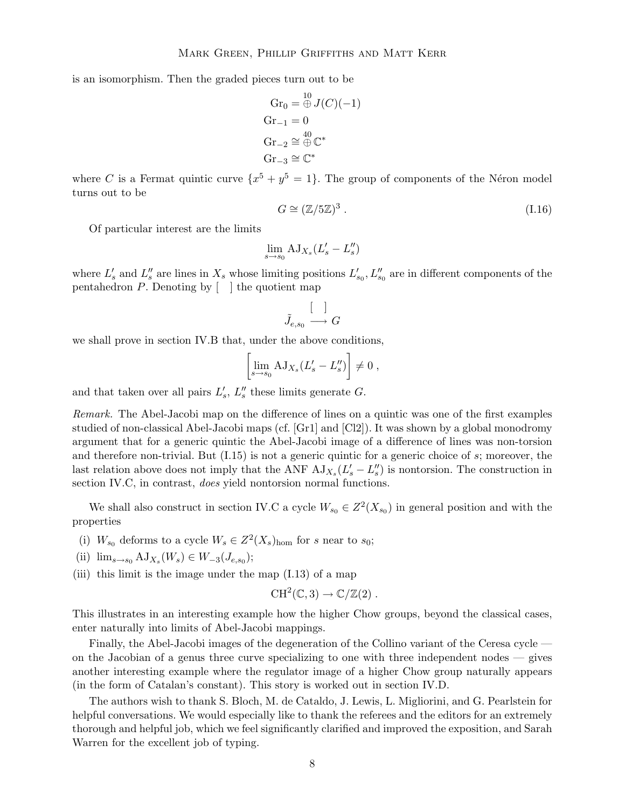is an isomorphism. Then the graded pieces turn out to be

$$
Gr_0 = \bigoplus_{i=1}^{10} J(C)(-1)
$$
  
\n
$$
Gr_{-1} = 0
$$
  
\n
$$
Gr_{-2} \cong \bigoplus_{i=1}^{40} \mathbb{C}^*
$$
  
\n
$$
Gr_{-3} \cong \mathbb{C}^*
$$

where C is a Fermat quintic curve  $\{x^5 + y^5 = 1\}$ . The group of components of the Néron model turns out to be

$$
G \cong (\mathbb{Z}/5\mathbb{Z})^3 \ . \tag{I.16}
$$

Of particular interest are the limits

$$
\lim_{s \to s_0} \mathrm{AJ}_{X_s}(L'_s - L''_s)
$$

where  $L'_s$  and  $L''_s$  are lines in  $X_s$  whose limiting positions  $L'_{s_0}, L''_{s_0}$  are in different components of the pentahedron  $P$ . Denoting by  $\lceil \cdot \rceil$  the quotient map

$$
\tilde{J}_{e,s_0} \stackrel{\left[ \quad \right] }{\longrightarrow} G
$$

we shall prove in section IV.B that, under the above conditions,

$$
\left[\lim_{s \to s_0} AJ_{X_s}(L'_s - L''_s)\right] \neq 0,
$$

and that taken over all pairs  $L'_s$ ,  $L''_s$  these limits generate G.

Remark. The Abel-Jacobi map on the difference of lines on a quintic was one of the first examples studied of non-classical Abel-Jacobi maps (cf. [Gr1] and [Cl2]). It was shown by a global monodromy argument that for a generic quintic the Abel-Jacobi image of a difference of lines was non-torsion and therefore non-trivial. But  $(1.15)$  is not a generic quintic for a generic choice of  $s$ ; moreover, the last relation above does not imply that the ANF  $A J_{X_s}(L'_s - L''_s)$  is nontorsion. The construction in section IV.C, in contrast, *does* yield nontorsion normal functions.

We shall also construct in section IV.C a cycle  $W_{s_0} \in Z^2(X_{s_0})$  in general position and with the properties

- (i)  $W_{s_0}$  deforms to a cycle  $W_s \in Z^2(X_s)_{\text{hom}}$  for s near to  $s_0$ ;
- (ii)  $\lim_{s \to s_0} A J_{X_s}(W_s) \in W_{-3}(J_{e,s_0});$
- (iii) this limit is the image under the map  $(1.13)$  of a map

$$
CH^2(\mathbb{C},3) \to \mathbb{C}/\mathbb{Z}(2) .
$$

This illustrates in an interesting example how the higher Chow groups, beyond the classical cases, enter naturally into limits of Abel-Jacobi mappings.

Finally, the Abel-Jacobi images of the degeneration of the Collino variant of the Ceresa cycle on the Jacobian of a genus three curve specializing to one with three independent nodes  $-$  gives another interesting example where the regulator image of a higher Chow group naturally appears (in the form of Catalan's constant). This story is worked out in section IV.D.

The authors wish to thank S. Bloch, M. de Cataldo, J. Lewis, L. Migliorini, and G. Pearlstein for helpful conversations. We would especially like to thank the referees and the editors for an extremely thorough and helpful job, which we feel significantly clarified and improved the exposition, and Sarah Warren for the excellent job of typing.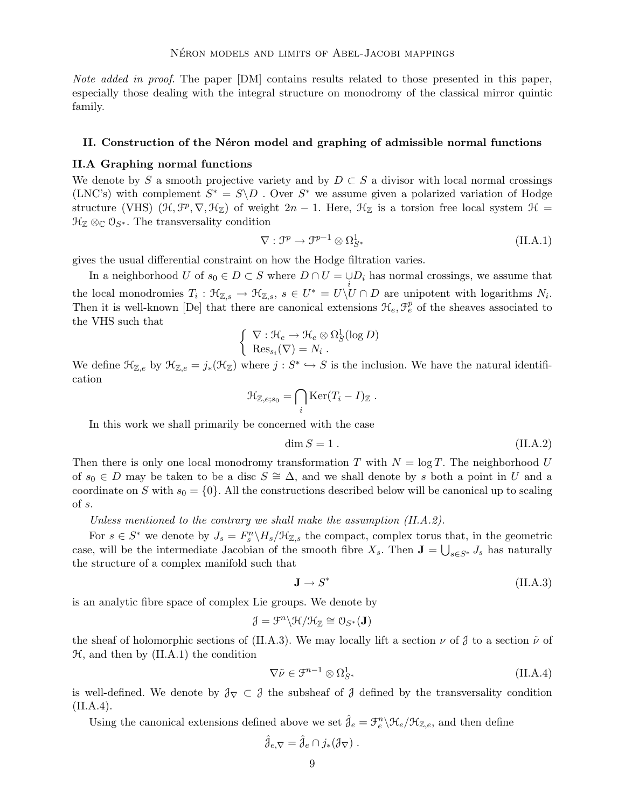Note added in proof. The paper [DM] contains results related to those presented in this paper, especially those dealing with the integral structure on monodromy of the classical mirror quintic family.

## II. Construction of the Neron model and graphing of admissible normal functions

#### II.A Graphing normal functions

We denote by S a smooth projective variety and by  $D \subset S$  a divisor with local normal crossings (LNC's) with complement  $S^* = S \ D$ . Over  $S^*$  we assume given a polarized variation of Hodge structure (VHS)  $(\mathcal{H}, \mathcal{F}^p, \nabla, \mathcal{H}_\mathbb{Z})$  of weight  $2n-1$ . Here,  $\mathcal{H}_\mathbb{Z}$  is a torsion free local system  $\mathcal{H} =$  $\mathfrak{H}_{\mathbb{Z}} \otimes_{\mathbb{C}} \mathcal{O}_{S^*}$ . The transversality condition

$$
\nabla : \mathcal{F}^p \to \mathcal{F}^{p-1} \otimes \Omega_{S^*}^1 \tag{II.A.1}
$$

gives the usual differential constraint on how the Hodge filtration varies.

In a neighborhood U of  $s_0 \in D \subset S$  where  $D \cap U = \bigcup_i D_i$  has normal crossings, we assume that the local monodromies  $T_i: \mathfrak{K}_{\mathbb{Z},s} \to \mathfrak{K}_{\mathbb{Z},s}$ ,  $s \in U^* = U \backslash U \cap D$  are unipotent with logarithms  $N_i$ . Then it is well-known [De] that there are canonical extensions  $\mathcal{H}_e, \mathcal{F}_e^p$  of the sheaves associated to the VHS such that

$$
\left\{ \begin{array}{l} \nabla : \mathcal{H}_e \to \mathcal{H}_e \otimes \Omega_S^1(\log D) \\ \text{Res}_{s_i}(\nabla) = N_i \end{array} \right.
$$

We define  $\mathcal{H}_{\mathbb{Z},e}$  by  $\mathcal{H}_{\mathbb{Z},e} = j_*(\mathcal{H}_{\mathbb{Z}})$  where  $j: S^* \hookrightarrow S$  is the inclusion. We have the natural identification

$$
\mathfrak{H}_{\mathbb{Z},e;s_0} = \bigcap_i \text{Ker}(T_i - I)_{\mathbb{Z}}.
$$

In this work we shall primarily be concerned with the case

$$
\dim S = 1. \tag{II.A.2}
$$

Then there is only one local monodromy transformation T with  $N = \log T$ . The neighborhood U of  $s_0 \in D$  may be taken to be a disc  $S \cong \Delta$ , and we shall denote by s both a point in U and a coordinate on S with  $s_0 = \{0\}$ . All the constructions described below will be canonical up to scaling of s.

Unless mentioned to the contrary we shall make the assumption (II.A.2).

For  $s \in S^*$  we denote by  $J_s = F_s^n \backslash H_s / \mathfrak{H}_{\mathbb{Z},s}$  the compact, complex torus that, in the geometric case, will be the intermediate Jacobian of the smooth fibre  $X_s$ . Then  $\mathbf{J} = \bigcup_{s \in S^*} J_s$  has naturally the structure of a complex manifold such that

$$
\mathbf{J} \to S^* \tag{II.A.3}
$$

is an analytic fibre space of complex Lie groups. We denote by

$$
\mathcal{J}=\mathcal{F}^n\backslash \mathcal{H}/\mathcal{H}_\mathbb{Z}\cong \mathcal{O}_{S^*}(\mathbf{J})
$$

the sheaf of holomorphic sections of (II.A.3). We may locally lift a section  $\nu$  of  $\jmath$  to a section  $\tilde{\nu}$  of  $H$ , and then by  $(II.A.1)$  the condition

$$
\nabla \tilde{\nu} \in \mathcal{F}^{n-1} \otimes \Omega^1_{S^*}
$$
 (II.A.4)

is well-defined. We denote by  $\mathcal{J}_\nabla \subset \mathcal{J}$  the subsheaf of  $\mathcal{J}$  defined by the transversality condition  $(II.A.4).$ 

Using the canonical extensions defined above we set  $\hat{j}_e = \mathcal{F}_e^n \setminus \mathcal{H}_e / \mathcal{H}_{\mathbb{Z},e}$ , and then define

$$
\hat{\jmath}_{e,\nabla} = \hat{\jmath}_e \cap j_*(\mathcal{J}_\nabla) .
$$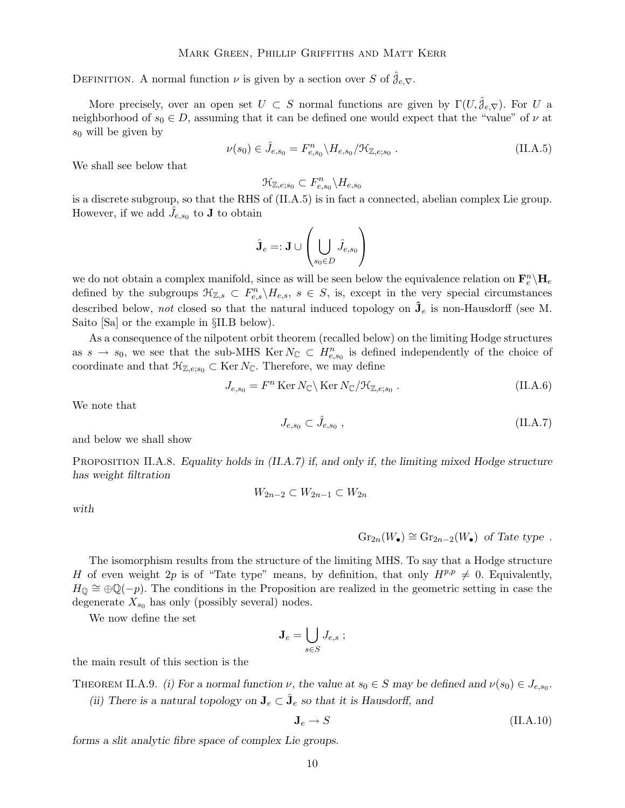DEFINITION. A normal function  $\nu$  is given by a section over S of  $\hat{J}_{e,\nabla}$ .

More precisely, over an open set  $U \subset S$  normal functions are given by  $\Gamma(U, \mathcal{J}_{e}, \nabla)$ . For U a neighborhood of  $s_0 \in D$ , assuming that it can be defined one would expect that the "value" of  $\nu$  at  $s_0$  will be given by

$$
\nu(s_0) \in \hat{J}_{e,s_0} = F_{e,s_0}^n \backslash H_{e,s_0} / \mathfrak{H}_{\mathbb{Z},e,s_0} .
$$
 (II.A.5)

We shall see below that

$$
\mathfrak{H}_{\mathbb{Z},e;s_0}\subset F_{e,s_0}^n\backslash H_{e,s_0}
$$

is a discrete subgroup, so that the RHS of (II.A.5) is in fact a connected, abelian complex Lie group. However, if we add  $\hat{J}_{{e},s_0}$  to **J** to obtain

$$
\hat{\mathbf{J}}_e =: \mathbf{J} \cup \left(\bigcup_{s_0 \in D} \hat{J}_{e,s_0}\right)
$$

we do not obtain a complex manifold, since as will be seen below the equivalence relation on  $\mathbf{F}_e^n \backslash \mathbf{H}_e$ defined by the subgroups  $\mathcal{H}_{\mathbb{Z},s} \subset F_{e,s}^n \backslash H_{e,s}, s \in S$ , is, except in the very special circumstances described below, not closed so that the natural induced topology on  $\hat{\mathbf{J}}_e$  is non-Hausdorff (see M. Saito [Sa] or the example in §II.B below).

As a consequence of the nilpotent orbit theorem (recalled below) on the limiting Hodge structures as  $s \to s_0$ , we see that the sub-MHS Ker  $N_{\mathbb{C}} \subset H_{e,s_0}^n$  is defined independently of the choice of coordinate and that  $\mathcal{H}_{\mathbb{Z},e;s_0} \subset \text{Ker } N_{\mathbb{C}}$ . Therefore, we may define

$$
J_{e,s_0} = F^n \operatorname{Ker} N_{\mathbb{C}} \backslash \operatorname{Ker} N_{\mathbb{C}} / \mathfrak{H}_{\mathbb{Z},e,s_0}.
$$
 (II.A.6)

We note that

$$
J_{e,s_0} \subset \hat{J}_{e,s_0} \;, \tag{II.A.7}
$$

and below we shall show

PROPOSITION II.A.8. Equality holds in  $(II.A.7)$  if, and only if, the limiting mixed Hodge structure has weight filtration

$$
W_{2n-2} \subset W_{2n-1} \subset W_{2n}
$$

with

$$
Gr_{2n}(W_{\bullet}) \cong Gr_{2n-2}(W_{\bullet}) \text{ of Tate type }.
$$

The isomorphism results from the structure of the limiting MHS. To say that a Hodge structure H of even weight 2p is of "Tate type" means, by definition, that only  $H^{p,p} \neq 0$ . Equivalently,  $H_{\mathbb{Q}} \cong \oplus \mathbb{Q}(-p)$ . The conditions in the Proposition are realized in the geometric setting in case the degenerate  $X_{s_0}$  has only (possibly several) nodes.

We now define the set

$$
\mathbf{J}_e = \bigcup_{s \in S} J_{e,s} \; ; \;
$$

the main result of this section is the

THEOREM II.A.9. (i) For a normal function  $\nu$ , the value at  $s_0 \in S$  may be defined and  $\nu(s_0) \in J_{e,s_0}$ .

(ii) There is a natural topology on  $J_e \subset \hat{J}_e$  so that it is Hausdorff, and

$$
\mathbf{J}_e \to S \tag{II.A.10}
$$

forms a slit analytic fibre space of complex Lie groups.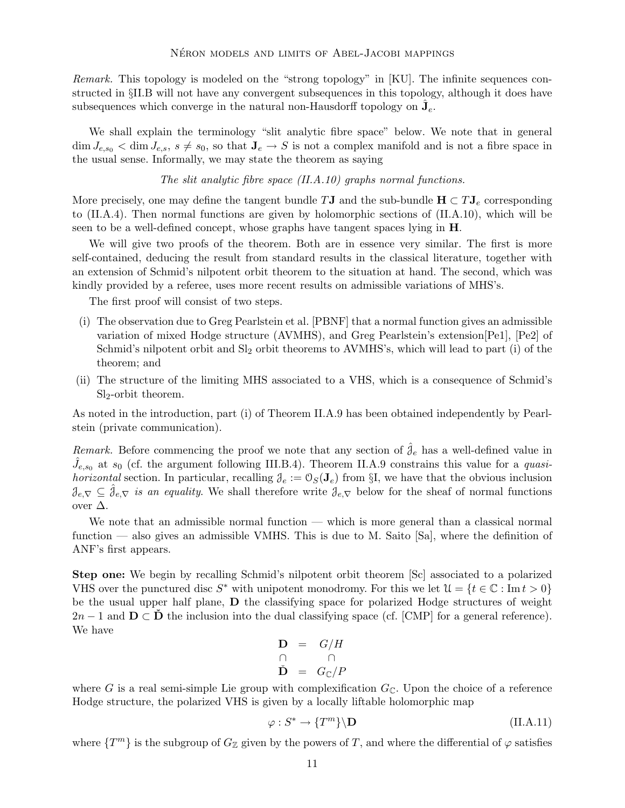Remark. This topology is modeled on the "strong topology" in [KU]. The infinite sequences constructed in §II.B will not have any convergent subsequences in this topology, although it does have subsequences which converge in the natural non-Hausdorff topology on  $\hat{J}_e$ .

We shall explain the terminology "slit analytic fibre space" below. We note that in general  $\dim J_{e,s_0} < \dim J_{e,s}$ ,  $s \neq s_0$ , so that  $J_e \to S$  is not a complex manifold and is not a fibre space in the usual sense. Informally, we may state the theorem as saying

## The slit analytic fibre space (II.A.10) graphs normal functions.

More precisely, one may define the tangent bundle TJ and the sub-bundle  $H \subset TJ_e$  corresponding to (II.A.4). Then normal functions are given by holomorphic sections of (II.A.10), which will be seen to be a well-defined concept, whose graphs have tangent spaces lying in H.

We will give two proofs of the theorem. Both are in essence very similar. The first is more self-contained, deducing the result from standard results in the classical literature, together with an extension of Schmid's nilpotent orbit theorem to the situation at hand. The second, which was kindly provided by a referee, uses more recent results on admissible variations of MHS's.

The first proof will consist of two steps.

- (i) The observation due to Greg Pearlstein et al. [PBNF] that a normal function gives an admissible variation of mixed Hodge structure (AVMHS), and Greg Pearlstein's extension[Pe1], [Pe2] of Schmid's nilpotent orbit and  $Sl<sub>2</sub>$  orbit theorems to AVMHS's, which will lead to part (i) of the theorem; and
- (ii) The structure of the limiting MHS associated to a VHS, which is a consequence of Schmid's  $Sl<sub>2</sub>$ -orbit theorem.

As noted in the introduction, part (i) of Theorem II.A.9 has been obtained independently by Pearlstein (private communication).

Remark. Before commencing the proof we note that any section of  $\hat{\mathcal{J}}_e$  has a well-defined value in  $\hat{J}_{e,s_0}$  at  $s_0$  (cf. the argument following III.B.4). Theorem II.A.9 constrains this value for a *quasihorizontal* section. In particular, recalling  $\mathcal{J}_e := \mathcal{O}_S(\mathbf{J}_e)$  from §I, we have that the obvious inclusion  $\mathcal{J}_{e,\nabla} \subseteq \mathcal{J}_{e,\nabla}$  is an equality. We shall therefore write  $\mathcal{J}_{e,\nabla}$  below for the sheaf of normal functions over  $\Delta$ .

We note that an admissible normal function — which is more general than a classical normal function — also gives an admissible VMHS. This is due to M. Saito [Sa], where the definition of ANF's first appears.

Step one: We begin by recalling Schmid's nilpotent orbit theorem [Sc] associated to a polarized VHS over the punctured disc  $S^*$  with unipotent monodromy. For this we let  $\mathcal{U} = \{t \in \mathbb{C} : \text{Im } t > 0\}$ be the usual upper half plane, D the classifying space for polarized Hodge structures of weight  $2n-1$  and  $D \subset \dot{D}$  the inclusion into the dual classifying space (cf. [CMP] for a general reference). We have

$$
\begin{array}{rcl}\n\mathbf{D} & = & G/H \\
\cap & & \cap \\
\mathbf{D} & = & G_{\mathbb{C}}/P\n\end{array}
$$

where G is a real semi-simple Lie group with complexification  $G_{\mathbb{C}}$ . Upon the choice of a reference Hodge structure, the polarized VHS is given by a locally liftable holomorphic map

$$
\varphi: S^* \to \{T^m\} \backslash \mathbf{D} \tag{II.A.11}
$$

where  $\{T^m\}$  is the subgroup of  $G_{\mathbb{Z}}$  given by the powers of T, and where the differential of  $\varphi$  satisfies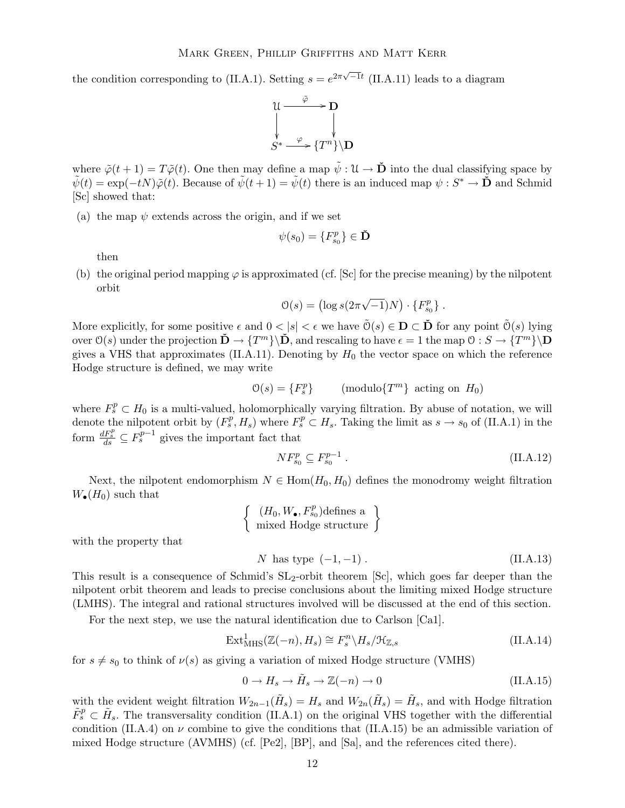the condition corresponding to (II.A.1). Setting  $s = e^{2\pi\sqrt{-1}t}$  (II.A.11) leads to a diagram



where  $\tilde{\varphi}(t+1) = T\tilde{\varphi}(t)$ . One then may define a map  $\tilde{\psi}: \mathfrak{U} \to \tilde{\mathbf{D}}$  into the dual classifying space by  $\tilde{\psi}(t) = \exp(-tN)\tilde{\varphi}(t)$ . Because of  $\tilde{\psi}(t+1) = \tilde{\psi}(t)$  there is an induced map  $\psi : S^* \to \mathbf{D}$  and Schmid [Sc] showed that:

(a) the map  $\psi$  extends across the origin, and if we set

$$
\psi(s_0) = \{F_{s_0}^p\} \in \check{\mathbf{D}}
$$

then

(b) the original period mapping  $\varphi$  is approximated (cf. [Sc] for the precise meaning) by the nilpotent orbit

$$
\mathcal{O}(s) = \left(\log s(2\pi\sqrt{-1})N\right) \cdot \{F_{s_0}^p\}.
$$

More explicitly, for some positive  $\epsilon$  and  $0 < |s| < \epsilon$  we have  $\tilde{\mathcal{O}}(s) \in \mathbf{D} \subset \tilde{\mathbf{D}}$  for any point  $\tilde{\mathcal{O}}(s)$  lying  $\mathrm{over}\ \mathfrak{O}(s) \text{ under the projection }\ \mathbf{D}\to \{T^m\}\backslash\mathbf{D}, \text{ and rescaling to have }\epsilon=1 \text{ the map }\mathbb{O}: S\to \{T^m\}\backslash\mathbf{D}$ gives a VHS that approximates (II.A.11). Denoting by  $H_0$  the vector space on which the reference Hodge structure is defined, we may write

$$
\mathcal{O}(s) = \{F_s^p\} \quad \text{(modulo}\{T^m\} \text{ acting on } H_0\text{)}
$$

where  $F_s^p \subset H_0$  is a multi-valued, holomorphically varying filtration. By abuse of notation, we will denote the nilpotent orbit by  $(F_s^p, H_s)$  where  $F_s^p \subset H_s$ . Taking the limit as  $s \to s_0$  of (II.A.1) in the form  $\frac{dF_s^p}{ds} \subseteq F_s^{p-1}$  gives the important fact that

$$
N F_{s_0}^p \subseteq F_{s_0}^{p-1} . \tag{II.A.12}
$$

Next, the nilpotent endomorphism  $N \in \text{Hom}(H_0, H_0)$  defines the monodromy weight filtration  $W_{\bullet}(H_0)$  such that

$$
\left\{\n\begin{array}{c}\n(H_0, W_\bullet, F_{s_0}^p)\text{defines a } \\
\text{mixed Hodge structure}\n\end{array}\n\right\}
$$

with the property that

$$
N
$$
 has type  $(-1, -1)$ .  $(II.A.13)$ 

This result is a consequence of Schmid's  $SL_2$ -orbit theorem [Sc], which goes far deeper than the nilpotent orbit theorem and leads to precise conclusions about the limiting mixed Hodge structure (LMHS). The integral and rational structures involved will be discussed at the end of this section.

For the next step, we use the natural identification due to Carlson [Ca1].

$$
\operatorname{Ext}^1_{\operatorname{MHS}}(\mathbb{Z}(-n), H_s) \cong F_s^n \backslash H_s / \mathfrak{H}_{\mathbb{Z}, s} \tag{II.A.14}
$$

for  $s \neq s_0$  to think of  $\nu(s)$  as giving a variation of mixed Hodge structure (VMHS)

$$
0 \to H_s \to \tilde{H}_s \to \mathbb{Z}(-n) \to 0 \tag{II.A.15}
$$

with the evident weight filtration  $W_{2n-1}(\tilde{H}_s) = H_s$  and  $W_{2n}(\tilde{H}_s) = \tilde{H}_s$ , and with Hodge filtration  $\tilde{F}_s^p \subset \tilde{H}_s$ . The transversality condition (II.A.1) on the original VHS together with the differential condition (II.A.4) on  $\nu$  combine to give the conditions that (II.A.15) be an admissible variation of mixed Hodge structure (AVMHS) (cf. [Pe2], [BP], and [Sa], and the references cited there).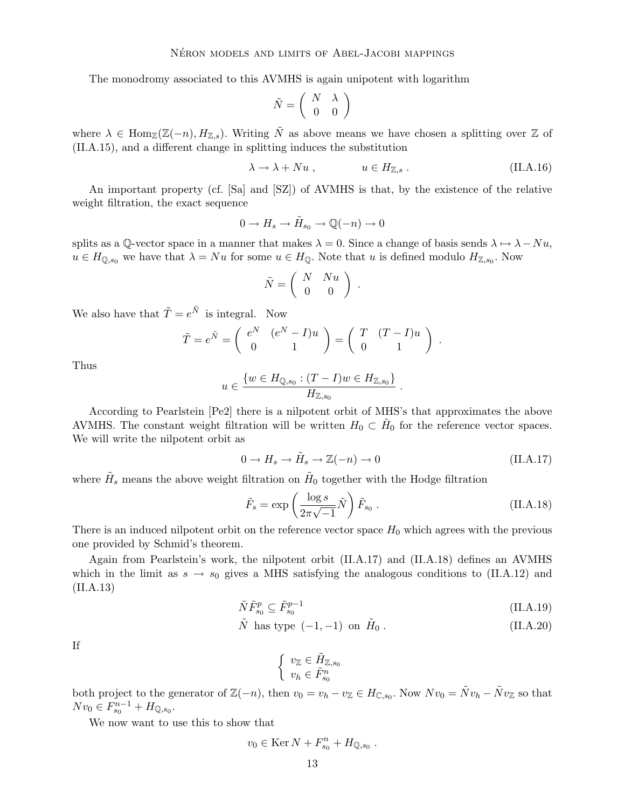The monodromy associated to this AVMHS is again unipotent with logarithm

$$
\tilde{N}=\left(\begin{array}{cc}N & \lambda \\ 0 & 0\end{array}\right)
$$

where  $\lambda \in \text{Hom}_{\mathbb{Z}}(\mathbb{Z}(-n), H_{\mathbb{Z},s})$ . Writing  $\tilde{N}$  as above means we have chosen a splitting over  $\mathbb{Z}$  of (II.A.15), and a different change in splitting induces the substitution

$$
\lambda \to \lambda + Nu , \qquad \qquad u \in H_{\mathbb{Z},s} . \tag{II.A.16}
$$

An important property (cf. [Sa] and [SZ]) of AVMHS is that, by the existence of the relative weight filtration, the exact sequence

$$
0 \to H_s \to \tilde{H}_{s_0} \to \mathbb{Q}(-n) \to 0
$$

splits as a Q-vector space in a manner that makes  $\lambda = 0$ . Since a change of basis sends  $\lambda \mapsto \lambda - Nu$ ,  $u \in H_{\mathbb{Q},s_0}$  we have that  $\lambda = Nu$  for some  $u \in H_{\mathbb{Q}}$ . Note that u is defined modulo  $H_{\mathbb{Z},s_0}$ . Now

$$
\tilde{N} = \left( \begin{array}{cc} N & Nu \\ 0 & 0 \end{array} \right) .
$$

We also have that  $\tilde{T} = e^{\tilde{N}}$  is integral. Now

$$
\tilde{T} = e^{\tilde{N}} = \begin{pmatrix} e^N & (e^N - I)u \\ 0 & 1 \end{pmatrix} = \begin{pmatrix} T & (T - I)u \\ 0 & 1 \end{pmatrix}
$$

Thus

$$
u \in \frac{\{w \in H_{\mathbb{Q},s_0} : (T - I)w \in H_{\mathbb{Z},s_0}\}}{H_{\mathbb{Z},s_0}}
$$

According to Pearlstein [Pe2] there is a nilpotent orbit of MHS's that approximates the above AVMHS. The constant weight filtration will be written  $H_0 \subset \tilde{H}_0$  for the reference vector spaces. We will write the nilpotent orbit as

$$
0 \to H_s \to \tilde{H}_s \to \mathbb{Z}(-n) \to 0 \tag{II.A.17}
$$

.

.

where  $\tilde{H}_s$  means the above weight filtration on  $\tilde{H}_0$  together with the Hodge filtration

$$
\tilde{F}_s = \exp\left(\frac{\log s}{2\pi\sqrt{-1}}\tilde{N}\right)\tilde{F}_{s_0}.
$$
\n(II.A.18)

There is an induced nilpotent orbit on the reference vector space  $H_0$  which agrees with the previous one provided by Schmid's theorem.

Again from Pearlstein's work, the nilpotent orbit (II.A.17) and (II.A.18) defines an AVMHS which in the limit as  $s \to s_0$  gives a MHS satisfying the analogous conditions to (II.A.12) and (II.A.13)

$$
\tilde{N}\tilde{F}_{s_0}^p \subseteq \tilde{F}_{s_0}^{p-1} \tag{II.A.19}
$$

$$
\tilde{N} \text{ has type } (-1, -1) \text{ on } \tilde{H}_0. \tag{II.A.20}
$$

If

 $\int v\mathbf{z} \in \tilde{H}_{\mathbb{Z},s_0}$  $v_h \in \tilde{F}_{s_0}^n$ 

both project to the generator of  $\mathbb{Z}(-n)$ , then  $v_0 = v_h - v_{\mathbb{Z}} \in H_{\mathbb{C}, s_0}$ . Now  $Nv_0 = \tilde{N}v_h - \tilde{N}v_{\mathbb{Z}}$  so that  $Nv_0 \in F_{s_0}^{n-1} + H_{\mathbb{Q}, s_0}.$ 

We now want to use this to show that

$$
v_0 \in \text{Ker } N + F_{s_0}^n + H_{\mathbb{Q}, s_0}.
$$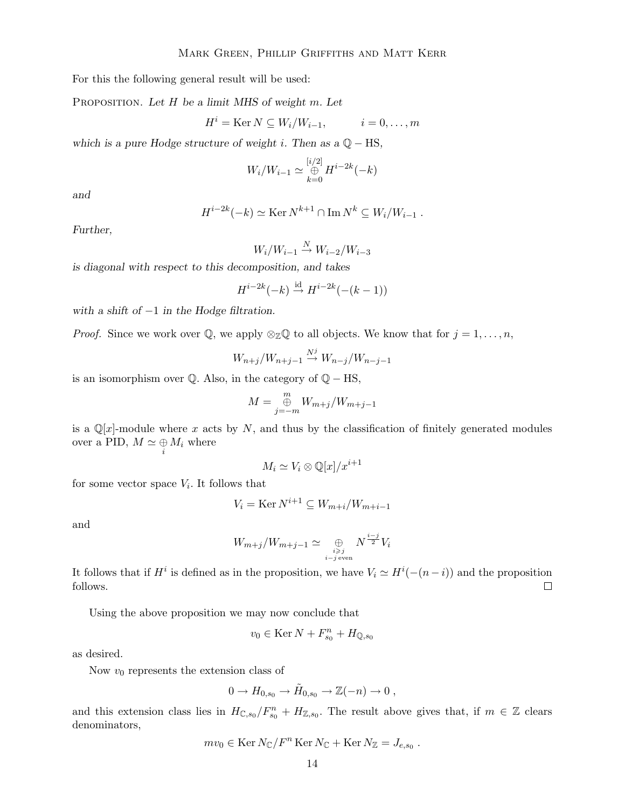For this the following general result will be used:

PROPOSITION. Let  $H$  be a limit MHS of weight  $m$ . Let

$$
Hi = \text{Ker } N \subseteq W_i/W_{i-1}, \qquad i = 0, \ldots, m
$$

which is a pure Hodge structure of weight i. Then as a  $\mathbb{Q} - \text{HS}$ ,

$$
W_i/W_{i-1} \simeq \bigoplus_{k=0}^{[i/2]} H^{i-2k}(-k)
$$

and

$$
H^{i-2k}(-k) \simeq \text{Ker } N^{k+1} \cap \text{Im } N^k \subseteq W_i/W_{i-1} .
$$

Further,

$$
W_i/W_{i-1} \stackrel{N}{\to} W_{i-2}/W_{i-3}
$$

is diagonal with respect to this decomposition, and takes

$$
H^{i-2k}(-k) \stackrel{\text{id}}{\rightarrow} H^{i-2k}(-(k-1))
$$

with a shift of  $-1$  in the Hodge filtration.

*Proof.* Since we work over  $\mathbb{Q}$ , we apply  $\otimes_{\mathbb{Z}} \mathbb{Q}$  to all objects. We know that for  $j = 1, \ldots, n$ ,

$$
W_{n+j}/W_{n+j-1} \stackrel{N^j}{\rightarrow} W_{n-j}/W_{n-j-1}
$$

is an isomorphism over  $\mathbb Q$ . Also, in the category of  $\mathbb Q$  – HS,

$$
M = \bigoplus_{j=-m}^{m} W_{m+j}/W_{m+j-1}
$$

is a  $\mathbb{Q}[x]$ -module where x acts by N, and thus by the classification of finitely generated modules over a PID,  $M \simeq \bigoplus_i M_i$  where

$$
M_i \simeq V_i \otimes \mathbb{Q}[x]/x^{i+1}
$$

for some vector space  $V_i$ . It follows that

$$
V_i = \operatorname{Ker} N^{i+1} \subseteq W_{m+i}/W_{m+i-1}
$$

and

$$
W_{m+j}/W_{m+j-1} \simeq \bigoplus_{\substack{i \geq j \\ i-j \text{ even}}} N^{\frac{i-j}{2}} V_i
$$

It follows that if  $H^i$  is defined as in the proposition, we have  $V_i \simeq H^i(-(n-i))$  and the proposition follows.

Using the above proposition we may now conclude that

$$
v_0\in\operatorname{Ker} N+F^n_{s_0}+H_{\mathbb{Q},s_0}
$$

as desired.

Now  $v_0$  represents the extension class of

$$
0 \to H_{0,s_0} \to \tilde{H}_{0,s_0} \to \mathbb{Z}(-n) \to 0 ,
$$

and this extension class lies in  $H_{\mathbb{C},s_0}/F_{s_0}^n + H_{\mathbb{Z},s_0}$ . The result above gives that, if  $m \in \mathbb{Z}$  clears denominators,

$$
mv_0 \in \text{Ker } N_{\mathbb{C}}/F^n \text{Ker } N_{\mathbb{C}} + \text{Ker } N_{\mathbb{Z}} = J_{e,s_0}.
$$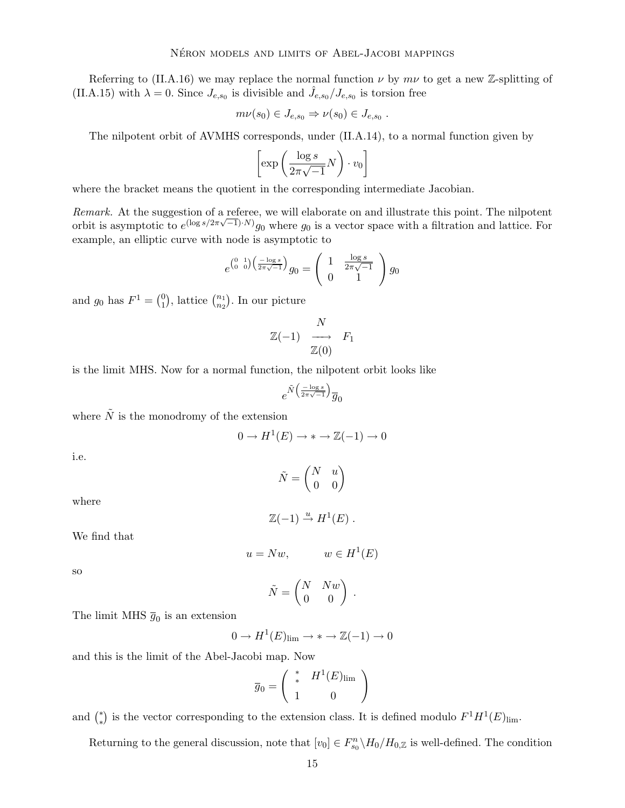Referring to (II.A.16) we may replace the normal function  $\nu$  by  $m\nu$  to get a new Z-splitting of (II.A.15) with  $\lambda = 0$ . Since  $J_{e,s_0}$  is divisible and  $\hat{J}_{e,s_0}/J_{e,s_0}$  is torsion free

$$
m\nu(s_0)\in J_{e,s_0}\Rightarrow \nu(s_0)\in J_{e,s_0} .
$$

The nilpotent orbit of AVMHS corresponds, under (II.A.14), to a normal function given by

$$
\left[\exp\left(\frac{\log s}{2\pi\sqrt{-1}}N\right)\cdot v_0\right]
$$

where the bracket means the quotient in the corresponding intermediate Jacobian.

Remark. At the suggestion of a referee, we will elaborate on and illustrate this point. The nilpotent orbit is asymptotic to  $e^{(\log s/2\pi\sqrt{-1})\cdot N)}g_0$  where  $g_0$  is a vector space with a filtration and lattice. For example, an elliptic curve with node is asymptotic to

$$
e^{\binom{0}{0}\frac{1}{0}\left(\frac{-\log s}{2\pi\sqrt{-1}}\right)}g_0 = \left(\begin{array}{cc} 1 & \frac{\log s}{2\pi\sqrt{-1}} \\ 0 & 1 \end{array}\right)g_0
$$

and  $g_0$  has  $F^1 = \binom{0}{1}$  $\binom{0}{1}$ , lattice  $\binom{n_1}{n_2}$  $\binom{n_1}{n_2}$ . In our picture

$$
\begin{array}{ccc}\n & N & \\
\mathbb{Z}(-1) & \longrightarrow & F_1 \\
\mathbb{Z}(0) & & \n\end{array}
$$

is the limit MHS. Now for a normal function, the nilpotent orbit looks like

$$
e^{\tilde{N}\big(\frac{-\log s}{2\pi\sqrt{-1}}\big)}\overline{g}_0
$$

where  $\tilde{N}$  is the monodromy of the extension

$$
0 \to H^1(E) \to * \to \mathbb{Z}(-1) \to 0
$$

i.e.

 $\tilde{N} = \begin{pmatrix} N & u \\ 0 & 0 \end{pmatrix}$ 

where

$$
\mathbb{Z}(-1) \stackrel{u}{\to} H^1(E) .
$$

We find that

$$
u = Nw, \qquad w \in H^1(E)
$$

so

$$
\tilde{N} = \begin{pmatrix} N & Nw \\ 0 & 0 \end{pmatrix} \; .
$$

The limit MHS  $\bar{g}_0$  is an extension

$$
0 \to H^1(E)_{\lim} \to * \to \mathbb{Z}(-1) \to 0
$$

and this is the limit of the Abel-Jacobi map. Now

$$
\overline{g}_0 = \left( \begin{array}{cc} * & H^1(E)_{\text{lim}} \\ * & 0 \end{array} \right)
$$

and  $\binom{*}{*}$ ∗ ) is the vector corresponding to the extension class. It is defined modulo  $F^1H^1(E)_{\text{lim}}$ .

Returning to the general discussion, note that  $[v_0] \in F_{s_0}^n \backslash H_0/H_{0,\mathbb{Z}}$  is well-defined. The condition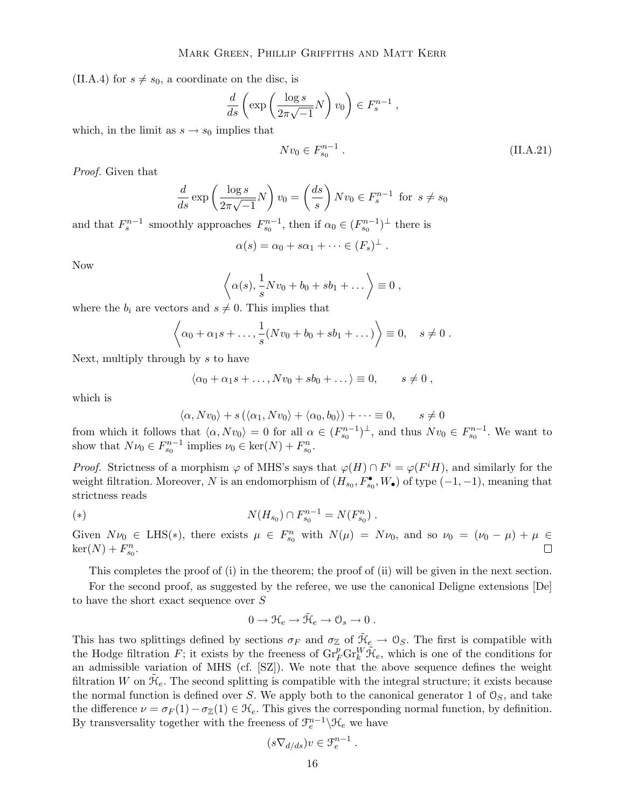(II.A.4) for  $s \neq s_0$ , a coordinate on the disc, is

$$
\frac{d}{ds} \left( \exp \left( \frac{\log s}{2\pi \sqrt{-1}} N \right) v_0 \right) \in F_s^{n-1} ,
$$

which, in the limit as  $s \to s_0$  implies that

$$
Nv_0 \in F_{s_0}^{n-1} \ . \tag{II.A.21}
$$

Proof. Given that

$$
\frac{d}{ds} \exp\left(\frac{\log s}{2\pi\sqrt{-1}}N\right) v_0 = \left(\frac{ds}{s}\right) N v_0 \in F_s^{n-1} \text{ for } s \neq s_0
$$

and that  $F_s^{n-1}$  smoothly approaches  $F_{s_0}^{n-1}$ , then if  $\alpha_0 \in (F_{s_0}^{n-1})^{\perp}$  there is

$$
\alpha(s) = \alpha_0 + s\alpha_1 + \cdots \in (F_s)^{\perp} .
$$

Now

$$
\left\langle \alpha(s), \frac{1}{s} N v_0 + b_0 + s b_1 + \dots \right\rangle \equiv 0 ,
$$

where the  $b_i$  are vectors and  $s \neq 0$ . This implies that

$$
\left\langle \alpha_0 + \alpha_1 s + \ldots, \frac{1}{s} (N v_0 + b_0 + s b_1 + \ldots) \right\rangle \equiv 0, \quad s \neq 0.
$$

Next, multiply through by  $s$  to have

$$
\langle \alpha_0 + \alpha_1 s + \dots, N v_0 + s b_0 + \dots \rangle \equiv 0, \qquad s \neq 0 ,
$$

which is

$$
\langle \alpha, Nv_0 \rangle + s(\langle \alpha_1, Nv_0 \rangle + \langle \alpha_0, b_0 \rangle) + \dots \equiv 0, \qquad s \neq 0
$$

from which it follows that  $\langle \alpha, Nv_0 \rangle = 0$  for all  $\alpha \in (F_{s_0}^{n-1})^{\perp}$ , and thus  $Nv_0 \in F_{s_0}^{n-1}$ . We want to show that  $N\nu_0 \in F_{s_0}^{n-1}$  implies  $\nu_0 \in \text{ker}(N) + F_{s_0}^n$ .

*Proof.* Strictness of a morphism  $\varphi$  of MHS's says that  $\varphi(H) \cap F^i = \varphi(F^i H)$ , and similarly for the weight filtration. Moreover, N is an endomorphism of  $(H_{s_0}, F_{s_0}^{\bullet}, W_{\bullet})$  of type  $(-1, -1)$ , meaning that strictness reads

(\*) 
$$
N(H_{s_0}) \cap F_{s_0}^{n-1} = N(F_{s_0}^n).
$$

Given  $N\nu_0 \in \text{LHS}(*)$ , there exists  $\mu \in F_{s_0}^n$  with  $N(\mu) = N\nu_0$ , and so  $\nu_0 = (\nu_0 - \mu) + \mu \in$  $\ker(N) + F_{s_0}^n$ .

This completes the proof of (i) in the theorem; the proof of (ii) will be given in the next section.

For the second proof, as suggested by the referee, we use the canonical Deligne extensions [De] to have the short exact sequence over S

$$
0 \to \mathfrak{R}_e \to \tilde{\mathfrak{R}}_e \to \mathfrak{O}_s \to 0 .
$$

This has two splittings defined by sections  $\sigma_F$  and  $\sigma_Z$  of  $\tilde{\mathcal{H}}_e \to \mathcal{O}_S$ . The first is compatible with the Hodge filtration  $\bar{F}$ ; it exists by the freeness of  $\mathrm{Gr}_F^p\mathrm{Gr}_k^W\tilde{\mathcal{H}}_e$ , which is one of the conditions for an admissible variation of MHS (cf. [SZ]). We note that the above sequence defines the weight filtration W on  $\tilde{\mathcal{H}}_e$ . The second splitting is compatible with the integral structure; it exists because the normal function is defined over S. We apply both to the canonical generator 1 of  $\mathcal{O}_S$ , and take the difference  $\nu = \sigma_F(1) - \sigma_Z(1) \in \mathcal{H}_e$ . This gives the corresponding normal function, by definition. By transversality together with the freeness of  $\mathcal{F}_e^{n-1} \backslash \mathcal{H}_e$  we have

$$
(s\nabla_{d/ds})v\in\mathcal{F}_e^{n-1}
$$

.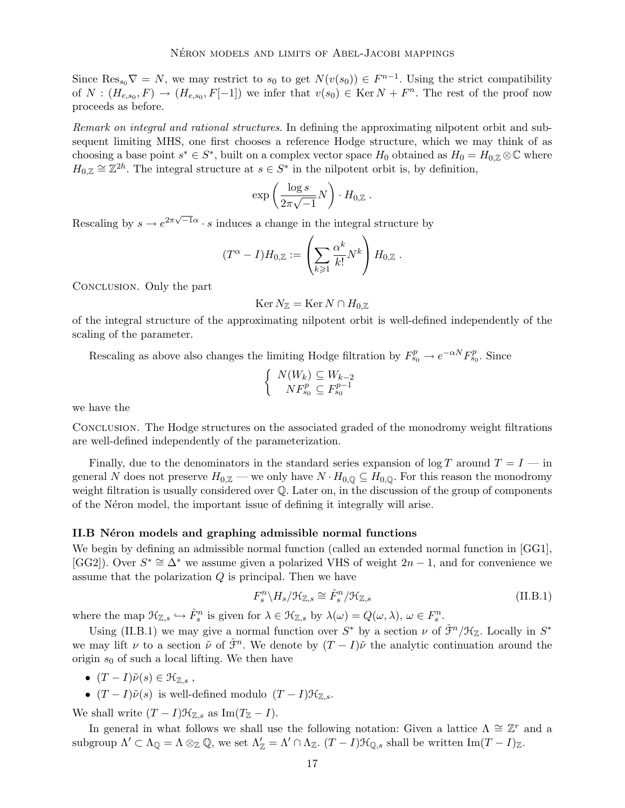Since  $\text{Res}_{s_0} \nabla = N$ , we may restrict to  $s_0$  to get  $N(v(s_0)) \in F^{n-1}$ . Using the strict compatibility of  $N: (H_{e,s_0}, F) \to (H_{e,s_0}, F[-1])$  we infer that  $v(s_0) \in \text{Ker } N + F^n$ . The rest of the proof now proceeds as before.

Remark on integral and rational structures. In defining the approximating nilpotent orbit and subsequent limiting MHS, one first chooses a reference Hodge structure, which we may think of as choosing a base point  $s^* \in S^*$ , built on a complex vector space  $H_0$  obtained as  $H_0 = H_{0,\mathbb{Z}} \otimes \mathbb{C}$  where  $H_{0,\mathbb{Z}} \cong \mathbb{Z}^{2h}$ . The integral structure at  $s \in S^*$  in the nilpotent orbit is, by definition,

$$
\exp\left(\frac{\log s}{2\pi\sqrt{-1}}N\right)\cdot H_{0,\mathbb{Z}}.
$$

Rescaling by  $s \to e^{2\pi \sqrt{-1}\alpha} \cdot s$  induces a change in the integral structure by

$$
(T^{\alpha} - I)H_{0,\mathbb{Z}} := \left(\sum_{k\geqslant 1} \frac{\alpha^k}{k!} N^k\right) H_{0,\mathbb{Z}}.
$$

Conclusion. Only the part

$$
\operatorname{Ker} N_{\mathbb{Z}}=\operatorname{Ker} N\cap H_{0,{\mathbb{Z}}}
$$

of the integral structure of the approximating nilpotent orbit is well-defined independently of the scaling of the parameter.

Rescaling as above also changes the limiting Hodge filtration by  $F_{s_0}^p \to e^{-\alpha N} F_{s_0}^p$ . Since

$$
\begin{cases} N(W_k) \subseteq W_{k-2} \\ N F_{s_0}^p \subseteq F_{s_0}^{p-1} \end{cases}
$$

we have the

Conclusion. The Hodge structures on the associated graded of the monodromy weight filtrations are well-defined independently of the parameterization.

Finally, due to the denominators in the standard series expansion of  $\log T$  around  $T = I - \text{in}$ general N does not preserve  $H_{0,\mathbb{Z}}$  — we only have  $N \cdot H_{0,\mathbb{Q}} \subseteq H_{0,\mathbb{Q}}$ . For this reason the monodromy weight filtration is usually considered over Q. Later on, in the discussion of the group of components of the N<sub>eron</sub> model, the important issue of defining it integrally will arise.

## II.B Néron models and graphing admissible normal functions

We begin by defining an admissible normal function (called an extended normal function in [GG1], [GG2]). Over  $S^* \cong \Delta^*$  we assume given a polarized VHS of weight  $2n - 1$ , and for convenience we assume that the polarization  $Q$  is principal. Then we have

$$
F_s^n \backslash H_s / \mathcal{H}_{\mathbb{Z},s} \cong \check{F}_s^n / \mathcal{H}_{\mathbb{Z},s}
$$
\n(II.B.1)

where the map  $\mathcal{H}_{\mathbb{Z},s} \hookrightarrow \check{F}_s^n$  is given for  $\lambda \in \mathcal{H}_{\mathbb{Z},s}$  by  $\lambda(\omega) = Q(\omega, \lambda), \omega \in F_s^n$ .

Using (II.B.1) we may give a normal function over  $S^*$  by a section  $\nu$  of  $\check{\mathcal{F}}^n/\mathcal{H}_{\mathbb{Z}}$ . Locally in  $S^*$ we may lift  $\nu$  to a section  $\tilde{\nu}$  of  $\tilde{\mathcal{F}}^n$ . We denote by  $(T - I)\tilde{\nu}$  the analytic continuation around the origin  $s_0$  of such a local lifting. We then have

- $(T I)\tilde{\nu}(s) \in \mathcal{H}_{\mathbb{Z},s}$ ,
- $(T I)\tilde{\nu}(s)$  is well-defined modulo  $(T I)\mathcal{H}_{\mathbb{Z},s}$ .

We shall write  $(T - I)\mathcal{H}_{\mathbb{Z},s}$  as Im $(T_{\mathbb{Z}} - I)$ .

In general in what follows we shall use the following notation: Given a lattice  $\Lambda \cong \mathbb{Z}^r$  and a subgroup  $\Lambda' \subset \Lambda_{\mathbb{Q}} = \Lambda \otimes_{\mathbb{Z}} \mathbb{Q}$ , we set  $\Lambda'_{\mathbb{Z}} = \Lambda' \cap \Lambda_{\mathbb{Z}}$ .  $(T - I)\mathcal{H}_{\mathbb{Q},s}$  shall be written  $\text{Im}(T - I)_{\mathbb{Z}}$ .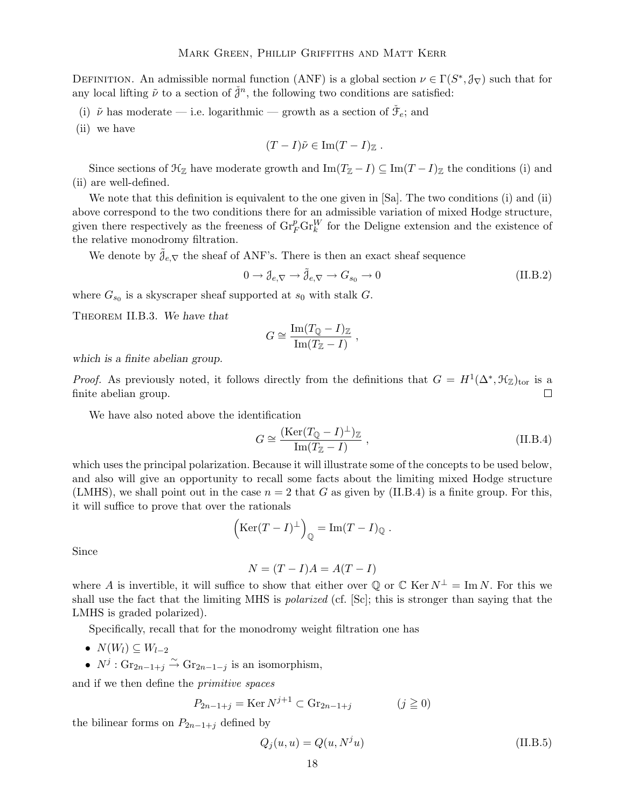DEFINITION. An admissible normal function (ANF) is a global section  $\nu \in \Gamma(S^*, \mathcal{J}_\nabla)$  such that for any local lifting  $\tilde{\nu}$  to a section of  $\check{\mathcal{J}}^n$ , the following two conditions are satisfied:

- (i)  $\tilde{\nu}$  has moderate i.e. logarithmic growth as a section of  $\tilde{\mathcal{F}}_e$ ; and
- (ii) we have

$$
(T-I)\tilde{\nu}\in \mathrm{Im}(T-I)_{\mathbb{Z}}.
$$

Since sections of  $\mathcal{H}_{\mathbb{Z}}$  have moderate growth and Im( $T_{\mathbb{Z}} - I$ )  $\subseteq$  Im( $T - I$ )<sub> $\mathbb{Z}$ </sub> the conditions (i) and (ii) are well-defined.

We note that this definition is equivalent to the one given in [Sa]. The two conditions (i) and (ii) above correspond to the two conditions there for an admissible variation of mixed Hodge structure, given there respectively as the freeness of  $\text{Gr}_{F}^{p}\text{Gr}_{k}^{W}$  for the Deligne extension and the existence of the relative monodromy filtration.

We denote by  $\mathcal{J}_{e,\nabla}$  the sheaf of ANF's. There is then an exact sheaf sequence

$$
0 \to \mathcal{J}_{e,\nabla} \to \tilde{\mathcal{J}}_{e,\nabla} \to G_{s_0} \to 0
$$
 (II.B.2)

where  $G_{s_0}$  is a skyscraper sheaf supported at  $s_0$  with stalk G.

Theorem II.B.3. We have that

$$
G \cong \frac{\operatorname{Im}(T_{\mathbb{Q}} - I)_{\mathbb{Z}}}{\operatorname{Im}(T_{\mathbb{Z}} - I)},
$$

which is a finite abelian group.

*Proof.* As previously noted, it follows directly from the definitions that  $G = H^1(\Delta^*, \mathfrak{H}_{\mathbb{Z}})_{\text{tor}}$  is a finite abelian group.

We have also noted above the identification

$$
G \cong \frac{(\text{Ker}(T_{\mathbb{Q}} - I)^{\perp})_{\mathbb{Z}}}{\text{Im}(T_{\mathbb{Z}} - I)},
$$
\n(II.B.4)

which uses the principal polarization. Because it will illustrate some of the concepts to be used below, and also will give an opportunity to recall some facts about the limiting mixed Hodge structure (LMHS), we shall point out in the case  $n = 2$  that G as given by (II.B.4) is a finite group. For this, it will suffice to prove that over the rationals

$$
\left(\mathrm{Ker}(T-I)^{\perp}\right)_{\mathbb{Q}} = \mathrm{Im}(T-I)_{\mathbb{Q}} .
$$

Since

$$
N = (T - I)A = A(T - I)
$$

where A is invertible, it will suffice to show that either over Q or C Ker  $N^{\perp} = \text{Im } N$ . For this we shall use the fact that the limiting MHS is polarized (cf. [Sc]; this is stronger than saying that the LMHS is graded polarized).

Specifically, recall that for the monodromy weight filtration one has

- $N(W_l) \subseteq W_{l-2}$
- $N^j$ :  $\text{Gr}_{2n-1+j} \overset{\sim}{\rightarrow} \text{Gr}_{2n-1-j}$  is an isomorphism,

and if we then define the primitive spaces

$$
P_{2n-1+j} = \text{Ker } N^{j+1} \subset \text{Gr}_{2n-1+j} \qquad (j \ge 0)
$$

the bilinear forms on  $P_{2n-1+j}$  defined by

$$
Q_j(u, u) = Q(u, N^j u)
$$
\n(II.B.5)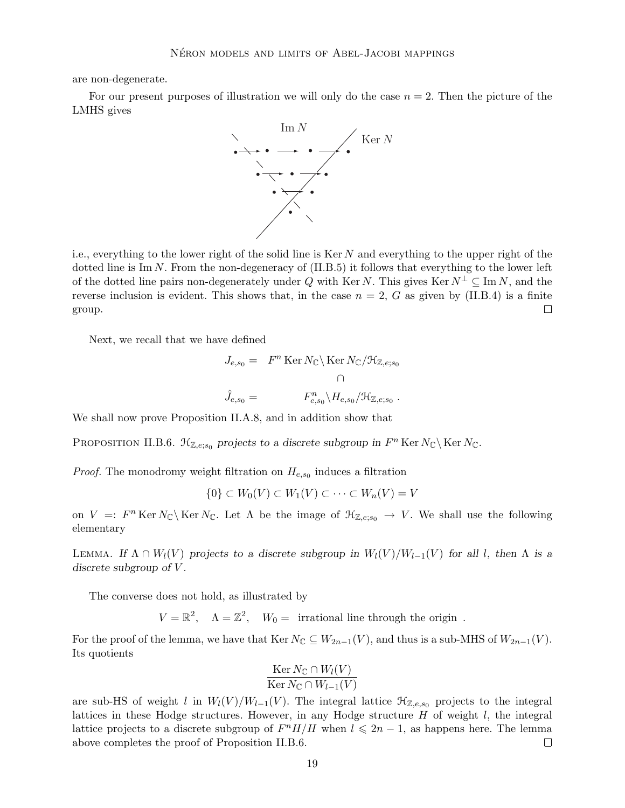are non-degenerate.

For our present purposes of illustration we will only do the case  $n = 2$ . Then the picture of the LMHS gives



i.e., everything to the lower right of the solid line is Ker N and everything to the upper right of the dotted line is  $\text{Im } N$ . From the non-degeneracy of  $(II.B.5)$  it follows that everything to the lower left of the dotted line pairs non-degenerately under Q with Ker N. This gives Ker  $N^{\perp} \subseteq \text{Im } N$ , and the reverse inclusion is evident. This shows that, in the case  $n = 2$ , G as given by (II.B.4) is a finite group.  $\Box$ 

Next, we recall that we have defined

$$
J_{e,s_0} = F^n \operatorname{Ker} N_{\mathbb{C}} \backslash \operatorname{Ker} N_{\mathbb{C}} / \mathfrak{H}_{\mathbb{Z},e;s_0}
$$
  

$$
\hat{J}_{e,s_0} = F_{e,s_0}^n \backslash H_{e,s_0} / \mathfrak{H}_{\mathbb{Z},e;s_0}.
$$

We shall now prove Proposition II.A.8, and in addition show that

PROPOSITION II.B.6.  $\mathcal{H}_{\mathbb{Z},e;s_0}$  projects to a discrete subgroup in  $F^n$  Ker  $N_{\mathbb{C}}\backslash$  Ker  $N_{\mathbb{C}}$ .

*Proof.* The monodromy weight filtration on  $H_{e,s_0}$  induces a filtration

$$
\{0\} \subset W_0(V) \subset W_1(V) \subset \cdots \subset W_n(V) = V
$$

on  $V =: F^n \text{Ker } N_{\mathbb{C}} \backslash \text{Ker } N_{\mathbb{C}}$ . Let  $\Lambda$  be the image of  $\mathcal{H}_{\mathbb{Z},e;s_0} \to V$ . We shall use the following elementary

LEMMA. If  $\Lambda \cap W_l(V)$  projects to a discrete subgroup in  $W_l(V)/W_{l-1}(V)$  for all l, then  $\Lambda$  is a discrete subgroup of  $V$ .

The converse does not hold, as illustrated by

 $V = \mathbb{R}^2$ ,  $\Lambda = \mathbb{Z}^2$ ,  $W_0 =$  irrational line through the origin.

For the proof of the lemma, we have that Ker  $N_{\mathbb{C}} \subseteq W_{2n-1}(V)$ , and thus is a sub-MHS of  $W_{2n-1}(V)$ . Its quotients

$$
\frac{\text{Ker } N_{\mathbb{C}} \cap W_{l}(V)}{\text{Ker } N_{\mathbb{C}} \cap W_{l-1}(V)}
$$

are sub-HS of weight l in  $W_l(V)/W_{l-1}(V)$ . The integral lattice  $\mathcal{H}_{\mathbb{Z},e,s_0}$  projects to the integral lattices in these Hodge structures. However, in any Hodge structure  $H$  of weight  $l$ , the integral lattice projects to a discrete subgroup of  $F^n H/H$  when  $l \leq 2n - 1$ , as happens here. The lemma above completes the proof of Proposition II.B.6.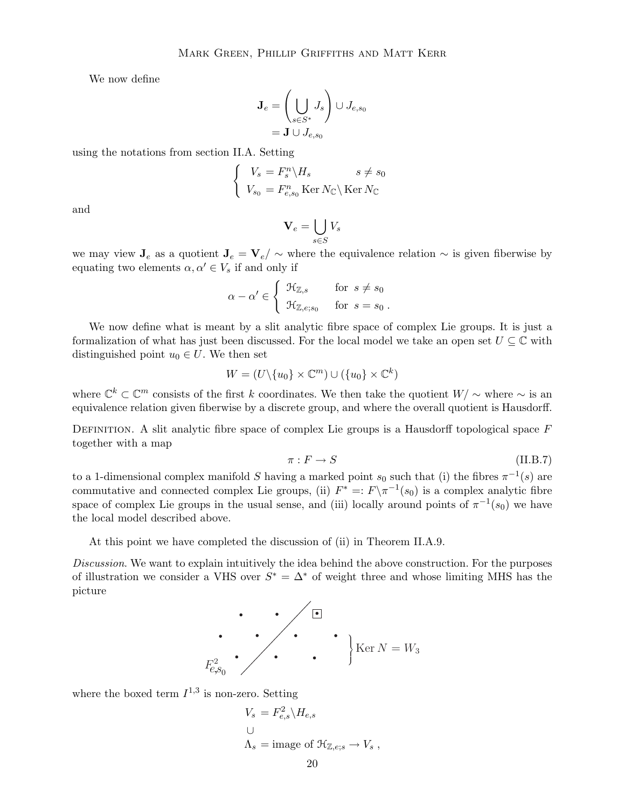We now define

$$
\mathbf{J}_e = \left(\bigcup_{s \in S^*} J_s\right) \cup J_{e,s_0}
$$

$$
= \mathbf{J} \cup J_{e,s_0}
$$

using the notations from section II.A. Setting

$$
\begin{cases} V_s = F_s^n \backslash H_s & s \neq s_0 \\ V_{s_0} = F_{e,s_0}^n \operatorname{Ker} N_{\mathbb{C}} \backslash \operatorname{Ker} N_{\mathbb{C}} \end{cases}
$$

and

$$
\mathbf{V}_e = \bigcup_{s \in S} V_s
$$

we may view  $J_e$  as a quotient  $J_e = V_e / \sim$  where the equivalence relation  $\sim$  is given fiberwise by equating two elements  $\alpha, \alpha' \in V_s$  if and only if

$$
\alpha - \alpha' \in \begin{cases} \mathcal{H}_{\mathbb{Z},s} & \text{for } s \neq s_0 \\ \mathcal{H}_{\mathbb{Z},e;s_0} & \text{for } s = s_0 \end{cases}.
$$

We now define what is meant by a slit analytic fibre space of complex Lie groups. It is just a formalization of what has just been discussed. For the local model we take an open set  $U \subseteq \mathbb{C}$  with distinguished point  $u_0 \in U$ . We then set

$$
W = (U \setminus \{u_0\} \times \mathbb{C}^m) \cup (\{u_0\} \times \mathbb{C}^k)
$$

where  $\mathbb{C}^k \subset \mathbb{C}^m$  consists of the first k coordinates. We then take the quotient  $W/\sim$  where  $\sim$  is an equivalence relation given fiberwise by a discrete group, and where the overall quotient is Hausdorff.

DEFINITION. A slit analytic fibre space of complex Lie groups is a Hausdorff topological space  $F$ together with a map

$$
\pi: F \to S \tag{II.B.7}
$$

to a 1-dimensional complex manifold S having a marked point  $s_0$  such that (i) the fibres  $\pi^{-1}(s)$  are commutative and connected complex Lie groups, (ii)  $F^* =: F \setminus \pi^{-1}(s_0)$  is a complex analytic fibre space of complex Lie groups in the usual sense, and (iii) locally around points of  $\pi^{-1}(s_0)$  we have the local model described above.

At this point we have completed the discussion of (ii) in Theorem II.A.9.

Discussion. We want to explain intuitively the idea behind the above construction. For the purposes of illustration we consider a VHS over  $S^* = \Delta^*$  of weight three and whose limiting MHS has the picture

$$
F_{e,s_0}^2
$$
 
$$
\left.\begin{matrix} \blacksquare\\ \vdots\\ \blacksquare\\ \blacksquare\\ \end{matrix}\right\}
$$
 
$$
\left.\begin{matrix} \blacksquare\\ \blacksquare\\ \blacksquare\\ \end{matrix}\right\}
$$
 
$$
\left.\begin{matrix} \blacksquare\\ \blacksquare\\ \blacksquare\\ \end{matrix}\right\}
$$
 
$$
\left.\begin{matrix} \blacksquare\\ \blacksquare\\ \blacksquare\\ \end{matrix}\right\}
$$
 
$$
\left.\begin{matrix} \blacksquare\\ \blacksquare\\ \blacksquare\\ \end{matrix}\right\}
$$
 
$$
\left.\begin{matrix} \blacksquare\\ \blacksquare\\ \blacksquare\\ \end{matrix}\right\}
$$
 
$$
\left.\begin{matrix} \blacksquare\\ \blacksquare\\ \blacksquare\\ \end{matrix}\right\}
$$
 
$$
\left.\begin{matrix} \blacksquare\\ \blacksquare\\ \blacksquare\\ \end{matrix}\right\}
$$

where the boxed term  $I^{1,3}$  is non-zero. Setting

$$
V_s = F_{e,s}^2 \backslash H_{e,s}
$$
  

$$
\cup
$$
  

$$
\Lambda_s = \text{image of } \mathcal{H}_{\mathbb{Z},e;s} \to V_s ,
$$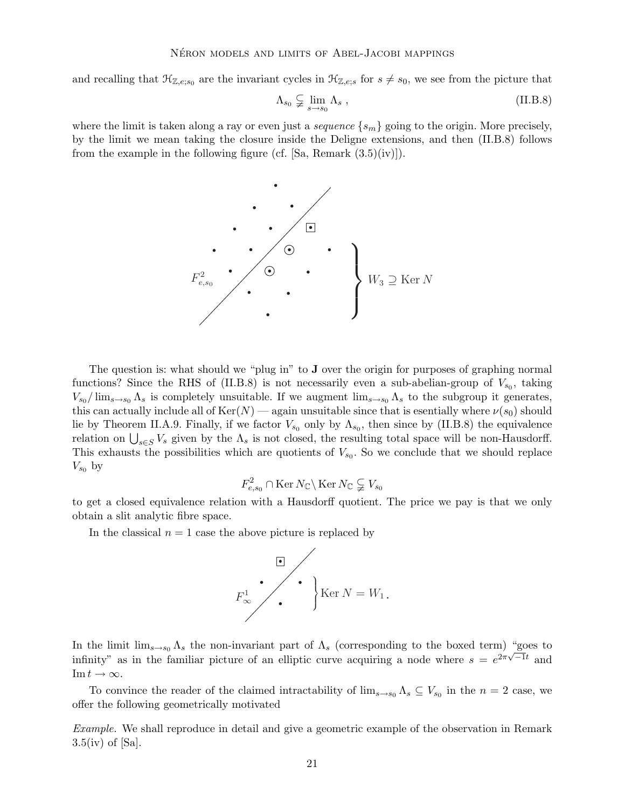and recalling that  $\mathcal{H}_{\mathbb{Z},e;s_0}$  are the invariant cycles in  $\mathcal{H}_{\mathbb{Z},e;s}$  for  $s \neq s_0$ , we see from the picture that

$$
\Lambda_{s_0} \subsetneq \lim_{s \to s_0} \Lambda_s \tag{II.B.8}
$$

where the limit is taken along a ray or even just a *sequence*  $\{s_m\}$  going to the origin. More precisely, by the limit we mean taking the closure inside the Deligne extensions, and then (II.B.8) follows from the example in the following figure (cf. [Sa, Remark  $(3.5)(iv)$ ]).



The question is: what should we "plug in" to  $J$  over the origin for purposes of graphing normal functions? Since the RHS of (II.B.8) is not necessarily even a sub-abelian-group of  $V_{s_0}$ , taking  $V_{s_0}/\lim_{s\to s_0}\Lambda_s$  is completely unsuitable. If we augment  $\lim_{s\to s_0}\Lambda_s$  to the subgroup it generates, this can actually include all of  $Ker(N)$  — again unsuitable since that is esentially where  $\nu(s_0)$  should lie by Theorem II.A.9. Finally, if we factor  $V_{s_0}$  only by  $\Lambda_{s_0}$ , then since by (II.B.8) the equivalence relation on  $\bigcup_{s \in S} V_s$  given by the  $\Lambda_s$  is not closed, the resulting total space will be non-Hausdorff. This exhausts the possibilities which are quotients of  $V_{s_0}$ . So we conclude that we should replace  $V_{s_0}$  by

$$
F^2_{e,s_0} \cap \text{Ker } N_{\mathbb{C}} \setminus \text{Ker } N_{\mathbb{C}} \subsetneq V_{s_0}
$$

to get a closed equivalence relation with a Hausdorff quotient. The price we pay is that we only obtain a slit analytic fibre space.

In the classical  $n = 1$  case the above picture is replaced by



In the limit  $\lim_{s\to s_0} \Lambda_s$  the non-invariant part of  $\Lambda_s$  (corresponding to the boxed term) "goes to infinity" as in the familiar picture of an elliptic curve acquiring a node where  $s = e^{2\pi\sqrt{-1}t}$  and  $\text{Im } t \to \infty.$ 

To convince the reader of the claimed intractability of  $\lim_{s\to s_0} \Lambda_s \subseteq V_{s_0}$  in the  $n=2$  case, we offer the following geometrically motivated

Example. We shall reproduce in detail and give a geometric example of the observation in Remark  $3.5(iv)$  of [Sa].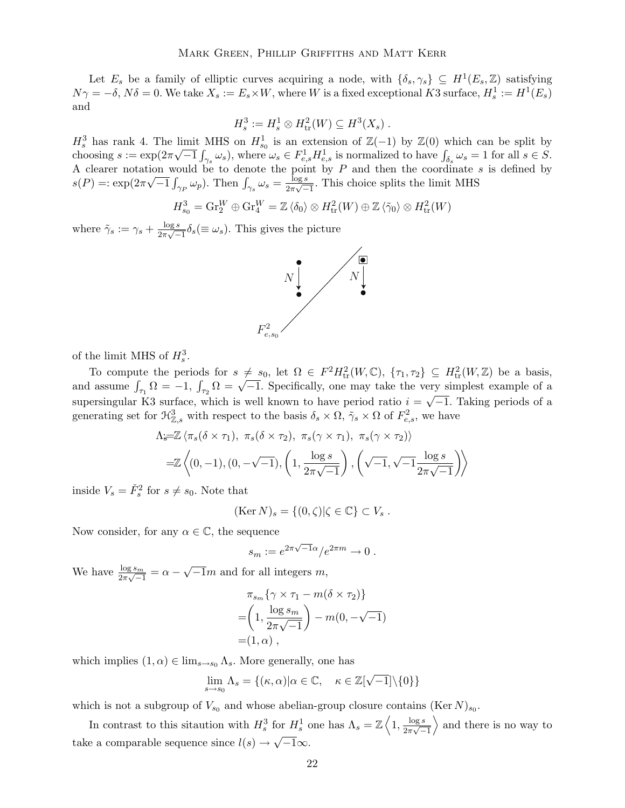Let  $E_s$  be a family of elliptic curves acquiring a node, with  $\{\delta_s, \gamma_s\} \subseteq H^1(E_s, \mathbb{Z})$  satisfying  $N\gamma = -\delta$ ,  $N\delta = 0$ . We take  $X_s := E_s \times W$ , where W is a fixed exceptional K3 surface,  $H_s^1 := H^1(E_s)$ and

$$
H_s^3 := H_s^1 \otimes H_{\text{tr}}^2(W) \subseteq H^3(X_s) .
$$

 $H_s^3$  has rank 4. The limit MHS on  $H_{s_0}^1$  is an extension of  $\mathbb{Z}(-1)$  by  $\mathbb{Z}(0)$  which can be split by choosing  $s := \exp(2\pi\sqrt{-1}\int_{\gamma_s}\omega_s)$ , where  $\omega_s \in F_{e,s}^1 H_{e,s}^1$  is normalized to have  $\int_{\delta_s}\omega_s = 1$  for all  $s \in S$ . A clearer notation would be to denote the point by P and then the coordinate s is defined by  $s(P) = \exp(2\pi\sqrt{-1}\int_{\gamma_P} \omega_p)$ . Then  $\int_{\gamma_s} \omega_s = \frac{\log s}{2\pi\sqrt{-1}}$  $\frac{\log s}{2\pi\sqrt{-1}}$ . This choice splits the limit MHS

$$
H_{s_0}^3 = \text{Gr}_2^W \oplus \text{Gr}_4^W = \mathbb{Z} \langle \delta_0 \rangle \otimes H_{\text{tr}}^2(W) \oplus \mathbb{Z} \langle \tilde{\gamma}_0 \rangle \otimes H_{\text{tr}}^2(W)
$$

where  $\tilde{\gamma}_s := \gamma_s + \frac{\log s}{2\pi\sqrt{-s}}$  $\frac{\log s}{2\pi\sqrt{-1}}\delta_s(\equiv \omega_s)$ . This gives the picture



of the limit MHS of  $H_s^3$ .

To compute the periods for  $s \neq s_0$ , let  $\Omega \in F^2 H^2_{tr}(W,\mathbb{C}), \{\tau_1,\tau_2\} \subseteq H^2_{tr}(W,\mathbb{Z})$  be a basis, and assume  $\int_{\tau_1} \Omega = -1$ ,  $\int_{\tau_2} \Omega = \sqrt{-1}$ . Specifically, one may take the very simplest example of a supersingular K3 surface, which is well known to have period ratio  $i = \sqrt{-1}$ . Taking periods of a generating set for  $\mathcal{H}_{\mathbb{Z},s}^3$  with respect to the basis  $\delta_s \times \Omega$ ,  $\tilde{\gamma}_s \times \Omega$  of  $F_{e,s}^2$ , we have

$$
\Lambda_{\widetilde{s}} = \mathbb{Z} \langle \pi_s(\delta \times \tau_1), \pi_s(\delta \times \tau_2), \pi_s(\gamma \times \tau_1), \pi_s(\gamma \times \tau_2) \rangle
$$
  
=  $\mathbb{Z} \langle (0, -1), (0, -\sqrt{-1}), \left(1, \frac{\log s}{2\pi\sqrt{-1}}\right), \left(\sqrt{-1}, \sqrt{-1} \frac{\log s}{2\pi\sqrt{-1}}\right) \rangle$ 

inside  $V_s = \check{F}_s^2$  for  $s \neq s_0$ . Note that

$$
(\text{Ker } N)_s = \{(0,\zeta)|\zeta \in \mathbb{C}\} \subset V_s .
$$

Now consider, for any  $\alpha \in \mathbb{C}$ , the sequence

$$
s_m := e^{2\pi\sqrt{-1}\alpha}/e^{2\pi m} \to 0.
$$

We have  $\frac{\log s_m}{2\pi\sqrt{-1}} = \alpha - \sqrt{-1}m$  and for all integers m,

$$
\pi_{s_m} \{ \gamma \times \tau_1 - m(\delta \times \tau_2) \}
$$
  
= 
$$
\left( 1, \frac{\log s_m}{2\pi \sqrt{-1}} \right) - m(0, -\sqrt{-1})
$$
  
= 
$$
(1, \alpha),
$$

which implies  $(1, \alpha) \in \lim_{s \to s_0} \Lambda_s$ . More generally, one has

$$
\lim_{s \to s_0} \Lambda_s = \{ (\kappa, \alpha) | \alpha \in \mathbb{C}, \quad \kappa \in \mathbb{Z}[\sqrt{-1}] \setminus \{0\} \}
$$

which is not a subgroup of  $V_{s_0}$  and whose abelian-group closure contains (Ker N)<sub>s<sub>0</sub></sub>.

In contrast to this situation with  $H_s^3$  for  $H_s^1$  one has  $\Lambda_s = \mathbb{Z} \left\langle 1, \frac{\log s}{2\pi\sqrt{s}} \right\rangle$  $\frac{1}{2\pi\sqrt{-1}}$  $\rangle$  and there is no way to take a comparable sequence since  $l(s) \to \sqrt{-1}\infty$ .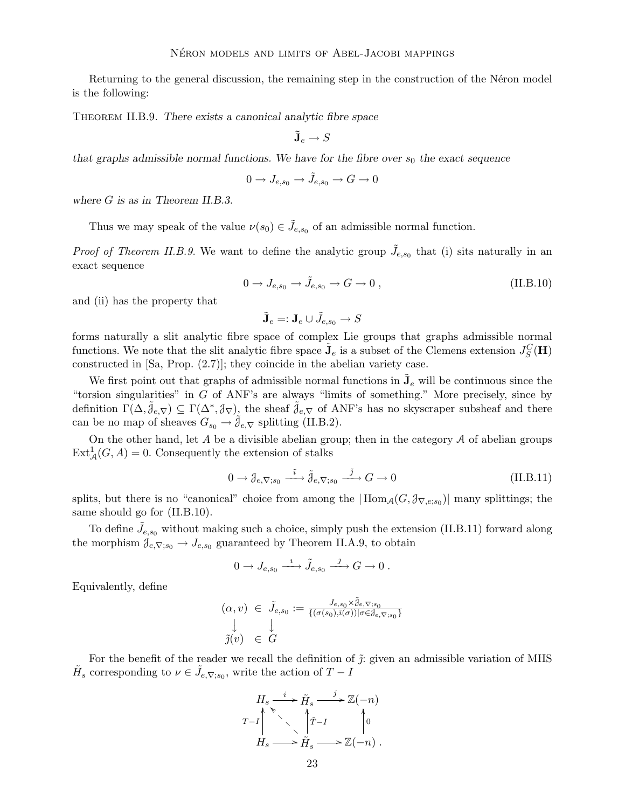Returning to the general discussion, the remaining step in the construction of the Néron model is the following:

Theorem II.B.9. There exists a canonical analytic fibre space

$$
\tilde{\mathbf{J}}_e \to S
$$

that graphs admissible normal functions. We have for the fibre over  $s_0$  the exact sequence

$$
0\to J_{e,s_0}\to \tilde J_{e,s_0}\to G\to 0
$$

where G is as in Theorem II.B.3.

Thus we may speak of the value  $\nu(s_0) \in \tilde{J}_{e,s_0}$  of an admissible normal function.

*Proof of Theorem II.B.9.* We want to define the analytic group  $\tilde{J}_{e,s_0}$  that (i) sits naturally in an exact sequence

$$
0 \to J_{e,s_0} \to \tilde{J}_{e,s_0} \to G \to 0 , \qquad (\text{II.B.10})
$$

and (ii) has the property that

$$
\tilde{\mathbf{J}}_e =: \mathbf{J}_e \cup \tilde{J}_{e,s_0} \to S
$$

forms naturally a slit analytic fibre space of complex Lie groups that graphs admissible normal functions. We note that the slit analytic fibre space  $\tilde{\mathbf{J}}_e$  is a subset of the Clemens extension  $J_S^C(\mathbf{H})$ constructed in [Sa, Prop. (2.7)]; they coincide in the abelian variety case.

We first point out that graphs of admissible normal functions in  $\tilde{\mathbf{J}}_e$  will be continuous since the "torsion singularities" in G of ANF's are always "limits of something." More precisely, since by definition  $\Gamma(\Delta, \tilde{\jmath}_{e,\nabla}) \subseteq \Gamma(\Delta^*, \jmath_{\nabla})$ , the sheaf  $\tilde{\jmath}_{e,\nabla}$  of ANF's has no skyscraper subsheaf and there can be no map of sheaves  $G_{s_0} \to \tilde{\mathcal{J}}_{e,\nabla}$  splitting (II.B.2).

On the other hand, let  $A$  be a divisible abelian group; then in the category  $A$  of abelian groups  $\text{Ext}_{\mathcal{A}}^{1}(G, A) = 0.$  Consequently the extension of stalks

$$
0 \to \mathcal{J}_{e,\nabla; s_0} \xrightarrow{\tilde{i}} \tilde{\mathcal{J}}_{e,\nabla; s_0} \xrightarrow{\tilde{j}} G \to 0
$$
 (II.B.11)

splits, but there is no "canonical" choice from among the  $|\text{Hom}_{\mathcal{A}}(G,\mathcal{J}_{\nabla,e;s_0})|$  many splittings; the same should go for  $(II.B.10)$ .

To define  $\tilde{J}_{e,s_0}$  without making such a choice, simply push the extension (II.B.11) forward along the morphism  $\mathcal{J}_{e,\nabla; s_0} \to J_{e,s_0}$  guaranteed by Theorem II.A.9, to obtain

$$
0\to J_{e,s_0}\xrightarrow{\imath} \tilde{J}_{e,s_0}\xrightarrow{\jmath} G\to 0\;.
$$

Equivalently, define

$$
(\alpha, v) \in \tilde{J}_{e,s_0} := \frac{J_{e,s_0} \times \tilde{\mathcal{J}}_{e,\nabla; s_0}}{\{(\sigma(s_0),\tilde{\imath}(\sigma)) | \sigma \in \mathcal{J}_{e,\nabla; s_0}\}}
$$
  

$$
\tilde{\mathcal{J}}(v) \in \tilde{G}
$$

For the benefit of the reader we recall the definition of  $\tilde{\jmath}$ : given an admissible variation of MHS  $\tilde{H}_s$  corresponding to  $\nu \in \tilde{J}_{e,\nabla;s_0}$ , write the action of  $T - I$ 

$$
H_s \xrightarrow{i} \tilde{H}_s \xrightarrow{j} \mathbb{Z}(-n)
$$
  

$$
T-I \qquad \searrow \qquad \uparrow \tilde{T}-I \qquad \qquad \uparrow 0
$$
  

$$
H_s \longrightarrow \tilde{H}_s \longrightarrow \mathbb{Z}(-n) .
$$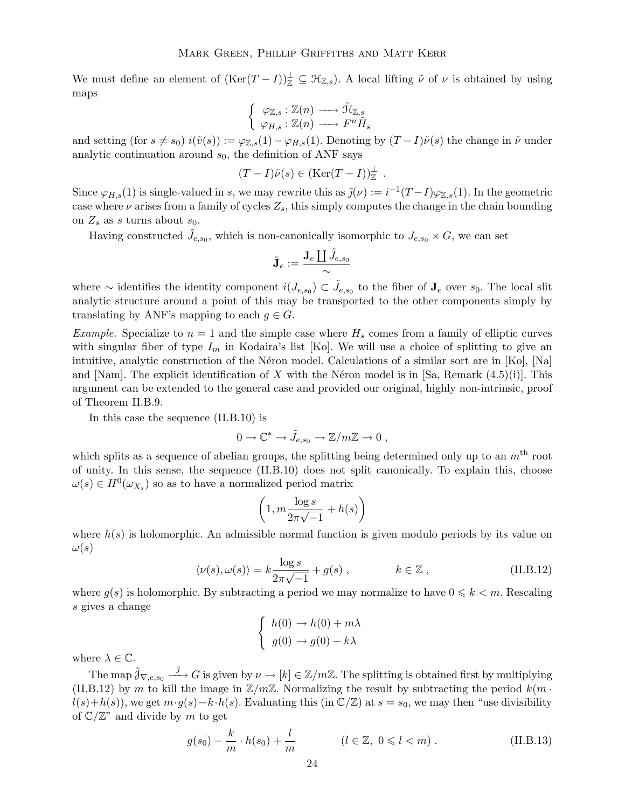We must define an element of  $(\text{Ker}(T-I))_{\mathbb{Z}}^{\perp} \subseteq \mathcal{H}_{\mathbb{Z},s}$ . A local lifting  $\tilde{\nu}$  of  $\nu$  is obtained by using maps

$$
\left\{\begin{array}{c}\varphi_{\mathbb{Z},s}:\mathbb{Z}(n)\longrightarrow \tilde{\mathfrak{R}}_{\mathbb{Z},s}\\\varphi_{H,s}:\mathbb{Z}(n)\longrightarrow F^{n}\tilde{H}_{s}\end{array}\right.
$$

and setting (for  $s \neq s_0$ )  $i(\tilde{v}(s)) := \varphi_{\mathbb{Z},s}(1) - \varphi_{H,s}(1)$ . Denoting by  $(T - I)\tilde{\nu}(s)$  the change in  $\tilde{\nu}$  under analytic continuation around  $s_0$ , the definition of ANF says

$$
(T-I)\tilde{\nu}(s) \in (\text{Ker}(T-I))_{\mathbb{Z}}^{\perp} .
$$

Since  $\varphi_{H,s}(1)$  is single-valued in s, we may rewrite this as  $\tilde{j}(\nu) := i^{-1}(T-I)\varphi_{\mathbb{Z},s}(1)$ . In the geometric case where  $\nu$  arises from a family of cycles  $Z_s$ , this simply computes the change in the chain bounding on  $Z_s$  as s turns about  $s_0$ .

Having constructed  $\tilde{J}_{e,s_0}$ , which is non-canonically isomorphic to  $J_{e,s_0} \times G$ , we can set

$$
\tilde{\mathbf{J}}_{e}:=\frac{\mathbf{J}_{e}\coprod\tilde{J}_{e,s_{0}}}{\sim}
$$

where ∼ identifies the identity component  $i(J_{e,s_0}) \subset \tilde{J}_{e,s_0}$  to the fiber of  $\mathbf{J}_e$  over  $s_0$ . The local slit analytic structure around a point of this may be transported to the other components simply by translating by ANF's mapping to each  $g \in G$ .

*Example.* Specialize to  $n = 1$  and the simple case where  $H_s$  comes from a family of elliptic curves with singular fiber of type  $I_m$  in Kodaira's list [Ko]. We will use a choice of splitting to give an intuitive, analytic construction of the Néron model. Calculations of a similar sort are in  $[K_0]$ ,  $[N_a]$ and [Nam]. The explicit identification of X with the Néron model is in [Sa, Remark  $(4.5)(i)$ ]. This argument can be extended to the general case and provided our original, highly non-intrinsic, proof of Theorem II.B.9.

In this case the sequence (II.B.10) is

$$
0\to \mathbb{C}^*\to \tilde{J}_{e,s_0}\to \mathbb{Z}/m\mathbb{Z}\to 0\;,
$$

which splits as a sequence of abelian groups, the splitting being determined only up to an  $m<sup>th</sup>$  root of unity. In this sense, the sequence (II.B.10) does not split canonically. To explain this, choose  $\omega(s) \in H^0(\omega_{X_s})$  so as to have a normalized period matrix

$$
\left(1, m \frac{\log s}{2\pi \sqrt{-1}} + h(s)\right)
$$

where  $h(s)$  is holomorphic. An admissible normal function is given modulo periods by its value on  $\omega(s)$ 

$$
\langle \nu(s), \omega(s) \rangle = k \frac{\log s}{2\pi \sqrt{-1}} + g(s) , \qquad k \in \mathbb{Z} , \qquad (\text{II.B.12})
$$

where  $g(s)$  is holomorphic. By subtracting a period we may normalize to have  $0 \leq k \leq m$ . Rescaling s gives a change

$$
\begin{cases}\nh(0) \to h(0) + m\lambda \\
g(0) \to g(0) + k\lambda\n\end{cases}
$$

where  $\lambda \in \mathbb{C}$ .

The map  $\tilde{\mathcal{J}}_{\nabla,e,s_0} \stackrel{\tilde{\jmath}}{\longrightarrow} G$  is given by  $\nu \to [k] \in \mathbb{Z}/m\mathbb{Z}$ . The splitting is obtained first by multiplying (II.B.12) by m to kill the image in  $\mathbb{Z}/m\mathbb{Z}$ . Normalizing the result by subtracting the period  $k(m \cdot$  $l(s)+h(s)$ , we get  $m \cdot g(s)-k \cdot h(s)$ . Evaluating this (in  $\mathbb{C}/\mathbb{Z}$ ) at  $s=s_0$ , we may then "use divisibility of  $\mathbb{C}/\mathbb{Z}^n$  and divide by m to get

$$
g(s_0) - \frac{k}{m} \cdot h(s_0) + \frac{l}{m} \qquad (l \in \mathbb{Z}, \ 0 \le l < m) \,. \tag{II.B.13}
$$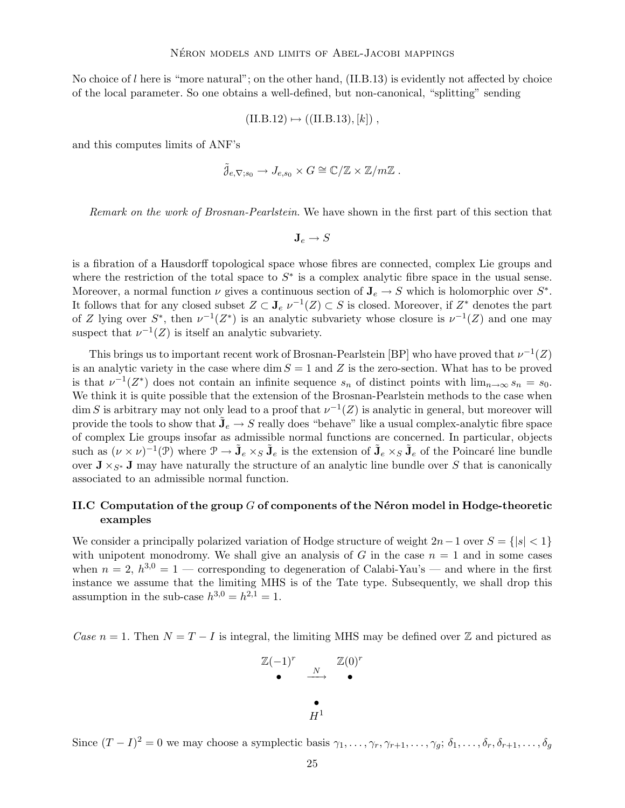No choice of l here is "more natural"; on the other hand, (II.B.13) is evidently not affected by choice of the local parameter. So one obtains a well-defined, but non-canonical, "splitting" sending

$$
(II.B.12) \mapsto ((II.B.13), [k])
$$
,

and this computes limits of ANF's

$$
\tilde{\jmath}_{e,\nabla; s_0} \to J_{e,s_0} \times G \cong \mathbb{C}/\mathbb{Z} \times \mathbb{Z}/m\mathbb{Z}.
$$

Remark on the work of Brosnan-Pearlstein. We have shown in the first part of this section that

$$
\mathbf{J}_e \to S
$$

is a fibration of a Hausdorff topological space whose fibres are connected, complex Lie groups and where the restriction of the total space to  $S^*$  is a complex analytic fibre space in the usual sense. Moreover, a normal function  $\nu$  gives a continuous section of  $\mathbf{J}_e \to S$  which is holomorphic over  $S^*$ . It follows that for any closed subset  $Z \subset \mathbf{J}_e$   $\nu^{-1}(Z) \subset S$  is closed. Moreover, if  $Z^*$  denotes the part of Z lying over  $S^*$ , then  $\nu^{-1}(Z^*)$  is an analytic subvariety whose closure is  $\nu^{-1}(Z)$  and one may suspect that  $\nu^{-1}(Z)$  is itself an analytic subvariety.

This brings us to important recent work of Brosnan-Pearlstein [BP] who have proved that  $\nu^{-1}(Z)$ is an analytic variety in the case where dim  $S = 1$  and Z is the zero-section. What has to be proved is that  $\nu^{-1}(Z^*)$  does not contain an infinite sequence  $s_n$  of distinct points with  $\lim_{n\to\infty} s_n = s_0$ . We think it is quite possible that the extension of the Brosnan-Pearlstein methods to the case when  $\dim S$  is arbitrary may not only lead to a proof that  $\nu^{-1}(Z)$  is analytic in general, but moreover will provide the tools to show that  $\tilde{\mathbf{J}}_e \to S$  really does "behave" like a usual complex-analytic fibre space of complex Lie groups insofar as admissible normal functions are concerned. In particular, objects such as  $(\nu \times \nu)^{-1}(\mathcal{P})$  where  $\mathcal{P} \to \tilde{\mathbf{J}}_e \times_S \tilde{\mathbf{J}}_e$  is the extension of  $\tilde{\mathbf{J}}_e \times_S \tilde{\mathbf{J}}_e$  of the Poincaré line bundle over  $J \times_{S^*} J$  may have naturally the structure of an analytic line bundle over S that is canonically associated to an admissible normal function.

## II.C Computation of the group  $G$  of components of the N $\acute{e}$ ron model in Hodge-theoretic examples

We consider a principally polarized variation of Hodge structure of weight  $2n-1$  over  $S = \{|s| < 1\}$ with unipotent monodromy. We shall give an analysis of G in the case  $n = 1$  and in some cases when  $n = 2$ ,  $h^{3,0} = 1$  — corresponding to degeneration of Calabi-Yau's — and where in the first instance we assume that the limiting MHS is of the Tate type. Subsequently, we shall drop this assumption in the sub-case  $h^{3,0} = h^{2,1} = 1$ .

Case  $n = 1$ . Then  $N = T - I$  is integral, the limiting MHS may be defined over Z and pictured as

$$
\begin{array}{cccc}\n\mathbb{Z}(-1)^r & & \mathbb{Z}(0)^r \\
\bullet & \xrightarrow{N} & & \bullet \\
\bullet & & H^1\n\end{array}
$$

Since  $(T - I)^2 = 0$  we may choose a symplectic basis  $\gamma_1, \ldots, \gamma_r, \gamma_{r+1}, \ldots, \gamma_g; \delta_1, \ldots, \delta_r, \delta_{r+1}, \ldots, \delta_g$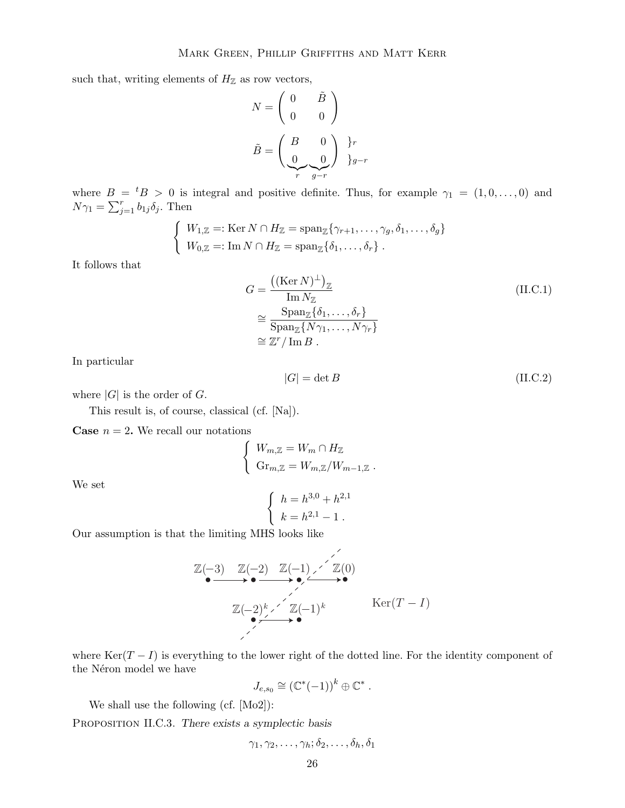such that, writing elements of  $H_{\mathbb{Z}}$  as row vectors,

$$
N = \begin{pmatrix} 0 & \tilde{B} \\ 0 & 0 \end{pmatrix}
$$

$$
\tilde{B} = \begin{pmatrix} B & 0 \\ 0 & 0 \end{pmatrix} \begin{cases} r \\ \frac{0}{r} & \frac{0}{g-r} \end{cases}
$$

where  $B = {}^{t}B > 0$  is integral and positive definite. Thus, for example  $\gamma_1 = (1, 0, \ldots, 0)$  and  $N\gamma_1 = \sum_{j=1}^r b_{1j}\delta_j$ . Then

$$
\begin{cases} W_{1,\mathbb{Z}} =: \text{Ker } N \cap H_{\mathbb{Z}} = \text{span}_{\mathbb{Z}} \{ \gamma_{r+1}, \dots, \gamma_g, \delta_1, \dots, \delta_g \} \\ W_{0,\mathbb{Z}} =: \text{Im } N \cap H_{\mathbb{Z}} = \text{span}_{\mathbb{Z}} \{ \delta_1, \dots, \delta_r \} .\end{cases}
$$

It follows that

$$
G = \frac{((\text{Ker } N)^{\perp})_{\mathbb{Z}}}{\text{Im } N_{\mathbb{Z}}}
$$
  
\n
$$
\approx \frac{\text{Span}_{\mathbb{Z}}\{\delta_1, \dots, \delta_r\}}{\text{Span}_{\mathbb{Z}}\{N\gamma_1, \dots, N\gamma_r\}}
$$
  
\n
$$
\approx \mathbb{Z}^r / \text{Im } B.
$$
  
\n(II.C.1)

In particular

$$
|G| = \det B \tag{II.C.2}
$$

where  $|G|$  is the order of  $G$ .

This result is, of course, classical (cf. [Na]).

**Case**  $n = 2$ . We recall our notations

$$
\begin{cases} W_{m,\mathbb{Z}} = W_m \cap H_{\mathbb{Z}} \\ \text{Gr}_{m,\mathbb{Z}} = W_{m,\mathbb{Z}}/W_{m-1,\mathbb{Z}} \end{cases}.
$$

We set

$$
\begin{cases} h = h^{3,0} + h^{2,1} \\ k = h^{2,1} - 1 \end{cases}
$$

Our assumption is that the limiting MHS looks like

$$
\mathbb{Z}(-3) \quad \mathbb{Z}(-2) \quad \mathbb{Z}(-1) \times \mathbb{Z}(0)
$$
\n
$$
\mathbb{Z}(-2)^k \times \mathbb{Z}(-1)^k \qquad \text{Ker}(T-I)
$$

where  $\text{Ker}(T-I)$  is everything to the lower right of the dotted line. For the identity component of the Néron model we have

$$
J_{e,s_0} \cong (\mathbb{C}^*(-1))^k \oplus \mathbb{C}^*.
$$

We shall use the following (cf. [Mo2]):

PROPOSITION II.C.3. There exists a symplectic basis

$$
\gamma_1,\gamma_2,\ldots,\gamma_h;\delta_2,\ldots,\delta_h,\delta_1
$$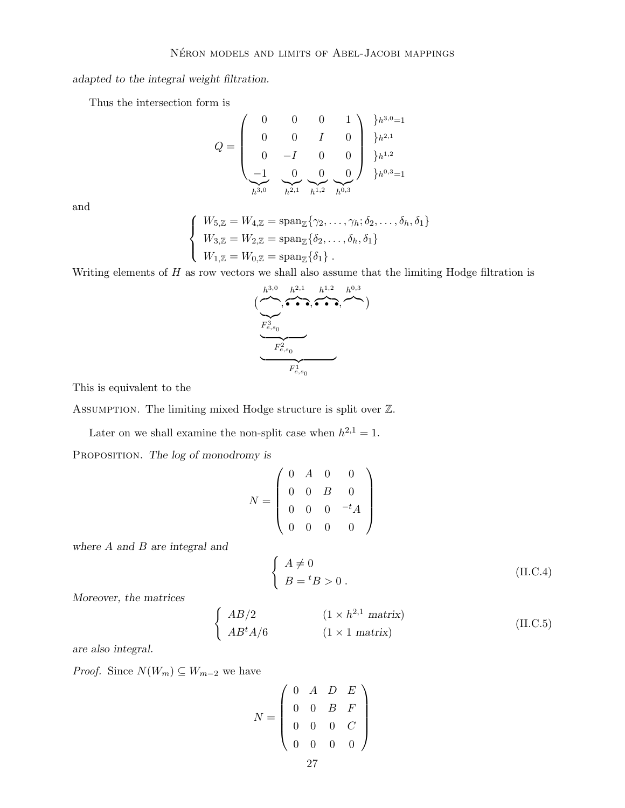adapted to the integral weight filtration.

Thus the intersection form is

$$
Q = \begin{pmatrix} 0 & 0 & 0 & 1 \\ 0 & 0 & I & 0 \\ 0 & -I & 0 & 0 \\ -1 & 0 & 0 & 0 \\ \frac{-1}{h^{3,0}} & \frac{0}{h^{2,1}} & \frac{0}{h^{1,2}} & \frac{0}{h^{0,3}} \end{pmatrix} \begin{matrix} \frac{1}{2}h^{3,0}=1 \\ \frac{1}{2}h^{2,1} \\ \frac{1}{2}h^{3,0}=1 \end{matrix}
$$

and

$$
\begin{cases}\nW_{5,\mathbb{Z}} = W_{4,\mathbb{Z}} = \text{span}_{\mathbb{Z}}\{\gamma_2, \dots, \gamma_h; \delta_2, \dots, \delta_h, \delta_1\} \\
W_{3,\mathbb{Z}} = W_{2,\mathbb{Z}} = \text{span}_{\mathbb{Z}}\{\delta_2, \dots, \delta_h, \delta_1\} \\
W_{1,\mathbb{Z}} = W_{0,\mathbb{Z}} = \text{span}_{\mathbb{Z}}\{\delta_1\}.\n\end{cases}
$$

Writing elements of  $H$  as row vectors we shall also assume that the limiting Hodge filtration is

$$
h^{3,0} \underbrace{(n \rightarrow 0, \rightarrow h^{2,1} \rightarrow h^{1,2} \rightarrow h^{0,3})}_{F_{e,s_0}^2}
$$

This is equivalent to the

Assumption. The limiting mixed Hodge structure is split over Z.

Later on we shall examine the non-split case when  $h^{2,1} = 1$ .

PROPOSITION. The log of monodromy is

$$
N = \left(\begin{array}{cccc} 0 & A & 0 & 0 \\ 0 & 0 & B & 0 \\ 0 & 0 & 0 & -{}^{t}A \\ 0 & 0 & 0 & 0 \end{array}\right)
$$

where A and B are integral and

$$
\begin{cases}\nA \neq 0 \\
B = {}^{t}B > 0.\n\end{cases}
$$
\n(II.C.4)

Moreover, the matrices

$$
\begin{cases}\nAB/2 & (1 \times h^{2,1} \text{ matrix}) \\
AB^t A/6 & (1 \times 1 \text{ matrix})\n\end{cases}
$$
\n(II.C.5)

are also integral.

*Proof.* Since  $N(W_m) \subseteq W_{m-2}$  we have

$$
N = \left(\begin{array}{cccc} 0 & A & D & E \\ 0 & 0 & B & F \\ 0 & 0 & 0 & C \\ 0 & 0 & 0 & 0 \end{array}\right)
$$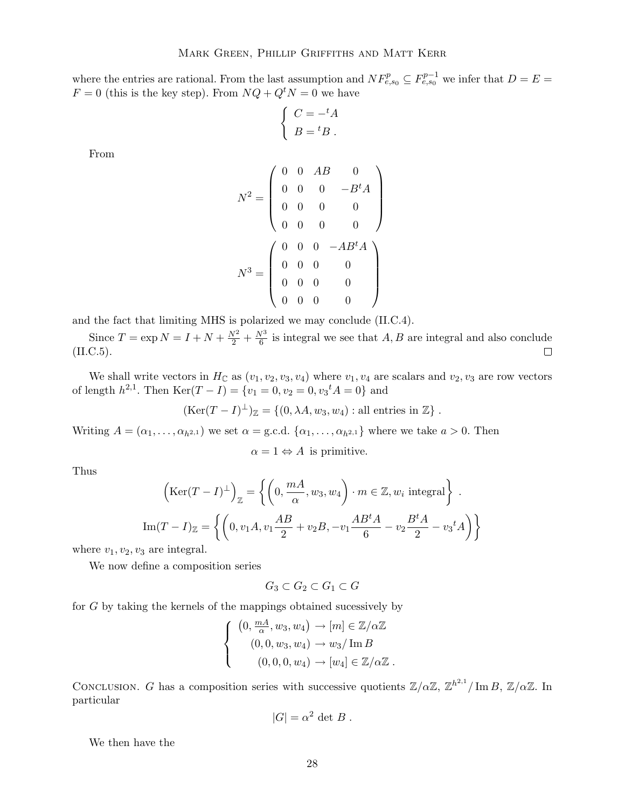where the entries are rational. From the last assumption and  $NF_{e,s_0}^p \subseteq F_{e,s_0}^{p-1}$  we infer that  $D = E =$  $F = 0$  (this is the key step). From  $NQ + Q^tN = 0$  we have

$$
\begin{cases}\nC = -{}^t A \\
B = {}^t B\n\end{cases}
$$

From

$$
N^{2} = \begin{pmatrix} 0 & 0 & AB & 0 \\ 0 & 0 & 0 & -B^{t}A \\ 0 & 0 & 0 & 0 \\ 0 & 0 & 0 & 0 \end{pmatrix}
$$

$$
N^{3} = \begin{pmatrix} 0 & 0 & 0 & -AB^{t}A \\ 0 & 0 & 0 & 0 \\ 0 & 0 & 0 & 0 \\ 0 & 0 & 0 & 0 \end{pmatrix}
$$

and the fact that limiting MHS is polarized we may conclude (II.C.4).

Since  $T = \exp N = I + N + \frac{N^2}{2} + \frac{N^3}{6}$  $\frac{\sqrt{6}}{6}$  is integral we see that A, B are integral and also conclude (II.C.5).  $\Box$ 

We shall write vectors in  $H_C$  as  $(v_1, v_2, v_3, v_4)$  where  $v_1, v_4$  are scalars and  $v_2, v_3$  are row vectors of length  $h^{2,1}$ . Then  $\text{Ker}(T - I) = \{v_1 = 0, v_2 = 0, v_3^t A = 0\}$  and

$$
(\text{Ker}(T-I)^{\perp})_{\mathbb{Z}} = \{ (0, \lambda A, w_3, w_4) : \text{all entries in } \mathbb{Z} \} .
$$

Writing  $A = (\alpha_1, \ldots, \alpha_{h^{2,1}})$  we set  $\alpha = \text{g.c.d. } \{\alpha_1, \ldots, \alpha_{h^{2,1}}\}$  where we take  $a > 0$ . Then

 $\alpha = 1 \Leftrightarrow A$  is primitive.

Thus

$$
\left(\text{Ker}(T - I)^{\perp}\right)_{\mathbb{Z}} = \left\{ \left(0, \frac{mA}{\alpha}, w_3, w_4\right) \cdot m \in \mathbb{Z}, w_i \text{ integral} \right\}.
$$

$$
\text{Im}(T - I)_{\mathbb{Z}} = \left\{ \left(0, v_1 A, v_1 \frac{AB}{2} + v_2 B, -v_1 \frac{AB^t A}{6} - v_2 \frac{B^t A}{2} - v_3^t A\right) \right\}
$$

where  $v_1, v_2, v_3$  are integral.

We now define a composition series

$$
G_3 \subset G_2 \subset G_1 \subset G
$$

for G by taking the kernels of the mappings obtained sucessively by

$$
\begin{cases}\n(0, \frac{mA}{\alpha}, w_3, w_4) \rightarrow [m] \in \mathbb{Z}/\alpha \mathbb{Z} \\
(0, 0, w_3, w_4) \rightarrow w_3 / \text{Im } B \\
(0, 0, 0, w_4) \rightarrow [w_4] \in \mathbb{Z}/\alpha \mathbb{Z} \n\end{cases}
$$

CONCLUSION. G has a composition series with successive quotients  $\mathbb{Z}/\alpha\mathbb{Z}$ ,  $\mathbb{Z}^{h^{2,1}}/\operatorname{Im} B$ ,  $\mathbb{Z}/\alpha\mathbb{Z}$ . In particular

$$
|G| = \alpha^2 \det B.
$$

We then have the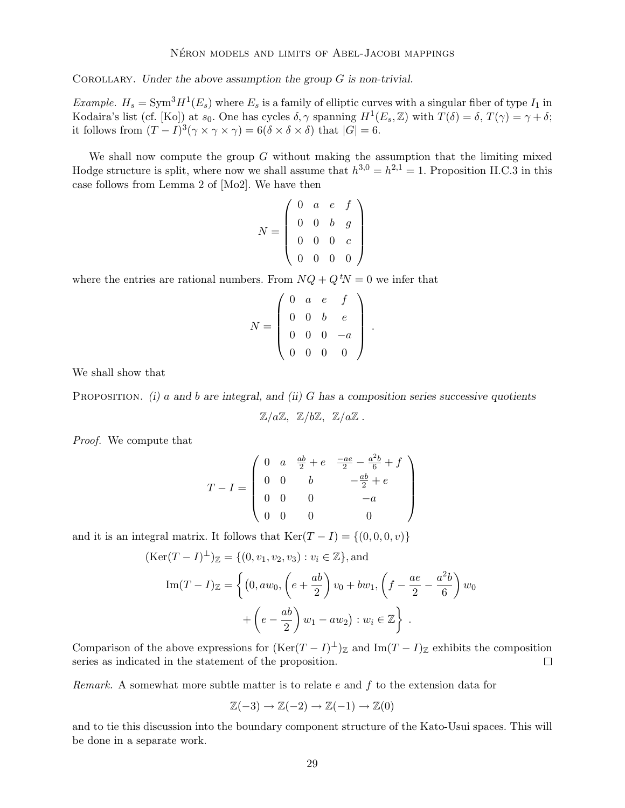COROLLARY. Under the above assumption the group  $G$  is non-trivial.

*Example.*  $H_s = \text{Sym}^3 H^1(E_s)$  where  $E_s$  is a family of elliptic curves with a singular fiber of type  $I_1$  in Kodaira's list (cf. [Ko]) at  $s_0$ . One has cycles  $\delta, \gamma$  spanning  $H^1(E_s, \mathbb{Z})$  with  $T(\delta) = \delta, T(\gamma) = \gamma + \delta;$ it follows from  $(T - I)^3(\gamma \times \gamma \times \gamma) = 6(\delta \times \delta \times \delta)$  that  $|G| = 6$ .

We shall now compute the group  $G$  without making the assumption that the limiting mixed Hodge structure is split, where now we shall assume that  $h^{3,0} = h^{2,1} = 1$ . Proposition II.C.3 in this case follows from Lemma 2 of [Mo2]. We have then

$$
N = \left(\begin{array}{cccc} 0 & a & e & f \\ 0 & 0 & b & g \\ 0 & 0 & 0 & c \\ 0 & 0 & 0 & 0 \end{array}\right)
$$

where the entries are rational numbers. From  $NQ + Q^tN = 0$  we infer that

$$
N = \left(\begin{array}{cccc} 0 & a & e & f \\ 0 & 0 & b & e \\ 0 & 0 & 0 & -a \\ 0 & 0 & 0 & 0 \end{array}\right)
$$

.

We shall show that

PROPOSITION. (i) a and b are integral, and (ii) G has a composition series successive quotients

$$
\mathbb{Z}/a\mathbb{Z}, \ \mathbb{Z}/b\mathbb{Z}, \ \mathbb{Z}/a\mathbb{Z} \ .
$$

Proof. We compute that

$$
T - I = \begin{pmatrix} 0 & a & \frac{ab}{2} + e & \frac{-ae}{2} - \frac{a^2b}{6} + f \\ 0 & 0 & b & -\frac{ab}{2} + e \\ 0 & 0 & 0 & -a \\ 0 & 0 & 0 & 0 \end{pmatrix}
$$

and it is an integral matrix. It follows that  $\text{Ker}(T - I) = \{(0, 0, 0, v)\}\$ 

$$
(\text{Ker}(T - I)^{\perp})_{\mathbb{Z}} = \{(0, v_1, v_2, v_3) : v_i \in \mathbb{Z}\}, \text{and}
$$

$$
\text{Im}(T - I)_{\mathbb{Z}} = \left\{ (0, aw_0, \left( e + \frac{ab}{2} \right) v_0 + bw_1, \left( f - \frac{ae}{2} - \frac{a^2b}{6} \right) w_0 + \left( e - \frac{ab}{2} \right) w_1 - aw_2 \right) : w_i \in \mathbb{Z} \right\}.
$$

Comparison of the above expressions for  $(\text{Ker}(T-I)^{\perp})_{\mathbb{Z}}$  and  $\text{Im}(T-I)_{\mathbb{Z}}$  exhibits the composition series as indicated in the statement of the proposition.

*Remark.* A somewhat more subtle matter is to relate  $e$  and  $f$  to the extension data for

$$
\mathbb{Z}(-3) \to \mathbb{Z}(-2) \to \mathbb{Z}(-1) \to \mathbb{Z}(0)
$$

and to tie this discussion into the boundary component structure of the Kato-Usui spaces. This will be done in a separate work.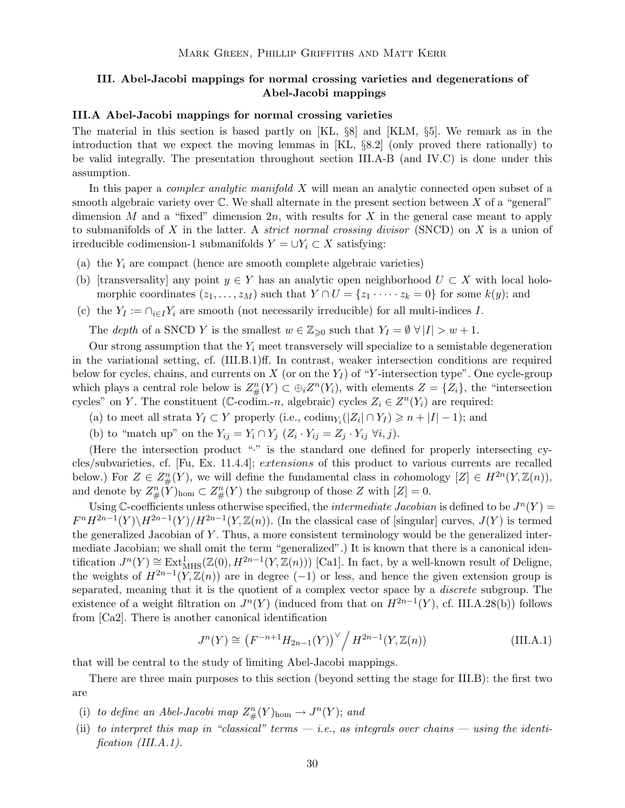## III. Abel-Jacobi mappings for normal crossing varieties and degenerations of Abel-Jacobi mappings

#### III.A Abel-Jacobi mappings for normal crossing varieties

The material in this section is based partly on [KL, §8] and [KLM, §5]. We remark as in the introduction that we expect the moving lemmas in [KL, §8.2] (only proved there rationally) to be valid integrally. The presentation throughout section III.A-B (and IV.C) is done under this assumption.

In this paper a *complex analytic manifold X* will mean an analytic connected open subset of a smooth algebraic variety over  $\mathbb C$ . We shall alternate in the present section between X of a "general" dimension M and a "fixed" dimension  $2n$ , with results for X in the general case meant to apply to submanifolds of X in the latter. A *strict normal crossing divisor* (SNCD) on X is a union of irreducible codimension-1 submanifolds  $Y = \bigcup Y_i \subset X$  satisfying:

- (a) the  $Y_i$  are compact (hence are smooth complete algebraic varieties)
- (b) [transversality] any point  $y \in Y$  has an analytic open neighborhood  $U \subset X$  with local holomorphic coordinates  $(z_1, \ldots, z_M)$  such that  $Y \cap U = \{z_1 \cdots z_k = 0\}$  for some  $k(y)$ ; and
- (c) the  $Y_I := \bigcap_{i \in I} Y_i$  are smooth (not necessarily irreducible) for all multi-indices I.

The depth of a SNCD Y is the smallest  $w \in \mathbb{Z}_{\geqslant 0}$  such that  $Y_I = \emptyset \ \forall |I| > w + 1$ .

Our strong assumption that the  $Y_i$  meet transversely will specialize to a semistable degeneration in the variational setting, cf. (III.B.1)ff. In contrast, weaker intersection conditions are required below for cycles, chains, and currents on X (or on the  $Y_I$ ) of "Y-intersection type". One cycle-group which plays a central role below is  $Z_{\#}^n(Y) \subset \bigoplus_i Z^n(Y_i)$ , with elements  $Z = \{Z_i\}$ , the "intersection" cycles" on Y. The constituent ( $\mathbb{C}\text{-codim.-}n$ , algebraic) cycles  $Z_i \in Z^n(Y_i)$  are required:

- (a) to meet all strata  $Y_I \subset Y$  properly (i.e.,  $\operatorname{codim}_{Y_i}(|Z_i| \cap Y_I) \geq n + |I| 1$ ); and
- (b) to "match up" on the  $Y_{ij} = Y_i \cap Y_j \ (Z_i \cdot Y_{ij} = Z_j \cdot Y_{ij} \ \forall i, j).$

(Here the intersection product "·" is the standard one defined for properly intersecting cycles/subvarieties, cf. [Fu, Ex. 11.4.4]; extensions of this product to various currents are recalled below.) For  $Z \in Z_\#^n(Y)$ , we will define the fundamental class in cohomology  $[Z] \in H^{2n}(Y, \mathbb{Z}(n)),$ and denote by  $Z_{\#}^n(Y)_{\text{hom}} \subset Z_{\#}^n(Y)$  the subgroup of those Z with  $[Z] = 0$ .

Using C-coefficients unless otherwise specified, the *intermediate Jacobian* is defined to be  $J<sup>n</sup>(Y)$  =  $F^n H^{2n-1}(Y) \backslash H^{2n-1}(Y) / H^{2n-1}(Y, \mathbb{Z}(n))$ . (In the classical case of [singular] curves,  $J(Y)$  is termed the generalized Jacobian of Y . Thus, a more consistent terminology would be the generalized intermediate Jacobian; we shall omit the term "generalized".) It is known that there is a canonical identification  $J^n(Y) \cong \text{Ext}^1_{\text{MHS}}(\mathbb{Z}(0), H^{2n-1}(Y, \mathbb{Z}(n)))$  [Ca1]. In fact, by a well-known result of Deligne, the weights of  $H^{2n-1}(Y,\mathbb{Z}(n))$  are in degree (-1) or less, and hence the given extension group is separated, meaning that it is the quotient of a complex vector space by a discrete subgroup. The existence of a weight filtration on  $J^n(Y)$  (induced from that on  $H^{2n-1}(Y)$ , cf. III.A.28(b)) follows from [Ca2]. There is another canonical identification

$$
J^{n}(Y) \cong \left(F^{-n+1}H_{2n-1}(Y)\right)^{\vee} / H^{2n-1}(Y, \mathbb{Z}(n))
$$
 (III.A.1)

that will be central to the study of limiting Abel-Jacobi mappings.

There are three main purposes to this section (beyond setting the stage for III.B): the first two are

- (i) to define an Abel-Jacobi map  $Z_{\#}^n(Y)_{\text{hom}} \to J^n(Y)$ ; and
- (ii) to interpret this map in "classical" terms  $-i.e.,$  as integrals over chains  $-$  using the identification (III.A.1).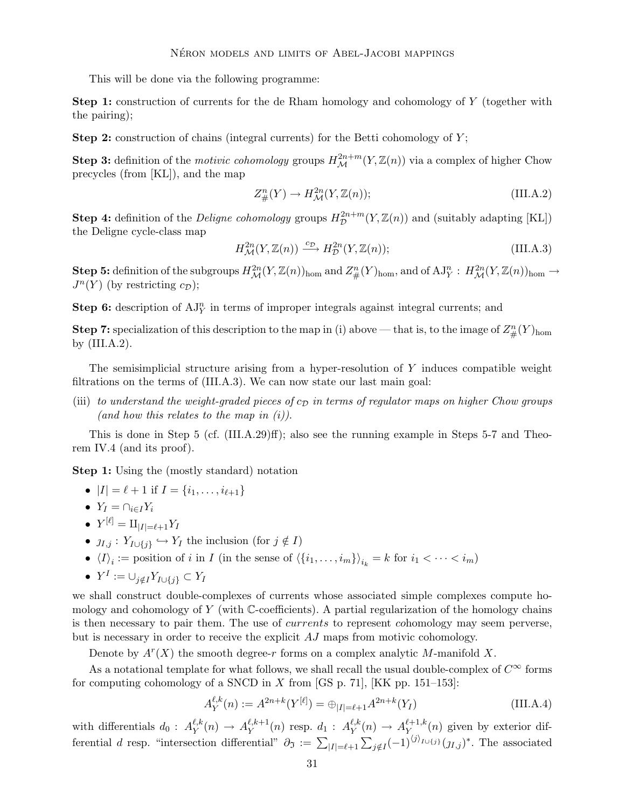This will be done via the following programme:

Step 1: construction of currents for the de Rham homology and cohomology of Y (together with the pairing);

**Step 2:** construction of chains (integral currents) for the Betti cohomology of  $Y$ ;

**Step 3:** definition of the *motivic cohomology* groups  $H^{2n+m}_{\mathcal{M}}(Y,\mathbb{Z}(n))$  via a complex of higher Chow precycles (from [KL]), and the map

$$
Z_{\#}^n(Y) \to H_{\mathcal{M}}^{2n}(Y, \mathbb{Z}(n));\tag{III.A.2}
$$

**Step 4:** definition of the *Deligne cohomology* groups  $H_{\mathcal{D}}^{2n+m}$  $\mathcal{D}^{2n+m}(Y,\mathbb{Z}(n))$  and (suitably adapting [KL]) the Deligne cycle-class map

$$
H^{2n}_{\mathcal{M}}(Y,\mathbb{Z}(n)) \xrightarrow{c_{\mathcal{D}}} H^{2n}_{\mathcal{D}}(Y,\mathbb{Z}(n));\tag{III.A.3}
$$

**Step 5:** definition of the subgroups  $H^{2n}_{\mathcal{M}}(Y, \mathbb{Z}(n))_{\text{hom}}$  and  $Z_{\#}^n(Y)_{\text{hom}}$ , and of  $AJ^n_Y : H^{2n}_{\mathcal{M}}(Y, \mathbb{Z}(n))_{\text{hom}} \to$  $J^n(Y)$  (by restricting  $c_{\mathcal{D}}$ );

**Step 6:** description of  $AJ_Y^n$  in terms of improper integrals against integral currents; and

**Step 7:** specialization of this description to the map in (i) above — that is, to the image of  $Z_{\#}^n(Y)_{\text{hom}}$ by  $(III.A.2)$ .

The semisimplicial structure arising from a hyper-resolution of Y induces compatible weight filtrations on the terms of (III.A.3). We can now state our last main goal:

(iii) to understand the weight-graded pieces of  $c_D$  in terms of regulator maps on higher Chow groups (and how this relates to the map in  $(i)$ ).

This is done in Step 5 (cf. (III.A.29)ff); also see the running example in Steps 5-7 and Theorem IV.4 (and its proof).

Step 1: Using the (mostly standard) notation

• 
$$
|I| = \ell + 1
$$
 if  $I = \{i_1, ..., i_{\ell+1}\}$ 

- $Y_i = \bigcap_{i \in I} Y_i$
- $Y^{[\ell]} = \amalg_{|I| = \ell+1} Y_I$
- $j_{I,j}: Y_{I\cup \{j\}} \hookrightarrow Y_I$  the inclusion (for  $j \notin I$ )
- $\langle I \rangle_i := \text{position of } i \text{ in } I \text{ (in the sense of } \langle \{i_1, \ldots, i_m\} \rangle_{i_k} = k \text{ for } i_1 < \cdots < i_m$
- $Y^I := \cup_{j \notin I} Y_{I \cup \{j\}} \subset Y_I$

we shall construct double-complexes of currents whose associated simple complexes compute homology and cohomology of Y (with  $\mathbb{C}$ -coefficients). A partial regularization of the homology chains is then necessary to pair them. The use of *currents* to represent *cohomology* may seem perverse, but is necessary in order to receive the explicit AJ maps from motivic cohomology.

Denote by  $A<sup>r</sup>(X)$  the smooth degree-r forms on a complex analytic M-manifold X.

As a notational template for what follows, we shall recall the usual double-complex of  $C^{\infty}$  forms for computing cohomology of a SNCD in X from [GS p. 71], [KK pp. 151–153]:

$$
A_Y^{\ell,k}(n) := A^{2n+k}(Y^{[\ell]}) = \bigoplus_{|I| = \ell+1} A^{2n+k}(Y_I)
$$
\n(III.A.4)

with differentials  $d_0: A_Y^{\ell,k}$  $\ell, k \choose Y(n) \rightarrow A_Y^{\ell, k+1}$  $\chi^{\ell,k+1}(n)$  resp.  $d_1: A_Y^{\ell,k}$  $\ell,k \choose Y(n) \rightarrow A_{Y_{(1)}}^{\ell+1,k}$  $Y^{t+1,k}_{\text{Y}}(n)$  given by exterior differential d resp. "intersection differential"  $\partial \sigma := \sum_{|I|=\ell+1} \sum_{j \notin I} (-1)^{\langle j \rangle_{I \cup \{j\}}}(j_{I,j})^*$ . The associated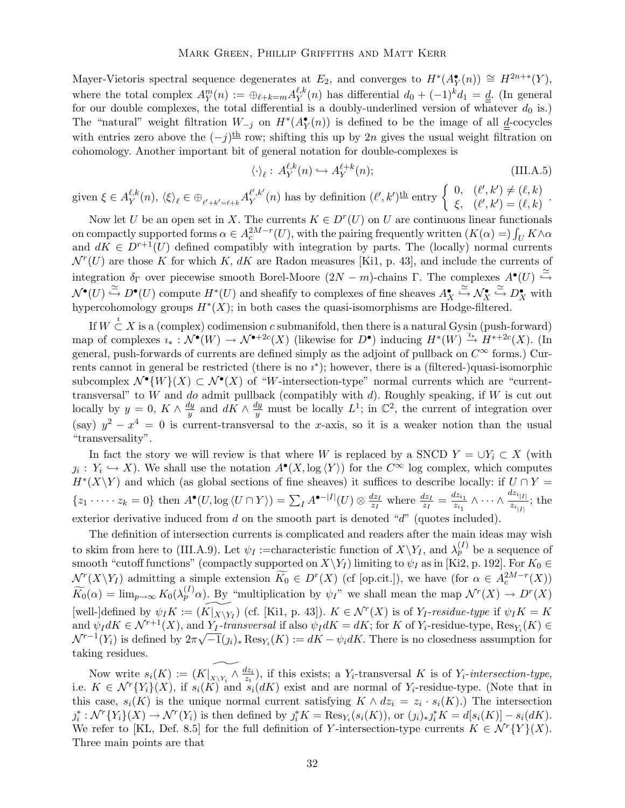Mayer-Vietoris spectral sequence degenerates at  $E_2$ , and converges to  $H^*(A_Y^{\bullet}(n)) \cong H^{2n+\ast}(Y)$ , where the total complex  $A^m_Y(n) := \bigoplus_{\ell+k=m} A^{\ell,k}_Y$  $\sum_{Y}^{\ell,k}(n)$  has differential  $d_0 + (-1)^k d_1 = \underline{d}$ . (In general for our double complexes, the total differential is a doubly-underlined version of whatever  $d_0$  is.) The "natural" weight filtration  $W_{-j}$  on  $H^*(A_Y^{\bullet}(n))$  is defined to be the image of all  $\underline{\underline{d}}$ -cocycles with entries zero above the  $(-j)$ <sup>th</sup> row; shifting this up by 2n gives the usual weight filtration on cohomology. Another important bit of general notation for double-complexes is

$$
\langle \cdot \rangle_{\ell} : A_Y^{\ell,k}(n) \hookrightarrow A_Y^{\ell+k}(n); \tag{III.A.5}
$$

given  $\xi \in A_Y^{\ell,k}$  $\frac{\ell,k}{Y}(n),\ \langle\xi\rangle_\ell\in\oplus_{\ell'+k'=\ell+k}A^{\ell',k'}_Y$  $\ell'_{Y}(n)$  has by definition  $(\ell', k')^{\underline{\text{th}}}$  entry  $\begin{cases} 0, & (\ell', k') \neq (\ell, k) \\ \frac{\ell}{\ell} & (\ell' \, k') = (\ell \, k) \end{cases}$  $\xi, \quad (\ell', k') = (\ell, k)$ .

Now let U be an open set in X. The currents  $K \in D<sup>r</sup>(U)$  on U are continuous linear functionals on compactly supported forms  $\alpha \in A_c^{2M-r}(U)$ , with the pairing frequently written  $(K(\alpha)) = \int_U K \wedge \alpha$ and  $dK \in D^{r+1}(U)$  defined compatibly with integration by parts. The (locally) normal currents  $\mathcal{N}^r(U)$  are those K for which K, dK are Radon measures [Ki1, p. 43], and include the currents of integration  $\delta_{\Gamma}$  over piecewise smooth Borel-Moore  $(2N - m)$ -chains Γ. The complexes  $A^{\bullet}(U) \stackrel{\simeq}{\hookrightarrow}$  $\mathcal{N}^{\bullet}(U) \stackrel{\simeq}{\hookrightarrow} D^{\bullet}(U)$  compute  $H^*(U)$  and sheafify to complexes of fine sheaves  $A_X^{\bullet}$  $\stackrel{\simeq}{\hookrightarrow} \mathcal{N}_X^\bullet$  $\stackrel{\simeq}{\hookrightarrow} D_X^{\bullet}$  with hypercohomology groups  $H^*(X)$ ; in both cases the quasi-isomorphisms are Hodge-filtered.

If  $W \overset{i}{\subset} X$  is a (complex) codimension c submanifold, then there is a natural Gysin (push-forward) map of complexes  $i_* : \mathcal{N}^{\bullet}(W) \to \mathcal{N}^{\bullet+2c}(X)$  (likewise for  $D^{\bullet}$ ) inducing  $H^*(W) \stackrel{i_*}{\to} H^{*+2c}(X)$ . (In general, push-forwards of currents are defined simply as the adjoint of pullback on  $C^{\infty}$  forms.) Currents cannot in general be restricted (there is no  $i^*$ ); however, there is a (filtered-)quasi-isomorphic subcomplex  $\mathcal{N}^{\bullet}(W)(X) \subset \mathcal{N}^{\bullet}(X)$  of "W-intersection-type" normal currents which are "currenttransversal" to  $W$  and do admit pullback (compatibly with  $d$ ). Roughly speaking, if  $W$  is cut out locally by  $y = 0, K \wedge \frac{dy}{y}$  $\frac{dy}{y}$  and  $dK \wedge \frac{dy}{y}$  must be locally  $L^1$ ; in  $\mathbb{C}^2$ , the current of integration over (say)  $y^2 - x^4 = 0$  is current-transversal to the x-axis, so it is a weaker notion than the usual "transversality".

In fact the story we will review is that where W is replaced by a SNCD  $Y = \bigcup Y_i \subset X$  (with  $j_i: Y_i \hookrightarrow X$ ). We shall use the notation  $A^{\bullet}(X, \log \langle Y \rangle)$  for the  $C^{\infty}$  log complex, which computes  $H^*(X\Y)$  and which (as global sections of fine sheaves) it suffices to describe locally: if  $U \cap Y =$  $\{z_1 \cdot \cdots \cdot z_k = 0\}$  then  $A^{\bullet}(U, \log \langle U \cap Y \rangle) = \sum_I A^{\bullet - |I|}(U) \otimes \frac{dz_I}{z_I}$  $\frac{dz_I}{z_I}$  where  $\frac{dz_I}{z_I} = \frac{dz_{i_1}}{z_{i_1}}$  $\frac{1}{z_{i_1}} \wedge \cdots \wedge$  $\frac{dz_{i_{|I|}}}{z_{i_{|I|}}};$  the exterior derivative induced from  $d$  on the smooth part is denoted " $d$ " (quotes included).

The definition of intersection currents is complicated and readers after the main ideas may wish to skim from here to (III.A.9). Let  $\psi_I$  :=characteristic function of  $X\setminus Y_I$ , and  $\lambda_p^{(I)}$  be a sequence of smooth "cutoff functions" (compactly supported on  $X\Y_I$ ) limiting to  $\psi_I$  as in [Ki2, p. 192]. For  $K_0 \in$  $\mathcal{N}^r(X \ Y_I)$  admitting a simple extension  $K_0 \in D^r(X)$  (cf [op.cit.]), we have (for  $\alpha \in A_c^{2M-r}(X)$ )  $\widetilde{K}_0(\alpha) = \lim_{p \to \infty} K_0(\lambda_p^{(I)}\alpha)$ . By "multiplication by  $\psi_I$ " we shall mean the map  $\mathcal{N}^r(X) \to D^r(X)$ [well-]defined by  $\psi_I K := (K|_{X\setminus Y_I})$  (cf. [Ki1, p. 43]).  $K \in \mathcal{N}^r(X)$  is of  $Y_I$ -residue-type if  $\psi_I K = K$ and  $\psi_I dK \in \mathcal{N}^{r+1}(X)$ , and  $Y_I$ -transversal if also  $\psi_I dK = dK$ ; for K of  $Y_i$ -residue-type,  $\text{Res}_{Y_i}(K) \in$  $\mathcal{N}^{r-1}(Y_i)$  is defined by  $2\pi\sqrt{-1}(j_i)_* \operatorname{Res}_{Y_i}(K) := dK - \psi_i dK$ . There is no closedness assumption for taking residues.

Now write  $s_i(K) := (K|_{X\setminus Y_i} \wedge \frac{dz_i}{z_i})$  $\frac{dz_i}{z_i}$ , if this exists; a Y<sub>i</sub>-transversal K is of Y<sub>i</sub>-intersection-type, i.e.  $K \in \mathcal{N}^r\{Y_i\}(X)$ , if  $s_i(K)$  and  $s_i(dK)$  exist and are normal of  $Y_i$ -residue-type. (Note that in this case,  $s_i(K)$  is the unique normal current satisfying  $K \wedge dz_i = z_i \cdot s_i(K)$ .) The intersection  $j_i^*: \mathcal{N}^r\{Y_i\}(X) \to \mathcal{N}^r(Y_i)$  is then defined by  $j_i^*K = \text{Res}_{Y_i}(s_i(K))$ , or  $(j_i)_*j_i^*K = d[s_i(K)] - s_i(dK)$ . We refer to [KL, Def. 8.5] for the full definition of Y-intersection-type currents  $K \in \mathcal{N}^r \{Y\}(X)$ . Three main points are that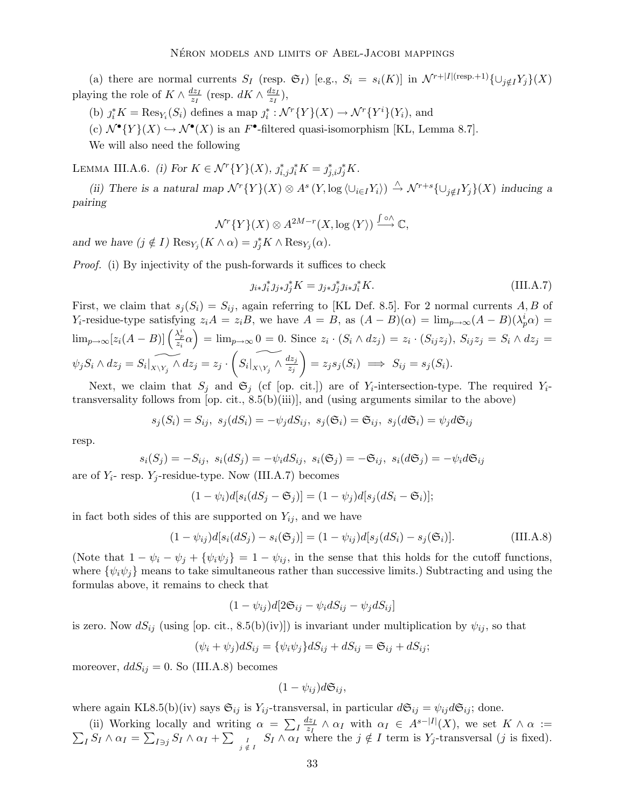(a) there are normal currents  $S_I$  (resp.  $\mathfrak{S}_I$ ) [e.g.,  $S_i = s_i(K)$ ] in  $\mathcal{N}^{r+|I|(\text{resp.}+1)}\{\cup_{i \notin I} Y_i\}(X)$ playing the role of  $K \wedge \frac{dz_I}{z_I}$  $rac{dz_I}{z_I}$  (resp.  $dK \wedge \frac{dz_I}{z_I}$  $\frac{iz_I}{z_I}),$ 

(b)  $j_i^* K = \text{Res}_{Y_i}(S_i)$  defines a map  $j_i^* : \mathcal{N}^r \{Y\}(X) \to \mathcal{N}^r \{Y^i\}(Y_i)$ , and

(c)  $\mathcal{N}^{\bullet}{Y}(X) \hookrightarrow \mathcal{N}^{\bullet}(X)$  is an  $F^{\bullet}$ -filtered quasi-isomorphism [KL, Lemma 8.7].

We will also need the following

LEMMA III.A.6. (i) For  $K \in \mathcal{N}^r\{Y\}(X)$ ,  $j_{i,j}^* j_i^* K = j_{j,i}^* j_j^* K$ .

(ii) There is a natural map  $\mathcal{N}^r\{Y\}(X) \otimes A^s(Y, \log \langle \cup_{i \in I} Y_i \rangle) \stackrel{\wedge}{\rightarrow} \mathcal{N}^{r+s}\{\cup_{j \notin I} Y_j\}(X)$  inducing a pairing

$$
\mathcal{N}^r\{Y\}(X) \otimes A^{2M-r}(X,\log \langle Y \rangle) \stackrel{\int \circ \wedge}{\longrightarrow} \mathbb{C},
$$

and we have  $(j \notin I)$   $\text{Res}_{Y_j}(K \wedge \alpha) = j_j^*K \wedge \text{Res}_{Y_j}(\alpha)$ .

*Proof.* (i) By injectivity of the push-forwards it suffices to check

$$
j_{i*}j_{i}^{*}j_{j*}j_{j}^{*}K = j_{j*}j_{j}^{*}j_{i*}j_{i}^{*}K.
$$
 (III.A.7)

First, we claim that  $s_j(S_i) = S_{ij}$ , again referring to [KL Def. 8.5]. For 2 normal currents A, B of Y<sub>i</sub>-residue-type satisfying  $z_iA = z_iB$ , we have  $A = B$ , as  $(A - B)(\alpha) = \lim_{p \to \infty} (A - B)(\lambda_p^i \alpha) =$  $\lim_{p\to\infty} [z_i(A-B)]\left(\frac{\lambda_p^i}{z_i}\alpha\right) = \lim_{p\to\infty} 0 = 0.$  Since  $z_i \cdot (S_i \wedge dz_j) = z_i \cdot (S_{ij}z_j)$ ,  $S_{ij}z_j = S_i \wedge dz_j =$  $\psi_j S_i \wedge dz_j = S_i|_{X \setminus Y_j} \wedge dz_j = z_j$ .  $\sqrt{ }$  $S_i|_{X\setminus Y_j}\wedge \frac{dz_j}{z_j}$  $z_j$  $\setminus$  $= z_j s_j (S_i) \implies S_{ij} = s_j (S_i).$ 

Next, we claim that  $S_j$  and  $\mathfrak{S}_j$  (cf [op. cit.]) are of  $Y_i$ -intersection-type. The required  $Y_i$ transversality follows from [op. cit., 8.5(b)(iii)], and (using arguments similar to the above)

$$
s_j(S_i) = S_{ij}, \ s_j(dS_i) = -\psi_j dS_{ij}, \ s_j(\mathfrak{S}_i) = \mathfrak{S}_{ij}, \ s_j(d\mathfrak{S}_i) = \psi_j d\mathfrak{S}_{ij}
$$

resp.

$$
s_i(S_j) = -S_{ij}, \ s_i(dS_j) = -\psi_i dS_{ij}, \ s_i(\mathfrak{S}_j) = -\mathfrak{S}_{ij}, \ s_i(d\mathfrak{S}_j) = -\psi_i d\mathfrak{S}_{ij}
$$

are of  $Y_i$ - resp.  $Y_i$ -residue-type. Now (III.A.7) becomes

$$
(1 - \psi_i)d[s_i(dS_j - \mathfrak{S}_j)] = (1 - \psi_j)d[s_j(dS_i - \mathfrak{S}_i)];
$$

in fact both sides of this are supported on  $Y_{ij}$ , and we have

$$
(1 - \psi_{ij})d[s_i(dS_j) - s_i(\mathfrak{S}_j)] = (1 - \psi_{ij})d[s_j(dS_i) - s_j(\mathfrak{S}_i)].
$$
 (III.A.8)

(Note that  $1 - \psi_i - \psi_j + {\psi_i \psi_j} = 1 - \psi_{ij}$ , in the sense that this holds for the cutoff functions, where  $\{\psi_i\psi_j\}$  means to take simultaneous rather than successive limits.) Subtracting and using the formulas above, it remains to check that

$$
(1 - \psi_{ij})d[2\mathfrak{S}_{ij} - \psi_i dS_{ij} - \psi_j dS_{ij}]
$$

is zero. Now  $dS_{ij}$  (using [op. cit., 8.5(b)(iv)]) is invariant under multiplication by  $\psi_{ij}$ , so that

$$
(\psi_i + \psi_j)dS_{ij} = {\psi_i\psi_j}dS_{ij} + dS_{ij} = \mathfrak{S}_{ij} + dS_{ij};
$$

moreover,  $d dS_{ij} = 0$ . So (III.A.8) becomes

$$
(1-\psi_{ij})d\mathfrak{S}_{ij},
$$

where again KL8.5(b)(iv) says  $\mathfrak{S}_{ij}$  is  $Y_{ij}$ -transversal, in particular  $d\mathfrak{S}_{ij} = \psi_{ij}d\mathfrak{S}_{ij}$ ; done.

(ii) Working locally and writing  $\alpha = \sum_l \frac{dz_l}{z_l}$ (ii) Working locally and writing  $\alpha = \sum_{I} \frac{dz_I}{z_I} \wedge \alpha_I$  with  $\alpha_I \in A^{s-|I|}(X)$ , we set  $K \wedge \alpha := \sum_{I \supseteq I} S_I \wedge \alpha_I + \sum_{I \supseteq I} S_I \wedge \alpha_I$  where the  $j \notin I$  term is  $Y_i$ -transversal (*j* is fixed).  $I_S I \wedge \alpha_I = \sum_{I \ni j} S_I \wedge \alpha_I + \sum_{j \notin I} S_I \wedge \alpha_I$  where the  $j \notin I$  term is  $Y_j$ -transversal (j is fixed).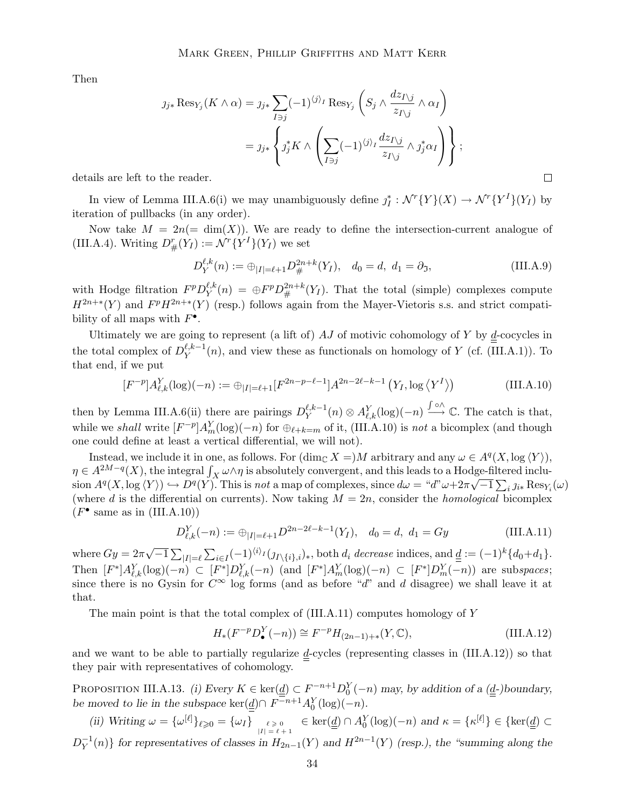Then

$$
j_{j*} \operatorname{Res}_{Y_j}(K \wedge \alpha) = j_{j*} \sum_{I \ni j} (-1)^{\langle j \rangle_I} \operatorname{Res}_{Y_j} \left( S_j \wedge \frac{dz_{I \setminus j}}{z_{I \setminus j}} \wedge \alpha_I \right)
$$
  
= 
$$
j_{j*} \left\{ j_j^* K \wedge \left( \sum_{I \ni j} (-1)^{\langle j \rangle_I} \frac{dz_{I \setminus j}}{z_{I \setminus j}} \wedge j_j^* \alpha_I \right) \right\};
$$

details are left to the reader.

In view of Lemma III.A.6(i) we may unambiguously define  $j_I^*: \mathcal{N}^r\{Y\}(X) \to \mathcal{N}^r\{Y^I\}(Y_I)$  by iteration of pullbacks (in any order).

Now take  $M = 2n (= \dim(X))$ . We are ready to define the intersection-current analogue of (III.A.4). Writing  $D^r_{\#}(Y_I) := \mathcal{N}^r \{Y^I\}(Y_I)$  we set

$$
D_Y^{\ell,k}(n) := \bigoplus_{|I| = \ell+1} D_{\#}^{2n+k}(Y_I), \quad d_0 = d, \ d_1 = \partial_{\mathfrak{I}}, \tag{III.A.9}
$$

 $\Box$ 

with Hodge filtration  $F^p D_Y^{\ell,k}$  $\mathcal{L}_Y^{l,k}(n) = \bigoplus F^p D_{\#}^{2n+k}(Y_I)$ . That the total (simple) complexes compute  $H^{2n+*}(Y)$  and  $F^pH^{2n+*}(Y)$  (resp.) follows again from the Mayer-Vietoris s.s. and strict compatibility of all maps with  $F^{\bullet}$ .

Ultimately we are going to represent (a lift of)  $AJ$  of motivic cohomology of Y by  $\underline{d}$ -cocycles in the total complex of  $D_Y^{\ell,k-1}(n)$ , and view these as functionals on homology of Y (cf. (III.A.1)). To that end, if we put

$$
[F^{-p}]A_{\ell,k}^Y(\log)(-n) := \bigoplus_{|I|=\ell+1} [F^{2n-p-\ell-1}]A^{2n-2\ell-k-1}(Y_I, \log \langle Y^I \rangle)
$$
(III.A.10)

then by Lemma III.A.6(ii) there are pairings  $D_Y^{\ell,k-1}(n) \otimes A_{\ell,k}^Y(\log)(-n) \xrightarrow{\int \circ \wedge} \mathbb{C}$ . The catch is that, while we shall write  $[F^{-p}]A_m^Y(\log)(-n)$  for  $\bigoplus_{\ell+k=m}$  of it, (III.A.10) is not a bicomplex (and though one could define at least a vertical differential, we will not).

Instead, we include it in one, as follows. For  $(\dim_{\mathbb{C}} X =)M$  arbitrary and any  $\omega \in A^q(X, \log \langle Y \rangle)$ ,  $\eta \in A^{2M-q}(X)$ , the integral  $\int_X \omega \wedge \eta$  is absolutely convergent, and this leads to a Hodge-filtered inclu- $A^q(X, \log \langle Y \rangle) \hookrightarrow D^q(Y)$ . This is not a map of complexes, since  $d\omega = \partial^q \omega + 2\pi \sqrt{-1} \sum_i \jmath_{i*} \text{Res}_{Y_i}(\omega)$ (where d is the differential on currents). Now taking  $M = 2n$ , consider the *homological* bicomplex  $(F^{\bullet}$  same as in  $(III.A.10))$ 

$$
D_{\ell,k}^Y(-n) := \bigoplus_{|I| = \ell+1} D^{2n-2\ell-k-1}(Y_I), \quad d_0 = d, \ d_1 = Gy \tag{III.A.11}
$$

where  $Gy = 2\pi\sqrt{-1}\sum_{|I|=\ell}\sum_{i\in I}(-1)^{\langle i\rangle_I}(j_{I\setminus\{i\},i})_*$ , both  $d_i$  decrease indices, and  $\underline{d} := (-1)^k\{d_0+d_1\}.$ Then  $[F^*]A_{\ell,k}^Y(\log)(-n) \subset [F^*]D_{\ell,k}^Y(-n)$  (and  $[F^*]A_m^Y(\log)(-n) \subset [F^*]D_m^Y(-n)$ ) are subspaces; since there is no Gysin for  $C^{\infty}$  log forms (and as before "d" and d disagree) we shall leave it at that.

The main point is that the total complex of  $(III.A.11)$  computes homology of Y

$$
H_*(F^{-p}D_{\bullet}^Y(-n)) \cong F^{-p}H_{(2n-1)+*}(Y,\mathbb{C}), \tag{III.A.12}
$$

and we want to be able to partially regularize  $\underline{d}$ -cycles (representing classes in (III.A.12)) so that they pair with representatives of cohomology.

PROPOSITION III.A.13. (i) Every  $K \in \text{ker}(\underline{\underline{d}}) \subset F^{-n+1}D_0^Y(-n)$  may, by addition of a  $(\underline{\underline{d}}-)$ boundary, be moved to lie in the subspace ker( $\underline{d}$ ) $\cap F^{-n+1}A_0^Y(\log)(-n)$ .

(ii) Writing 
$$
\omega = {\{\omega^{[\ell]}\}_{\ell \geq 0}} = {\{\omega_I\}}_{|I| = \ell + 1}^{\ell \geq 0} \in \text{ker}(\underline{d}) \cap A_0^Y(\log)(-n)
$$
 and  $\kappa = {\{\kappa^{[\ell]}\}} \in {\text{ker}(\underline{d})} \subset D_Y^{-1}(n)$  for representatives of classes in  $H_{2n-1}(Y)$  and  $H^{2n-1}(Y)$  (resp.), the "summing along the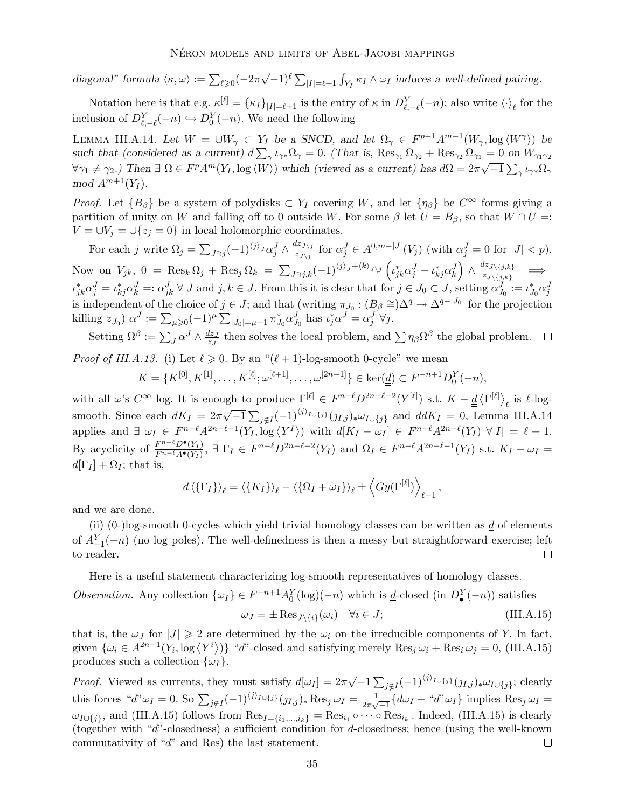diagonal" formula  $\langle \kappa, \omega \rangle := \sum_{\ell \geq 0} (-2\pi\sqrt{-1})^{\ell} \sum_{|I| = \ell+1} \int_{Y_I} \kappa_I \wedge \omega_I$  induces a well-defined pairing.

Notation here is that e.g.  $\kappa^{[\ell]} = {\{\kappa_I\}}_{|I| = \ell+1}$  is the entry of  $\kappa$  in  $D_{\ell,-\ell}^Y(-n)$ ; also write  $\langle \cdot \rangle_{\ell}$  for the inclusion of  $D_{\ell,-\ell}^Y(-n) \hookrightarrow D_0^Y(-n)$ . We need the following

LEMMA III.A.14. Let  $W = \bigcup W_\gamma \subset Y_I$  be a SNCD, and let  $\Omega_\gamma \in F^{p-1}A^{m-1}(W_\gamma, \log \langle W^\gamma \rangle)$  be such that (considered as a current)  $d \sum_{\gamma} \iota_{\gamma *} \Omega_{\gamma} = 0$ . (That is,  $\text{Res}_{\gamma_1} \Omega_{\gamma_2} + \text{Res}_{\gamma_2} \Omega_{\gamma_1} = 0$  on  $W_{\gamma_1 \gamma_2}$  $\forall \gamma_1 \neq \gamma_2$ .) Then  $\exists \Omega \in F^p A^m(Y_I, \log \langle W \rangle)$  which (viewed as a current) has  $d\Omega = 2\pi \sqrt{-1} \sum_{\gamma} \iota_{\gamma *} \Omega_{\gamma}$  $mod~A^{m+1}(Y_I).$ 

*Proof.* Let  ${B_\beta}$  be a system of polydisks  $\subset Y_I$  covering W, and let  ${\eta_\beta}$  be  $C^\infty$  forms giving a partition of unity on W and falling off to 0 outside W. For some  $\beta$  let  $U = B_{\beta}$ , so that  $W \cap U =$ :  $V = \bigcup_{i=1}^{N} V_i = \bigcup_{i=1}^{N} V_i = 0$  in local holomorphic coordinates.

For each j write  $\Omega_j = \sum_{J \ni j} (-1)^{\langle j \rangle_J} \alpha_j^J \wedge \frac{dz_{J \setminus j}}{z_{J \setminus j}}$  $\frac{dz_{J\setminus j}}{z_{J\setminus j}}$  for  $\alpha_j^J \in A^{0,m-|J|}(V_j)$  (with  $\alpha_j^J = 0$  for  $|J| < p$ ). Now on  $V_{jk}$ ,  $0 = \text{Res}_k \Omega_j + \text{Res}_j \Omega_k = \sum_{J \ni j,k} (-1)^{\langle j \rangle_j + \langle k \rangle_{J \setminus j}} \left( \iota_{jk}^* \alpha_j^J - \iota_{kj}^* \alpha_k^J \right)$  $\setminus$  $\wedge \frac{dz_{J\setminus\{j,k\}}}{z_{J\setminus\{j,k\}}}$  $\begin{array}{cc} \sqrt[2,2]{\{j,k\}} \\ z_{J\setminus\{j,k\}} \end{array} \implies$  $\iota_{jk}^* \alpha_j^J = \iota_{kj}^* \alpha_k^J =: \alpha_{jk}^J \ \forall \ J \text{ and } j, k \in J.$  From this it is clear that for  $j \in J_0 \subset J$ , setting  $\alpha_{J_0}^J := \iota_{J_0}^* \alpha_j^J$ is independent of the choice of  $j \in J$ ; and that (writing  $\pi_{J_0} : (B_\beta \cong) \Delta^q \twoheadrightarrow \Delta^{q-|J_0|}$  for the projection killing  $z_{J_0}$ )  $\alpha^J := \sum_{\mu \geqslant 0} (-1)^{\mu} \sum_{|J_0| = \mu + 1} \pi^*_{J_0} \alpha^J_{J_0}$  has  $\iota_j^* \alpha^J = \alpha_j^J \forall j$ .

Setting  $\Omega^{\beta} := \sum_{J} \alpha^{J} \wedge \frac{dz_{J}}{z_{J}}$  $\frac{dz_J}{z_J}$  then solves the local problem, and  $\sum \eta_\beta \Omega^\beta$  the global problem.

*Proof of III.A.13.* (i) Let  $\ell \geq 0$ . By an " $(\ell + 1)$ -log-smooth 0-cycle" we mean

$$
K = \{K^{[0]}, K^{[1]}, \ldots, K^{[\ell]}; \omega^{[\ell+1]}, \ldots, \omega^{[2n-1]}\} \in \ker(\underline{d}) \subset F^{-n+1}D_0^Y(-n),
$$

with all  $\omega$ 's  $C^{\infty}$  log. It is enough to produce  $\Gamma^{[\ell]} \in F^{n-\ell}D^{2n-\ell-2}(Y^{[\ell]})$  s.t.  $K - \underline{d} \langle \Gamma^{[\ell]} \rangle_{\ell}$  is  $\ell$ -log- $\ell$ smooth. Since each  $dK_I = 2\pi\sqrt{-1} \sum_{j \notin I} (-1)^{\langle j \rangle_{I \cup \{j\}}}(j_{I,j})_* \omega_{I \cup \{j\}}$  and  $d dK_I = 0$ , Lemma III.A.14 applies and  $\exists \omega_I \in F^{n-\ell} A^{2n-\ell-1}(Y_I, \log \langle Y^I \rangle)$  with  $d[K_I - \omega_I] \in F^{n-\ell} A^{2n-\ell}(Y_I)$   $\forall |I| = \ell + 1$ . By acyclicity of  $\frac{F^{n-\ell}D^{\bullet}(Y_I)}{F^{n-\ell}A^{\bullet}(Y_I)}$  $F^{n-\epsilon}D^{\bullet}(Y_I)$ ,  $\exists \Gamma_I \in F^{n-\ell}D^{2n-\ell-2}(Y_I)$  and  $\Omega_I \in F^{n-\ell}A^{2n-\ell-1}(Y_I)$  s.t.  $K_I - \omega_I =$  $d[\Gamma_I] + \Omega_I$ ; that is,

$$
\underline{d} \left\langle \{ \Gamma_I \} \right\rangle_{\ell} = \left\langle \{ K_I \} \right\rangle_{\ell} - \left\langle \{ \Omega_I + \omega_I \} \right\rangle_{\ell} \pm \left\langle G y(\Gamma^{[\ell]}) \right\rangle_{\ell-1},
$$

and we are done.

(ii) (0-)log-smooth 0-cycles which yield trivial homology classes can be written as  $\underline{d}$  of elements of  $A_{-1}^Y(-n)$  (no log poles). The well-definedness is then a messy but straightforward exercise; left to reader.

Here is a useful statement characterizing log-smooth representatives of homology classes.

Observation. Any collection  $\{\omega_I\} \in F^{-n+1}A_0^Y(\log)(-n)$  which is  $\underline{\underline{d}}$ -closed (in  $D_{\bullet}^Y(-n)$ ) satisfies

$$
\omega_J = \pm \operatorname{Res}_{J \setminus \{i\}}(\omega_i) \quad \forall i \in J; \tag{III.A.15}
$$

that is, the  $\omega_J$  for  $|J| \geq 2$  are determined by the  $\omega_i$  on the irreducible components of Y. In fact, given  $\{\omega_i \in A^{2n-1}(Y_i, \log \langle Y^i \rangle)\}$  "d"-closed and satisfying merely  $\text{Res}_j \omega_i + \text{Res}_i \omega_j = 0$ , (III.A.15) produces such a collection  $\{\omega_I\}.$ 

*Proof.* Viewed as currents, they must satisfy  $d[\omega_I] = 2\pi \sqrt{-1} \sum_{j \notin I} (-1)^{\langle j \rangle_{I \cup \{j\}}}(j_{I,j})_* \omega_{I \cup \{j\}}$ ; clearly this forces " $d''\omega_I = 0$ . So  $\sum_{j \notin I} (-1)^{\langle j \rangle_{I \cup \{j\}}} (j_{I,j})_* \operatorname{Res}_j \omega_I = \frac{1}{2\pi\sqrt{3}}$  $\frac{1}{2\pi\sqrt{-1}}\{d\omega_I - \omega''\omega_I\}$  implies Res<sub>j</sub>  $\omega_I =$  $\omega_{I\cup\{j\}}$ , and (III.A.15) follows from  $\text{Res}_{I=\{i_1,\dots,i_k\}} = \text{Res}_{i_1} \circ \cdots \circ \text{Res}_{i_k}$ . Indeed, (III.A.15) is clearly (together with "d"-closedness) a sufficient condition for  $\underline{d}$ -closedness; hence (using the well-known commutativity of "d" and Res) the last statement.  $\Box$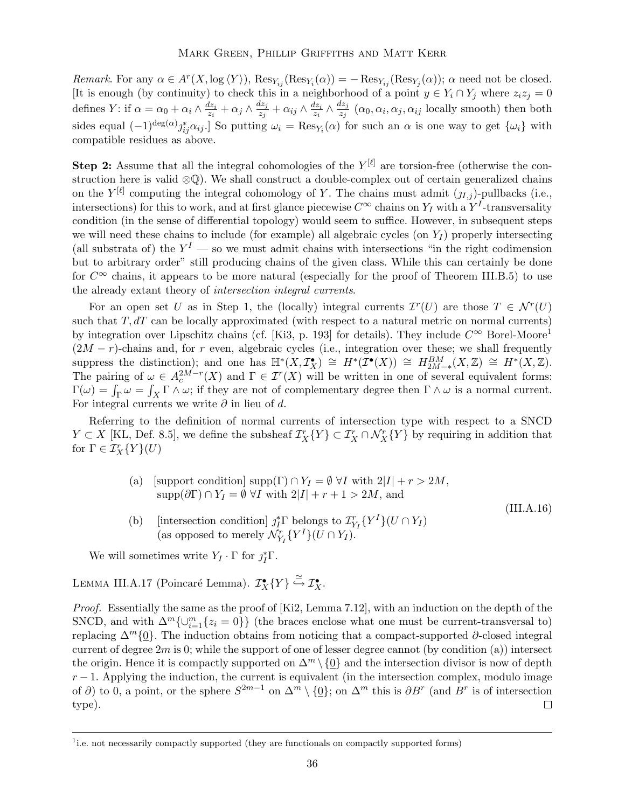Remark. For any  $\alpha \in A^r(X, \log \langle Y \rangle)$ ,  $\text{Res}_{Y_{ij}}(\text{Res}_{Y_i}(\alpha)) = -\text{Res}_{Y_{ij}}(\text{Res}_{Y_j}(\alpha))$ ;  $\alpha$  need not be closed. [It is enough (by continuity) to check this in a neighborhood of a point  $y \in Y_i \cap Y_j$  where  $z_i z_j = 0$ defines Y: if  $\alpha = \alpha_0 + \alpha_i \wedge \frac{dz_i}{z_i}$  $\frac{dz_i}{z_i}+\alpha_j\wedge\frac{dz_j}{z_j}$  $\frac{dz_j}{z_j}+\alpha_{ij}\wedge\frac{dz_i}{z_i}$  $\frac{dz_i}{z_i} \wedge \frac{dz_j}{z_j}$  $\frac{z_{ij}}{z_j}$  ( $\alpha_0, \alpha_i, \alpha_j, \alpha_{ij}$  locally smooth) then both sides equal  $(-1)^{\deg(\alpha)} j_{ij}^* \alpha_{ij}$ . So putting  $\omega_i = \text{Res}_{Y_i}(\alpha)$  for such an  $\alpha$  is one way to get  $\{\omega_i\}$  with compatible residues as above.

**Step 2:** Assume that all the integral cohomologies of the  $Y^{[\ell]}$  are torsion-free (otherwise the construction here is valid ⊗Q). We shall construct a double-complex out of certain generalized chains on the  $Y^{[\ell]}$  computing the integral cohomology of Y. The chains must admit  $(j_{I,j})$ -pullbacks (i.e., intersections) for this to work, and at first glance piecewise  $C^{\infty}$  chains on  $Y_I$  with a  $Y^I$ -transversality condition (in the sense of differential topology) would seem to suffice. However, in subsequent steps we will need these chains to include (for example) all algebraic cycles (on  $Y_I$ ) properly intersecting (all substrata of) the  $Y<sup>I</sup>$  — so we must admit chains with intersections "in the right codimension but to arbitrary order" still producing chains of the given class. While this can certainly be done for  $C^{\infty}$  chains, it appears to be more natural (especially for the proof of Theorem III.B.5) to use the already extant theory of intersection integral currents.

For an open set U as in Step 1, the (locally) integral currents  $\mathcal{I}^r(U)$  are those  $T \in \mathcal{N}^r(U)$ such that  $T, dT$  can be locally approximated (with respect to a natural metric on normal currents) by integration over Lipschitz chains (cf. [Ki3, p. 193] for details). They include  $C^{\infty}$  Borel-Moore<sup>1</sup>  $(2M - r)$ -chains and, for r even, algebraic cycles (i.e., integration over these; we shall frequently suppress the distinction); and one has  $\mathbb{H}^*(X, \mathcal{I}_{X}^{\bullet}) \cong H^*(\mathcal{I}^{\bullet}(X)) \cong H_{2M-*}^{BM}(X, \mathbb{Z}) \cong H^*(X, \mathbb{Z}).$ The pairing of  $\omega \in A_c^{2M-r}(X)$  and  $\Gamma \in \mathcal{I}^r(X)$  will be written in one of several equivalent forms:  $\Gamma(\omega) = \int_{\Gamma} \omega = \int_X \Gamma \wedge \omega$ ; if they are not of complementary degree then  $\Gamma \wedge \omega$  is a normal current. For integral currents we write  $\partial$  in lieu of d.

Referring to the definition of normal currents of intersection type with respect to a SNCD  $Y \subset X$  [KL, Def. 8.5], we define the subsheaf  $\mathcal{I}_X^r \{Y\} \subset \mathcal{I}_X^r \cap \mathcal{N}_X^r \{Y\}$  by requiring in addition that for  $\Gamma \in \mathcal{I}_X^r\{Y\}(U)$ 

(III.A.16)

- (a) [support condition] supp(Γ)  $\cap Y_I = \emptyset \ \forall I$  with  $2|I| + r > 2M$ ,  $\text{supp}(\partial \Gamma) \cap Y_I = \emptyset \ \forall I \ \text{with} \ 2|I| + r + 1 > 2M$ , and
- (b) [intersection condition]  $j_I^* \Gamma$  belongs to  $\mathcal{I}_{Y_I}^r \{Y^I\} (U \cap Y_I)$ (as opposed to merely  $\mathcal{N}_{Y_I}^r \{Y^I\} (U \cap Y_I).$

We will sometimes write  $Y_I \cdot \Gamma$  for  $\jmath_I^* \Gamma$ .

LEMMA III.A.17 (Poincaré Lemma).  $\mathcal{I}_X^{\bullet}{Y} \stackrel{\simeq}{\hookrightarrow} \mathcal{I}_X^{\bullet}$ .

*Proof.* Essentially the same as the proof of  $[Ki2, Lemma 7.12]$ , with an induction on the depth of the SNCD, and with  $\Delta^m \{\cup_{i=1}^m \{z_i = 0\}\}\$  (the braces enclose what one must be current-transversal to) replacing  $\Delta^m\{0\}$ . The induction obtains from noticing that a compact-supported ∂-closed integral current of degree  $2m$  is 0; while the support of one of lesser degree cannot (by condition (a)) intersect the origin. Hence it is compactly supported on  $\Delta^m \setminus \{0\}$  and the intersection divisor is now of depth  $r-1$ . Applying the induction, the current is equivalent (in the intersection complex, modulo image of  $\partial$ ) to 0, a point, or the sphere  $S^{2m-1}$  on  $\Delta^m \setminus \{0\}$ ; on  $\Delta^m$  this is  $\partial B^r$  (and  $B^r$  is of intersection type).  $\Box$ 

<sup>&</sup>lt;sup>1</sup><sub>i.e.</sub> not necessarily compactly supported (they are functionals on compactly supported forms)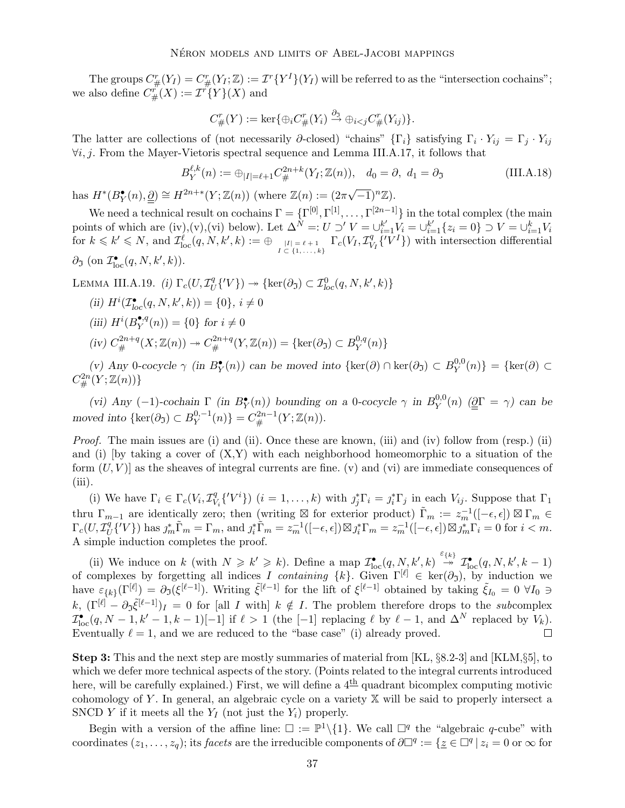The groups  $C^r_{\#}(Y_I) = C^r_{\#}(Y_I; \mathbb{Z}) := \mathcal{I}^r\{Y^I\}(Y_I)$  will be referred to as the "intersection cochains"; we also define  $C^{r'}_{\#}(X) := \mathcal{I}^{r'}\!\{Y\}(X)$  and

$$
C_{\#}^r(Y) := \ker\{\oplus_i C_{\#}^r(Y_i) \xrightarrow{\partial_3} \oplus_{i < j} C_{\#}^r(Y_{ij})\}.
$$

The latter are collections of (not necessarily  $\partial$ -closed) "chains" { $\Gamma_i$ } satisfying  $\Gamma_i \cdot Y_{ij} = \Gamma_j \cdot Y_{ij}$ ∀i, j. From the Mayer-Vietoris spectral sequence and Lemma III.A.17, it follows that

$$
B_Y^{\ell,k}(n) := \bigoplus_{|I| = \ell+1} C_{\#}^{2n+k}(Y_I; \mathbb{Z}(n)), \quad d_0 = \partial, \ d_1 = \partial_{\mathfrak{I}} \tag{III.A.18}
$$

has  $H^*(B^{\bullet}_{Y}(n), \underline{\partial}) \cong H^{2n+*}(Y; \mathbb{Z}(n))$  (where  $\mathbb{Z}(n) := (2\pi\sqrt{-1})^n \mathbb{Z}$ ).

We need a technical result on cochains  $\Gamma = \{\Gamma^{[0]}, \Gamma^{[1]}, \ldots, \Gamma^{[2n-1]}\}\$  in the total complex (the main points of which are (iv),(v),(vi) below). Let  $\Delta^N =: U \supset' V = \bigcup_{i=1}^{k'} V_i = \bigcup_{i=1}^{k'} \{z_i = 0\} \supset V = \bigcup_{i=1}^{k} V_i$  $\text{for}\,\, k\leqslant k'\leqslant N,\text{ and } \mathcal{I}^{\hat{\ell}}_{\text{loc}}(q,N,k',k):=\oplus_{I\subset \{1,\ldots,k\}\atop{|I|\leqslant 1,\ldots,k}}\Gamma_c(V_I,\mathcal{I}^q_V)$  $\{V^I\}\$ ) with intersection differential  $\partial_{\mathfrak{I}} \text{ (on } \mathcal{I}_{\text{loc}}^{\bullet}(q, N, k', k)).$ 

LEMMA III.A.19. (i)  $\Gamma_c(U, \mathcal{I}_U^q)$  $U^qU\{V\}$   $\rightarrow$  {ker( $\partial \mathfrak{z}$ )  $\subset \mathcal{I}_{loc}^0(q,N,k',k)$ }

(ii)  $H^i(\mathcal{I}^{\bullet}_{loc}(q,N,k',k)) = \{0\}, i \neq 0$ (iii)  $H^i(B_Y^{\bullet,q}(n))=\{0\}$  for  $i\neq 0$ (iv)  $C^{2n+q}_{\#}(X; \mathbb{Z}(n)) \to C^{2n+q}_{\#}(Y; \mathbb{Z}(n)) = {\rm{ker}}(\partial_{\Im}) \subset B^{0,q}_{Y}$  $Y^{0,q}(n)$ 

(v) Any 0-cocycle  $\gamma$  (in  $B_Y^{\bullet}(n)$ ) can be moved into  $\{\ker(\partial) \cap \ker(\partial_3) \subset B_Y^{0,0}$  $Y^{0,0}(n)$ } = {ker(∂) ⊂  $C^{2n}_{\#}(Y; \mathbb{Z}(n))\}$ 

(vi) Any (-1)-cochain  $\Gamma$  (in  $B^{\bullet}_{Y}(n)$ ) bounding on a 0-cocycle  $\gamma$  in  $B^{0,0}_{Y}$  $Y^{0,0}(n)$  ( $\underline{\partial}\Gamma = \gamma$ ) can be moved into { $\ker(\partial_{\mathfrak{I}}) \subset B_Y^{0,-1}(n)$ } =  $C_{\#}^{2n-1}(Y; \mathbb{Z}(n)).$ 

Proof. The main issues are (i) and (ii). Once these are known, (iii) and (iv) follow from (resp.) (ii) and (i) [by taking a cover of  $(X, Y)$  with each neighborhood homeomorphic to a situation of the form  $(U, V)$  as the sheaves of integral currents are fine. (v) and (vi) are immediate consequences of  $(iii)$ .

(i) We have  $\Gamma_i \in \Gamma_c(V_i, \mathcal{I}_V^q)$  $V_{V_i}^q \{V^i\}$ )  $(i = 1, ..., k)$  with  $j_j^* \Gamma_i = j_i^* \Gamma_j$  in each  $V_{ij}$ . Suppose that  $\Gamma_1$ thru  $\Gamma_{m-1}$  are identically zero; then (writing  $\boxtimes$  for exterior product)  $\widetilde{\Gamma}_m := z_m^{-1}([-\epsilon, \epsilon]) \boxtimes \Gamma_m \in$  $\Gamma_c(U,\mathcal{I}_U^q)$  $U^q(V)$ ) has  $j_m^*\tilde{\Gamma}_m = \Gamma_m$ , and  $j_i^*\tilde{\Gamma}_m = z_m^{-1}([-\epsilon,\epsilon]) \boxtimes j_i^*\Gamma_m = z_m^{-1}([-\epsilon,\epsilon]) \boxtimes j_m^*\Gamma_i = 0$  for  $i < m$ . A simple induction completes the proof.

(ii) We induce on k (with  $N \geq k' \geq k$ ). Define a map  $\mathcal{I}^{\bullet}_{loc}(q, N, k', k) \stackrel{\varepsilon_{\{k\}}}{\rightarrow} \mathcal{I}^{\bullet}_{loc}(q, N, k', k-1)$ of complexes by forgetting all indices I containing  $\{k\}$ . Given  $\Gamma^{[\ell]} \in \text{ker}(\partial_{\mathfrak{I}})$ , by induction we have  $\varepsilon_{\{k\}}(\Gamma^{[\ell]}) = \partial_{\mathfrak{I}}(\xi^{[\ell-1]})$ . Writing  $\tilde{\xi}^{[\ell-1]}$  for the lift of  $\xi^{[\ell-1]}$  obtained by taking  $\tilde{\xi}_{I_0} = 0 \ \forall I_0 \ni$ k,  $(\Gamma^{[\ell]} - \partial_{\Im} \tilde{\xi}^{[\ell-1]})_I = 0$  for [all I with]  $k \notin I$ . The problem therefore drops to the subcomplex  $\mathcal{I}_{\text{loc}}^{\bullet}(q, N-1, k'-1, k-1)[-1]$  if  $\ell > 1$  (the [-1] replacing  $\ell$  by  $\ell - 1$ , and  $\Delta^N$  replaced by  $V_k$ ). Eventually  $\ell = 1$ , and we are reduced to the "base case" (i) already proved.

Step 3: This and the next step are mostly summaries of material from [KL, §8.2-3] and [KLM,§5], to which we defer more technical aspects of the story. (Points related to the integral currents introduced here, will be carefully explained.) First, we will define a  $4<sup>th</sup>$  quadrant bicomplex computing motivic cohomology of Y. In general, an algebraic cycle on a variety  $X$  will be said to properly intersect a SNCD Y if it meets all the  $Y_I$  (not just the  $Y_i$ ) properly.

Begin with a version of the affine line:  $\square := \mathbb{P}^1 \setminus \{1\}$ . We call  $\square^q$  the "algebraic q-cube" with coordinates  $(z_1, \ldots, z_q)$ ; its *facets* are the irreducible components of  $\partial \Box^q := \{ \underline{z} \in \Box^q | z_i = 0 \text{ or } \infty \text{ for } i \in \mathbb{N} \}$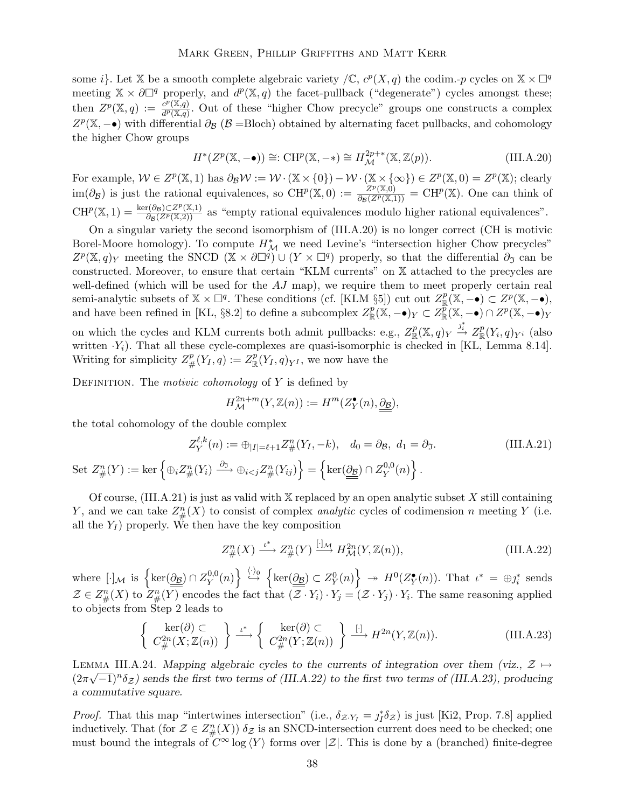some *i*}. Let X be a smooth complete algebraic variety  $\mathcal{L}$ ,  $c^p(X, q)$  the codim.-p cycles on  $X \times \Box^q$ meeting  $\mathbb{X} \times \partial \Box^q$  properly, and  $d^p(\mathbb{X}, q)$  the facet-pullback ("degenerate") cycles amongst these; then  $Z^p(\mathbb{X}, q) := \frac{c^p(\mathbb{X}, q)}{d^p(\mathbb{X}, q)}$  $\frac{C^{r}(\mathbb{A},q)}{d^{p}(\mathbb{X},q)}$ . Out of these "higher Chow precycle" groups one constructs a complex  $Z^p(\mathbb{X}, -\bullet)$  with differential  $\partial_B (\mathcal{B} = \text{Bloch})$  obtained by alternating facet pullbacks, and cohomology the higher Chow groups

$$
H^*(Z^p(\mathbb{X}, -\bullet)) \cong: \mathrm{CH}^p(\mathbb{X}, -*) \cong H^{2p+*}_{\mathcal{M}}(\mathbb{X}, \mathbb{Z}(p)).
$$
\n(III.A.20)

For example,  $W \in Z^p(\mathbb{X}, 1)$  has  $\partial_B W := \mathcal{W} \cdot (\mathbb{X} \times \{0\}) - \mathcal{W} \cdot (\mathbb{X} \times \{\infty\}) \in Z^p(\mathbb{X}, 0) = Z^p(\mathbb{X})$ ; clearly  $\text{im}(\partial_B)$  is just the rational equivalences, so  $\text{CH}^p(\mathbb{X},0) := \frac{Z^p(\mathbb{X},0)}{\partial_B(Z^p(\mathbb{X},1))} = \text{CH}^p(\mathbb{X})$ . One can think of  $CH^{p}(\mathbb{X}, 1) = \frac{\ker(\partial_{\mathcal{B}}) \subset Z^{p}(\mathbb{X}, 1)}{\partial_{\mathcal{B}}(Z^{p}(\mathbb{X}, 2))}$  as "empty rational equivalences modulo higher rational equivalences".

On a singular variety the second isomorphism of (III.A.20) is no longer correct (CH is motivic Borel-Moore homology). To compute  $H^*_{\mathcal{M}}$  we need Levine's "intersection higher Chow precycles"  $Z^p(\mathbb{X}, q)_Y$  meeting the SNCD  $(\mathbb{X} \times \partial \Box^q) \cup (Y \times \Box^q)$  properly, so that the differential  $\partial_{\mathfrak{I}}$  can be constructed. Moreover, to ensure that certain "KLM currents" on X attached to the precycles are well-defined (which will be used for the  $AJ$  map), we require them to meet properly certain real semi-analytic subsets of  $\mathbb{X} \times \square^q$ . These conditions (cf. [KLM §5]) cut out  $Z^p_{\mathbb{R}}(\mathbb{X}, -\bullet) \subset Z^p(\mathbb{X}, -\bullet)$ , and have been refined in [KL, §8.2] to define a subcomplex  $Z_{\mathbb{R}}^p(\mathbb{X}, -\bullet)_Y \subset Z_{\mathbb{R}}^p(\mathbb{X}, -\bullet) \cap Z^p(\mathbb{X}, -\bullet)_Y$ on which the cycles and KLM currents both admit pullbacks: e.g.,  $Z_{\mathbb{R}}^p(\mathbb{X}, q)_Y \stackrel{j_i^*}{\to} Z_{\mathbb{R}}^p(Y_i, q)_{Y^i}$  (also

written  $Y_i$ ). That all these cycle-complexes are quasi-isomorphic is checked in [KL, Lemma 8.14]. Writing for simplicity  $Z_{\#}^p(Y_I, q) := Z_{\mathbb{R}}^p(Y_I, q)_{Y^I}$ , we now have the

DEFINITION. The *motivic cohomology* of  $Y$  is defined by

$$
H^{2n+m}_{\mathcal{M}}(Y,{{\mathbb Z}}(n)):=H^m(Z^{\bullet}_Y(n),\underline{\underline{\partial}\underline{\mathbf{s}}}),
$$

the total cohomology of the double complex

$$
Z_Y^{\ell,k}(n) := \bigoplus_{|I| = \ell+1} Z_{\#}^n(Y_I, -k), \quad d_0 = \partial_{\mathcal{B}}, \ d_1 = \partial_{\mathcal{J}}.
$$
 (III.A.21)

 $\operatorname{Set} Z_\#^n(Y) := \ker \left\{ \oplus_i Z_\#^n(Y_i) \stackrel{\partial_3}{\longrightarrow} \oplus_{i < j} Z_\#^n(Y_{ij}) \right\} = \left\{ \ker(\underline{\partial \underline{\mathbf{B}}}) \cap Z_Y^{0,0} \right\}$  $Y^{0,0}(n)\bigg\}$ .

Of course,  $(III.A.21)$  is just as valid with X replaced by an open analytic subset X still containing Y, and we can take  $Z_{\#}^n(X)$  to consist of complex *analytic* cycles of codimension n meeting Y (i.e. all the  $Y_I$ ) properly. We then have the key composition

$$
Z_{\#}^n(X) \xrightarrow{\iota^*} Z_{\#}^n(Y) \xrightarrow{[\cdot]\mathcal{M}} H_{\mathcal{M}}^{2n}(Y,\mathbb{Z}(n)),\tag{III.A.22}
$$

where  $[\cdot]_{\mathcal{M}}$  is  $\left\{\ker(\underline{\underline{\partial g}}) \cap Z^{0,0}_{Y}\right\}$  $\left\{ \mathcal{H}(n) \right\} \stackrel{\langle \cdot \rangle_0}{\hookrightarrow} \left\{ \ker(\underline{\partial \mathbf{B}}) \subset Z_Y^0(n) \right\} \twoheadrightarrow H^0(Z_Y^\bullet(n)).$  That  $\iota^* = \bigoplus_{j} \mathbf{B}_i^*$  sends  $\mathcal{Z} \in Z_{\#}^{n}(X)$  to  $Z_{\#}^{n}(Y)$  encodes the fact that  $(\mathcal{Z} \cdot Y_i) \cdot Y_j = (\mathcal{Z} \cdot Y_j) \cdot Y_i$ . The same reasoning applied to objects from Step 2 leads to

$$
\left\{\begin{array}{c}\ker(\partial) \subset \\
C_{\#}^{2n}(X;\mathbb{Z}(n))\end{array}\right\} \xrightarrow{\iota^*} \left\{\begin{array}{c}\ker(\partial) \subset \\
C_{\#}^{2n}(Y;\mathbb{Z}(n))\end{array}\right\} \xrightarrow{[ \cdot ]} H^{2n}(Y,\mathbb{Z}(n)).
$$
\n(III.A.23)

LEMMA III.A.24. Mapping algebraic cycles to the currents of integration over them (viz.,  $\mathcal{Z} \mapsto$  $(2\pi\sqrt{-1})^n\delta_{\mathcal{Z}}$ ) sends the first two terms of (III.A.22) to the first two terms of (III.A.23), producing a commutative square.

*Proof.* That this map "intertwines intersection" (i.e.,  $\delta_{Z\cdot Y_I} = j_I^* \delta_Z$ ) is just [Ki2, Prop. 7.8] applied inductively. That (for  $\mathcal{Z} \in Z^n_{\#}(X)$ )  $\delta_{\mathcal{Z}}$  is an SNCD-intersection current does need to be checked; one must bound the integrals of  $C^{\infty}$  log  $\langle Y \rangle$  forms over  $|\mathcal{Z}|$ . This is done by a (branched) finite-degree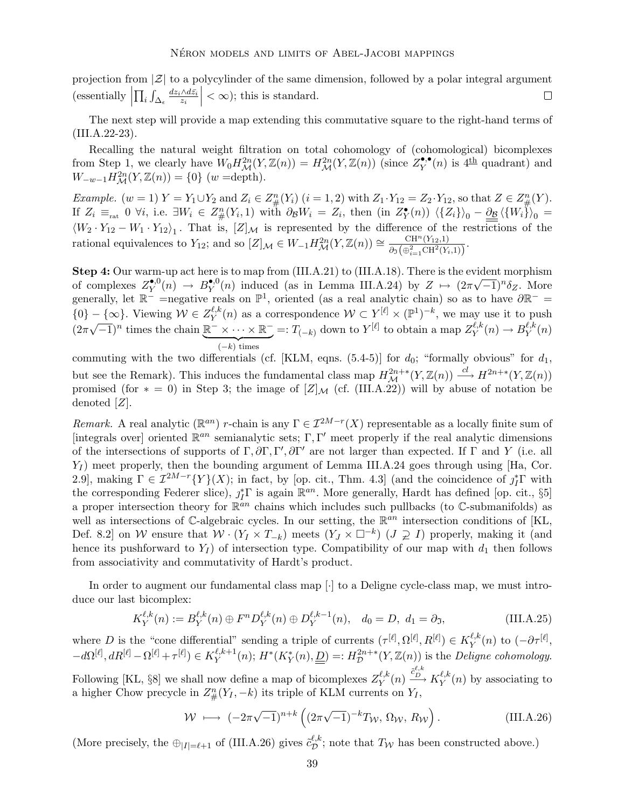projection from  $|\mathcal{Z}|$  to a polycylinder of the same dimension, followed by a polar integral argument  $\fbox{(essentially }\Big|$  $\vert < \infty$ ); this is standard.  $\prod_i \int_{\Delta_\epsilon} \frac{dz_i\wedge d\bar{z_i}}{z_i}$  $\Box$ 

The next step will provide a map extending this commutative square to the right-hand terms of (III.A.22-23).

Recalling the natural weight filtration on total cohomology of (cohomological) bicomplexes from Step 1, we clearly have  $W_0 H_{\mathcal{M}}^{2n}(Y, \mathbb{Z}(n)) = H_{\mathcal{M}}^{2n}(Y, \mathbb{Z}(n))$  (since  $Z^{\bullet,\bullet}_{Y}(n)$  is  $4^{\text{th}}$  quadrant) and  $W_{-w-1}H_{\mathcal{M}}^{2n}(Y,\mathbb{Z}(n)) = \{0\}$  (w =depth).

Example.  $(w = 1) Y = Y_1 \cup Y_2$  and  $Z_i \in Z_{\#}^n(Y_i)$   $(i = 1, 2)$  with  $Z_1 \cdot Y_{12} = Z_2 \cdot Y_{12}$ , so that  $Z \in Z_{\#}^n(Y)$ . If  $Z_i \equiv_{\text{rat}} 0 \forall i$ , i.e.  $\exists W_i \in Z_{\#}^n(Y_i, 1)$  with  $\partial_{\mathcal{B}} W_i = Z_i$ , then  $(\text{in } Z^{\bullet}_{Y}(n)) \langle \{Z_i\} \rangle_0 - \underline{\partial_{\mathcal{B}} \langle \{W_i\} \rangle_0 =$  $\langle W_2 \cdot Y_{12} - W_1 \cdot Y_{12} \rangle_1$ . That is,  $[Z]_{\mathcal{M}}$  is represented by the difference of the restrictions of the rational equivalences to  $Y_{12}$ ; and so  $[Z]_{\mathcal{M}} \in W_{-1} H_{\mathcal{M}}^{2n}(Y, \mathbb{Z}(n)) \cong \frac{\text{CH}^n(Y_{12}, 1)}{\partial_{\mathfrak{I}}(\bigoplus_{i=1}^2 \text{CH}^2(Y_i))}$  $\frac{\text{CH}^{\alpha}(Y_{12},1)}{\partial \sigma\left(\bigoplus_{i=1}^{2} \text{CH}^{2}(Y_{i},1)\right)}$ .

Step 4: Our warm-up act here is to map from (III.A.21) to (III.A.18). There is the evident morphism of complexes  $Z_{Y}^{\bullet,0}(n) \to B_{Y}^{\bullet,0}(n)$  induced (as in Lemma III.A.24) by  $Z \mapsto (2\pi\sqrt{-1})^n \delta_Z$ . More generally, let  $\mathbb{R}^-$  =negative reals on  $\mathbb{P}^1$ , oriented (as a real analytic chain) so as to have  $\partial \mathbb{R}^-$  =  $\{0\} - \{\infty\}$ . Viewing  $\mathcal{W} \in Z_Y^{\ell,k}$  $\mathcal{Y}_Y^{(\ell,k)}(n)$  as a correspondence  $\mathcal{W} \subset Y^{[\ell]} \times (\mathbb{P}^1)^{-k}$ , we may use it to push  $(2\pi\sqrt{-1})^n$  times the chain  $\underline{\mathbb{R}}^- \times \cdots \times \underline{\mathbb{R}}^- =: T_{(-k)}$  down to  $Y^{[\ell]}$  to obtain a map  $Z_Y^{\ell,k}$  $(-k)$  times  $Y^{\ell,k}(n) \to B_Y^{\ell,k}$  $Y^{\ell,\kappa}(n)$ 

commuting with the two differentials (cf. [KLM, eqns.  $(5.4-5)$ ] for  $d_0$ ; "formally obvious" for  $d_1$ , but see the Remark). This induces the fundamental class map  $H^{2n+*}_{\mathcal{M}}(Y,\mathbb{Z}(n)) \xrightarrow{cl} H^{2n+*}(Y,\mathbb{Z}(n))$ promised (for  $* = 0$ ) in Step 3; the image of  $[Z]_{\mathcal{M}}$  (cf. (III.A.22)) will by abuse of notation be denoted [Z].

Remark. A real analytic ( $\mathbb{R}^{an}$ ) r-chain is any  $\Gamma \in \mathcal{I}^{2M-r}(X)$  representable as a locally finite sum of [integrals over] oriented  $\mathbb{R}^{an}$  semianalytic sets; Γ, Γ' meet properly if the real analytic dimensions of the intersections of supports of  $\Gamma$ ,  $\partial \Gamma$ ,  $\Gamma'$ ,  $\partial \Gamma'$  are not larger than expected. If  $\Gamma$  and  $Y$  (i.e. all  $Y_I$ ) meet properly, then the bounding argument of Lemma III.A.24 goes through using [Ha, Cor. 2.9], making  $\Gamma \in \mathcal{I}^{2M-r}{Y}(X)$ ; in fact, by [op. cit., Thm. 4.3] (and the coincidence of  $j_I^*\Gamma$  with the corresponding Federer slice),  $j_I^*\Gamma$  is again  $\mathbb{R}^{an}$ . More generally, Hardt has defined [op. cit., §5] a proper intersection theory for  $\mathbb{R}^{an}$  chains which includes such pullbacks (to  $\mathbb{C}$ -submanifolds) as well as intersections of  $\mathbb{C}$ -algebraic cycles. In our setting, the  $\mathbb{R}^{an}$  intersection conditions of [KL, Def. 8.2] on W ensure that  $W \cdot (Y_I \times T_{-k})$  meets  $(Y_J \times \square^{-k})$   $(J \supsetneq I)$  properly, making it (and hence its pushforward to  $Y_I$ ) of intersection type. Compatibility of our map with  $d_1$  then follows from associativity and commutativity of Hardt's product.

In order to augment our fundamental class map [·] to a Deligne cycle-class map, we must introduce our last bicomplex:

$$
K_Y^{\ell,k}(n) := B_Y^{\ell,k}(n) \oplus F^n D_Y^{\ell,k}(n) \oplus D_Y^{\ell,k-1}(n), \quad d_0 = D, \ d_1 = \partial_{\mathfrak{I}}, \tag{III.A.25}
$$

where D is the "cone differential" sending a triple of currents  $(\tau^{[\ell]}, \Omega^{[\ell]}, R^{[\ell]}) \in K_Y^{\ell, k}$  $\int_Y^{\ell,k}(n)$  to  $(-\partial \tau^{[\ell]},$  $-d\Omega^{[\ell]}, dR^{[\ell]} - \Omega^{[\ell]} + \tau^{[\ell]}) \in K_Y^{\ell,k+1}$  $Y^{l,k+1}(n); H^*(K_Y^*(n), \underline{\underline{D}}) =: H^{2n+*}_{\mathcal{D}}$  $\mathcal{D}^{2n+*}(Y,\mathbb{Z}(n))$  is the *Deligne cohomology*. Following [KL, §8] we shall now define a map of bicomplexes  $Z_Y^{\ell,k}$  $\frac{\ell,k}{Y}(n) \stackrel{\tilde{c}_{D}^{\ell,k}}{\longrightarrow} K_{Y}^{\ell,k}$  $Y^{l,k}(n)$  by associating to a higher Chow precycle in  $Z_{\#}^n(Y_I, -k)$  its triple of KLM currents on  $Y_I$ ,

$$
\mathcal{W} \longmapsto (-2\pi\sqrt{-1})^{n+k} \left( (2\pi\sqrt{-1})^{-k} T_W, \, \Omega_W, \, R_W \right). \tag{III.A.26}
$$

(More precisely, the  $\bigoplus_{|I|=\ell+1}$  of (III.A.26) gives  $\tilde{c}_{\mathcal{D}}^{\ell,k}$  $\mathcal{D}^{t,\kappa}$ ; note that  $T_W$  has been constructed above.)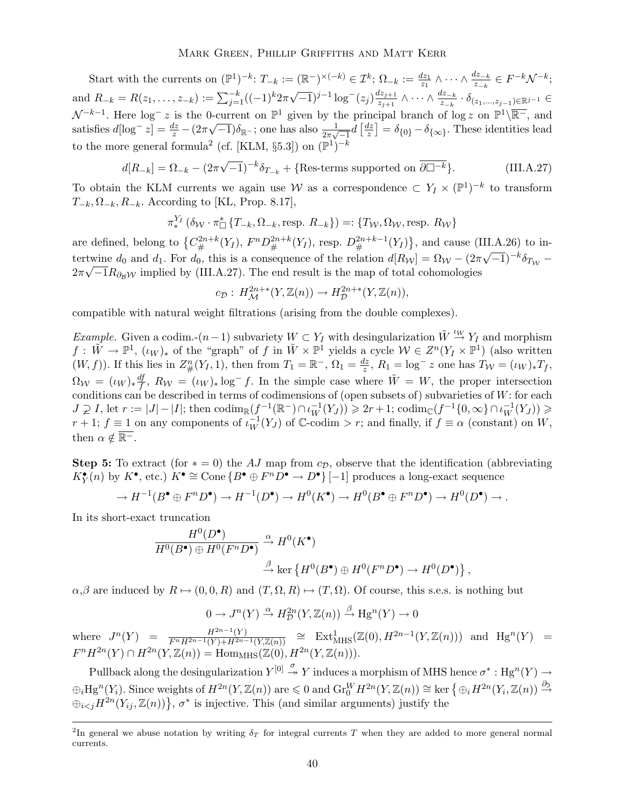Start with the currents on  $(\mathbb{P}^1)^{-k}$ :  $T_{-k} := (\mathbb{R}^-)^{\times (-k)} \in \mathcal{I}^k$ ;  $\Omega_{-k} := \frac{dz_1}{z_1} \wedge \cdots \wedge \frac{dz_{-k}}{z_{-k}} \in F^{-k} \mathcal{N}^{-k}$ ; and  $R_{-k} = R(z_1, \ldots, z_{-k}) := \sum_{j=1}^{-k} ((-1)^k 2\pi \sqrt{-1})^{j-1} \log^-(z_j) \frac{dz_{j+1}}{z_{j+1}}$  $\frac{dz_{j+1}}{z_{j+1}}\wedge\cdots\wedge\frac{dz_{-k}}{z_{-k}}\cdot\delta_{(z_1,...,z_{j-1})\in\mathbb{R}^{j-1}}\in$  $\mathcal{N}^{-k-1}$ . Here  $\log^{-} z$  is the 0-current on  $\mathbb{P}^{1}$  given by the principal branch of  $\log z$  on  $\mathbb{P}^{1}\setminus\overline{\mathbb{R}^{-}}$ , and satisfies  $d[\log^{-} z] = \frac{dz}{z} - (2\pi\sqrt{-1})\delta_{\mathbb{R}^{-}}$ ; one has also  $\frac{1}{2\pi\sqrt{-1}}d\left[\frac{dz}{z}\right]$  $\frac{dz}{z}$ ] =  $\delta_{\{0\}}$  –  $\delta_{\{\infty\}}$ . These identities lead to the more general formula<sup>2</sup> (cf. [KLM, §5.3]) on  $(\mathbb{P}^1)^{-k}$ 

$$
d[R_{-k}] = \Omega_{-k} - (2\pi\sqrt{-1})^{-k}\delta_{T_{-k}} + \{Res\text{-terms supported on }\overline{\partial \square^{-k}}\}.
$$
 (III.A.27)

To obtain the KLM currents we again use W as a correspondence  $\subset Y_I \times (\mathbb{P}^1)^{-k}$  to transform  $T_{-k}, \Omega_{-k}, R_{-k}$ . According to [KL, Prop. 8.17],

$$
\pi_*^{Y_I}(\delta_{\mathcal{W}} \cdot \pi_{\Box}^* \{T_{-k}, \Omega_{-k}, \text{resp. } R_{-k}\}) =: \{T_{\mathcal{W}}, \Omega_{\mathcal{W}}, \text{resp. } R_{\mathcal{W}}\}
$$

are defined, belong to  ${C_{\#}^{2n+k}(Y_I), F^n D_{\#}^{2n+k}(Y_I), \text{resp. } D_{\#}^{2n+k-1}(Y_I)}$ , and cause (III.A.26) to intertwine  $d_0$  and  $d_1$ . For  $d_0$ , this is a consequence of the relation  $d[R_W] = \Omega_W - (2\pi\sqrt{-1})^{-k} \delta_{T_W}$  $2\pi\sqrt{-1}R_{\partial_B W}$  implied by (III.A.27). The end result is the map of total cohomologies

$$
c_{\mathcal{D}}: H^{2n+*}_{\mathcal{M}}(Y,\mathbb{Z}(n)) \to H^{2n+*}_{\mathcal{D}}(Y,\mathbb{Z}(n)),
$$

compatible with natural weight filtrations (arising from the double complexes).

Example. Given a codim.- $(n-1)$  subvariety  $W \subset Y_I$  with desingularization  $\tilde{W} \stackrel{\iota_W}{\to} Y_I$  and morphism  $f: \tilde{W} \to \mathbb{P}^1$ ,  $(\iota_W)_*$  of the "graph" of f in  $\tilde{W} \times \mathbb{P}^1$  yields a cycle  $\mathcal{W} \in Z^n(Y_I \times \mathbb{P}^1)$  (also written  $(W, f)$ ). If this lies in  $Z_{\#}^{n}(Y_I, 1)$ , then from  $T_1 = \mathbb{R}^-, \Omega_1 = \frac{dz}{z}$  $\frac{dz}{z}$ ,  $R_1 = \log^- z$  one has  $T_{\mathcal{W}} = (\iota_W)_* T_f$ ,  $\Omega_{\mathcal{W}} \,=\, (\iota_W)_* \frac{df}{f}$  $\frac{df}{f}$ ,  $R_W = (\iota_W)_* \log^- f$ . In the simple case where  $\tilde{W} = W$ , the proper intersection conditions can be described in terms of codimensions of (open subsets of) subvarieties of  $W$ : for each  $J \supsetneq I$ , let  $r := |J| - |I|$ ; then  $\operatorname{codim}_{\mathbb{R}}(f^{-1}(\mathbb{R}^-) \cap \iota_W^{-1}(Y_J)) \geq 2r + 1$ ;  $\operatorname{codim}_{\mathbb{C}}(f^{-1}\{0, \infty\} \cap \iota_W^{-1}(Y_J)) \geq$  $r+1$ ;  $f \equiv 1$  on any components of  $\iota_W^{-1}(Y_J)$  of  $\mathbb{C}\text{-}\mathrm{codim} > r$ ; and finally, if  $f \equiv \alpha$  (constant) on  $W$ , then  $\alpha \notin \overline{\mathbb{R}^-}$ .

**Step 5:** To extract (for  $* = 0$ ) the AJ map from  $c_{\mathcal{D}}$ , observe that the identification (abbreviating  $K_Y^{\bullet}(n)$  by  $K^{\bullet}$ , etc.)  $K^{\bullet} \cong \text{Cone} \{ B^{\bullet} \oplus F^n D^{\bullet} \to D^{\bullet} \} [-1]$  produces a long-exact sequence

$$
\to H^{-1}(B^{\bullet} \oplus F^n D^{\bullet}) \to H^{-1}(D^{\bullet}) \to H^0(K^{\bullet}) \to H^0(B^{\bullet} \oplus F^n D^{\bullet}) \to H^0(D^{\bullet}) \to \dots
$$

In its short-exact truncation

$$
\frac{H^0(D^{\bullet})}{H^0(B^{\bullet})\oplus H^0(F^nD^{\bullet})} \xrightarrow{\alpha} H^0(K^{\bullet})
$$
  

$$
\xrightarrow{\beta} \ker \{H^0(B^{\bullet}) \oplus H^0(F^nD^{\bullet}) \to H^0(D^{\bullet})\},
$$

 $\alpha,\beta$  are induced by  $R \mapsto (0,0,R)$  and  $(T,\Omega,R) \mapsto (T,\Omega)$ . Of course, this s.e.s. is nothing but

$$
0 \to J^{n}(Y) \xrightarrow{\alpha} H_{\mathcal{D}}^{2n}(Y, \mathbb{Z}(n)) \xrightarrow{\beta} \text{Hg}^{n}(Y) \to 0
$$

where  $J^n(Y) = \frac{H^{2n-1}(Y)}{F^n H^{2n-1}(Y) + H^{2n-1}(Y,\mathbb{Z}(n))} \cong \text{Ext}^1_{\text{MHS}}(\mathbb{Z}(0), H^{2n-1}(Y,\mathbb{Z}(n)))$  and  $\text{Hg}^n(Y) =$  $F^n H^{2n}(Y) \cap H^{2n}(Y, \mathbb{Z}(n)) = \text{Hom}_{\text{MHS}}(\mathbb{Z}(0), H^{2n}(Y, \mathbb{Z}(n))).$ 

Pullback along the desingularization  $Y^{[0]} \stackrel{\sigma}{\rightarrow} Y$  induces a morphism of MHS hence  $\sigma^* : Hg^n(Y) \rightarrow$  $\bigoplus_i \text{Hg}^n(Y_i)$ . Since weights of  $H^{2n}(Y, \mathbb{Z}(n))$  are  $\leq 0$  and  $\text{Gr}_{0}^{W} H^{2n}(Y, \mathbb{Z}(n)) \cong \text{ker} \{ \bigoplus_i H^{2n}(Y_i, \mathbb{Z}(n)) \stackrel{\partial_3}{\to}$  $\oplus_{i\leq j} H^{2n}(Y_{ij}, \mathbb{Z}(n))\}, \sigma^*$  is injective. This (and similar arguments) justify the

<sup>&</sup>lt;sup>2</sup>In general we abuse notation by writing  $\delta_T$  for integral currents T when they are added to more general normal currents.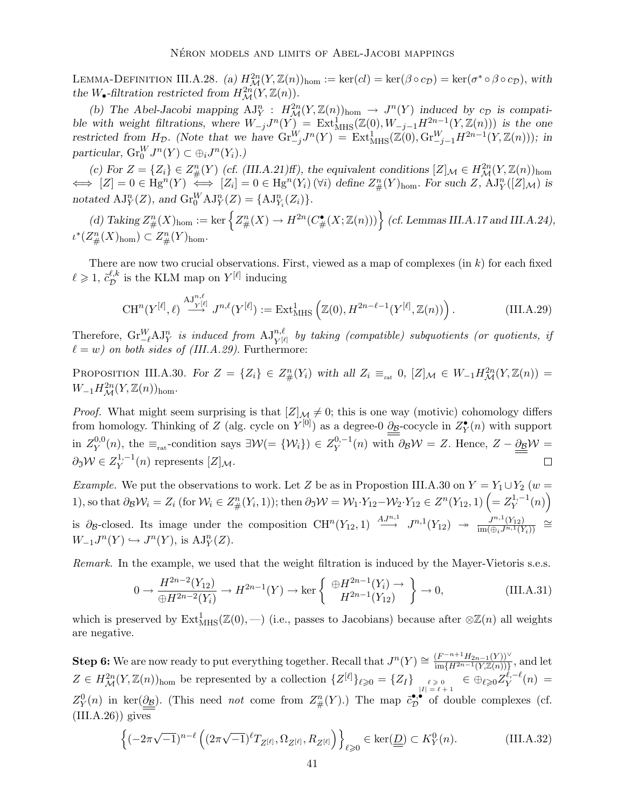LEMMA-DEFINITION III.A.28. (a)  $H_{\mathcal{M}}^{2n}(Y,\mathbb{Z}(n))_{\text{hom}} := \text{ker}(cl) = \text{ker}(\beta \circ c_{\mathcal{D}}) = \text{ker}(\sigma^* \circ \beta \circ c_{\mathcal{D}})$ , with the W<sub>•</sub>-filtration restricted from  $H^{2n}_{\mathcal{M}}(Y,\mathbb{Z}(n)).$ 

(b) The Abel-Jacobi mapping  $\mathrm{AJ}_Y^n : H^{2n}_M(Y, \mathbb{Z}(n))_{\text{hom}} \to J^n(Y)$  induced by  $c_{\mathcal{D}}$  is compatible with weight filtrations, where  $W_{-j}J^n(Y) = \text{Ext}^1_{\text{MHS}}(\mathbb{Z}(0), W_{-j-1}H^{2n-1}(Y, \mathbb{Z}(n)))$  is the one restricted from  $H_D$ . (Note that we have  $\text{Gr}_{-j}^W J^n(Y) = \text{Ext}_{\text{MHS}}^1(\mathbb{Z}(0), \text{Gr}_{-j-1}^W H^{2n-1}(Y, \mathbb{Z}(n)))$ ; in particular,  $\mathrm{Gr}_{0}^{W}J^{n}(Y) \subset \bigoplus_{i} J^{n}(Y_{i}).$ 

(c) For  $Z = \{Z_i\} \in Z_\#^n(Y)$  (cf. (III.A.21)ff), the equivalent conditions  $[Z]_\mathcal{M} \in H_\mathcal{M}^{2n}(Y, \mathbb{Z}(n))$ <sub>hom</sub>  $\iff [Z] = 0 \in \text{Hg}^n(Y) \iff [Z_i] = 0 \in \text{Hg}^n(Y_i) \, (\forall i) \text{ define } Z_{\#}^n(Y)_{\text{hom}}.$  For such  $Z$ ,  $\text{AJ}_Y^n([Z]_{\mathcal{M}})$  is notated  $AJ_Y^n(Z)$ , and  $\mathrm{Gr}_0^W \mathrm{AJ}_Y^n(Z) = \{ \mathrm{AJ}_{Y_i}^n(Z_i) \}.$ 

(d) Taking  $Z_{\#}^n(X)_{\text{hom}} := \text{ker}\left\{Z_{\#}^n(X) \to H^{2n}(C_{\#}^{\bullet}(X;\mathbb{Z}(n)))\right\}$  (cf. Lemmas III.A.17 and III.A.24),  $\iota^*(Z_\#^n(X)_{\mathrm{hom}}) \subset Z_\#^n(Y)_{\mathrm{hom}}.$ 

There are now two crucial observations. First, viewed as a map of complexes (in  $k$ ) for each fixed  $\ell \geqslant 1, \, \tilde{c}^{\ell,k}_{\mathcal{D}}$  $\mathcal{L}^{\ell,k}_{\mathcal{D}}$  is the KLM map on  $Y^{[\ell]}$  inducing

$$
\operatorname{CH}^n(Y^{[\ell]}, \ell) \xrightarrow{\operatorname{AJ}^{n, \ell}} J^{n, \ell}(Y^{[\ell]}) := \operatorname{Ext}^1_{\operatorname{MHS}}\left(\mathbb{Z}(0), H^{2n-\ell-1}(Y^{[\ell]}, \mathbb{Z}(n))\right). \tag{III.A.29}
$$

Therefore,  $\operatorname{Gr}_{\ell}^W A J_Y^n$  is induced from  $A J_{Y^{[\ell]}}^{n,\ell}$  by taking (compatible) subquotients (or quotients, if  $\ell = w$ ) on both sides of (III.A.29). Furthermore:

PROPOSITION III.A.30. For  $Z = \{Z_i\} \in Z_{\#}^n(Y_i)$  with all  $Z_i \equiv_{\text{rat}} 0$ ,  $[Z]_{\mathcal{M}} \in W_{-1} H_{\mathcal{M}}^{2n}(Y, \mathbb{Z}(n)) =$  $W_{-1}H_{\mathcal{M}}^{2n}(Y,\mathbb{Z}(n))_{\text{hom}}.$ 

*Proof.* What might seem surprising is that  $[Z]_M \neq 0$ ; this is one way (motivic) cohomology differs from homology. Thinking of Z (alg. cycle on  $Y^{[0]}$ ) as a degree-0  $\underline{\partial}$ -cocycle in  $Z^{\bullet}_Y(n)$  with support in  $Z_V^{0,0}$  $\mathcal{V}_Y^{0,0}(n)$ , the  $\equiv_{\text{rat}}$ -condition says  $\exists \mathcal{W} (= \{W_i\}) \in Z_Y^{0,-1}(n)$  with  $\partial_{\mathcal{B}}\mathcal{W} = Z$ . Hence,  $Z - \underline{\partial_{\mathcal{B}}}\mathcal{W} = Z$  $\partial_{\mathfrak{I}} \mathcal{W} \in Z^{1,-1}_Y(n)$  represents  $[Z]_{\mathcal{M}}$ .  $\Box$ 

Example. We put the observations to work. Let Z be as in Propostion III.A.30 on  $Y = Y_1 \cup Y_2$  (w = 1), so that  $\partial_{\mathcal{B}}\mathcal{W}_i = Z_i$  (for  $\mathcal{W}_i \in Z_\#^n(Y_i, 1)$ ); then  $\partial_{\mathcal{B}}\mathcal{W} = \mathcal{W}_1 \cdot Y_{12} - \mathcal{W}_2 \cdot Y_{12} \in Z^n(Y_{12}, 1)$   $\left(= Z_Y^{1, -1}(n) \right)$ is  $\partial_{\mathcal{B}}$ -closed. Its image under the composition  $CH^n(Y_{12}, 1) \stackrel{AJ^{n,1}}{\longrightarrow} J^{n,1}(Y_{12}) \rightarrow \frac{J^{n,1}(Y_{12})}{\text{im}(\bigoplus_i J^{n,1}(Y_{12}))}$  $rac{J^{n}(Y_1)}{\lim(\bigoplus_i J^{n,1}(Y_i))} \cong$  $W_{-1}J^n(Y) \hookrightarrow J^n(Y)$ , is  $\mathrm{AJ}_Y^n(Z)$ .

Remark. In the example, we used that the weight filtration is induced by the Mayer-Vietoris s.e.s.

$$
0 \to \frac{H^{2n-2}(Y_{12})}{\oplus H^{2n-2}(Y_i)} \to H^{2n-1}(Y) \to \ker\left\{\begin{array}{c} \oplus H^{2n-1}(Y_i) \to \\ H^{2n-1}(Y_{12}) \end{array}\right\} \to 0,
$$
 (III.A.31)

which is preserved by  $\text{Ext}^1_{\text{MHS}}(\mathbb{Z}(0),-)$  (i.e., passes to Jacobians) because after  $\otimes \mathbb{Z}(n)$  all weights are negative.

**Step 6:** We are now ready to put everything together. Recall that  $J^n(Y) \cong \frac{(F^{-n+1}H_{2n-1}(Y))^{V}}{\inf H^{2n-1}(Y\mathbb{Z}(n))!}$  $\frac{(F^{n+1}H_{2n-1}(Y))^*}{\lim\{H^{2n-1}(Y,\mathbb{Z}(n))\}},$  and let  $Z \in H^{2n}_{\mathcal{M}}(Y,\mathbb{Z}(n))_{\text{hom}}$  be represented by a collection  $\{Z^{[\ell]}\}_{\ell \geqslant 0} = \{Z_I\}_{\ell \geqslant 0 \atop |I| = \ell + 1} \in \bigoplus_{\ell \geqslant 0} Z_Y^{\ell,-\ell}(n) =$  $Z_Y^0(n)$  in ker $(\underline{\partial_B})$ . (This need *not* come from  $Z_\#^n(Y)$ .) The map  $\tilde{c}_\mathcal{D}^{\bullet,\bullet}$  $\mathcal{D}^{\bullet,\bullet}$  of double complexes (cf.  $(III.A.26)$ ) gives

$$
\left\{(-2\pi\sqrt{-1})^{n-\ell}\left((2\pi\sqrt{-1})^{\ell}T_{Z^{[\ell]}},\Omega_{Z^{[\ell]}},R_{Z^{[\ell]}}\right)\right\}_{\ell\geq 0}\in\ker(\underline{\underline{D}})\subset K_Y^0(n). \tag{III.A.32}
$$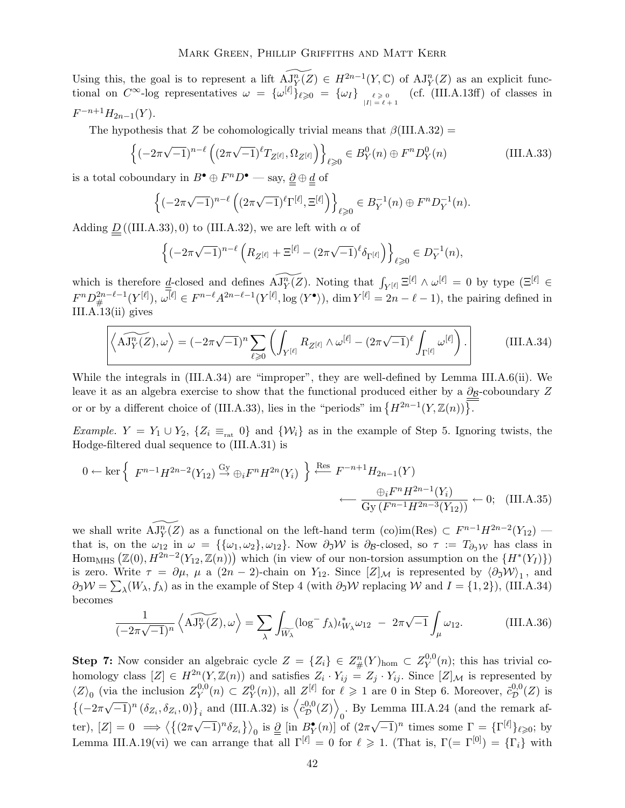Using this, the goal is to represent a lift  $\overline{AJ_Y^n}(Z) \in H^{2n-1}(Y, \mathbb{C})$  of  $\overline{AJ_Y^n}(Z)$  as an explicit functional on  $C^{\infty}$ -log representatives  $\omega = {\{\omega^{[\ell]}\}}_{\ell \geqslant 0} = {\{\omega_I\}}_{|I| = \ell + 1}^{\ell \geqslant 0}$ (cf. (III.A.13ff) of classes in  $F^{-n+1}H_{2n-1}(Y).$ 

The hypothesis that Z be cohomologically trivial means that  $\beta$ (III.A.32) =

$$
\left\{ (-2\pi\sqrt{-1})^{n-\ell} \left( (2\pi\sqrt{-1})^{\ell} T_{Z^{[\ell]}}, \Omega_{Z^{[\ell]}} \right) \right\}_{\ell \geq 0} \in B_Y^0(n) \oplus F^n D_Y^0(n) \tag{III.A.33}
$$

is a total coboundary in  $B^{\bullet} \oplus F^n D^{\bullet}$  — say,  $\underline{\underline{\partial}} \oplus \underline{\underline{d}}$  of

$$
\left\{(-2\pi\sqrt{-1})^{n-\ell}\left((2\pi\sqrt{-1})^{\ell}\Gamma^{[\ell]},\Xi^{[\ell]}\right)\right\}_{\ell\geq 0}\in B_Y^{-1}(n)\oplus F^nD_Y^{-1}(n).
$$

Adding  $\underline{D}$  ((III.A.33), 0) to (III.A.32), we are left with  $\alpha$  of

$$
\left\{(-2\pi\sqrt{-1})^{n-\ell}\left(R_{Z^{[\ell]}}+ \Xi^{[\ell]}-(2\pi\sqrt{-1})^{\ell}\delta_{\Gamma^{[\ell]}}\right)\right\}_{\ell\geq 0}\in D_Y^{-1}(n),
$$

which is therefore  $\underline{d}$ -closed and defines  $AJ_Y^{\overline{n}}(Z)$ . Noting that  $\int_{Y^{[\ell]}} \Xi^{[\ell]} \wedge \omega^{[\ell]} = 0$  by type  $(\Xi^{[\ell]} \in \mathbb{R})$  $F^{n}D_{\#}^{2n-\ell-1}(Y^{[\ell]}), \omega^{[\ell]} \in F^{n-\ell}A^{2n-\ell-1}(Y^{[\ell]}, \log \langle Y^{\bullet} \rangle), \dim Y^{[\ell]} = 2n-\ell-1)$ , the pairing defined in III.A.13(ii) gives

$$
\left\langle \widetilde{\mathrm{AJ}^n_Y(Z)}, \omega \right\rangle = (-2\pi\sqrt{-1})^n \sum_{\ell \geqslant 0} \left( \int_{Y^{[\ell]}} R_{Z^{[\ell]}} \wedge \omega^{[\ell]} - (2\pi\sqrt{-1})^\ell \int_{\Gamma^{[\ell]}} \omega^{[\ell]} \right). \tag{III.A.34}
$$

While the integrals in (III.A.34) are "improper", they are well-defined by Lemma III.A.6(ii). We leave it as an algebra exercise to show that the functional produced either by a  $\partial_B$ -coboundary Z or or by a different choice of (III.A.33), lies in the "periods" im  $\{H^{2n-1}(Y,\mathbb{Z}(n))\}$ .

Example.  $Y = Y_1 \cup Y_2$ ,  $\{Z_i \equiv_{\text{rat}} 0\}$  and  $\{W_i\}$  as in the example of Step 5. Ignoring twists, the Hodge-filtered dual sequence to (III.A.31) is

$$
0 \leftarrow \ker\left\{ F^{n-1}H^{2n-2}(Y_{12}) \stackrel{\text{Gy}}{\rightarrow} \oplus_i F^n H^{2n}(Y_i) \right\} \stackrel{\text{Res}}{\leftarrow} F^{-n+1}H_{2n-1}(Y)
$$

$$
\leftarrow \frac{\oplus_i F^n H^{2n-1}(Y_i)}{\text{Gy}(F^{n-1}H^{2n-3}(Y_{12}))} \leftarrow 0; \quad (\text{III.A.35})
$$

we shall write  $AJ_Y^n(Z)$  as a functional on the left-hand term (co)im(Res)  $\subset F^{n-1}H^{2n-2}(Y_{12})$ that is, on the  $\omega_{12}$  in  $\omega = {\{\{\omega_1,\omega_2\},\omega_{12}\}}$ . Now  $\partial_{\tilde{\jmath}}\mathcal{W}$  is  $\partial_{\mathcal{B}}$ -closed, so  $\tau := T_{\partial_{\tilde{\jmath}}\mathcal{W}}$  has class in  $\text{Hom}_{\text{MHS}}\left(\mathbb{Z}(0), H^{2n-2}(Y_{12}, \mathbb{Z}(n))\right)$  which (in view of our non-torsion assumption on the  $\{H^*(Y_I)\}\$ ) is zero. Write  $\tau = \partial \mu$ ,  $\mu$  a  $(2n-2)$ -chain on Y<sub>12</sub>. Since  $[Z]_{\mathcal{M}}$  is represented by  $\langle \partial \mathfrak{I} \mathcal{W} \rangle_1$ , and  $\partial \gamma \mathcal{W} = \sum_{\lambda} (W_{\lambda}, f_{\lambda})$  as in the example of Step 4 (with  $\partial \gamma \mathcal{W}$  replacing W and  $I = \{1, 2\}$ ), (III.A.34) becomes

$$
\frac{1}{(-2\pi\sqrt{-1})^n} \left\langle \widehat{\mathbf{AJ}_Y^n(Z)}, \omega \right\rangle = \sum_{\lambda} \int_{\widetilde{W_{\lambda}}} (\log^- f_{\lambda}) \iota_{W_{\lambda}}^* \omega_{12} - 2\pi\sqrt{-1} \int_{\mu} \omega_{12}.
$$
 (III.A.36)

**Step 7:** Now consider an algebraic cycle  $Z = \{Z_i\} \in Z^n_{\#}(Y)_{\text{hom}} \subset Z^{0,0}_Y$  $Y^{0,0}(n)$ ; this has trivial cohomology class  $[Z] \in H^{2n}(Y, \mathbb{Z}(n))$  and satisfies  $Z_i \cdot Y_{ij} = Z_j \cdot Y_{ij}$ . Since  $[Z]_{\mathcal{M}}$  is represented by  $\langle Z \rangle_0$  (via the inclusion  $Z_Y^{0,0}$  $Y^{0,0}(n) \subset Z^0_Y(n)$ , all  $Z^{[\ell]}$  for  $\ell \geq 1$  are 0 in Step 6. Moreover,  $\tilde{c}_{\mathcal{D}}^{0,0}$  $_{\mathcal{D}}^{0,0}(Z)$  is  $\left\{(-2\pi\sqrt{-1})^n\left(\delta_{Z_i},\delta_{Z_i},0\right)\right\}_i$  and (III.A.32) is  $\left\langle \tilde{c}_{\mathcal{D}}^{0,0}\right\rangle$  $_{\mathcal{D}}^{0,0}(Z)\Big\rangle$ 0 . By Lemma III.A.24 (and the remark after),  $[Z] = 0 \implies \langle \{(2\pi\sqrt{-1})^n \delta_{Z_i}\}\rangle_0$  is  $\underline{\partial}$  [in  $B_Y^{\bullet}(n)$ ] of  $(2\pi\sqrt{-1})^n$  times some  $\Gamma = {\{\Gamma^{[\ell]}\}}_{\ell \geqslant 0}$ ; by Lemma III.A.19(vi) we can arrange that all  $\Gamma^{[\ell]} = 0$  for  $\ell \geq 1$ . (That is,  $\Gamma (= \Gamma^{[0]}) = {\{\Gamma_i\}}$  with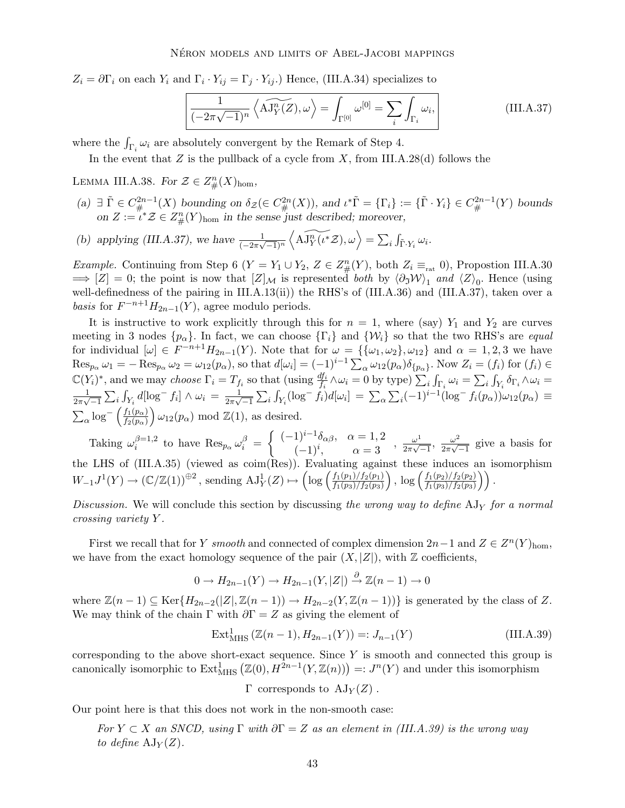$Z_i = \partial \Gamma_i$  on each  $Y_i$  and  $\Gamma_i \cdot Y_{ij} = \Gamma_j \cdot Y_{ij}$ .) Hence, (III.A.34) specializes to

$$
\frac{1}{(-2\pi\sqrt{-1})^n} \left\langle \widetilde{\mathbf{AJ}_Y^n(Z)}, \omega \right\rangle = \int_{\Gamma^{[0]}} \omega^{[0]} = \sum_i \int_{\Gamma_i} \omega_i, \tag{III.A.37}
$$

where the  $\int_{\Gamma_i} \omega_i$  are absolutely convergent by the Remark of Step 4.

In the event that  $Z$  is the pullback of a cycle from  $X$ , from III.A.28(d) follows the

LEMMA III.A.38. For  $\mathcal{Z} \in Z_{\#}^n(X)_{\text{hom}}$ ,

- (a)  $\exists \tilde{\Gamma} \in C^{2n-1}_{\#}(X)$  bounding on  $\delta_{\mathcal{Z}}(\in C^{2n}_{\#}(X))$ , and  $\iota^* \tilde{\Gamma} = {\{\Gamma_i\}} := {\{\tilde{\Gamma} \cdot Y_i\}} \in C^{2n-1}_{\#}(Y)$  bounds on  $Z := i^* Z \in Z_{\#}^n(Y)$ <sub>hom</sub> in the sense just described; moreover,
- (b) applying (III.A.37), we have  $\frac{1}{(-2\pi\sqrt{-1})^n}$  $\left\langle \widetilde{\mathrm{AJ}_{Y}^{n}(\iota^{*}\mathcal{Z}),\omega}\right\rangle =\sum_{i}\int_{\tilde{\Gamma}\cdot Y_{i}}\omega_{i}.$

*Example.* Continuing from Step 6 ( $Y = Y_1 \cup Y_2$ ,  $Z \in Z_\#^n(Y)$ , both  $Z_i \equiv_{\text{rat}} 0$ ), Propostion III.A.30  $\Rightarrow$  [Z] = 0; the point is now that  $[Z]_{\mathcal{M}}$  is represented both by  $\langle \partial_j \mathcal{W} \rangle_1$  and  $\langle Z \rangle_0$ . Hence (using well-definedness of the pairing in III.A.13(ii)) the RHS's of (III.A.36) and (III.A.37), taken over a *basis* for  $F^{-n+1}H_{2n-1}(Y)$ , agree modulo periods.

It is instructive to work explicitly through this for  $n = 1$ , where (say)  $Y_1$  and  $Y_2$  are curves meeting in 3 nodes  $\{p_{\alpha}\}\$ . In fact, we can choose  $\{\Gamma_i\}$  and  $\{\mathcal{W}_i\}$  so that the two RHS's are *equal* for individual  $[\omega] \in F^{-n+1}H_{2n-1}(Y)$ . Note that for  $\omega = {\{\{\omega_1,\omega_2\},\omega_{12}\}}$  and  $\alpha = 1,2,3$  we have  $\operatorname{Res}_{p_{\alpha}} \omega_1 = -\operatorname{Res}_{p_{\alpha}} \omega_2 = \omega_{12}(p_{\alpha}),$  so that  $d[\omega_i] = (-1)^{i-1} \sum_{\alpha} \omega_{12}(p_{\alpha}) \delta_{\{p_{\alpha}\}}$ . Now  $Z_i = (f_i)$  for  $(f_i) \in$  $\mathbb{C}(Y_i)^*$ , and we may choose  $\Gamma_i = T_{f_i}$  so that (using  $\frac{df_i}{f_i} \wedge \omega_i = 0$  by type)  $\sum_i \int_{\Gamma_i} \omega_i = \sum_i \int_{Y_i} \delta_{\Gamma_i} \wedge \omega_i = \frac{1}{\sqrt{2\pi}} \sum_{i=1}^{\infty} \int_{Y_i} d\mu_i$  $\frac{1}{2\pi\sqrt{-1}}$  $\sum_i \int_{Y_i} d[\log^- f_i] \wedge \omega_i = \frac{1}{2\pi\sqrt{2\pi}}$  $\frac{1}{2\pi\sqrt{-1}}$  $\sum_i \int_{Y_i} (\log^- \dot{f}_i) d[\omega_i] = \sum_{\alpha} \sum_i (-1)^{i-1} (\log^- f_i(p_\alpha)) \omega_{12}(p_\alpha) \equiv$  $\sum_{\alpha} \log^{-} \left( \frac{f_1(p_{\alpha})}{f_2(p_{\alpha})} \right)$  $f_2(p_\alpha)$  $\omega_{12}(p_{\alpha}) \mod \mathbb{Z}(1)$ , as desired.

Taking  $\omega_i^{\beta=1,2}$  $\int_{i}^{\beta=1,2}$  to have  $\operatorname{Res}_{p_{\alpha}} \omega_{i}^{\beta} =$  $\int (-1)^{i-1} \delta_{\alpha\beta}, \quad \alpha = 1, 2$  $\alpha = 1, 2$ <br>  $(-1)^i$ ,  $\alpha = 3$ ,  $\alpha = 3$ ,  $\frac{\omega^1}{2\pi\sqrt{3}}$  $\frac{\omega^1}{2\pi\sqrt{-1}}, \frac{\omega^2}{2\pi\sqrt{-1}}$  $\frac{\omega^2}{2\pi\sqrt{-1}}$  give a basis for the LHS of (III.A.35) (viewed as coim(Res)). Evaluating against these induces an isomorphism  $W_{-1}J^1(Y) \to (\mathbb{C}/\mathbb{Z}(1))^{\oplus 2}$ , sending  $\mathrm{AJ}_Y^1(Z) \mapsto \left(\log \left(\frac{f_1(p_1)/f_2(p_1)}{f_1(p_3)/f_2(p_3)}\right)\right)$  $f_1(p_3)/f_2(p_3)$ ),  $\log \left( \frac{f_1(p_2)/f_2(p_2)}{f_1(p_2)/f_2(p_2)} \right)$  $\frac{f_1(p_2)/f_2(p_2)}{f_1(p_3)/f_2(p_3)}$ ).

Discussion. We will conclude this section by discussing the wrong way to define  $AJ<sub>Y</sub>$  for a normal crossing variety Y .

First we recall that for Y smooth and connected of complex dimension  $2n-1$  and  $Z \in Z<sup>n</sup>(Y)_{hom}$ , we have from the exact homology sequence of the pair  $(X, |Z|)$ , with  $\mathbb Z$  coefficients,

$$
0 \to H_{2n-1}(Y) \to H_{2n-1}(Y, |Z|) \stackrel{\partial}{\to} \mathbb{Z}(n-1) \to 0
$$

where  $\mathbb{Z}(n-1) \subseteq \text{Ker}\{H_{2n-2}(|Z|, \mathbb{Z}(n-1)) \to H_{2n-2}(Y, \mathbb{Z}(n-1))\}$  is generated by the class of Z. We may think of the chain Γ with  $\partial \Gamma = Z$  as giving the element of

$$
ExtMHS1 (\mathbb{Z}(n-1), H2n-1(Y)) =: Jn-1(Y)
$$
 (III.A.39)

corresponding to the above short-exact sequence. Since  $Y$  is smooth and connected this group is canonically isomorphic to  $\text{Ext}^1_{\text{MHS}}(\mathbb{Z}(0), H^{2n-1}(Y, \mathbb{Z}(n))) =: J^n(Y)$  and under this isomorphism

 $\Gamma$  corresponds to  $AJ_Y(Z)$ .

Our point here is that this does not work in the non-smooth case:

For  $Y \subset X$  an SNCD, using  $\Gamma$  with  $\partial \Gamma = Z$  as an element in (III.A.39) is the wrong way to define  $\mathrm{AJ}_Y(Z)$ .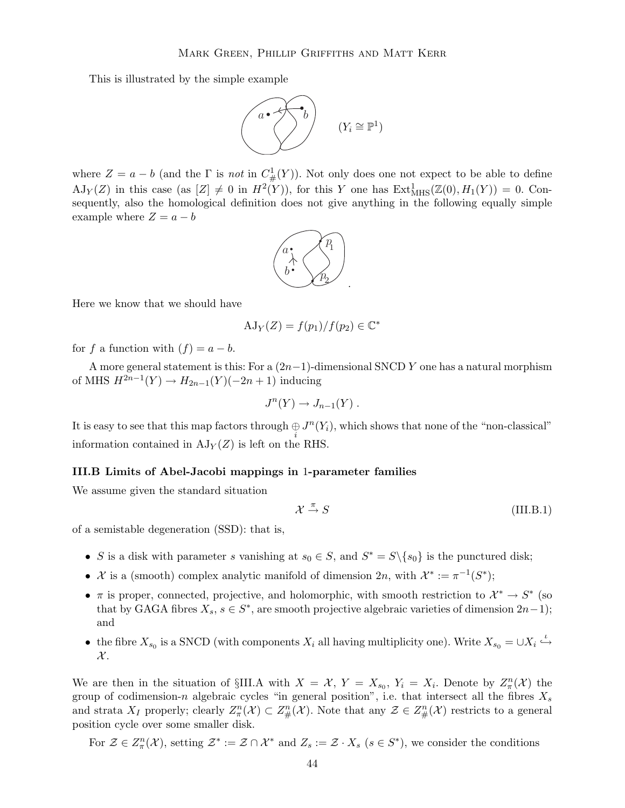This is illustrated by the simple example



where  $Z = a - b$  (and the  $\Gamma$  is not in  $C^1_{\#}(Y)$ ). Not only does one not expect to be able to define  $AJ_Y(Z)$  in this case (as  $[Z] \neq 0$  in  $H^2(Y)$ ), for this Y one has  $Ext^1_{MHS}(\mathbb{Z}(0), H_1(Y)) = 0$ . Consequently, also the homological definition does not give anything in the following equally simple example where  $Z = a - b$ 



Here we know that we should have

$$
AJ_Y(Z) = f(p_1)/f(p_2) \in \mathbb{C}^*
$$

for f a function with  $(f) = a - b$ .

A more general statement is this: For a  $(2n-1)$ -dimensional SNCD Y one has a natural morphism of MHS  $H^{2n-1}(Y)$  →  $H_{2n-1}(Y)(-2n+1)$  inducing

$$
J^n(Y) \to J_{n-1}(Y) .
$$

It is easy to see that this map factors through  $\bigoplus_i J^n(Y_i)$ , which shows that none of the "non-classical" information contained in  $AJ_Y(Z)$  is left on the RHS.

# III.B Limits of Abel-Jacobi mappings in 1-parameter families

We assume given the standard situation

$$
\mathcal{X} \xrightarrow{\pi} S \tag{III.B.1}
$$

of a semistable degeneration (SSD): that is,

- S is a disk with parameter s vanishing at  $s_0 \in S$ , and  $S^* = S \setminus \{s_0\}$  is the punctured disk;
- X is a (smooth) complex analytic manifold of dimension  $2n$ , with  $\mathcal{X}^* := \pi^{-1}(S^*)$ ;
- $\pi$  is proper, connected, projective, and holomorphic, with smooth restriction to  $\mathcal{X}^* \to S^*$  (so that by GAGA fibres  $X_s$ ,  $s \in S^*$ , are smooth projective algebraic varieties of dimension  $2n-1$ ); and
- the fibre  $X_{s_0}$  is a SNCD (with components  $X_i$  all having multiplicity one). Write  $X_{s_0} = \cup X_i \stackrel{\iota}{\hookrightarrow}$  $\mathcal{X}.$

We are then in the situation of §III.A with  $X = \mathcal{X}$ ,  $Y = X_{s_0}$ ,  $Y_i = X_i$ . Denote by  $Z_{\pi}^n(\mathcal{X})$  the group of codimension-n algebraic cycles "in general position", i.e. that intersect all the fibres  $X_s$ and strata  $X_I$  properly; clearly  $Z_\pi^n(\mathcal{X}) \subset Z_\#^n(\mathcal{X})$ . Note that any  $\mathcal{Z} \in Z_\#^n(\mathcal{X})$  restricts to a general position cycle over some smaller disk.

For  $\mathcal{Z} \in Z_{\pi}^n(\mathcal{X})$ , setting  $\mathcal{Z}^* := \mathcal{Z} \cap \mathcal{X}^*$  and  $Z_s := \mathcal{Z} \cdot X_s$   $(s \in S^*)$ , we consider the conditions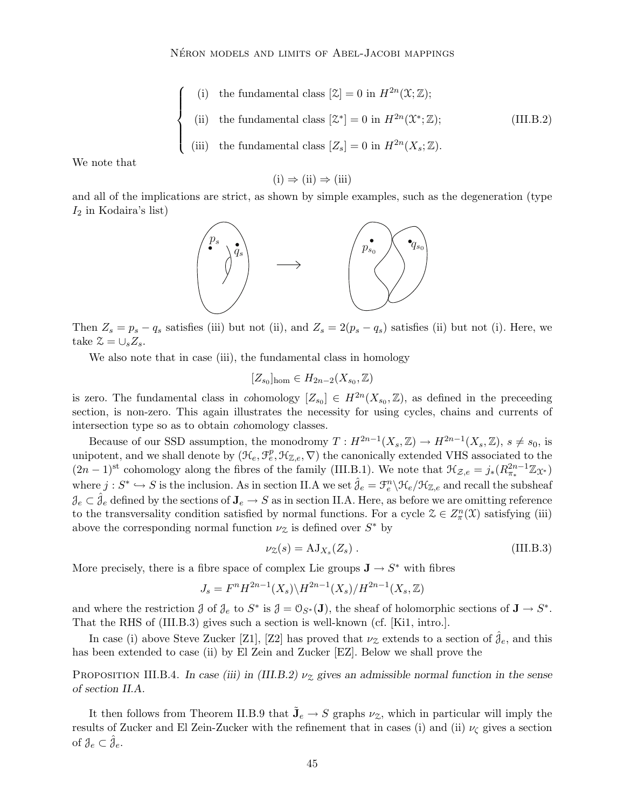\n- (i) the fundamental class 
$$
[\mathcal{Z}] = 0
$$
 in  $H^{2n}(\mathcal{X}; \mathbb{Z});$
\n- (ii) the fundamental class  $[\mathcal{Z}^*] = 0$  in  $H^{2n}(\mathcal{X}^*; \mathbb{Z});$
\n- (III.B.2)
\n- (iii) the fundamental class  $[Z_s] = 0$  in  $H^{2n}(X_s; \mathbb{Z}).$
\n

We note that

 $(i) \Rightarrow (ii) \Rightarrow (iii)$ 

and all of the implications are strict, as shown by simple examples, such as the degeneration (type  $I_2$  in Kodaira's list)



Then  $Z_s = p_s - q_s$  satisfies (iii) but not (ii), and  $Z_s = 2(p_s - q_s)$  satisfies (ii) but not (i). Here, we take  $\mathcal{Z} = \cup_s Z_s$ .

We also note that in case (iii), the fundamental class in homology

$$
[Z_{s_0}]_{\text{hom}} \in H_{2n-2}(X_{s_0},\mathbb{Z})
$$

is zero. The fundamental class in cohomology  $[Z_{s_0}] \in H^{2n}(X_{s_0}, \mathbb{Z})$ , as defined in the preceeding section, is non-zero. This again illustrates the necessity for using cycles, chains and currents of intersection type so as to obtain cohomology classes.

Because of our SSD assumption, the monodromy  $T: H^{2n-1}(X_s, \mathbb{Z}) \to H^{2n-1}(X_s, \mathbb{Z}), s \neq s_0$ , is unipotent, and we shall denote by  $(\mathcal{H}_e, \mathcal{F}_e^p, \mathcal{H}_{\mathbb{Z},e}, \nabla)$  the canonically extended VHS associated to the  $(2n-1)$ <sup>st</sup> cohomology along the fibres of the family (III.B.1). We note that  $\mathcal{H}_{\mathcal{Z},e} = j_*(R^{2n-1}_{\pi_*}\mathbb{Z}_{\mathfrak{X}^*})$ where  $j: S^* \hookrightarrow S$  is the inclusion. As in section II.A we set  $\hat{\theta}_e = \mathcal{F}_e^n \backslash \mathcal{H}_e / \mathcal{H}_{\mathbb{Z},e}$  and recall the subsheaf  $\mathcal{J}_e \subset \hat{\mathcal{J}}_e$  defined by the sections of  $\mathbf{J}_e \to S$  as in section II.A. Here, as before we are omitting reference to the transversality condition satisfied by normal functions. For a cycle  $\mathcal{Z} \in Z_{\pi}^n(\mathcal{X})$  satisfying (iii) above the corresponding normal function  $\nu_{\mathcal{Z}}$  is defined over  $S^*$  by

$$
\nu_{\mathcal{Z}}(s) = \mathrm{AJ}_{X_s}(Z_s) \,. \tag{III.B.3}
$$

More precisely, there is a fibre space of complex Lie groups  $J \to S^*$  with fibres

$$
J_s = F^n H^{2n-1}(X_s) \backslash H^{2n-1}(X_s) / H^{2n-1}(X_s, \mathbb{Z})
$$

and where the restriction  $\mathcal{J}$  of  $\mathcal{J}_e$  to  $S^*$  is  $\mathcal{J} = \mathcal{O}_{S^*}(\mathbf{J})$ , the sheaf of holomorphic sections of  $\mathbf{J} \to S^*$ . That the RHS of (III.B.3) gives such a section is well-known (cf. [Ki1, intro.].

In case (i) above Steve Zucker [Z1], [Z2] has proved that  $\nu_{\mathcal{Z}}$  extends to a section of  $\hat{\mathcal{J}}_e$ , and this has been extended to case (ii) by El Zein and Zucker [EZ]. Below we shall prove the

PROPOSITION III.B.4. In case (iii) in (III.B.2)  $\nu_z$  gives an admissible normal function in the sense of section II.A.

It then follows from Theorem II.B.9 that  $\tilde{\mathbf{J}}_e \to S$  graphs  $\nu_{\mathcal{Z}}$ , which in particular will imply the results of Zucker and El Zein-Zucker with the refinement that in cases (i) and (ii)  $\nu_{\zeta}$  gives a section of  $\mathcal{J}_e \subset \hat{\mathcal{J}}_e$ .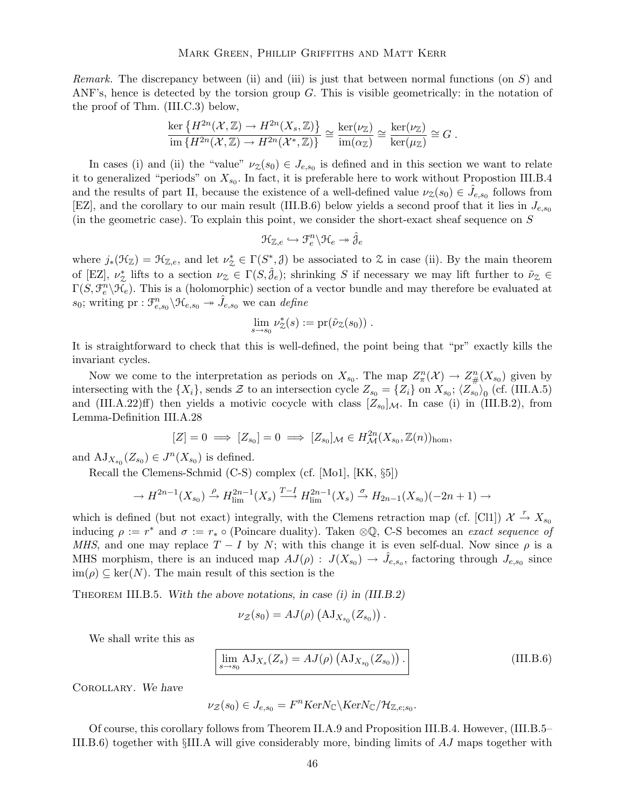*Remark.* The discrepancy between (ii) and (iii) is just that between normal functions (on  $S$ ) and ANF's, hence is detected by the torsion group G. This is visible geometrically: in the notation of the proof of Thm. (III.C.3) below,

$$
\frac{\ker\left\{H^{2n}(\mathcal{X},\mathbb{Z})\to H^{2n}(X_s,\mathbb{Z})\right\}}{\operatorname{im}\left\{H^{2n}(\mathcal{X},\mathbb{Z})\to H^{2n}(\mathcal{X}^*,\mathbb{Z})\right\}}\cong \frac{\ker(\nu_{\mathbb{Z}})}{\operatorname{im}(\alpha_{\mathbb{Z}})}\cong \frac{\ker(\nu_{\mathbb{Z}})}{\ker(\mu_{\mathbb{Z}})}\cong G.
$$

In cases (i) and (ii) the "value"  $\nu_{\mathcal{Z}}(s_0) \in J_{e,s_0}$  is defined and in this section we want to relate it to generalized "periods" on  $X_{s_0}$ . In fact, it is preferable here to work without Propostion III.B.4 and the results of part II, because the existence of a well-defined value  $\nu_{\mathcal{Z}}(s_0) \in \hat{J}_{e,s_0}$  follows from [EZ], and the corollary to our main result (III.B.6) below yields a second proof that it lies in  $J_{e,s_0}$ (in the geometric case). To explain this point, we consider the short-exact sheaf sequence on  $S$ 

$$
\mathfrak{H}_{\mathbb{Z},e}\hookrightarrow \mathfrak{F}_e^n\backslash \mathfrak{H}_e\twoheadrightarrow \hat{\mathcal{J}}_e
$$

where  $j_*(\mathfrak{H}_{\mathbb{Z}}) = \mathfrak{H}_{\mathbb{Z},e}$ , and let  $\nu_{\mathfrak{Z}}^* \in \Gamma(S^*,\mathfrak{Z})$  be associated to  $\mathfrak{Z}$  in case (ii). By the main theorem of [EZ],  $\nu_{\mathcal{Z}}^*$  lifts to a section  $\nu_{\mathcal{Z}} \in \Gamma(S, \hat{\jmath}_{e})$ ; shrinking S if necessary we may lift further to  $\tilde{\nu}_{\mathcal{Z}} \in$  $\Gamma(S, \mathcal{F}_e^n \backslash \mathcal{H}_e)$ . This is a (holomorphic) section of a vector bundle and may therefore be evaluated at  $s_0$ ; writing pr :  $\mathcal{F}_{e,s_0}^n \backslash \mathcal{H}_{e,s_0} \rightarrow \hat{J}_{e,s_0}$  we can define

$$
\lim_{s\to s_0}\nu_{\mathcal{Z}}^*(s):=\mathrm{pr}(\tilde{\nu}_{\mathcal{Z}}(s_0))\ .
$$

It is straightforward to check that this is well-defined, the point being that "pr" exactly kills the invariant cycles.

Now we come to the interpretation as periods on  $X_{s_0}$ . The map  $Z_{\pi}^n(\mathcal{X}) \to Z_{\#}^n(X_{s_0})$  given by intersecting with the  $\{X_i\}$ , sends  $\mathcal Z$  to an intersection cycle  $Z_{s_0} = \{Z_i\}$  on  $X_{s_0}$ ;  $\langle Z_{s_0} \rangle_0$  (cf. (III.A.5) and (III.A.22)ff) then yields a motivic cocycle with class  $[Z_{s_0}]_{\mathcal{M}}$ . In case (i) in (III.B.2), from Lemma-Definition III.A.28

$$
[Z] = 0 \implies [Z_{s_0}] = 0 \implies [Z_{s_0}]_{\mathcal{M}} \in H^{2n}_{\mathcal{M}}(X_{s_0}, \mathbb{Z}(n))_{\text{hom}},
$$

and  $\mathrm{AJ}_{X_{s_0}}(Z_{s_0}) \in J^n(X_{s_0})$  is defined.

Recall the Clemens-Schmid (C-S) complex (cf. [Mo1], [KK, §5])

$$
\rightarrow H^{2n-1}(X_{s_0}) \xrightarrow{\rho} H^{2n-1}_{\text{lim}}(X_s) \xrightarrow{T-I} H^{2n-1}_{\text{lim}}(X_s) \xrightarrow{\sigma} H_{2n-1}(X_{s_0})(-2n+1) \rightarrow
$$

which is defined (but not exact) integrally, with the Clemens retraction map (cf. [Cl1])  $\mathcal{X} \stackrel{r}{\rightarrow} X_{s_0}$ inducing  $\rho := r^*$  and  $\sigma := r_* \circ$  (Poincare duality). Taken  $\otimes \mathbb{Q}$ , C-S becomes an exact sequence of MHS, and one may replace  $T - I$  by N; with this change it is even self-dual. Now since  $\rho$  is a MHS morphism, there is an induced map  $AJ(\rho)$ :  $J(X_{s_0}) \to \hat{J}_{e,s_0}$ , factoring through  $J_{e,s_0}$  since  $\text{im}(\rho) \subseteq \text{ker}(N)$ . The main result of this section is the

THEOREM III.B.5. With the above notations, in case (i) in (III.B.2)

$$
\nu_{\mathcal{Z}}(s_0) = AJ(\rho) \left( \mathrm{AJ}_{X_{s_0}}(Z_{s_0}) \right).
$$

We shall write this as

$$
\lim_{s \to s_0} AJ_{X_s}(Z_s) = AJ(\rho) \left( AJ_{X_{s_0}}(Z_{s_0}) \right). \tag{III.B.6}
$$

Corollary. We have

$$
\nu_{\mathcal{Z}}(s_0) \in J_{e,s_0} = F^n \text{Ker} N_{\mathbb{C}} \backslash \text{Ker} N_{\mathbb{C}} / \mathcal{H}_{\mathbb{Z},e;s_0}.
$$

Of course, this corollary follows from Theorem II.A.9 and Proposition III.B.4. However, (III.B.5– III.B.6) together with §III.A will give considerably more, binding limits of AJ maps together with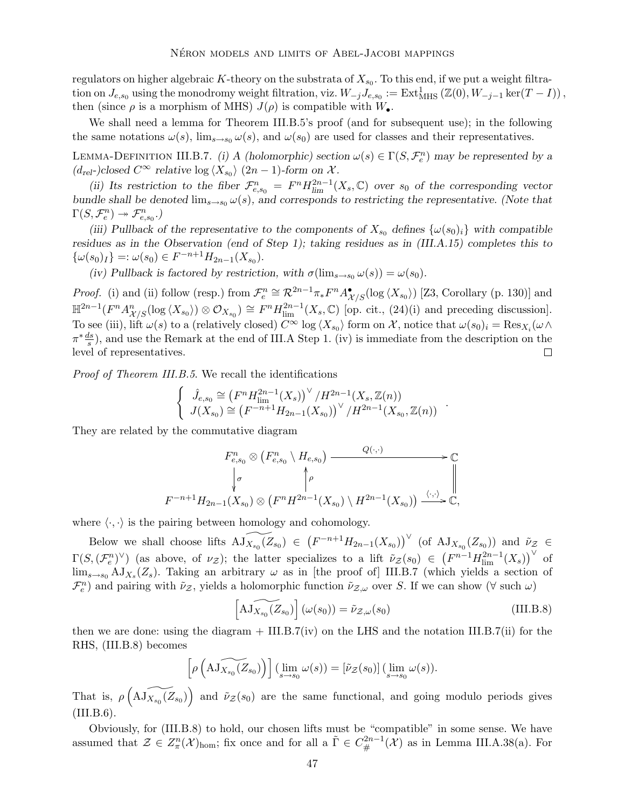regulators on higher algebraic K-theory on the substrata of  $X_{s_0}$ . To this end, if we put a weight filtration on  $J_{e,s_0}$  using the monodromy weight filtration, viz.  $W_{-j}J_{e,s_0} := \text{Ext}^1_{\text{MHS}}(\mathbb{Z}(0), W_{-j-1}\ker(T-I))$ , then (since  $\rho$  is a morphism of MHS)  $J(\rho)$  is compatible with  $W_{\bullet}$ .

We shall need a lemma for Theorem III.B.5's proof (and for subsequent use); in the following the same notations  $\omega(s)$ ,  $\lim_{s\to s_0} \omega(s)$ , and  $\omega(s_0)$  are used for classes and their representatives.

LEMMA-DEFINITION III.B.7. (i) A (holomorphic) section  $\omega(s) \in \Gamma(S, \mathcal{F}_e^n)$  may be represented by a  $(d_{\text{rel}}-)closed \ C^{\infty}$  relative  $\log \langle X_{s_0} \rangle (2n-1)$ -form on X.

(ii) Its restriction to the fiber  $\mathcal{F}_{e,s_0}^n = F^n H_{\text{lim}}^{2n-1}(X_s, \mathbb{C})$  over  $s_0$  of the corresponding vector bundle shall be denoted  $\lim_{s\to s_0} \omega(s)$ , and corresponds to restricting the representative. (Note that  $\Gamma(S, \mathcal{F}_e^n) \rightarrow \mathcal{F}_{e,s_0}^n$ .)

(iii) Pullback of the representative to the components of  $X_{s_0}$  defines  $\{\omega(s_0)_i\}$  with compatible residues as in the Observation (end of Step 1); taking residues as in (III.A.15) completes this to  $\{\omega(s_0)_I\} =: \omega(s_0) \in F^{-n+1}H_{2n-1}(X_{s_0}).$ 

(iv) Pullback is factored by restriction, with  $\sigma(\lim_{s\to s_0}\omega(s)) = \omega(s_0)$ .

*Proof.* (i) and (ii) follow (resp.) from  $\mathcal{F}_e^n \cong \mathcal{R}^{2n-1}\pi_*F^nA_{\mathcal{X}/S}^{\bullet}(\log \langle X_{s_0} \rangle)$  [Z3, Corollary (p. 130)] and  $\mathbb{H}^{2n-1}(F^n A^n_{\mathcal{X}/\mathcal{S}}(\log \langle X_{s_0} \rangle) \otimes \mathcal{O}_{X_{s_0}}) \cong F^n H^{2n-1}_{\text{lim}}(X_s, \mathbb{C})$  [op. cit., (24)(i) and preceding discussion]. To see (iii), lift  $\omega(s)$  to a (relatively closed)  $C^{\infty}$  log  $\langle X_{s_0} \rangle$  form on X, notice that  $\omega(s_0)_i = \text{Res}_{X_i}(\omega \wedge$  $\pi^* \frac{ds}{s}$ , and use the Remark at the end of III.A Step 1. (iv) is immediate from the description on the level of representatives. □

Proof of Theorem III.B.5. We recall the identifications

$$
\begin{cases} \hat{J}_{e,s_0} \cong (F^n H_{\text{lim}}^{2n-1}(X_s))^\vee / H^{2n-1}(X_s, \mathbb{Z}(n)) \\ J(X_{s_0}) \cong (F^{-n+1} H_{2n-1}(X_{s_0}))^\vee / H^{2n-1}(X_{s_0}, \mathbb{Z}(n)) \end{cases}.
$$

They are related by the commutative diagram

$$
F_{e,s_0}^n \otimes (F_{e,s_0}^n \setminus H_{e,s_0}) \xrightarrow{Q(\cdot,\cdot)} \mathbb{C}
$$
  
\n
$$
\downarrow \sigma \qquad \qquad \downarrow \rho
$$
  
\n
$$
F^{-n+1}H_{2n-1}(X_{s_0}) \otimes (F^n H^{2n-1}(X_{s_0}) \setminus H^{2n-1}(X_{s_0})) \xrightarrow{\langle \cdot, \cdot \rangle} \mathbb{C},
$$

where  $\langle \cdot, \cdot \rangle$  is the pairing between homology and cohomology.

Below we shall choose lifts  $\widetilde{AJ_{X_{s_0}(Z_{s_0})}} \in (F^{-n+1}H_{2n-1}(X_{s_0}))^{\vee}$  (of  $AJ_{X_{s_0}(Z_{s_0})}$ ) and  $\widetilde{\nu}_z \in$  $\Gamma(S, (\mathcal{F}_e^n)^{\vee})$  (as above, of  $\nu_{\mathcal{Z}}$ ); the latter specializes to a lift  $\tilde{\nu}_{\mathcal{Z}}(s_0) \in (F^{n-1}H_{\text{lim}}^{2n-1}(X_s))^{\vee}$  of  $\lim_{s\to s_0} A J_{X_s}(Z_s)$ . Taking an arbitrary  $\omega$  as in [the proof of] III.B.7 (which yields a section of  $\mathcal{F}_e^n$ ) and pairing with  $\tilde{\nu}_z$ , yields a holomorphic function  $\tilde{\nu}_{z,\omega}$  over S. If we can show  $(\forall \text{ such } \omega)$ 

$$
\left[A\widetilde{J_{X_{s_0}}(Z_{s_0})}\right](\omega(s_0)) = \widetilde{\nu}_{Z,\omega}(s_0)
$$
\n(III.B.8)

then we are done: using the diagram  $+$  III.B.7(iv) on the LHS and the notation III.B.7(ii) for the RHS, (III.B.8) becomes

$$
\left[\rho\left(\widetilde{\mathrm{AJ}_{X_{s_0}}(Z_{s_0})}\right)\right](\lim_{s\to s_0}\omega(s))=[\tilde{\nu}_{\mathcal{Z}}(s_0)](\lim_{s\to s_0}\omega(s)).
$$

That is,  $\rho\left(\widetilde{\text{AJ}_{X_{s_0}}(Z_{s_0})}\right)$  and  $\tilde{\nu}_Z(s_0)$  are the same functional, and going modulo periods gives  $(III.B.6).$ 

Obviously, for (III.B.8) to hold, our chosen lifts must be "compatible" in some sense. We have assumed that  $\mathcal{Z} \in Z^n_{\pi}(\mathcal{X})_{\text{hom}}$ ; fix once and for all a  $\tilde{\Gamma} \in C^{2n-1}_{\#}(\mathcal{X})$  as in Lemma III.A.38(a). For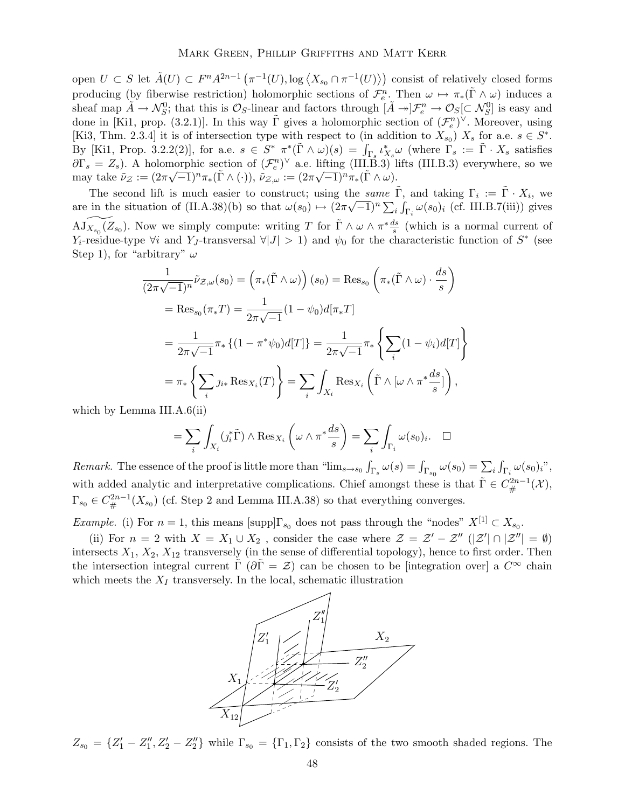open  $U \subset S$  let  $\tilde{A}(U) \subset F^n A^{2n-1} \left( \pi^{-1}(U), \log \left\langle X_{s_0} \cap \pi^{-1}(U) \right\rangle \right)$  consist of relatively closed forms producing (by fiberwise restriction) holomorphic sections of  $\mathcal{F}_e^n$ . Then  $\omega \mapsto \pi_*(\tilde{\Gamma} \wedge \omega)$  induces a sheaf map  $\tilde{A} \to \mathcal{N}_S^0$ ; that this is  $\mathcal{O}_S$ -linear and factors through  $[\tilde{A} \to ]\mathcal{F}_e^n \to \mathcal{O}_S[\subset \mathcal{N}_S^0]$  is easy and done in [Ki1, prop. (3.2.1)]. In this way  $\tilde{\Gamma}$  gives a holomorphic section of  $(\mathcal{F}_e^n)^{\vee}$ . Moreover, using [Ki3, Thm. 2.3.4] it is of intersection type with respect to (in addition to  $X_{s_0}$ )  $X_s$  for a.e.  $s \in S^*$ . By [Ki1, Prop. 3.2.2(2)], for a.e.  $s \in S^*$   $\pi^*(\tilde{\Gamma} \wedge \omega)(s) = \int_{\Gamma_s} \iota_{X_s}^* \omega$  (where  $\Gamma_s := \tilde{\Gamma} \cdot X_s$  satisfies  $\partial \Gamma_s = Z_s$ ). A holomorphic section of  $(\mathcal{F}_e^n)^{\vee}$  a.e. lifting  $(III.\overline{B}.3)$  lifts  $(III.B.3)$  everywhere, so we may take  $\tilde{\nu}_z := (2\pi\sqrt{-1})^n \pi_*(\tilde{\Gamma} \wedge (\cdot)), \ \tilde{\nu}_{z,\omega} := (2\pi\sqrt{-1})^n \pi_*(\tilde{\Gamma} \wedge \omega).$ 

The second lift is much easier to construct; using the same  $\tilde{\Gamma}$ , and taking  $\Gamma_i := \tilde{\Gamma} \cdot X_i$ , we are in the situation of  $(II.A.38)(b)$  so that  $\omega(s_0) \mapsto (2\pi\sqrt{-1})^n \sum_i \int_{\Gamma_i} \omega(s_0)_i$  (cf. III.B.7(iii)) gives  $\widetilde{\mathrm{AJ}_{X_{s_0}}(Z_{s_0})}$ . Now we simply compute: writing T for  $\tilde{\Gamma} \wedge \omega \wedge \pi^* \frac{ds}{s}$  (which is a normal current of  $Y_i$ -residue-type  $\forall i$  and  $Y_J$ -transversal  $\forall |J| > 1$ ) and  $\psi_0$  for the characteristic function of  $S^*$  (see Step 1), for "arbitrary"  $\omega$ 

$$
\frac{1}{(2\pi\sqrt{-1})^n}\tilde{\nu}_{\mathcal{Z},\omega}(s_0) = \left(\pi_*(\tilde{\Gamma}\wedge\omega)\right)(s_0) = \text{Res}_{s_0}\left(\pi_*(\tilde{\Gamma}\wedge\omega)\cdot\frac{ds}{s}\right)
$$

$$
= \text{Res}_{s_0}(\pi_*T) = \frac{1}{2\pi\sqrt{-1}}(1-\psi_0)d[\pi_*T]
$$

$$
= \frac{1}{2\pi\sqrt{-1}}\pi_*\left\{(1-\pi^*\psi_0)d[T]\right\} = \frac{1}{2\pi\sqrt{-1}}\pi_*\left\{\sum_i(1-\psi_i)d[T]\right\}
$$

$$
= \pi_*\left\{\sum_i j_{i*}\text{Res}_{X_i}(T)\right\} = \sum_i\int_{X_i}\text{Res}_{X_i}\left(\tilde{\Gamma}\wedge[\omega\wedge\pi^*\frac{ds}{s}]\right),
$$

which by Lemma III.A.6(ii)

$$
= \sum_{i} \int_{X_i} (j_i^* \tilde{\Gamma}) \wedge \text{Res}_{X_i} \left( \omega \wedge \pi^* \frac{ds}{s} \right) = \sum_{i} \int_{\Gamma_i} \omega(s_0)_i. \quad \Box
$$

Remark. The essence of the proof is little more than " $\lim_{s\to s_0} \int_{\Gamma_s} \omega(s) = \int_{\Gamma_{s_0}} \omega(s_0) = \sum_i \int_{\Gamma_i} \omega(s_0)_i$ ", with added analytic and interpretative complications. Chief amongst these is that  $\tilde{\Gamma} \in C^{2n-1}_{\#}(\mathcal{X}),$  $\Gamma_{s_0} \in C^{2n-1}_{\#}(X_{s_0})$  (cf. Step 2 and Lemma III.A.38) so that everything converges.

Example. (i) For  $n = 1$ , this means  $[\text{supp}]\Gamma_{s_0}$  does not pass through the "nodes"  $X^{[1]} \subset X_{s_0}$ .

(ii) For  $n = 2$  with  $X = X_1 \cup X_2$ , consider the case where  $\mathcal{Z} = \mathcal{Z}' - \mathcal{Z}''$  ( $|\mathcal{Z}'| \cap |\mathcal{Z}''| = \emptyset$ ) intersects  $X_1, X_2, X_{12}$  transversely (in the sense of differential topology), hence to first order. Then the intersection integral current  $\Gamma(\partial \Gamma = \mathcal{Z})$  can be chosen to be [integration over] a  $C^{\infty}$  chain which meets the  $X_I$  transversely. In the local, schematic illustration



 $Z_{s_0} = \{Z'_1 - Z''_1, Z'_2 - Z''_2\}$  while  $\Gamma_{s_0} = \{\Gamma_1, \Gamma_2\}$  consists of the two smooth shaded regions. The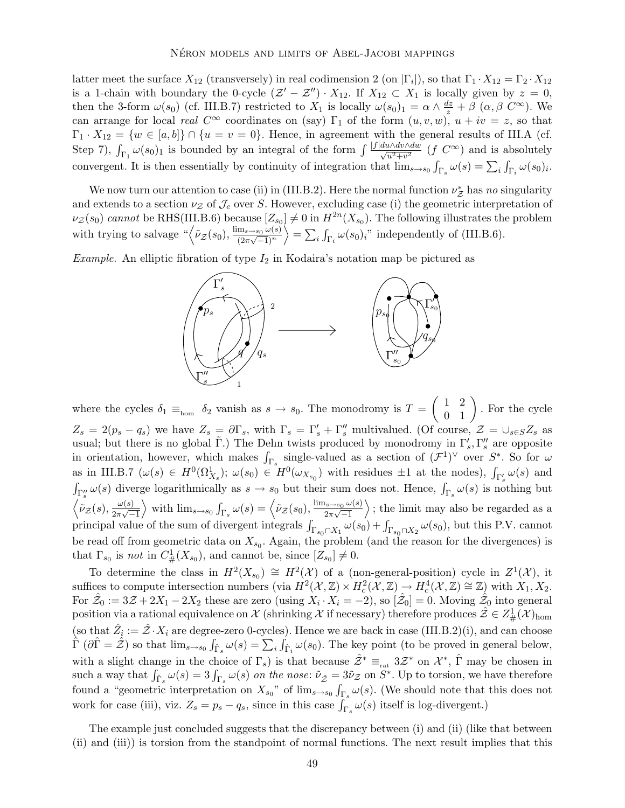latter meet the surface  $X_{12}$  (transversely) in real codimension 2 (on  $|\Gamma_i|$ ), so that  $\Gamma_1 \cdot X_{12} = \Gamma_2 \cdot X_{12}$ is a 1-chain with boundary the 0-cycle  $(\mathcal{Z}' - \mathcal{Z}'') \cdot X_{12}$ . If  $X_{12} \subset X_1$  is locally given by  $z = 0$ , then the 3-form  $\omega(s_0)$  (cf. III.B.7) restricted to  $X_1$  is locally  $\omega(s_0)_1 = \alpha \wedge \frac{dz}{z} + \beta$   $(\alpha, \beta \ C^{\infty})$ . We can arrange for local real  $C^{\infty}$  coordinates on (say)  $\Gamma_1$  of the form  $(u, v, w)$ ,  $u + iv = z$ , so that  $\Gamma_1 \cdot X_{12} = \{w \in [a, b]\} \cap \{u = v = 0\}.$  Hence, in agreement with the general results of III.A (cf. Step 7),  $\int_{\Gamma_1} \omega(s_0)_1$  is bounded by an integral of the form  $\int \frac{|f|d\omega \wedge dv \wedge dw}{\sqrt{u^2+v^2}}$   $(f C^{\infty})$  and is absolutely convergent. It is then essentially by continuity of integration that  $\lim_{s\to s_0} \int_{\Gamma_s} \omega(s) = \sum_i \int_{\Gamma_i} \omega(s_0)_i$ .

We now turn our attention to case (ii) in (III.B.2). Here the normal function  $\nu^*_{\mathcal{Z}}$  has no singularity and extends to a section  $\nu_{\mathcal{Z}}$  of  $\mathcal{J}_e$  over S. However, excluding case (i) the geometric interpretation of  $\nu_Z(s_0)$  cannot be RHS(III.B.6) because  $[Z_{s_0}] \neq 0$  in  $H^{2n}(X_{s_0})$ . The following illustrates the problem with trying to salvage  $\sqrt[n]{\tilde{\nu}_z(s_0)}, \frac{\lim_{s\to s_0} \omega(s)}{(2\pi\sqrt{-1})^n}$  $\frac{6}{(2\pi\sqrt{-1})^n}$  $\left\langle \right\rangle = \sum_{i} \int_{\Gamma_i} \omega(s_0)_i$ " independently of (III.B.6).

*Example.* An elliptic fibration of type  $I_2$  in Kodaira's notation map be pictured as



where the cycles  $\delta_1 \equiv_{\text{hom}} \delta_2$  vanish as  $s \to s_0$ . The monodromy is  $T =$  $\left(\begin{array}{cc} 1 & 2 \\ 0 & 1 \end{array}\right)$ . For the cycle  $Z_s = 2(p_s - q_s)$  we have  $Z_s = \partial \Gamma_s$ , with  $\Gamma_s = \Gamma'_s + \Gamma''_s$  multivalued. (Of course,  $\mathcal{Z} = \cup_{s \in S} Z_s$  as usual; but there is no global  $\tilde{\Gamma}$ .) The Dehn twists produced by monodromy in  $\Gamma'_s$ ,  $\Gamma''_s$  are opposite in orientation, however, which makes  $\int_{\Gamma_s}$  single-valued as a section of  $(\mathcal{F}^1)^\vee$  over  $S^*$ . So for  $\omega$ as in III.B.7 ( $\omega(s) \in H^0(\Omega^1_{X_s})$ ;  $\omega(s_0) \in H^0(\omega_{X_{s_0}})$  with residues  $\pm 1$  at the nodes),  $\int_{\Gamma'_s} \omega(s)$  and  $\int_{\Gamma''_s} \omega(s)$  diverge logarithmically as  $s \to s_0$  but their sum does not. Hence,  $\int_{\Gamma_s} \omega(s)$  is nothing but  $\left\langle \nu_{\mathcal{Z}}(s),\frac{\omega(s)}{2\pi\sqrt{-1}}\right\rangle$  $\frac{1}{2\pi\sqrt{-1}}$ with  $\lim_{s\to s_0} \int_{\Gamma_s} \omega(s) = \left\langle \tilde{\nu}_{\mathcal{Z}}(s_0), \frac{\lim_{s\to s_0} \omega(s)}{2\pi\sqrt{-1}} \right\rangle$  $\frac{0}{2\pi\sqrt{-1}}$  $\rangle$ ; the limit may also be regarded as a principal value of the sum of divergent integrals  $\int_{\Gamma_{s_0} \cap X_1} \omega(s_0) + \int_{\Gamma_{s_0} \cap X_2} \omega(s_0)$ , but this P.V. cannot be read off from geometric data on  $X_{s_0}$ . Again, the problem (and the reason for the divergences) is that  $\Gamma_{s_0}$  is *not* in  $C^1_{\#}(X_{s_0})$ , and cannot be, since  $[Z_{s_0}] \neq 0$ .

To determine the class in  $H^2(X_{s_0}) \cong H^2(X)$  of a (non-general-position) cycle in  $Z^1(X)$ , it suffices to compute intersection numbers (via  $H^2(\mathcal{X}, \mathbb{Z}) \times H^2_c(\mathcal{X}, \mathbb{Z}) \to H^4_c(\mathcal{X}, \mathbb{Z}) \cong \mathbb{Z}$ ) with  $X_1, X_2$ . For  $\hat{Z}_0 := 3\mathcal{Z} + 2X_1 - 2X_2$  these are zero (using  $X_i \cdot X_i = -2$ ), so  $[\hat{\mathcal{Z}}_0] = 0$ . Moving  $\hat{\hat{\mathcal{Z}}}_0$  into general  $\text{position via a rational equivalence on }\mathcal{X} \text{ (shrinking }\mathcal{X} \text{ if necessary) therefore produces } \hat{\mathcal{Z}} \in Z^1_{\#}(\mathcal{X})_{\text{hom}}$ (so that  $\hat{Z}_i := \hat{Z} \cdot X_i$  are degree-zero 0-cycles). Hence we are back in case (III.B.2)(i), and can choose  $\hat{\Gamma}(\partial \hat{\Gamma} = \hat{\mathcal{Z}})$  so that  $\lim_{s \to s_0} \int_{\hat{\Gamma}_s} \omega(s) = \sum_i \hat{\int}_{\hat{\Gamma}_i} \omega(s_0)$ . The key point (to be proved in general below, with a slight change in the choice of  $\Gamma_s$ ) is that because  $\hat{\mathcal{Z}}^* \equiv_{\text{rat}} 3\mathcal{Z}^*$  on  $\mathcal{X}^*, \hat{\Gamma}$  may be chosen in such a way that  $\int_{\hat{\Gamma}_s} \omega(s) = 3 \int_{\Gamma_s} \omega(s)$  on the nose:  $\tilde{\nu}_{\hat{Z}} = 3\tilde{\nu}_Z$  on  $S^*$ . Up to torsion, we have therefore found a "geometric interpretation on  $X_{s_0}$ " of  $\lim_{s\to s_0} \int_{\Gamma_s} \omega(s)$ . (We should note that this does not work for case (iii), viz.  $Z_s = p_s - q_s$ , since in this case  $\int_{\Gamma_s} \omega(s)$  itself is log-divergent.)

The example just concluded suggests that the discrepancy between (i) and (ii) (like that between (ii) and (iii)) is torsion from the standpoint of normal functions. The next result implies that this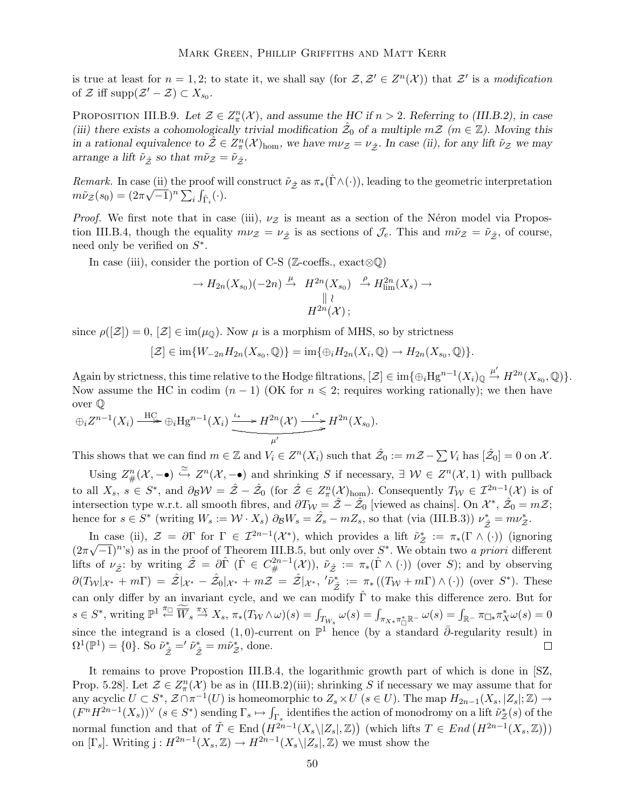is true at least for  $n = 1, 2$ ; to state it, we shall say (for  $\mathcal{Z}, \mathcal{Z}' \in Z^n(\mathcal{X})$ ) that  $\mathcal{Z}'$  is a modification of  $\mathcal{Z}$  iff supp $(\mathcal{Z}' - \mathcal{Z}) \subset X_{s_0}$ .

PROPOSITION III.B.9. Let  $\mathcal{Z} \in Z^n_{\pi}(\mathcal{X})$ , and assume the HC if  $n > 2$ . Referring to (III.B.2), in case (iii) there exists a cohomologically trivial modification  $\hat{z}_0$  of a multiple  $m\mathcal{Z}$  ( $m \in \mathbb{Z}$ ). Moving this in a rational equivalence to  $\hat{\mathcal{Z}} \in Z^n(\mathcal{X})_{\text{hom}}$ , we have  $m\nu_{\mathcal{Z}} = \nu_{\hat{\mathcal{Z}}}$ . In case (ii), for any lift  $\tilde{\nu}_{\mathcal{Z}}$  we may arrange a lift  $\tilde{\nu}_{\hat{\mathcal{Z}}}$  so that  $m\tilde{\nu}_{\mathcal{Z}} = \tilde{\nu}_{\hat{\mathcal{Z}}}$ .

Remark. In case (ii) the proof will construct  $\tilde{\nu}_{\hat{\mathcal{Z}}}$  as  $\pi_*(\hat{\Gamma} \wedge (\cdot))$ , leading to the geometric interpretation  $m\tilde{\nu}_z(s_0) = (2\pi\sqrt{-1})^n \sum_i \int_{\hat{\Gamma}_i} (\cdot).$ 

*Proof.* We first note that in case (iii),  $\nu z$  is meant as a section of the Néron model via Propostion III.B.4, though the equality  $m\nu_Z = \nu_{\hat{Z}}$  is as sections of  $\mathcal{J}_e$ . This and  $m\tilde{\nu}_Z = \tilde{\nu}_{\hat{Z}}$ , of course, need only be verified on  $S^*$ .

In case (iii), consider the portion of C-S ( $\mathbb{Z}\text{-coeffs.}$ , exact $\otimes \mathbb{Q}$ )

$$
\rightarrow H_{2n}(X_{s_0})(-2n) \stackrel{\mu}{\rightarrow} H^{2n}(X_{s_0}) \stackrel{\rho}{\rightarrow} H^{2n}_{\lim}(X_s) \rightarrow
$$
  

$$
H^{2n}(\mathcal{X});
$$

since  $\rho(|\mathcal{Z}|) = 0$ ,  $|\mathcal{Z}| \in \text{im}(\mu_{\mathbb{Q}})$ . Now  $\mu$  is a morphism of MHS, so by strictness

$$
[\mathcal{Z}] \in \text{im}\{W_{-2n}H_{2n}(X_{s_0},\mathbb{Q})\} = \text{im}\{\oplus_i H_{2n}(X_i,\mathbb{Q}) \to H_{2n}(X_{s_0},\mathbb{Q})\}.
$$

Again by strictness, this time relative to the Hodge filtrations,  $[\mathcal{Z}] \in \text{im}\{\oplus_i Hg^{n-1}(X_i)_{\mathbb{Q}} \stackrel{\mu'}{\rightarrow} H^{2n}(X_{s_0}, \mathbb{Q})\}.$ Now assume the HC in codim  $(n-1)$  (OK for  $n \leq 2$ ; requires working rationally); we then have over Q

$$
\oplus_i Z^{n-1}(X_i) \xrightarrow{\text{HC}} \oplus_i \text{Hg}^{n-1}(X_i) \xrightarrow{\iota^*} H^{2n}(\mathcal{X}) \xrightarrow{\iota^*} H^{2n}(X_{s_0}).
$$

This shows that we can find  $m \in \mathbb{Z}$  and  $V_i \in Z^n(X_i)$  such that  $\hat{Z}_0 := m\mathcal{Z} - \sum V_i$  has  $[\hat{Z}_0] = 0$  on  $\mathcal{X}$ .

Using  $Z_{\#}^n(\mathcal{X},-\bullet) \stackrel{\simeq}{\to} Z^n(\mathcal{X},-\bullet)$  and shrinking S if necessary,  $\exists \mathcal{W} \in Z^n(\mathcal{X},1)$  with pullback to all  $X_s$ ,  $s \in S^*$ , and  $\partial_B \mathcal{W} = \hat{\mathcal{Z}} - \hat{\mathcal{Z}}_0$  (for  $\hat{\mathcal{Z}} \in Z_\pi^n(\mathcal{X})_{\text{hom}}$ ). Consequently  $T_{\mathcal{W}} \in \mathcal{I}^{2n-1}(\mathcal{X})$  is of intersection type w.r.t. all smooth fibres, and  $\partial T_{\mathcal{W}} = \hat{\mathcal{Z}} - \hat{\mathcal{Z}}_0$  [viewed as chains]. On  $\mathcal{X}^*, \hat{\mathcal{Z}}_0 = m\mathcal{Z};$ hence for  $s \in S^*$  (writing  $W_s := \mathcal{W} \cdot X_s$ )  $\partial_\mathcal{B} W_s = \hat{Z}_s - mZ_s$ , so that (via (III.B.3))  $\nu_{\hat{Z}}^* = m\nu_{\hat{Z}}^*$ .

In case (ii),  $\mathcal{Z} = \partial \Gamma$  for  $\Gamma \in \mathcal{I}^{2n-1}(\mathcal{X}^*)$ , which provides a lift  $\tilde{\nu}^*_{\mathcal{Z}} := \pi_*(\Gamma \wedge (\cdot))$  (ignoring  $(2\pi\sqrt{-1})^n$ 's) as in the proof of Theorem III.B.5, but only over  $S^*$ . We obtain two a priori different lifts of  $\nu_{\hat{Z}}$ : by writing  $\hat{Z} = \partial \hat{\Gamma}$  ( $\hat{\Gamma} \in C^{2n-1}_\#(\mathcal{X})$ ),  $\tilde{\nu}_{\hat{Z}} := \pi_*(\hat{\Gamma} \wedge (\cdot))$  (over S); and by observing  $\partial(T_{\mathcal{W}}|_{\mathcal{X}^*} + m\Gamma) = \hat{\mathcal{Z}}|_{\mathcal{X}^*} - \hat{\mathcal{Z}}_0|_{\mathcal{X}^*} + m\mathcal{Z} = \hat{\mathcal{Z}}|_{\mathcal{X}^*}, \,{}' \tilde{\nu}_{\hat{\mathcal{Z}}}^* := \pi_*((T_{\mathcal{W}} + m\Gamma) \wedge (\cdot))$  (over  $S^*$ ). These can only differ by an invariant cycle, and we can modify  $\hat{\Gamma}$  to make this difference zero. But for  $s \in S^*$ , writing  $\mathbb{P}^1 \stackrel{\pi_{\Box}}{\leftarrow} \widetilde{W}_s \stackrel{\pi_X}{\rightarrow} X_s$ ,  $\pi_*(T_\mathcal{W} \wedge \omega)(s) = \int_{T_{W_s}} \omega(s) = \int_{\pi_{X*}} \pi_{\overline{\mathbb{A}}}^* \mathbb{R} - \omega(s) = \int_{\mathbb{R}^-} \pi_{\Box *} \pi_X^* \omega(s) = 0$ since the integrand is a closed  $(1,0)$ -current on  $\mathbb{P}^1$  hence (by a standard  $\bar{\partial}$ -regularity result) in  $\Omega^1(\mathbb{P}^1) = \{0\}$ . So  $\tilde{\nu}^*_{\hat{\mathcal{Z}}} = \tilde{\nu}^*_{\hat{\mathcal{Z}}} = m\tilde{\nu}^*_{\mathcal{Z}}$ , done.  $\Box$ 

It remains to prove Propostion III.B.4, the logarithmic growth part of which is done in [SZ, Prop. 5.28]. Let  $\mathcal{Z} \in Z^n_{\pi}(\mathcal{X})$  be as in (III.B.2)(iii); shrinking S if necessary we may assume that for any acyclic  $U \subset S^*$ ,  $\mathcal{Z} \cap \pi^{-1}(U)$  is homeomorphic to  $Z_s \times U$   $(s \in U)$ . The map  $H_{2n-1}(X_s, |Z_s|; \mathbb{Z}) \to$  $(F^n H^{2n-1}(X_s))^{\vee}$   $(s \in S^*)$  sending  $\Gamma_s \mapsto \int_{\Gamma_s}$  identifies the action of monodromy on a lift  $\tilde{\nu}^*_{\mathcal{Z}}(s)$  of the normal function and that of  $\tilde{T} \in \text{End}(H^{2n-1}(X_s \setminus |Z_s|, \mathbb{Z}))$  (which lifts  $T \in End(H^{2n-1}(X_s, \mathbb{Z}))$ ) on  $[\Gamma_s]$ . Writing  $j: H^{2n-1}(X_s, \mathbb{Z}) \to H^{2n-1}(X_s \setminus |Z_s|, \mathbb{Z})$  we must show the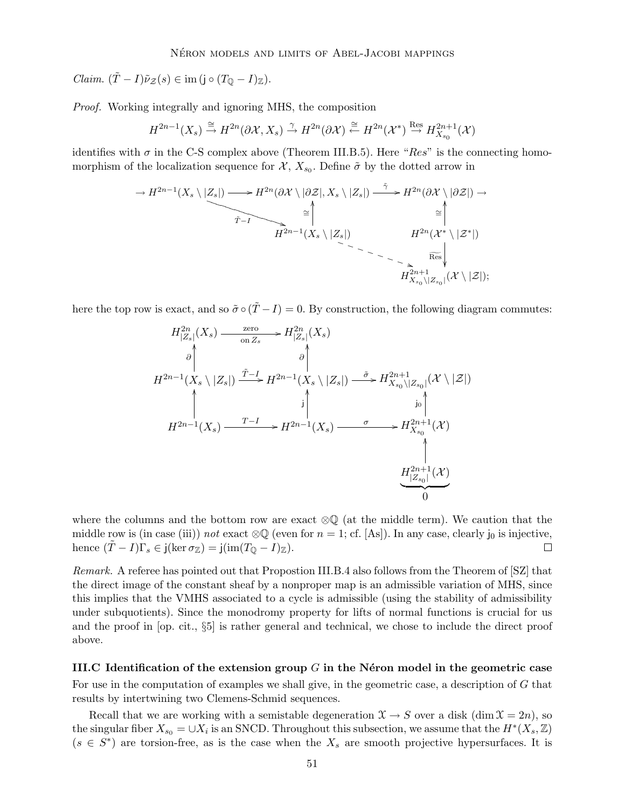Claim.  $(T - I)\tilde{\nu}_z(s) \in \text{im} (j \circ (T_0 - I)_{\mathbb{Z}}).$ 

Proof. Working integrally and ignoring MHS, the composition

$$
H^{2n-1}(X_s) \stackrel{\cong}{\to} H^{2n}(\partial \mathcal{X}, X_s) \stackrel{\gamma}{\to} H^{2n}(\partial \mathcal{X}) \stackrel{\cong}{\leftarrow} H^{2n}(\mathcal{X}^*) \stackrel{\text{Res}}{\to} H^{2n+1}_{X_{s_0}}(\mathcal{X})
$$

identifies with  $\sigma$  in the C-S complex above (Theorem III.B.5). Here "Res" is the connecting homomorphism of the localization sequence for  $\mathcal{X}, X_{s_0}$ . Define  $\tilde{\sigma}$  by the dotted arrow in

$$
\rightarrow H^{2n-1}(X_s \setminus |Z_s|) \longrightarrow H^{2n}(\partial \mathcal{X} \setminus |\partial \mathcal{Z}|, X_s \setminus |Z_s|) \xrightarrow{\tilde{\gamma}} H^{2n}(\partial \mathcal{X} \setminus |\partial \mathcal{Z}|) \rightarrow
$$
  

$$
\xrightarrow{\tilde{\gamma}-I} \qquad \xrightarrow{\cong} \qquad \qquad \xrightarrow{\mathbb{R}^2} H^{2n-1}(X_s \setminus |Z_s|) \qquad \qquad H^{2n}(\mathcal{X}^* \setminus |Z^*|)
$$
  

$$
\xrightarrow{\tilde{\text{Res}}}_{H^{2n+1}_{X_{s_0} \setminus |Z_{s_0}|}(\mathcal{X} \setminus |Z|);
$$

here the top row is exact, and so  $\tilde{\sigma} \circ (\tilde{T} - I) = 0$ . By construction, the following diagram commutes:

$$
H^{2n}_{|Z_s|}(X_s) \xrightarrow{\text{zero}} H^{2n}_{|Z_s|}(X_s)
$$
\n
$$
\downarrow
$$
\n
$$
H^{2n-1}(X_s \setminus |Z_s|) \xrightarrow{\tilde{T}-I} H^{2n-1}(X_s \setminus |Z_s|) \xrightarrow{\tilde{\sigma}} H^{2n+1}_{X_{s_0} \setminus |Z_{s_0}|}(\mathcal{X} \setminus |\mathcal{Z}|)
$$
\n
$$
\downarrow
$$
\n
$$
H^{2n-1}(X_s) \xrightarrow{\text{T}-I} H^{2n-1}(X_s) \xrightarrow{\sigma} H^{2n+1}_{X_{s_0}}(\mathcal{X})
$$
\n
$$
\downarrow
$$
\n
$$
H^{2n+1}(X) \xrightarrow{\text{T}-I} H^{2n-1}(X_s) \xrightarrow{\sigma} H^{2n+1}_{X_{s_0} \setminus |\mathcal{X}|}
$$
\n
$$
\downarrow
$$
\n
$$
\downarrow
$$
\n
$$
\downarrow
$$
\n
$$
\downarrow
$$
\n
$$
\downarrow
$$
\n
$$
\downarrow
$$
\n
$$
\downarrow
$$
\n
$$
\downarrow
$$
\n
$$
\downarrow
$$
\n
$$
\downarrow
$$
\n
$$
\downarrow
$$
\n
$$
\downarrow
$$
\n
$$
\downarrow
$$
\n
$$
\downarrow
$$
\n
$$
\downarrow
$$
\n
$$
\downarrow
$$
\n
$$
\downarrow
$$
\n
$$
\downarrow
$$
\n
$$
\downarrow
$$
\n
$$
\downarrow
$$
\n
$$
\downarrow
$$
\n
$$
\downarrow
$$
\n
$$
\downarrow
$$
\n
$$
\downarrow
$$
\n
$$
\downarrow
$$
\n
$$
\downarrow
$$
\n
$$
\downarrow
$$
\n
$$
\downarrow
$$
\n
$$
\downarrow
$$
\n
$$
\downarrow
$$
\n
$$
\downarrow
$$
\n
$$
\downarrow
$$
\n
$$
\downarrow
$$
\n
$$
\downarrow
$$
\n
$$
\downarrow
$$
\n
$$
\downarrow
$$
\n
$$
\downarrow
$$
\n
$$
\downarrow
$$

where the columns and the bottom row are exact ⊗Q (at the middle term). We caution that the middle row is (in case (iii)) *not* exact  $\otimes \mathbb{Q}$  (even for  $n = 1$ ; cf. [As]). In any case, clearly j<sub>0</sub> is injective, hence  $(\tilde{T} - I)\Gamma_s \in i(\ker \sigma_{\mathbb{Z}}) = i(\text{im}(T_0 - I)\mathbb{Z})$ . hence  $(T - I)\Gamma_s \in j(\ker \sigma_{\mathbb{Z}}) = j(\mathrm{im}(T_{\mathbb{Q}} - I)_{\mathbb{Z}}).$ 

Remark. A referee has pointed out that Propostion III.B.4 also follows from the Theorem of [SZ] that the direct image of the constant sheaf by a nonproper map is an admissible variation of MHS, since this implies that the VMHS associated to a cycle is admissible (using the stability of admissibility under subquotients). Since the monodromy property for lifts of normal functions is crucial for us and the proof in [op. cit., §5] is rather general and technical, we chose to include the direct proof above.

III.C Identification of the extension group  $G$  in the Néron model in the geometric case For use in the computation of examples we shall give, in the geometric case, a description of G that results by intertwining two Clemens-Schmid sequences.

Recall that we are working with a semistable degeneration  $\mathfrak{X} \to S$  over a disk (dim  $\mathfrak{X} = 2n$ ), so the singular fiber  $X_{s_0} = \cup X_i$  is an SNCD. Throughout this subsection, we assume that the  $H^*(X_s, \mathbb{Z})$  $(s \in S^*)$  are torsion-free, as is the case when the  $X_s$  are smooth projective hypersurfaces. It is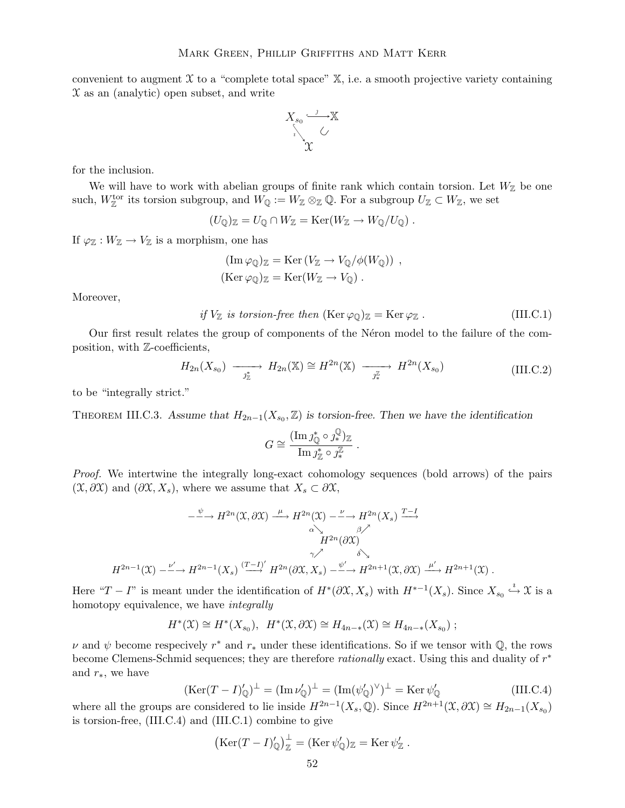convenient to augment  $\mathfrak X$  to a "complete total space"  $\mathbb X$ , i.e. a smooth projective variety containing  $X$  as an (analytic) open subset, and write



for the inclusion.

We will have to work with abelian groups of finite rank which contain torsion. Let  $W_{\mathbb{Z}}$  be one such,  $W^{\text{tor}}_{\mathbb{Z}}$  its torsion subgroup, and  $W_{\mathbb{Q}} := W_{\mathbb{Z}} \otimes_{\mathbb{Z}} \mathbb{Q}$ . For a subgroup  $U_{\mathbb{Z}} \subset W_{\mathbb{Z}}$ , we set

$$
(U_{\mathbb{Q}})_{\mathbb{Z}}=U_{\mathbb{Q}}\cap W_{\mathbb{Z}}=\mathrm{Ker}(W_{\mathbb{Z}}\to W_{\mathbb{Q}}/U_{\mathbb{Q}}) .
$$

If  $\varphi_{\mathbb{Z}} : W_{\mathbb{Z}} \to V_{\mathbb{Z}}$  is a morphism, one has

$$
(\text{Im}\,\varphi_{\mathbb{Q}})_{\mathbb{Z}} = \text{Ker}\,(V_{\mathbb{Z}} \to V_{\mathbb{Q}}/\phi(W_{\mathbb{Q}})) ,
$$
  

$$
(\text{Ker}\,\varphi_{\mathbb{Q}})_{\mathbb{Z}} = \text{Ker}(W_{\mathbb{Z}} \to V_{\mathbb{Q}}) .
$$

Moreover,

if 
$$
V_{\mathbb{Z}}
$$
 is torsion-free then  $(\text{Ker } \varphi_{\mathbb{Q}})_{\mathbb{Z}} = \text{Ker } \varphi_{\mathbb{Z}}$ .  $(III.C.1)$ 

Our first result relates the group of components of the Neron model to the failure of the composition, with Z-coefficients,

$$
H_{2n}(X_{s_0}) \longrightarrow H_{2n}(\mathbb{X}) \cong H^{2n}(\mathbb{X}) \longrightarrow H^{2n}(X_{s_0})
$$
\n(III.C.2)

to be "integrally strict."

THEOREM III.C.3. Assume that  $H_{2n-1}(X_{s_0},\mathbb{Z})$  is torsion-free. Then we have the identification

$$
G \cong \frac{(\operatorname{Im} j_{\mathbb{Q}}^* \circ \jmath_*^{\mathbb{Q}})_{\mathbb{Z}}}{\operatorname{Im} j_{\mathbb{Z}}^* \circ \jmath_*^{\mathbb{Z}}}.
$$

Proof. We intertwine the integrally long-exact cohomology sequences (bold arrows) of the pairs  $(\mathfrak{X}, \partial \mathfrak{X})$  and  $(\partial \mathfrak{X}, X_s)$ , where we assume that  $X_s \subset \partial \mathfrak{X}$ ,

$$
-\xrightarrow{\psi} H^{2n}(\mathfrak{X},\partial \mathfrak{X}) \xrightarrow{\mu} H^{2n}(\mathfrak{X}) \xrightarrow{\nu} H^{2n}(X_s) \xrightarrow{T-1} H^{2n}(\partial \mathfrak{X})
$$
  

$$
H^{2n}(\partial \mathfrak{X})
$$
  

$$
H^{2n-1}(\mathfrak{X}) \xrightarrow{\nu'} H^{2n-1}(X_s) \xrightarrow{(T-1)'} H^{2n}(\partial \mathfrak{X}, X_s) \xrightarrow{\psi'} H^{2n+1}(\mathfrak{X}, \partial \mathfrak{X}) \xrightarrow{\mu'} H^{2n+1}(\mathfrak{X}) .
$$

Here " $T - I$ " is meant under the identification of  $H^*(\partial X, X_s)$  with  $H^{*-1}(X_s)$ . Since  $X_{s_0} \stackrel{i}{\hookrightarrow} \mathfrak{X}$  is a homotopy equivalence, we have integrally

$$
H^*(\mathfrak{X}) \cong H^*(X_{s_0}), \quad H^*(\mathfrak{X}, \partial \mathfrak{X}) \cong H_{4n-*}(\mathfrak{X}) \cong H_{4n-*}(X_{s_0}) ;
$$

 $\nu$  and  $\psi$  become respecively  $r^*$  and  $r_*$  under these identifications. So if we tensor with Q, the rows become Clemens-Schmid sequences; they are therefore *rationally* exact. Using this and duality of  $r^*$ and  $r_*,$  we have

$$
(\text{Ker}(T - I)'_{\mathbb{Q}})^{\perp} = (\text{Im}\,\nu'_{\mathbb{Q}})^{\perp} = (\text{Im}(\psi'_{\mathbb{Q}})^{\vee})^{\perp} = \text{Ker}\,\psi'_{\mathbb{Q}} \tag{III.C.4}
$$

where all the groups are considered to lie inside  $H^{2n-1}(X_s, \mathbb{Q})$ . Since  $H^{2n+1}(\mathfrak{X}, \partial \mathfrak{X}) \cong H_{2n-1}(X_{s_0})$ is torsion-free, (III.C.4) and (III.C.1) combine to give

$$
\left(\mathrm{Ker}(T-I)'_{\mathbb{Q}}\right)^{\perp}_{\mathbb{Z}}=(\mathrm{Ker}\,\psi'_{\mathbb{Q}})_{\mathbb{Z}}=\mathrm{Ker}\,\psi'_{\mathbb{Z}}.
$$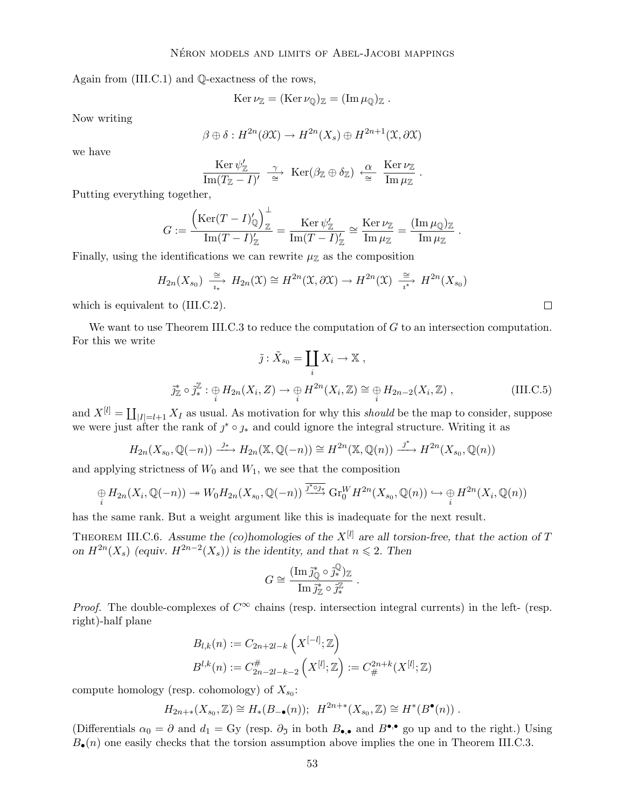Again from (III.C.1) and Q-exactness of the rows,

$$
\operatorname{Ker} \nu_{\mathbb{Z}} = (\operatorname{Ker} \nu_{\mathbb{Q}})_{\mathbb{Z}} = (\operatorname{Im} \mu_{\mathbb{Q}})_{\mathbb{Z}}.
$$

Now writing

$$
\beta \oplus \delta : H^{2n}(\partial \mathfrak{X}) \to H^{2n}(X_s) \oplus H^{2n+1}(\mathfrak{X}, \partial \mathfrak{X})
$$

we have

$$
\frac{\text{Ker }\psi_{\mathbb{Z}}'}{\text{Im}(T_{\mathbb{Z}}-I)'} \xrightarrow{\gamma} \text{Ker}(\beta_{\mathbb{Z}} \oplus \delta_{\mathbb{Z}}) \xleftarrow{\alpha} \frac{\text{Ker }\nu_{\mathbb{Z}}}{\text{Im }\mu_{\mathbb{Z}}}.
$$

Putting everything together,

$$
G:=\frac{\left(\mathop{\rm Ker}\nolimits(T-I)'_{\mathbb Q}\right)^{\perp}_{\mathbb Z}}{\mathrm{Im}(T-I)'_{\mathbb Z}}=\frac{\mathop{\rm Ker}\nolimits\psi'_{\mathbb Z}}{\mathrm{Im}(T-I)'_{\mathbb Z}}\cong\frac{\mathop{\rm Ker}\nolimits\nu_{\mathbb Z}}{\mathrm{Im}\,\mu_{\mathbb Z}}=\frac{(\mathop{\rm Im}\nolimits\mu_{\mathbb Q})_{\mathbb Z}}{\mathrm{Im}\,\mu_{\mathbb Z}}\;.
$$

Finally, using the identifications we can rewrite  $\mu_{\mathbb{Z}}$  as the composition

$$
H_{2n}(X_{s_0}) \xrightarrow[i_*]{\cong} H_{2n}(\mathfrak{X}) \cong H^{2n}(\mathfrak{X}, \partial \mathfrak{X}) \to H^{2n}(\mathfrak{X}) \xrightarrow[i_*]{\cong} H^{2n}(X_{s_0})
$$

which is equivalent to (III.C.2).

We want to use Theorem III.C.3 to reduce the computation of G to an intersection computation. For this we write

$$
\tilde{j}: \tilde{X}_{s_0} = \coprod_i X_i \to \mathbb{X} ,
$$

$$
\tilde{j}^*_{\mathbb{Z}} \circ \tilde{j}^{\mathbb{Z}}_* : \bigoplus_i H_{2n}(X_i, Z) \to \bigoplus_i H^{2n}(X_i, \mathbb{Z}) \cong \bigoplus_i H_{2n-2}(X_i, \mathbb{Z}) , \tag{III.C.5}
$$

and  $X^{[l]} = \coprod_{|I|=l+1} X_I$  as usual. As motivation for why this should be the map to consider, suppose we were just after the rank of  $j^* \circ j_*$  and could ignore the integral structure. Writing it as

$$
H_{2n}(X_{s_0},\mathbb{Q}(-n)) \xrightarrow{j_*} H_{2n}(\mathbb{X},\mathbb{Q}(-n)) \cong H^{2n}(\mathbb{X},\mathbb{Q}(n)) \xrightarrow{j^*} H^{2n}(X_{s_0},\mathbb{Q}(n))
$$

and applying strictness of  $W_0$  and  $W_1$ , we see that the composition

$$
\underset{i}{\oplus} H_{2n}(X_i, \mathbb{Q}(-n)) \to W_0H_{2n}(X_{s_0}, \mathbb{Q}(-n)) \xrightarrow{\overline{j^* \circ j_*}} \mathrm{Gr}_{0}^{W} H^{2n}(X_{s_0}, \mathbb{Q}(n)) \hookrightarrow \underset{i}{\oplus} H^{2n}(X_i, \mathbb{Q}(n))
$$

has the same rank. But a weight argument like this is inadequate for the next result.

THEOREM III.C.6. Assume the (co)homologies of the  $X^{[l]}$  are all torsion-free, that the action of T on  $H^{2n}(X_s)$  (equiv.  $H^{2n-2}(X_s)$ ) is the identity, and that  $n \leq 2$ . Then

$$
G \cong \frac{(\operatorname{Im} \tilde{j}_{\mathbb{Q}}^* \circ \tilde{j}_{*}^{\mathbb{Q}})_{\mathbb{Z}}}{\operatorname{Im} \tilde{j}_{\mathbb{Z}}^* \circ \tilde{j}_{*}^{\mathbb{Z}}}.
$$

*Proof.* The double-complexes of  $C^{\infty}$  chains (resp. intersection integral currents) in the left- (resp. right)-half plane

$$
B_{l,k}(n) := C_{2n+2l-k} \left( X^{[-l]}; \mathbb{Z} \right)
$$
  

$$
B^{l,k}(n) := C_{2n-2l-k-2}^{\#} \left( X^{[l]}; \mathbb{Z} \right) := C_{\#}^{2n+k}(X^{[l]}; \mathbb{Z})
$$

compute homology (resp. cohomology) of  $X_{s_0}$ :

$$
H_{2n+\ast}(X_{s_0},\mathbb{Z})\cong H_{\ast}(B_{-\bullet}(n));\ \ H^{2n+\ast}(X_{s_0},\mathbb{Z})\cong H^*(B^{\bullet}(n))\ .
$$

(Differentials  $\alpha_0 = \partial$  and  $d_1 = Gy$  (resp.  $\partial_{\mathfrak{I}}$  in both  $B_{\bullet,\bullet}$  and  $B^{\bullet,\bullet}$  go up and to the right.) Using  $B_{\bullet}(n)$  one easily checks that the torsion assumption above implies the one in Theorem III.C.3.

 $\Box$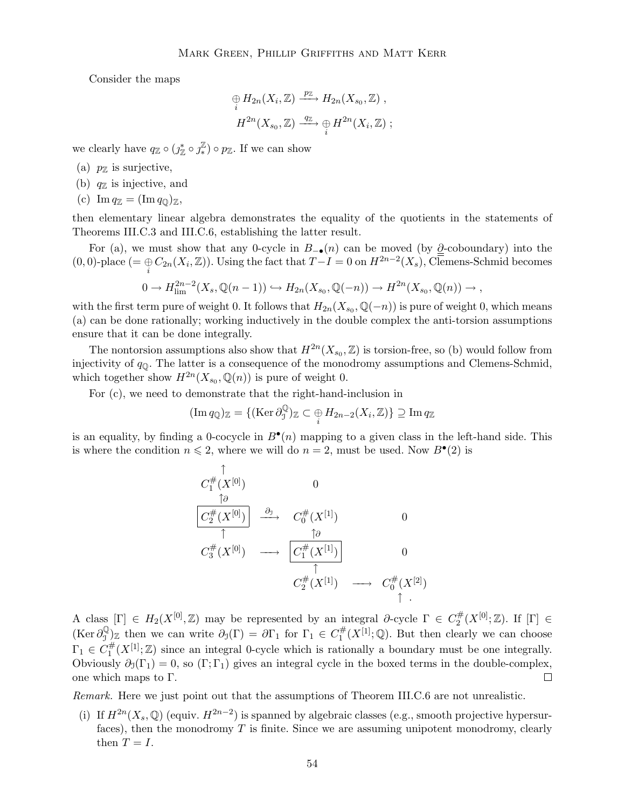Consider the maps

$$
\begin{aligned}\n\oplus H_{2n}(X_i, \mathbb{Z}) & \xrightarrow{p_{\mathbb{Z}}} H_{2n}(X_{s_0}, \mathbb{Z}) , \\
H^{2n}(X_{s_0}, \mathbb{Z}) & \xrightarrow{q_{\mathbb{Z}}} \oplus H^{2n}(X_i, \mathbb{Z}) ;\n\end{aligned}
$$

we clearly have  $q_{\mathbb{Z}} \circ (j_{\mathbb{Z}}^* \circ j_{*}^{\mathbb{Z}})$  $(\frac{\mathbb{Z}}{*}) \circ p_{\mathbb{Z}}$ . If we can show

(a)  $p_{\mathbb{Z}}$  is surjective,

- (b)  $q_{\mathbb{Z}}$  is injective, and
- (c)  $\text{Im } q_{\mathbb{Z}} = (\text{Im } q_{\mathbb{Q}})_{\mathbb{Z}},$

then elementary linear algebra demonstrates the equality of the quotients in the statements of Theorems III.C.3 and III.C.6, establishing the latter result.

For (a), we must show that any 0-cycle in  $B_{-\bullet}(n)$  can be moved (by  $\partial$ -coboundary) into the (0, 0)-place (=  $\bigoplus_i C_{2n}(X_i, \mathbb{Z})$ ). Using the fact that  $T-I=0$  on  $H^{2n-2}(X_s)$ , Clemens-Schmid becomes

$$
0 \to H^{2n-2}_{\text{lim}}(X_s, \mathbb{Q}(n-1)) \hookrightarrow H_{2n}(X_{s_0}, \mathbb{Q}(-n)) \to H^{2n}(X_{s_0}, \mathbb{Q}(n)) \to,
$$

with the first term pure of weight 0. It follows that  $H_{2n}(X_{s_0}, \mathbb{Q}(-n))$  is pure of weight 0, which means (a) can be done rationally; working inductively in the double complex the anti-torsion assumptions ensure that it can be done integrally.

The nontorsion assumptions also show that  $H^{2n}(X_{s_0},\mathbb{Z})$  is torsion-free, so (b) would follow from injectivity of  $q_{\mathbb{Q}}$ . The latter is a consequence of the monodromy assumptions and Clemens-Schmid, which together show  $H^{2n}(X_{s_0}, \mathbb{Q}(n))$  is pure of weight 0.

For (c), we need to demonstrate that the right-hand-inclusion in

$$
(\operatorname{Im} q_{\mathbb{Q}})_{\mathbb{Z}} = \{ (\operatorname{Ker} \partial_{\mathbb{J}}^{\mathbb{Q}})_{\mathbb{Z}} \subset \bigoplus_{i} H_{2n-2}(X_i, \mathbb{Z}) \} \supseteq \operatorname{Im} q_{\mathbb{Z}}
$$

is an equality, by finding a 0-cocycle in  $B^{\bullet}(n)$  mapping to a given class in the left-hand side. This is where the condition  $n \leq 2$ , where we will do  $n = 2$ , must be used. Now  $B^{\bullet}(2)$  is

$$
C_1^{\#}(X^{[0]}) \longrightarrow 0
$$
  
\n
$$
\frac{\overbrace{C_2^{\#}(X^{[0]})}}{\uparrow} \longrightarrow C_0^{\#}(X^{[1]}) \longrightarrow 0
$$
  
\n
$$
C_3^{\#}(X^{[0]}) \longrightarrow \frac{\overbrace{C_1^{\#}(X^{[1]})}}{\uparrow} 0
$$
  
\n
$$
C_2^{\#}(X^{[1]}) \longrightarrow C_0^{\#}(X^{[2]})
$$
  
\n
$$
\uparrow.
$$

A class  $[\Gamma] \in H_2(X^{[0]}, \mathbb{Z})$  may be represented by an integral  $\partial$ -cycle  $\Gamma \in C_2^{\#}$  $C_2^{\#}(X^{[0]};\mathbb{Z})$ . If  $[\Gamma] \in$  $(\text{Ker } \partial_{\tau}^{\mathbb{Q}})$  $\partial_0^{\mathbb{Q}}_{\mathbb{Z}}$  then we can write  $\partial_0(\Gamma) = \partial \Gamma_1$  for  $\Gamma_1 \in C_1^{\#}$  $L_1^{\#}(X^{[1]};\mathbb{Q})$ . But then clearly we can choose  $\Gamma_1 \in C_1^{\#}$  $\frac{\pi}{1}(X^{[1]};\mathbb{Z})$  since an integral 0-cycle which is rationally a boundary must be one integrally. Obviously  $\partial_1(\Gamma_1) = 0$ , so  $(\Gamma; \Gamma_1)$  gives an integral cycle in the boxed terms in the double-complex, one which maps to Γ.  $\Box$ 

Remark. Here we just point out that the assumptions of Theorem III.C.6 are not unrealistic.

(i) If  $H^{2n}(X_s, \mathbb{Q})$  (equiv.  $H^{2n-2}$ ) is spanned by algebraic classes (e.g., smooth projective hypersurfaces), then the monodromy  $T$  is finite. Since we are assuming unipotent monodromy, clearly then  $T = I$ .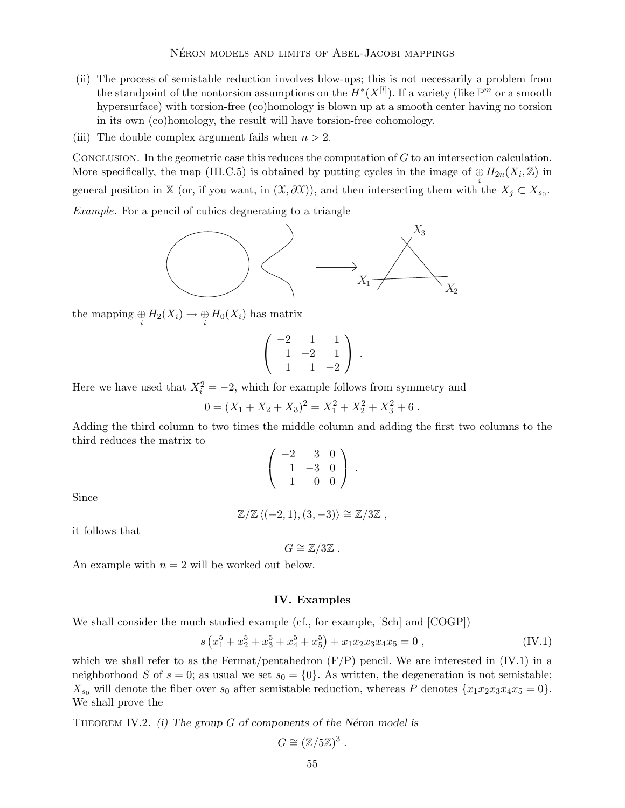- (ii) The process of semistable reduction involves blow-ups; this is not necessarily a problem from the standpoint of the nontorsion assumptions on the  $H^*(X^{[l]})$ . If a variety (like  $\mathbb{P}^m$  or a smooth hypersurface) with torsion-free (co)homology is blown up at a smooth center having no torsion in its own (co)homology, the result will have torsion-free cohomology.
- (iii) The double complex argument fails when  $n > 2$ .

CONCLUSION. In the geometric case this reduces the computation of  $G$  to an intersection calculation. More specifically, the map (III.C.5) is obtained by putting cycles in the image of  $\bigoplus_i H_{2n}(X_i, \mathbb{Z})$  in general position in X (or, if you want, in  $(\mathfrak{X}, \partial \mathfrak{X})$ ), and then intersecting them with the  $X_j \subset X_{s_0}$ . Example. For a pencil of cubics degnerating to a triangle



the mapping  $\underset{i}{\oplus} H_2(X_i) \to \underset{i}{\oplus} H_0(X_i)$  has matrix

$$
\left(\begin{array}{rrr}-2 & 1 & 1 \\ 1 & -2 & 1 \\ 1 & 1 & -2\end{array}\right) .
$$

Here we have used that  $X_i^2 = -2$ , which for example follows from symmetry and

$$
0 = (X_1 + X_2 + X_3)^2 = X_1^2 + X_2^2 + X_3^2 + 6.
$$

Adding the third column to two times the middle column and adding the first two columns to the third reduces the matrix to

$$
\left(\begin{array}{ccc}\n-2 & 3 & 0 \\
1 & -3 & 0 \\
1 & 0 & 0\n\end{array}\right).
$$

Since

$$
\mathbb{Z}/\mathbb{Z}\left\langle (-2,1),(3,-3)\right\rangle \cong \mathbb{Z}/3\mathbb{Z},
$$

it follows that

 $G \cong \mathbb{Z}/3\mathbb{Z}$ .

An example with  $n = 2$  will be worked out below.

#### IV. Examples

We shall consider the much studied example (cf., for example, [Sch] and [COGP])

$$
s\left(x_1^5 + x_2^5 + x_3^5 + x_4^5 + x_5^5\right) + x_1x_2x_3x_4x_5 = 0\,,\tag{IV.1}
$$

which we shall refer to as the Fermat/pentahedron  $(F/P)$  pencil. We are interested in  $(IV.1)$  in a neighborhood S of  $s = 0$ ; as usual we set  $s_0 = \{0\}$ . As written, the degeneration is not semistable;  $X_{s_0}$  will denote the fiber over  $s_0$  after semistable reduction, whereas P denotes  $\{x_1x_2x_3x_4x_5 = 0\}$ . We shall prove the

THEOREM IV.2. (i) The group  $G$  of components of the Néron model is

$$
G \cong (\mathbb{Z}/5\mathbb{Z})^3
$$

.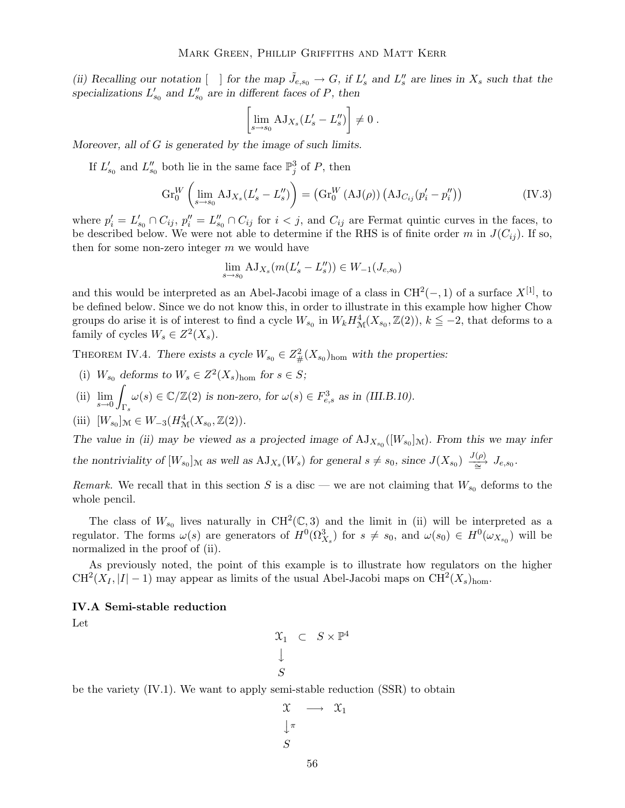(ii) Recalling our notation  $[ \ ]$  for the map  $\tilde{J}_{e,s_0} \to G$ , if  $L'_s$  and  $L''_s$  are lines in  $X_s$  such that the specializations  $L'_{s_0}$  and  $L''_{s_0}$  are in different faces of P, then

$$
\[\lim_{s \to s_0} AJ_{X_s}(L'_s - L''_s)\] \neq 0.
$$

Moreover, all of G is generated by the image of such limits.

If  $L'_{s_0}$  and  $L''_{s_0}$  both lie in the same face  $\mathbb{P}^3_j$  of P, then

$$
\operatorname{Gr}_{0}^{W}\left(\lim_{s\to s_{0}}\mathrm{AJ}_{X_{s}}(L'_{s}-L''_{s})\right)=\left(\operatorname{Gr}_{0}^{W}\left(\mathrm{AJ}(\rho)\right)\left(\mathrm{AJ}_{C_{ij}}(p'_{i}-p''_{i})\right)\right)
$$
(IV.3)

where  $p'_i = L'_{s_0} \cap C_{ij}$ ,  $p''_i = L''_{s_0} \cap C_{ij}$  for  $i < j$ , and  $C_{ij}$  are Fermat quintic curves in the faces, to be described below. We were not able to determine if the RHS is of finite order m in  $J(C_{ij})$ . If so, then for some non-zero integer  $m$  we would have

$$
\lim_{s \to s_0} AJ_{X_s}(m(L_s' - L_s'')) \in W_{-1}(J_{e,s_0})
$$

and this would be interpreted as an Abel-Jacobi image of a class in  $\text{CH}^2(-,1)$  of a surface  $X^{[1]}$ , to be defined below. Since we do not know this, in order to illustrate in this example how higher Chow groups do arise it is of interest to find a cycle  $W_{s_0}$  in  $W_k H^4_{\mathcal{M}}(X_{s_0}, \mathbb{Z}(2))$ ,  $k \leq -2$ , that deforms to a family of cycles  $W_s \in Z^2(X_s)$ .

THEOREM IV.4. There exists a cycle  $W_{s_0} \in Z^2_{\#}(X_{s_0})_{\text{hom}}$  with the properties:

- (i)  $W_{s_0}$  deforms to  $W_s \in Z^2(X_s)_{\text{hom}}$  for  $s \in S$ ;
- (ii) lim  $s\rightarrow 0$ Z  $\mathcal{L}_{\Gamma_s}(\omega(s) \in \mathbb{C}/\mathbb{Z}(2)$  is non-zero, for  $\omega(s) \in F_{e,s}^3$  as in (III.B.10).

(iii) 
$$
[W_{s_0}]_{\mathcal{M}} \in W_{-3}(H^4_{\mathcal{M}}(X_{s_0}, \mathbb{Z}(2)).
$$

The value in (ii) may be viewed as a projected image of  $AJ_{X_{s_0}}([W_{s_0}]_M)$ . From this we may infer the nontriviality of  $[W_{s_0}]_{\mathcal{M}}$  as well as  $\mathrm{AJ}_{X_s}(W_s)$  for general  $s \neq s_0$ , since  $J(X_{s_0}) \xrightarrow{\mathrm{J}(\rho)} J_{e,s_0}$ .

Remark. We recall that in this section S is a disc — we are not claiming that  $W_{s_0}$  deforms to the whole pencil.

The class of  $W_{s_0}$  lives naturally in  $\mathrm{CH}^2(\mathbb{C},3)$  and the limit in (ii) will be interpreted as a regulator. The forms  $\omega(s)$  are generators of  $H^0(\Omega^3_{X_s})$  for  $s \neq s_0$ , and  $\omega(s_0) \in H^0(\omega_{X_{s_0}})$  will be normalized in the proof of (ii).

As previously noted, the point of this example is to illustrate how regulators on the higher  $CH<sup>2</sup>(X<sub>I</sub>, |I| - 1)$  may appear as limits of the usual Abel-Jacobi maps on  $CH<sup>2</sup>(X<sub>s</sub>)<sub>hom</sub>$ .

## IV.A Semi-stable reduction

Let

$$
\begin{array}{ccc} \mathfrak{X}_1 & \subset & S \times \mathbb{P}^4 \\ \downarrow & & \\ S & & \end{array}
$$

be the variety (IV.1). We want to apply semi-stable reduction (SSR) to obtain

$$
\begin{array}{ccc}\n\mathfrak{X} & \longrightarrow & \mathfrak{X}_1 \\
\downarrow^{\pi} & & \\
S & & \n\end{array}
$$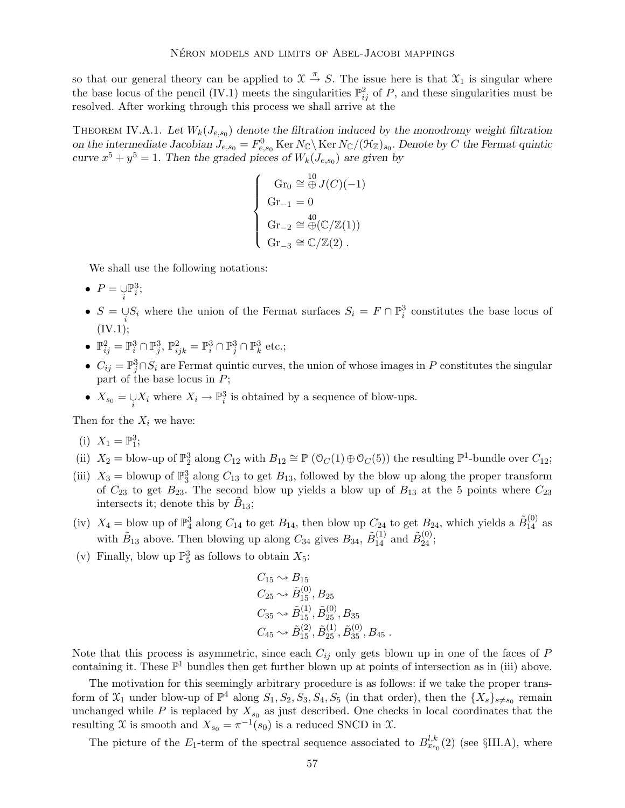so that our general theory can be applied to  $\mathfrak{X} \stackrel{\pi}{\rightarrow} S$ . The issue here is that  $\mathfrak{X}_1$  is singular where the base locus of the pencil (IV.1) meets the singularities  $\mathbb{P}^2_{ij}$  of P, and these singularities must be resolved. After working through this process we shall arrive at the

THEOREM IV.A.1. Let  $W_k(J_{e,s_0})$  denote the filtration induced by the monodromy weight filtration on the intermediate Jacobian  $J_{e,s_0} = F_{e,s_0}^0$  Ker  $N_{\mathbb{C}} \setminus \text{Ker } N_{\mathbb{C}} / (\mathcal{H}_{\mathbb{Z}})_{s_0}$ . Denote by C the Fermat quintic curve  $x^5 + y^5 = 1$ . Then the graded pieces of  $W_k(J_{e,s_0})$  are given by

$$
\begin{cases}\n\operatorname{Gr}_0 \cong \bigoplus^{10} J(C)(-1) \\
\operatorname{Gr}_{-1} = 0 \\
\operatorname{Gr}_{-2} \cong \bigoplus^{40} (\mathbb{C}/\mathbb{Z}(1)) \\
\operatorname{Gr}_{-3} \cong \mathbb{C}/\mathbb{Z}(2)\n\end{cases}
$$

We shall use the following notations:

- $P = \bigcup_i \mathbb{P}_i^3;$
- $S = \bigcup_i S_i$  where the union of the Fermat surfaces  $S_i = F \cap \mathbb{P}_i^3$  constitutes the base locus of  $(IV.1);$
- $\mathbb{P}_{ij}^2 = \mathbb{P}_i^3 \cap \mathbb{P}_j^3$ ,  $\mathbb{P}_{ijk}^2 = \mathbb{P}_i^3 \cap \mathbb{P}_j^3 \cap \mathbb{P}_k^3$  etc.;
- $C_{ij} = \mathbb{P}_j^3 \cap S_i$  are Fermat quintic curves, the union of whose images in P constitutes the singular part of the base locus in  $P$ ;
- $X_{s_0} = \bigcup_i X_i$  where  $X_i \to \mathbb{P}^3_i$  is obtained by a sequence of blow-ups.

Then for the  $X_i$  we have:

$$
(i) \ \ X_1 = \mathbb{P}_1^3;
$$

- (ii)  $X_2 = \text{blow-up of } \mathbb{P}_2^3 \text{ along } C_{12} \text{ with } B_{12} \cong \mathbb{P}(\mathbb{O}_C(1) \oplus \mathbb{O}_C(5)) \text{ the resulting } \mathbb{P}^1\text{-bundle over } C_{12};$
- (iii)  $X_3 =$  blowup of  $\mathbb{P}_3^3$  along  $C_{13}$  to get  $B_{13}$ , followed by the blow up along the proper transform of  $C_{23}$  to get  $B_{23}$ . The second blow up yields a blow up of  $B_{13}$  at the 5 points where  $C_{23}$ intersects it; denote this by  $\tilde{B}_{13}$ ;
- (iv)  $X_4 =$  blow up of  $\mathbb{P}_4^3$  along  $C_{14}$  to get  $B_{14}$ , then blow up  $C_{24}$  to get  $B_{24}$ , which yields a  $\tilde{B}_{14}^{(0)}$  as with  $\tilde{B}_{13}$  above. Then blowing up along  $C_{34}$  gives  $B_{34}$ ,  $\tilde{B}_{14}^{(1)}$  and  $\tilde{B}_{24}^{(0)}$ ;
- (v) Finally, blow up  $\mathbb{P}^3_5$  as follows to obtain  $X_5$ :

$$
C_{15} \sim B_{15}
$$
  
\n
$$
C_{25} \sim \tilde{B}_{15}^{(0)}, B_{25}
$$
  
\n
$$
C_{35} \sim \tilde{B}_{15}^{(1)}, \tilde{B}_{25}^{(0)}, B_{35}
$$
  
\n
$$
C_{45} \sim \tilde{B}_{15}^{(2)}, \tilde{B}_{25}^{(1)}, \tilde{B}_{35}^{(0)}, B_{45}
$$
.

Note that this process is asymmetric, since each  $C_{ij}$  only gets blown up in one of the faces of  $P$ containing it. These  $\mathbb{P}^1$  bundles then get further blown up at points of intersection as in (iii) above.

The motivation for this seemingly arbitrary procedure is as follows: if we take the proper transform of  $\mathfrak{X}_1$  under blow-up of  $\mathbb{P}^4$  along  $S_1, S_2, S_3, S_4, S_5$  (in that order), then the  $\{X_s\}_{s\neq s_0}$  remain unchanged while P is replaced by  $X_{s_0}$  as just described. One checks in local coordinates that the resulting X is smooth and  $X_{s_0} = \pi^{-1}(s_0)$  is a reduced SNCD in X.

The picture of the  $E_1$ -term of the spectral sequence associated to  $B_{x_{s_0}}^{l,k}(2)$  (see §III.A), where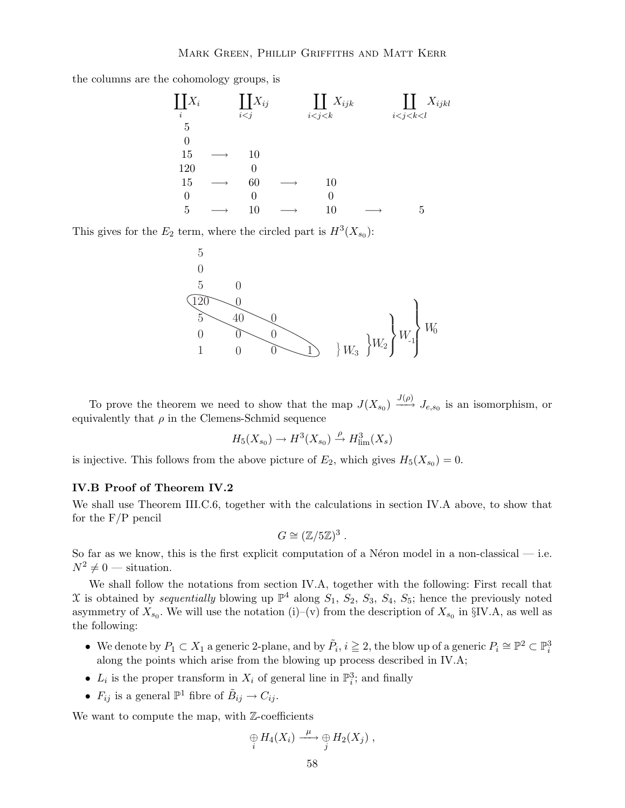the columns are the cohomology groups, is



This gives for the  $E_2$  term, where the circled part is  $H^3(X_{s_0})$ :



To prove the theorem we need to show that the map  $J(X_{s_0}) \xrightarrow{J(\rho)} J_{e,s_0}$  is an isomorphism, or equivalently that  $\rho$  in the Clemens-Schmid sequence

$$
H_5(X_{s_0}) \to H^3(X_{s_0}) \xrightarrow{\rho} H^3_{\text{lim}}(X_s)
$$

is injective. This follows from the above picture of  $E_2$ , which gives  $H_5(X_{s_0})=0$ .

# IV.B Proof of Theorem IV.2

We shall use Theorem III.C.6, together with the calculations in section IV.A above, to show that for the  $F/P$  pencil

$$
G \cong (\mathbb{Z}/5\mathbb{Z})^3.
$$

So far as we know, this is the first explicit computation of a Néron model in a non-classical  $-$  i.e.  $N^2 \neq 0$  — situation.

We shall follow the notations from section IV.A, together with the following: First recall that X is obtained by *sequentially* blowing up  $\mathbb{P}^4$  along  $S_1$ ,  $S_2$ ,  $S_3$ ,  $S_4$ ,  $S_5$ ; hence the previously noted asymmetry of  $X_{s_0}$ . We will use the notation (i)–(v) from the description of  $X_{s_0}$  in §IV.A, as well as the following:

- We denote by  $P_1 \subset X_1$  a generic 2-plane, and by  $\tilde{P}_i$ ,  $i \geq 2$ , the blow up of a generic  $P_i \cong \mathbb{P}^2 \subset \mathbb{P}^3_i$ along the points which arise from the blowing up process described in IV.A;
- $L_i$  is the proper transform in  $X_i$  of general line in  $\mathbb{P}^3_i$ ; and finally
- $F_{ij}$  is a general  $\mathbb{P}^1$  fibre of  $\tilde{B}_{ij} \to C_{ij}$ .

We want to compute the map, with  $\mathbb{Z}$ -coefficients

$$
\underset{i}{\oplus} H_4(X_i) \xrightarrow{\mu} \underset{j}{\oplus} H_2(X_j) ,
$$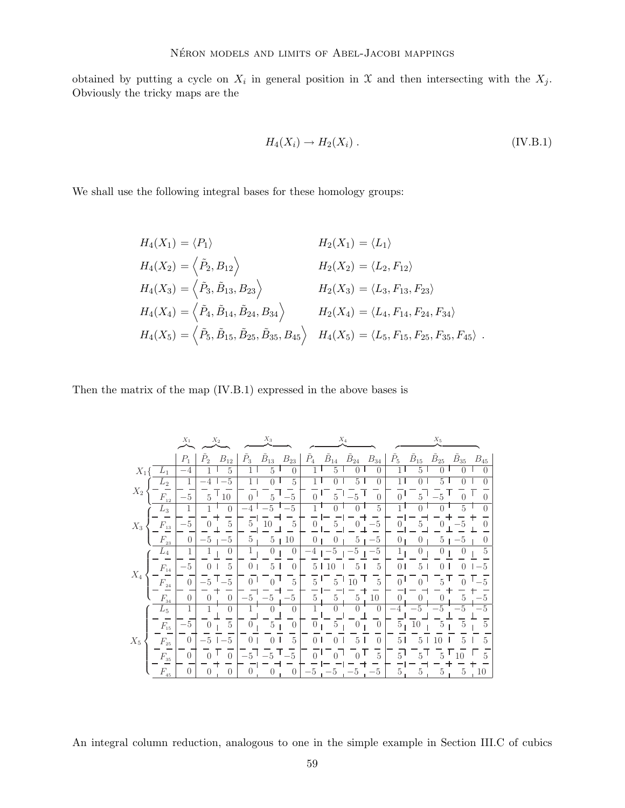obtained by putting a cycle on  $X_i$  in general position in X and then intersecting with the  $X_j$ . Obviously the tricky maps are the

$$
H_4(X_i) \to H_2(X_i) \tag{IV.B.1}
$$

We shall use the following integral bases for these homology groups:

$$
H_4(X_1) = \langle P_1 \rangle
$$
  
\n
$$
H_4(X_2) = \langle \tilde{P}_2, B_{12} \rangle
$$
  
\n
$$
H_4(X_3) = \langle \tilde{P}_3, \tilde{B}_{13}, B_{23} \rangle
$$
  
\n
$$
H_4(X_4) = \langle \tilde{P}_4, \tilde{B}_{14}, \tilde{B}_{24}, B_{34} \rangle
$$
  
\n
$$
H_4(X_5) = \langle \tilde{P}_5, \tilde{B}_{15}, \tilde{B}_{25}, \tilde{B}_{35}, B_{45} \rangle
$$
  
\n
$$
H_4(X_5) = \langle \tilde{P}_5, \tilde{B}_{15}, \tilde{B}_{25}, \tilde{B}_{35}, B_{45} \rangle
$$
  
\n
$$
H_4(X_5) = \langle L_5, F_{15}, F_{25}, F_{35}, F_{45} \rangle
$$

Then the matrix of the map (IV.B.1) expressed in the above bases is

|       |                              | $X_1$          |                  | $X_2$            |               | $X_3$            |                    | $X_4$          |                  |                  | $X_5$            |                  |                  |                  |                  |          |
|-------|------------------------------|----------------|------------------|------------------|---------------|------------------|--------------------|----------------|------------------|------------------|------------------|------------------|------------------|------------------|------------------|----------|
|       |                              | $P_1$          | $P_{2}$          | $B_{12}$         | $\tilde{P}_3$ | $\tilde{B}_{13}$ | $\mathcal{B}_{23}$ | $\tilde{P}_4$  | $\tilde{B}_{14}$ | $\tilde{B}_{24}$ | $B_{34}$         | $\tilde{P}_5$    | $\tilde{B}_{15}$ | $\tilde{B}_{25}$ | $\tilde{B}_{35}$ | $B_{45}$ |
| $X_1$ | $L_1$                        | $-4$           |                  | 5                |               | 5                |                    |                | 5                |                  | 0                |                  | 5                |                  |                  | $\Box$   |
| $X_2$ | $L_2$                        | 1              |                  | 5                |               |                  | 5                  |                |                  | 5                | $\Omega$         |                  |                  | 5                |                  |          |
|       | $F_{\scriptscriptstyle{12}}$ | $-5$           | 5                | 10               |               | 5                | $-5$               |                |                  |                  |                  |                  |                  |                  |                  |          |
| $X_3$ | $L_3$                        | 1              |                  | $\left($         |               | $-5$             | -5                 |                |                  |                  | 5                |                  |                  |                  |                  |          |
|       | $F_{13}$                     | -5             |                  | $\overline{5}$   | 5             | 10               | 5                  |                | 5                | $\left( \right)$ | -5               |                  | 5.               |                  |                  |          |
|       | $F_{23}$                     | $\theta$       | -5               | -5               | 5             | $5^{\circ}$      | 10                 | 0              | $\left( \right)$ | 5                | $-5$             | $\left( \right)$ | $\left( \right)$ | 5                | -5               |          |
|       | $L_4$                        | 1              | 1                | $\theta$         |               | $\theta$         | $\theta$           | $^{-4}$        | -5               | -5               | -5               | 1                | $\theta$         | $\theta$         | $\cup$           | 5        |
|       | $F_{14}$                     | $-5$           |                  | 5                |               | 5                | $\Omega$           | 5              |                  |                  | 5                |                  | 5                |                  |                  | 5        |
| $X_4$ | $F_{24}$                     | $\Omega$       |                  |                  |               |                  | 5                  | 5              |                  |                  | 5                |                  |                  |                  |                  | 5        |
|       | $F_{34}$                     | $\Omega$       |                  | $\left( \right)$ |               | -5               | -5                 | 5              | 5                | $\frac{5}{2}$    | 10               |                  |                  |                  |                  |          |
|       | $L_5$                        |                |                  | $\left( \right)$ |               |                  | $\theta$           |                |                  |                  | 0                |                  |                  |                  |                  |          |
| $X_5$ | $F_{15}$                     | $-5$           | $\left( \right)$ | 5                |               | 5                | $\theta$           | 0              | 5                | $\left( \right)$ | $\theta$         | 5                | 10               | 5                | 5                | 5        |
|       | $F_{25}$                     | $\theta$       | 5                | 5                |               |                  | 5                  | 0              |                  |                  | $\left( \right)$ | 5                |                  |                  |                  | 5        |
|       | $F_{35}$                     | $\theta$       |                  | $\Omega$         |               | $\overline{5}$   | $-5$               | 0 <sup>1</sup> |                  |                  | $\overline{5}$   | 5                |                  |                  |                  |          |
|       | $F_{\scriptscriptstyle 45}$  | $\overline{0}$ | $\cup$           | $\left( \right)$ |               |                  | $\left( \right)$   | ं              |                  | -b               | -5               | 5                | 5                | 5                | 5                | 10       |

An integral column reduction, analogous to one in the simple example in Section III.C of cubics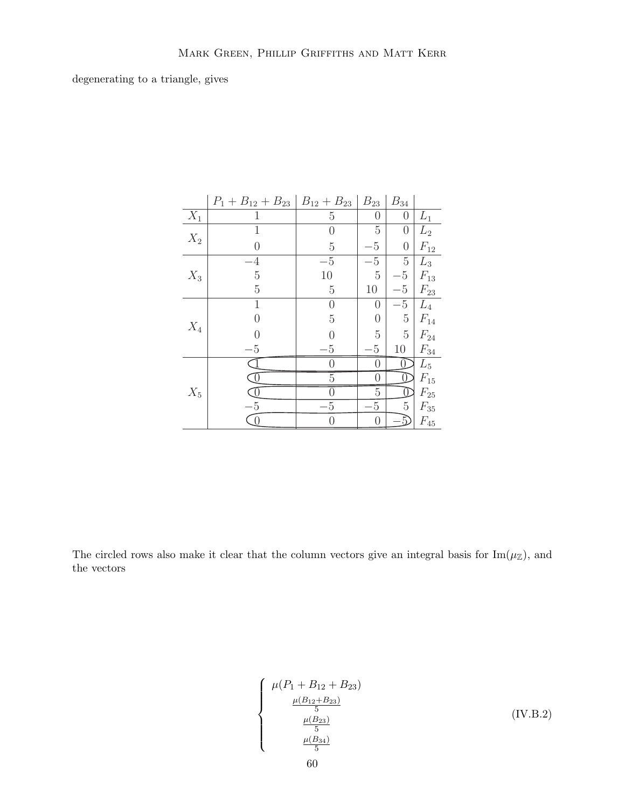degenerating to a triangle, gives

|                  | $P_1 + B_{12} + B_{23}$ | $B_{12} + B_{23}$ | $B_{23}$         | $B_{34}$         |                    |
|------------------|-------------------------|-------------------|------------------|------------------|--------------------|
| $\overline{X}_1$ | 1                       | $\mathbf 5$       | $\boldsymbol{0}$ | $\boldsymbol{0}$ | $L_1$              |
| $X_2$            | 1                       | 0                 | 5                | 0                | $L_2$              |
|                  | $\overline{0}$          | $\overline{5}$    | $\mathbf 5$      | $\overline{0}$   | $F_{12}$           |
|                  | $\overline{4}$          | $-5$              | $-5$             | $\overline{5}$   | $L_3$              |
| $X_3$            | $\overline{5}$          | $10\,$            | $\overline{5}$   | $\rm 5$          | $\mathcal{F}_{13}$ |
|                  | $\overline{5}$          | $\rm 5$           | 10               | $-5\phantom{.0}$ | $F_{23}$           |
|                  | 1                       | $\theta$          | $\left( \right)$ | $\overline{5}$   | $L_4$              |
| $\mathcal{X}_4$  | $\overline{0}$          | $\bf 5$           | $\boldsymbol{0}$ | $\overline{5}$   | $\mathcal{F}_{14}$ |
|                  | $\Omega$                | $\overline{0}$    | $\overline{5}$   | $\overline{5}$   | $\mathcal{F}_{24}$ |
|                  | $-5$                    | $\overline{5}$    | $\rm 5$          | 10               | $F_{34}$           |
|                  |                         | 0                 | $\boldsymbol{0}$ | 0                | $L_5$              |
|                  | $\mathbb{J}$            | $\overline{5}$    | $\boldsymbol{0}$ | Œ                | $\mathcal{F}_{15}$ |
| $X_5$            | $\overline{0}$          | 0                 | $\overline{5}$   | Œ                | $\mathcal{F}_{25}$ |
|                  | $-5$                    | -5                | $\overline{5}$   | $\rm 5$          | $\mathcal{F}_{35}$ |
|                  | $\overline{0}$          | $\theta$          | $\overline{0}$   | 5                | $F_{45}$           |

The circled rows also make it clear that the column vectors give an integral basis for  $\text{Im}(\mu_{\mathbb{Z}})$ , and the vectors

$$
\begin{cases}\n\mu(P_1 + B_{12} + B_{23}) \\
\frac{\mu(B_{12} + B_{23})}{5} \\
\frac{\mu(B_{23})}{5} \\
\frac{\mu(B_{34})}{5}\n\end{cases}
$$
\n(IV.B.2)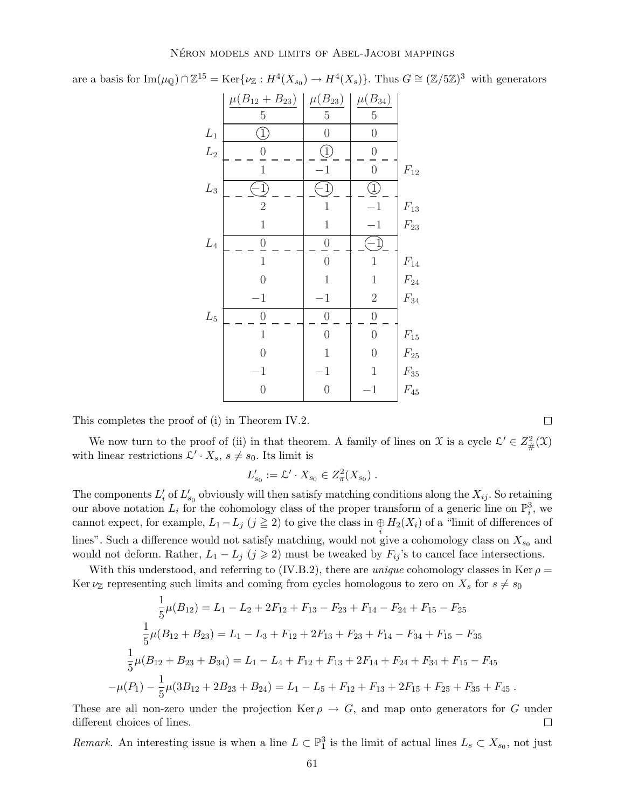are a basis for  $\text{Im}(\mu_{\mathbb{Q}}) \cap \mathbb{Z}^{15} = \text{Ker}\{\nu_{\mathbb{Z}} : H^4(X_{s_0}) \to H^4(X_s)\}.$  Thus  $G \cong (\mathbb{Z}/5\mathbb{Z})^3$  with generators

|                 | $\mu(B_{12}+B_{23})$ | $\mu(B_{23})$    | $\mu(B_{34})$    |                    |
|-----------------|----------------------|------------------|------------------|--------------------|
|                 | $\overline{5}$       | $\rm 5$          | $\rm 5$          |                    |
| $\mathcal{L}_1$ | $\bigcup$            | $\overline{0}$   | $\boldsymbol{0}$ |                    |
| $\mathcal{L}_2$ | $\boldsymbol{0}$     | I                | $\boldsymbol{0}$ |                    |
|                 | $\mathbf{1}$         | $-1$             | $\overline{0}$   | $\mathcal{F}_{12}$ |
| ${\cal L}_3$    | $\hat{1}$            | $\frac{1}{2}$    | I                |                    |
|                 | $\overline{2}$       | $\mathbf{1}$     | $-1$             | $\mathcal{F}_{13}$ |
|                 | $\mathbf 1$          | $\mathbf 1$      | $^{-1}$          | $\mathcal{F}_{23}$ |
| $\mathcal{L}_4$ | $\boldsymbol{0}$     | $\theta$         | $(-1)$           |                    |
|                 | $\mathbf{1}$         | $\overline{0}$   | $\,1$            | $\mathcal{F}_{14}$ |
|                 | $\overline{0}$       | $\mathbf{1}$     | $\mathbf 1$      | $\mathcal{F}_{24}$ |
|                 | $-1$                 | $^{-1}$          | $\overline{2}$   | $\mathcal{F}_{34}$ |
| $\mathcal{L}_5$ | $\theta$             | $\boldsymbol{0}$ | $\boldsymbol{0}$ |                    |
|                 | $\mathbf{1}$         | $\overline{0}$   | $\overline{0}$   | $\mathcal{F}_{15}$ |
|                 | $\overline{0}$       | $\mathbf{1}$     | $\overline{0}$   | $\mathcal{F}_{25}$ |
|                 | $\mathbf 1$          | $\mathbf 1$      | $\mathbf 1$      | $\mathcal{F}_{35}$ |
|                 | $\overline{0}$       | $\overline{0}$   | $-1$             | $\mathcal{F}_{45}$ |

This completes the proof of (i) in Theorem IV.2.

We now turn to the proof of (ii) in that theorem. A family of lines on X is a cycle  $\mathcal{L}' \in Z^2_{\#}(\mathcal{X})$ with linear restrictions  $\mathcal{L}' \cdot X_s$ ,  $s \neq s_0$ . Its limit is

$$
L'_{s_0} := \mathcal{L}' \cdot X_{s_0} \in Z^2_{\pi}(X_{s_0}) .
$$

The components  $L'_i$  of  $L'_{s_0}$  obviously will then satisfy matching conditions along the  $X_{ij}$ . So retaining our above notation  $L_i$  for the cohomology class of the proper transform of a generic line on  $\mathbb{P}_i^3$ , we cannot expect, for example,  $L_1 - L_j$  ( $j \ge 2$ ) to give the class in  $\bigoplus_i H_2(X_i)$  of a "limit of differences of lines". Such a difference would not satisfy matching, would not give a cohomology class on  $X_{s_0}$  and would not deform. Rather,  $L_1 - L_j$  ( $j \geq 2$ ) must be tweaked by  $F_{ij}$ 's to cancel face intersections.

With this understood, and referring to (IV.B.2), there are *unique* cohomology classes in Ker  $\rho$  = Ker  $\nu_{\mathbb{Z}}$  representing such limits and coming from cycles homologous to zero on  $X_s$  for  $s \neq s_0$ 

$$
\frac{1}{5}\mu(B_{12}) = L_1 - L_2 + 2F_{12} + F_{13} - F_{23} + F_{14} - F_{24} + F_{15} - F_{25}
$$
\n
$$
\frac{1}{5}\mu(B_{12} + B_{23}) = L_1 - L_3 + F_{12} + 2F_{13} + F_{23} + F_{14} - F_{34} + F_{15} - F_{35}
$$
\n
$$
\frac{1}{5}\mu(B_{12} + B_{23} + B_{34}) = L_1 - L_4 + F_{12} + F_{13} + 2F_{14} + F_{24} + F_{34} + F_{15} - F_{45}
$$
\n
$$
-\mu(P_1) - \frac{1}{5}\mu(3B_{12} + 2B_{23} + B_{24}) = L_1 - L_5 + F_{12} + F_{13} + 2F_{15} + F_{25} + F_{35} + F_{45}.
$$

These are all non-zero under the projection Ker  $\rho \to G$ , and map onto generators for G under different choices of lines. different choices of lines.

*Remark.* An interesting issue is when a line  $L \subset \mathbb{P}^3_1$  is the limit of actual lines  $L_s \subset X_{s_0}$ , not just

 $\Box$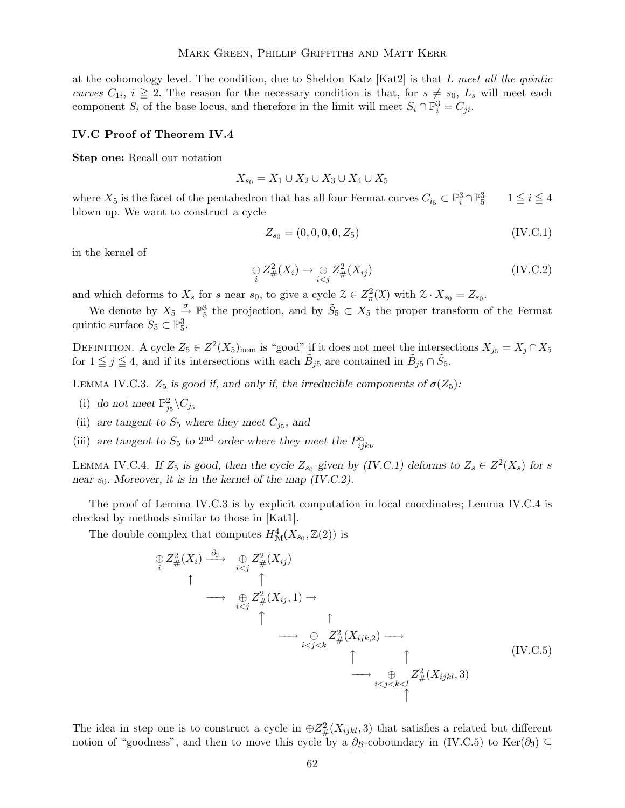at the cohomology level. The condition, due to Sheldon Katz [Kat2] is that  $L$  meet all the quintic curves  $C_{1i}$ ,  $i \geq 2$ . The reason for the necessary condition is that, for  $s \neq s_0$ ,  $L_s$  will meet each component  $S_i$  of the base locus, and therefore in the limit will meet  $S_i \cap \mathbb{P}_i^3 = C_{ji}$ .

## IV.C Proof of Theorem IV.4

Step one: Recall our notation

$$
X_{s_0}=X_1\cup X_2\cup X_3\cup X_4\cup X_5
$$

where  $X_5$  is the facet of the pentahedron that has all four Fermat curves  $C_{i_5} \subset \mathbb{P}_i^3 \cap \mathbb{P}_5^3$  $1 \leq i \leq 4$ blown up. We want to construct a cycle

$$
Z_{s_0} = (0, 0, 0, 0, Z_5) \tag{IV.C.1}
$$

in the kernel of

$$
\underset{i}{\oplus} Z_{\#}^2(X_i) \to \underset{i < j}{\oplus} Z_{\#}^2(X_{ij}) \tag{IV.C.2}
$$

and which deforms to  $X_s$  for s near  $s_0$ , to give a cycle  $\mathcal{Z} \in Z^2_{\pi}(\mathcal{X})$  with  $\mathcal{Z} \cdot X_{s_0} = Z_{s_0}$ .

We denote by  $X_5 \overset{\sigma}{\rightarrow} \mathbb{P}_5^3$  the projection, and by  $\tilde{S}_5 \subset X_5$  the proper transform of the Fermat quintic surface  $S_5 \subset \mathbb{P}_5^3$ .

DEFINITION. A cycle  $Z_5 \in Z^2(X_5)_{\text{hom}}$  is "good" if it does not meet the intersections  $X_{j_5} = X_j \cap X_5$ for  $1 \leq j \leq 4$ , and if its intersections with each  $\tilde{B}_{j5}$  are contained in  $\tilde{B}_{j5} \cap \tilde{S}_5$ .

LEMMA IV.C.3.  $Z_5$  is good if, and only if, the irreducible components of  $\sigma(Z_5)$ :

- (i) do not meet  $\mathbb{P}^2_{j_5} \backslash C_{j_5}$
- (ii) are tangent to  $S_5$  where they meet  $C_{j_5}$ , and
- (iii) are tangent to  $S_5$  to 2<sup>nd</sup> order where they meet the  $P_{ijk\nu}^{\alpha}$

LEMMA IV.C.4. If  $Z_5$  is good, then the cycle  $Z_{s_0}$  given by (IV.C.1) deforms to  $Z_s \in Z^2(X_s)$  for s near  $s_0$ . Moreover, it is in the kernel of the map (IV.C.2).

The proof of Lemma IV.C.3 is by explicit computation in local coordinates; Lemma IV.C.4 is checked by methods similar to those in [Kat1].

The double complex that computes  $H^4_{\mathcal{M}}(X_{s_0}, \mathbb{Z}(2))$  is

$$
\begin{array}{cccc}\n\oplus Z_{\#}^{2}(X_{i}) & \xrightarrow{\partial_{\mathcal{I}}} & \oplus Z_{\#}^{2}(X_{ij}) \\
\uparrow & \uparrow & \uparrow \\
& \longrightarrow & \oplus Z_{\#}^{2}(X_{ij}, 1) & \longrightarrow \\
& & \uparrow & \uparrow \\
& & \longrightarrow & \oplus Z_{\#}^{2}(X_{ijk, 2}) & \longrightarrow \\
& & & \downarrow \\
& & & \downarrow \\
& & & & \downarrow \\
& & & & \downarrow\n\end{array}
$$
\n(IV.C.5)\n
$$
\begin{array}{cccc}\n\uparrow & & & & \\
& & \uparrow & & & \\
& & & \downarrow & & \uparrow \\
& & & & \downarrow & & \downarrow \\
& & & & & \downarrow \\
& & & & & \downarrow \\
& & & & & \downarrow \\
& & & & & \downarrow \\
& & & & & \downarrow \\
& & & & & \downarrow\n\end{array}
$$

The idea in step one is to construct a cycle in  $\oplus Z_{\#}^2(X_{ijkl},3)$  that satisfies a related but different notion of "goodness", and then to move this cycle by a  $\partial g$ -coboundary in (IV.C.5) to Ker( $\partial_0$ ) ⊆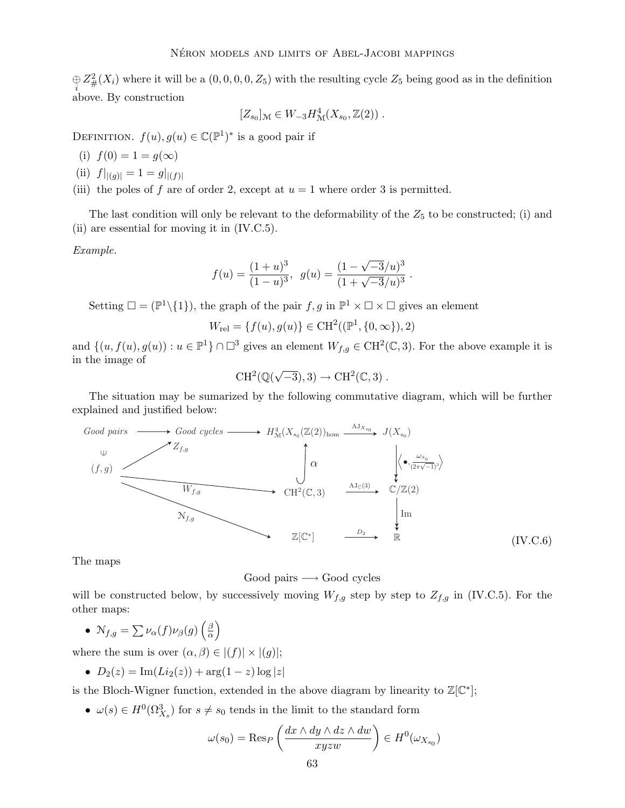$\bigoplus_i Z^2_{\#}(X_i)$  where it will be a  $(0,0,0,0,Z_5)$  with the resulting cycle  $Z_5$  being good as in the definition above. By construction

$$
[Z_{s_0}]_{\mathcal{M}} \in W_{-3}H^4_{\mathcal{M}}(X_{s_0},\mathbb{Z}(2)) .
$$

DEFINITION.  $f(u), g(u) \in \mathbb{C}(\mathbb{P}^1)^*$  is a good pair if

- (i)  $f(0) = 1 = g(\infty)$
- (ii)  $f|_{|(g)|} = 1 = g|_{|(f)|}$
- (iii) the poles of f are of order 2, except at  $u = 1$  where order 3 is permitted.

The last condition will only be relevant to the deformability of the  $Z_5$  to be constructed; (i) and (ii) are essential for moving it in (IV.C.5).

Example.

$$
f(u) = \frac{(1+u)^3}{(1-u)^3}, \ \ g(u) = \frac{(1-\sqrt{-3}/u)^3}{(1+\sqrt{-3}/u)^3}
$$

.

Setting  $\square = (\mathbb{P}^1 \setminus \{1\})$ , the graph of the pair  $f, g$  in  $\mathbb{P}^1 \times \square \times \square$  gives an element

$$
W_{\text{rel}} = \{f(u), g(u)\} \in \text{CH}^2((\mathbb{P}^1, \{0, \infty\}), 2)
$$

and  $\{(u, f(u), g(u)) : u \in \mathbb{P}^1\} \cap \Box^3$  gives an element  $W_{f,g} \in \mathrm{CH}^2(\mathbb{C},3)$ . For the above example it is in the image of

$$
\operatorname{CH}^2(\mathbb{Q}(\sqrt{-3}),3)\to \operatorname{CH}^2(\mathbb{C},3) \;.
$$

The situation may be sumarized by the following commutative diagram, which will be further explained and justified below:



The maps

### Good pairs  $\longrightarrow$  Good cycles

will be constructed below, by successively moving  $W_{f,g}$  step by step to  $Z_{f,g}$  in (IV.C.5). For the other maps:

•  $\mathcal{N}_{f,g} = \sum \nu_{\alpha}(f) \nu_{\beta}(g) \left(\frac{\beta}{\alpha}\right)$ α  $\overline{ }$ 

where the sum is over  $(\alpha, \beta) \in |(f)| \times |(g)|$ ;

• 
$$
D_2(z) = \text{Im}(Li_2(z)) + \arg(1 - z) \log |z|
$$

is the Bloch-Wigner function, extended in the above diagram by linearity to  $\mathbb{Z}[\mathbb{C}^*];$ 

•  $\omega(s) \in H^0(\Omega^3_{X_s})$  for  $s \neq s_0$  tends in the limit to the standard form

$$
\omega(s_0) = \text{Res}_P\left(\frac{dx \wedge dy \wedge dz \wedge dw}{xyzw}\right) \in H^0(\omega_{X_{s_0}})
$$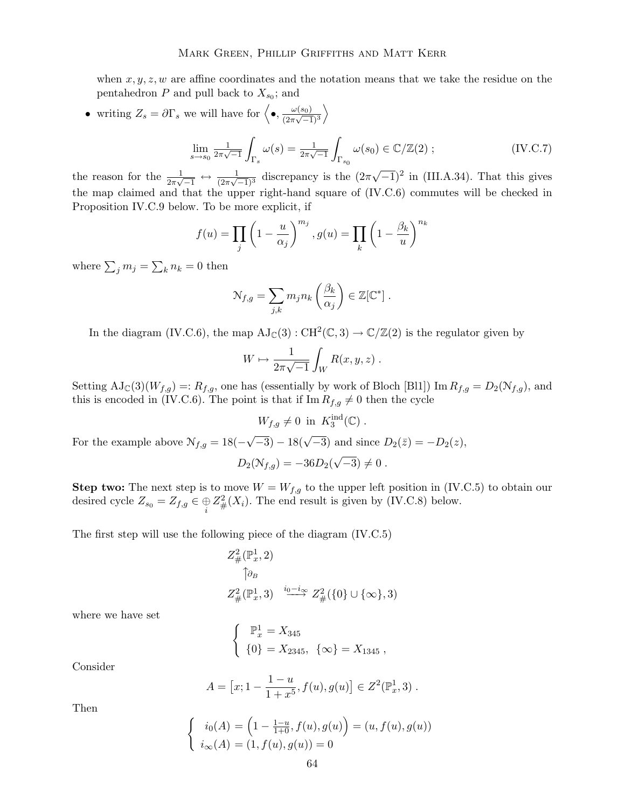when  $x, y, z, w$  are affine coordinates and the notation means that we take the residue on the pentahedron  $P$  and pull back to  $X_{s_0}$ ; and

• writing  $Z_s = \partial \Gamma_s$  we will have for  $\left\langle \bullet, \frac{\omega(s_0)}{(2\pi\sqrt{-1}} \right\rangle$  $\frac{1}{(2\pi\sqrt{-1})^3}$  $\setminus$ 

$$
\lim_{s \to s_0} \frac{1}{2\pi\sqrt{-1}} \int_{\Gamma_s} \omega(s) = \frac{1}{2\pi\sqrt{-1}} \int_{\Gamma_{s_0}} \omega(s_0) \in \mathbb{C}/\mathbb{Z}(2) ;
$$
 (IV.C.7)

the reason for the  $\frac{1}{2\pi\sqrt{-1}} \leftrightarrow \frac{1}{(2\pi\sqrt{-1})^3}$  discrepancy is the  $(2\pi\sqrt{-1})^2$  in (III.A.34). That this gives the map claimed and that the upper right-hand square of (IV.C.6) commutes will be checked in Proposition IV.C.9 below. To be more explicit, if

$$
f(u) = \prod_{j} \left(1 - \frac{u}{\alpha_j}\right)^{m_j}, g(u) = \prod_{k} \left(1 - \frac{\beta_k}{u}\right)^{n_k}
$$

where  $\sum_j m_j = \sum_k n_k = 0$  then

$$
\mathcal{N}_{f,g} = \sum_{j,k} m_j n_k \left( \frac{\beta_k}{\alpha_j} \right) \in \mathbb{Z}[\mathbb{C}^*].
$$

In the diagram (IV.C.6), the map  $AJ_{\mathbb{C}}(3) : CH^2(\mathbb{C}, 3) \to \mathbb{C}/\mathbb{Z}(2)$  is the regulator given by

$$
W \mapsto \frac{1}{2\pi\sqrt{-1}} \int_W R(x, y, z) .
$$

Setting  $AJ_{\mathbb{C}}(3)(W_{f,g}) =: R_{f,g}$ , one has (essentially by work of Bloch [Bl1]) Im  $R_{f,g} = D_2(N_{f,g})$ , and this is encoded in (IV.C.6). The point is that if Im  $R_{f,g} \neq 0$  then the cycle

 $W_{f,g} \neq 0$  in  $K_3^{\text{ind}}(\mathbb{C})$ .

For the example above  $\mathcal{N}_{f,g} = 18(-\sqrt{-3}) - 18(\sqrt{-3})$  and since  $D_2(\bar{z}) = -D_2(z)$ ,

 $D_2(\mathcal{N}_{f,g}) = -36D_2(\sqrt{-3}) \neq 0.$ 

**Step two:** The next step is to move  $W = W_{f,g}$  to the upper left position in (IV.C.5) to obtain our desired cycle  $Z_{s_0} = Z_{f,g} \in \bigoplus_i Z^2_{\#}(X_i)$ . The end result is given by (IV.C.8) below.

The first step will use the following piece of the diagram (IV.C.5)

$$
Z_{\#}^{2}(\mathbb{P}_{x}^{1}, 2)
$$
  
\n
$$
\uparrow \partial_{B}
$$
  
\n
$$
Z_{\#}^{2}(\mathbb{P}_{x}^{1}, 3) \xrightarrow{i_{0}-i_{\infty}} Z_{\#}^{2}(\{0\} \cup \{\infty\}, 3)
$$

where we have set

$$
\begin{cases}\n\mathbb{P}_x^1 = X_{345} \\
\{0\} = X_{2345}, \ \{\infty\} = X_{1345}\n\end{cases}
$$

Consider

$$
A = [x; 1 - \frac{1 - u}{1 + x^5}, f(u), g(u)] \in Z^2(\mathbb{P}^1_x, 3) .
$$

Then

$$
\begin{cases}\ni_0(A) = \left(1 - \frac{1-u}{1+0}, f(u), g(u)\right) = (u, f(u), g(u)) \\
i_{\infty}(A) = (1, f(u), g(u)) = 0\n\end{cases}
$$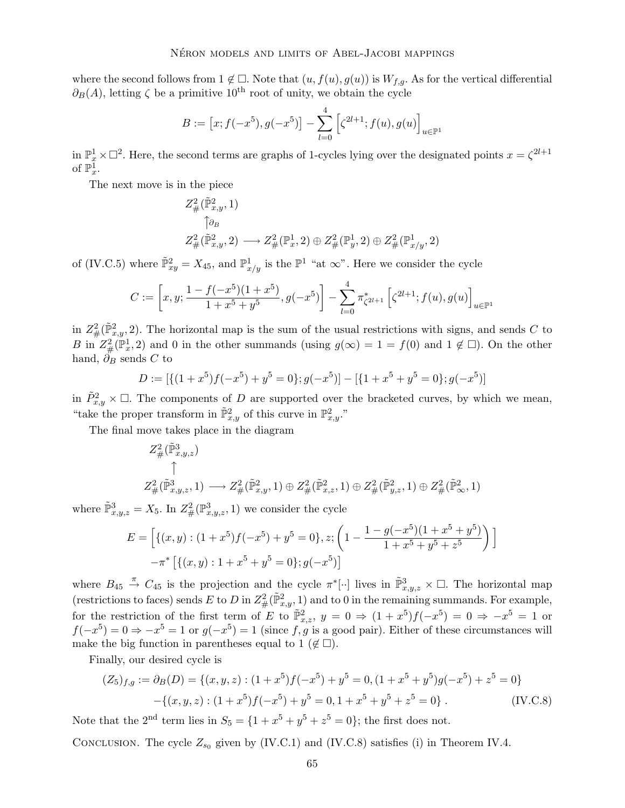where the second follows from  $1 \notin \square$ . Note that  $(u, f(u), g(u))$  is  $W_{f,q}$ . As for the vertical differential  $\partial_B(A)$ , letting  $\zeta$  be a primitive 10<sup>th</sup> root of unity, we obtain the cycle

$$
B := [x; f(-x^5), g(-x^5)] - \sum_{l=0}^{4} \left[ \zeta^{2l+1}; f(u), g(u) \right]_{u \in \mathbb{P}^1}
$$

in  $\mathbb{P}_x^1 \times \mathbb{C}^2$ . Here, the second terms are graphs of 1-cycles lying over the designated points  $x = \zeta^{2l+1}$ of  $\mathbb{P}^1_x$ .

The next move is in the piece

$$
\begin{aligned} Z^2_\#(\tilde{\mathbb{P}}^2_{x,y},1) \\ \uparrow \partial_B \\ Z^2_\#(\tilde{\mathbb{P}}^2_{x,y},2) &\longrightarrow Z^2_\#(\mathbb{P}^1_x,2) \oplus Z^2_\#(\mathbb{P}^1_y,2) \oplus Z^2_\#(\mathbb{P}^1_{x/y},2) \end{aligned}
$$

of (IV.C.5) where  $\tilde{\mathbb{P}}_{xy}^2 = X_{45}$ , and  $\mathbb{P}_{x/y}^1$  is the  $\mathbb{P}^1$  "at  $\infty$ ". Here we consider the cycle

$$
C := \left[ x, y; \frac{1 - f(-x^5)(1 + x^5)}{1 + x^5 + y^5}, g(-x^5) \right] - \sum_{l=0}^4 \pi_{\zeta^{2l+1}}^* \left[ \zeta^{2l+1}; f(u), g(u) \right]_{u \in \mathbb{P}^1}
$$

in  $Z^2_{\#}(\tilde{\mathbb{P}}^2_{x,y}, 2)$ . The horizontal map is the sum of the usual restrictions with signs, and sends C to B in  $Z_{\#}^2(\mathbb{P}_x^1,2)$  and 0 in the other summands (using  $g(\infty) = 1 = f(0)$  and  $1 \notin \Box$ ). On the other hand,  $\partial_B$  sends C to

$$
D := [\{(1+x^5)f(-x^5) + y^5 = 0\}; g(-x^5)] - [\{1+x^5 + y^5 = 0\}; g(-x^5)]
$$

in  $\tilde{P}_{x,y}^2 \times \square$ . The components of D are supported over the bracketed curves, by which we mean, "take the proper transform in  $\tilde{\mathbb{P}}_{x,y}^2$  of this curve in  $\mathbb{P}_{x,y}^2$ ."

The final move takes place in the diagram

$$
\begin{aligned} Z^2_{\#}(\tilde{\mathbb{P}}^3_{x,y,z}) \\ \uparrow \\ Z^2_{\#}(\tilde{\mathbb{P}}^3_{x,y,z},1) &\longrightarrow Z^2_{\#}(\tilde{\mathbb{P}}^2_{x,y},1) \oplus Z^2_{\#}(\tilde{\mathbb{P}}^2_{x,z},1) \oplus Z^2_{\#}(\tilde{\mathbb{P}}^2_{y,z},1) \oplus Z^2_{\#}(\tilde{\mathbb{P}}^2_{\infty},1) \end{aligned}
$$

where  $\tilde{\mathbb{P}}_{x,y,z}^3 = X_5$ . In  $Z^2_{\#}(\mathbb{P}^3_{x,y,z}, 1)$  we consider the cycle

$$
E = \left[ \{ (x, y) : (1 + x^5) f(-x^5) + y^5 = 0 \}, z; \left( 1 - \frac{1 - g(-x^5)(1 + x^5 + y^5)}{1 + x^5 + y^5 + z^5} \right) \right]
$$
  

$$
-\pi^* \left[ \{ (x, y) : 1 + x^5 + y^5 = 0 \}; g(-x^5) \right]
$$

where  $B_{45} \stackrel{\pi}{\rightarrow} C_{45}$  is the projection and the cycle  $\pi^*[\cdot]$  lives in  $\tilde{\mathbb{P}}_{x,y,z}^3 \times \square$ . The horizontal map (restrictions to faces) sends E to D in  $Z^2_{\#}(\tilde{\mathbb{P}}^2_{x,y}, 1)$  and to 0 in the remaining summands. For example, for the restriction of the first term of E to  $\tilde{\mathbb{P}}_{x,z}^2$ ,  $y = 0 \Rightarrow (1+x^5)f(-x^5) = 0 \Rightarrow -x^5 = 1$  or  $f(-x^5) = 0 \Rightarrow -x^5 = 1$  or  $g(-x^5) = 1$  (since f, g is a good pair). Either of these circumstances will make the big function in parentheses equal to 1 ( $\notin \Box$ ).

Finally, our desired cycle is

$$
(Z_5)_{f,g} := \partial_B(D) = \{(x, y, z) : (1 + x^5)f(-x^5) + y^5 = 0, (1 + x^5 + y^5)g(-x^5) + z^5 = 0\}
$$

$$
-\{(x, y, z) : (1 + x^5)f(-x^5) + y^5 = 0, 1 + x^5 + y^5 + z^5 = 0\}.
$$
 (IV.C.8)

Note that the 2<sup>nd</sup> term lies in  $S_5 = \{1 + x^5 + y^5 + z^5 = 0\}$ ; the first does not.

CONCLUSION. The cycle  $Z_{s_0}$  given by (IV.C.1) and (IV.C.8) satisfies (i) in Theorem IV.4.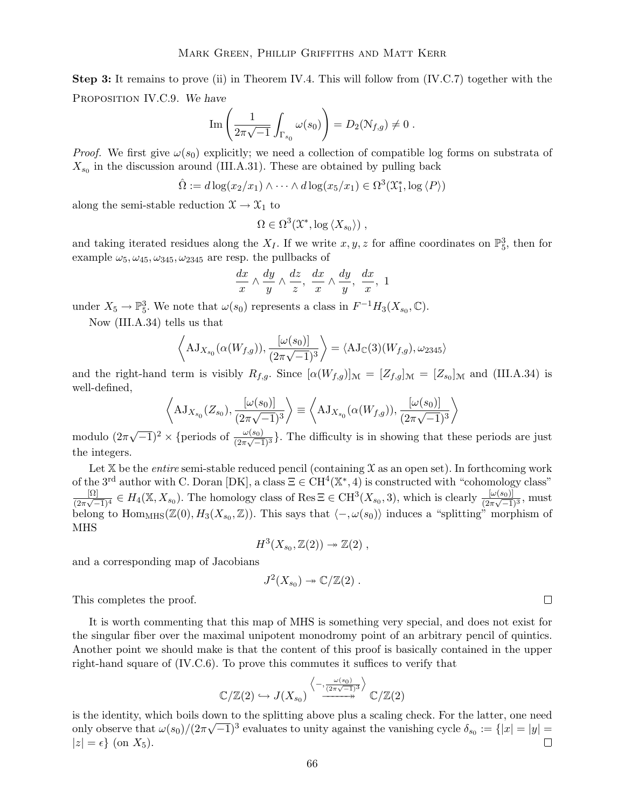Step 3: It remains to prove (ii) in Theorem IV.4. This will follow from (IV.C.7) together with the PROPOSITION IV.C.9. We have

$$
\operatorname{Im}\left(\frac{1}{2\pi\sqrt{-1}}\int_{\Gamma_{s_0}}\omega(s_0)\right) = D_2(\mathcal{N}_{f,g}) \neq 0.
$$

*Proof.* We first give  $\omega(s_0)$  explicitly; we need a collection of compatible log forms on substrata of  $X_{s_0}$  in the discussion around (III.A.31). These are obtained by pulling back

$$
\hat{\Omega} := d \log(x_2/x_1) \wedge \cdots \wedge d \log(x_5/x_1) \in \Omega^3(\mathfrak{X}_1^*, \log \langle P \rangle)
$$

along the semi-stable reduction  $\mathfrak{X} \to \mathfrak{X}_1$  to

$$
\Omega \in \Omega^3(\mathfrak{X}^*, \log \langle X_{s_0} \rangle) ,
$$

and taking iterated residues along the  $X_I$ . If we write  $x, y, z$  for affine coordinates on  $\mathbb{P}^3_5$ , then for example  $\omega_5, \omega_{45}, \omega_{345}, \omega_{2345}$  are resp. the pullbacks of

$$
\frac{dx}{x} \wedge \frac{dy}{y} \wedge \frac{dz}{z}, \frac{dx}{x} \wedge \frac{dy}{y}, \frac{dx}{x}, 1
$$

under  $X_5 \to \mathbb{P}_5^3$ . We note that  $\omega(s_0)$  represents a class in  $F^{-1}H_3(X_{s_0}, \mathbb{C})$ .

Now (III.A.34) tells us that

$$
\left\langle \mathrm{AJ}_{X_{s_0}}(\alpha(W_{f,g})), \frac{[\omega(s_0)]}{(2\pi\sqrt{-1})^3} \right\rangle = \left\langle \mathrm{AJ}_{\mathbb{C}}(3)(W_{f,g}), \omega_{2345} \right\rangle
$$

and the right-hand term is visibly  $R_{f,g}$ . Since  $[\alpha(W_{f,g})]_{\mathcal{M}} = [Z_{f,g}]_{\mathcal{M}} = [Z_{s_0}]_{\mathcal{M}}$  and (III.A.34) is well-defined,

$$
\left\langle \mathrm{AJ}_{X_{s_0}}(Z_{s_0}), \frac{[\omega(s_0)]}{(2\pi\sqrt{-1})^3} \right\rangle \equiv \left\langle \mathrm{AJ}_{X_{s_0}}(\alpha(W_{f,g})), \frac{[\omega(s_0)]}{(2\pi\sqrt{-1})^3} \right\rangle
$$

modulo  $(2\pi\sqrt{-1})^2 \times {\text{periods of } \frac{\omega(s_0)}{(2\pi\sqrt{-1})^3}}$ . The difficulty is in showing that these periods are just the integers.

Let  $X$  be the *entire* semi-stable reduced pencil (containing  $X$  as an open set). In forthcoming work of the 3<sup>rd</sup> author with C. Doran [DK], a class  $\Xi \in \text{CH}^4(\mathbb{X}^*, 4)$  is constructed with "cohomology class" [Ω]  $\frac{[\Omega]}{(2\pi\sqrt{-1})^4} \in H_4(\mathbb{X}, X_{s_0})$ . The homology class of Res  $\Xi \in \mathrm{CH}^3(X_{s_0}, 3)$ , which is clearly  $\frac{[\omega(s_0)]}{(2\pi\sqrt{-1})^3}$ , must belong to  $\text{Hom}_{\text{MHS}}(\mathbb{Z}(0), H_3(X_{s_0}, \mathbb{Z}))$ . This says that  $\langle -, \omega(s_0) \rangle$  induces a "splitting" morphism of MHS

 $H^3(X_{s_0}, \mathbb{Z}(2)) \twoheadrightarrow \mathbb{Z}(2)$ ,

and a corresponding map of Jacobians

$$
J^2(X_{s_0})\twoheadrightarrow \mathbb{C}/\mathbb{Z}(2) .
$$

This completes the proof.

It is worth commenting that this map of MHS is something very special, and does not exist for the singular fiber over the maximal unipotent monodromy point of an arbitrary pencil of quintics. Another point we should make is that the content of this proof is basically contained in the upper right-hand square of (IV.C.6). To prove this commutes it suffices to verify that

$$
\mathbb{C}/\mathbb{Z}(2) \hookrightarrow J(X_{s_0}) \xrightarrow{\langle -,\frac{\omega(s_0)}{(2\pi\sqrt{-1})^3} \rangle} \mathbb{C}/\mathbb{Z}(2)
$$

is the identity, which boils down to the splitting above plus a scaling check. For the latter, one need only observe that  $\omega(s_0)/(2\pi\sqrt{-1})^3$  evaluates to unity against the vanishing cycle  $\delta_{s_0} := \{|x| = |y| =$  $|z| = \epsilon$  (on  $X_5$ ).

 $\Box$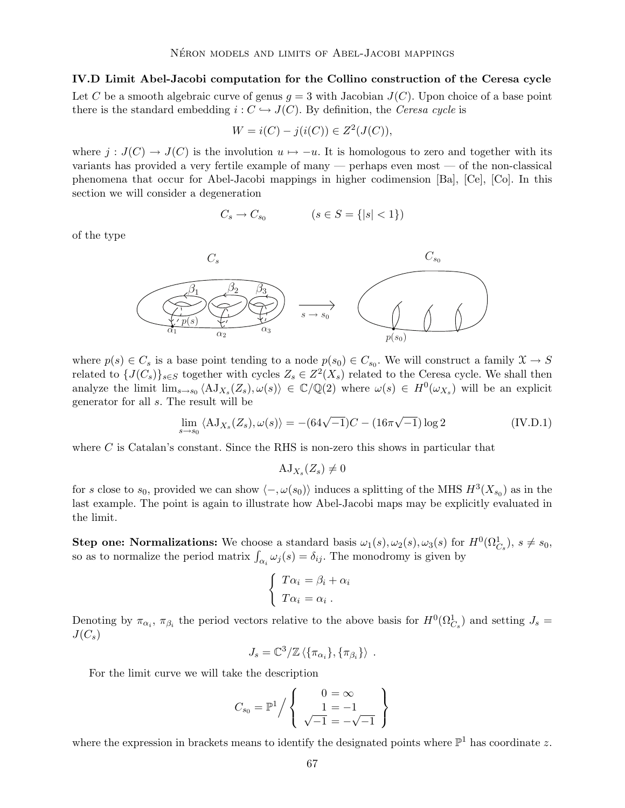IV.D Limit Abel-Jacobi computation for the Collino construction of the Ceresa cycle Let C be a smooth algebraic curve of genus  $g = 3$  with Jacobian  $J(C)$ . Upon choice of a base point there is the standard embedding  $i: C \hookrightarrow J(C)$ . By definition, the *Ceresa cycle* is

$$
W = i(C) - j(i(C)) \in Z^2(J(C)),
$$

where  $j : J(C) \to J(C)$  is the involution  $u \mapsto -u$ . It is homologous to zero and together with its variants has provided a very fertile example of many — perhaps even most — of the non-classical phenomena that occur for Abel-Jacobi mappings in higher codimension [Ba], [Ce], [Co]. In this section we will consider a degeneration

$$
C_s \to C_{s_0} \qquad \qquad (s \in S = \{|s| < 1\})
$$

of the type



where  $p(s) \in C_s$  is a base point tending to a node  $p(s_0) \in C_{s_0}$ . We will construct a family  $\mathcal{X} \to S$ related to  $\{J(C_s)\}_{s\in S}$  together with cycles  $Z_s \in Z^2(X_s)$  related to the Ceresa cycle. We shall then analyze the limit  $\lim_{s\to s_0} \langle A J_{X_s}(Z_s), \omega(s) \rangle \in \mathbb{C}/\mathbb{Q}(2)$  where  $\omega(s) \in H^0(\omega_{X_s})$  will be an explicit generator for all s. The result will be

$$
\lim_{s \to s_0} \langle \mathbf{A} \mathbf{J}_{X_s}(Z_s), \omega(s) \rangle = -(64\sqrt{-1})C - (16\pi\sqrt{-1})\log 2
$$
 (IV.D.1)

where  $C$  is Catalan's constant. Since the RHS is non-zero this shows in particular that

 $\mathrm{AJ}_{X_s}(Z_s) \neq 0$ 

for s close to s<sub>0</sub>, provided we can show  $\langle -, \omega(s_0) \rangle$  induces a splitting of the MHS  $H^3(X_{s_0})$  as in the last example. The point is again to illustrate how Abel-Jacobi maps may be explicitly evaluated in the limit.

**Step one: Normalizations:** We choose a standard basis  $\omega_1(s), \omega_2(s), \omega_3(s)$  for  $H^0(\Omega_{C_s}^1), s \neq s_0$ , so as to normalize the period matrix  $\int_{\alpha_i} \omega_j(s) = \delta_{ij}$ . The monodromy is given by

$$
\begin{cases}\nT\alpha_i = \beta_i + \alpha_i \\
T\alpha_i = \alpha_i\n\end{cases}
$$

Denoting by  $\pi_{\alpha_i}$ ,  $\pi_{\beta_i}$  the period vectors relative to the above basis for  $H^0(\Omega^1_{C_s})$  and setting  $J_s =$  $J(C_s)$ 

$$
J_s = \mathbb{C}^3/\mathbb{Z}\left\langle {\{\pi_{\alpha_i}\}, {\{\pi_{\beta_i}\}}}\right\rangle.
$$

For the limit curve we will take the description

$$
C_{s_0} = \mathbb{P}^1 \Big/ \left\{ \begin{array}{c} 0 = \infty \\ 1 = -1 \\ \sqrt{-1} = -\sqrt{-1} \end{array} \right\}
$$

where the expression in brackets means to identify the designated points where  $\mathbb{P}^1$  has coordinate z.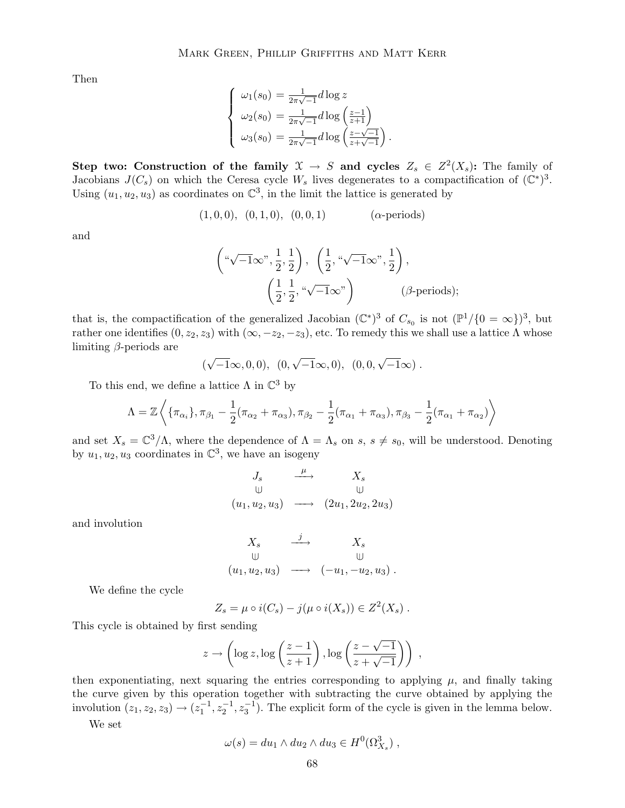Then

$$
\begin{cases}\n\omega_1(s_0) = \frac{1}{2\pi\sqrt{-1}}d\log z \\
\omega_2(s_0) = \frac{1}{2\pi\sqrt{-1}}d\log\left(\frac{z-1}{z+1}\right) \\
\omega_3(s_0) = \frac{1}{2\pi\sqrt{-1}}d\log\left(\frac{z-\sqrt{-1}}{z+\sqrt{-1}}\right)\n\end{cases}
$$

Step two: Construction of the family  $\mathfrak{X} \to S$  and cycles  $Z_s \in Z^2(X_s)$ : The family of Jacobians  $J(C_s)$  on which the Ceresa cycle  $W_s$  lives degenerates to a compactification of  $(\mathbb{C}^*)^3$ . Using  $(u_1, u_2, u_3)$  as coordinates on  $\mathbb{C}^3$ , in the limit the lattice is generated by

$$
(1,0,0), (0,1,0), (0,0,1)
$$
 ( $\alpha$ -periods)

and

$$
\left(\sqrt[n-1]{-1}\infty^n, \frac{1}{2}, \frac{1}{2}\right), \left(\frac{1}{2}, \sqrt[n]{-1}\infty^n, \frac{1}{2}\right), \\ \left(\frac{1}{2}, \frac{1}{2}, \sqrt[n]{-1}\infty^n\right) \qquad (\beta\text{-periods});
$$

.

that is, the compactification of the generalized Jacobian  $(\mathbb{C}^*)^3$  of  $C_{s_0}$  is not  $(\mathbb{P}^1/\{0=\infty\})^3$ , but rather one identifies  $(0, z_2, z_3)$  with  $(\infty, -z_2, -z_3)$ , etc. To remedy this we shall use a lattice  $\Lambda$  whose limiting  $\beta$ -periods are

$$
(\sqrt{-1}\infty,0,0), (0,\sqrt{-1}\infty,0), (0,0,\sqrt{-1}\infty) .
$$

To this end, we define a lattice  $\Lambda$  in  $\mathbb{C}^3$  by

$$
\Lambda = \mathbb{Z}\left\langle \{\pi_{\alpha_1}\}, \pi_{\beta_1} - \frac{1}{2}(\pi_{\alpha_2} + \pi_{\alpha_3}), \pi_{\beta_2} - \frac{1}{2}(\pi_{\alpha_1} + \pi_{\alpha_3}), \pi_{\beta_3} - \frac{1}{2}(\pi_{\alpha_1} + \pi_{\alpha_2}) \right\rangle
$$

and set  $X_s = \mathbb{C}^3/\Lambda$ , where the dependence of  $\Lambda = \Lambda_s$  on  $s, s \neq s_0$ , will be understood. Denoting by  $u_1, u_2, u_3$  coordinates in  $\mathbb{C}^3$ , we have an isogeny

$$
J_s \xrightarrow{\mu} X_s
$$
  
\n
$$
(u_1, u_2, u_3) \longrightarrow (2u_1, 2u_2, 2u_3)
$$

and involution

$$
X_s \xrightarrow{j} X_s
$$
  
\n
$$
(u_1, u_2, u_3) \longrightarrow (-u_1, -u_2, u_3).
$$

We define the cycle

$$
Z_s = \mu \circ i(C_s) - j(\mu \circ i(X_s)) \in Z^2(X_s) .
$$

This cycle is obtained by first sending

$$
z \to \left(\log z, \log\left(\frac{z-1}{z+1}\right), \log\left(\frac{z-\sqrt{-1}}{z+\sqrt{-1}}\right)\right) ,
$$

then exponentiating, next squaring the entries corresponding to applying  $\mu$ , and finally taking the curve given by this operation together with subtracting the curve obtained by applying the involution  $(z_1, z_2, z_3) \rightarrow (z_1^{-1}, z_2^{-1}, z_3^{-1})$ . The explicit form of the cycle is given in the lemma below.

We set

$$
\omega(s) = du_1 \wedge du_2 \wedge du_3 \in H^0(\Omega^3_{X_s}) ,
$$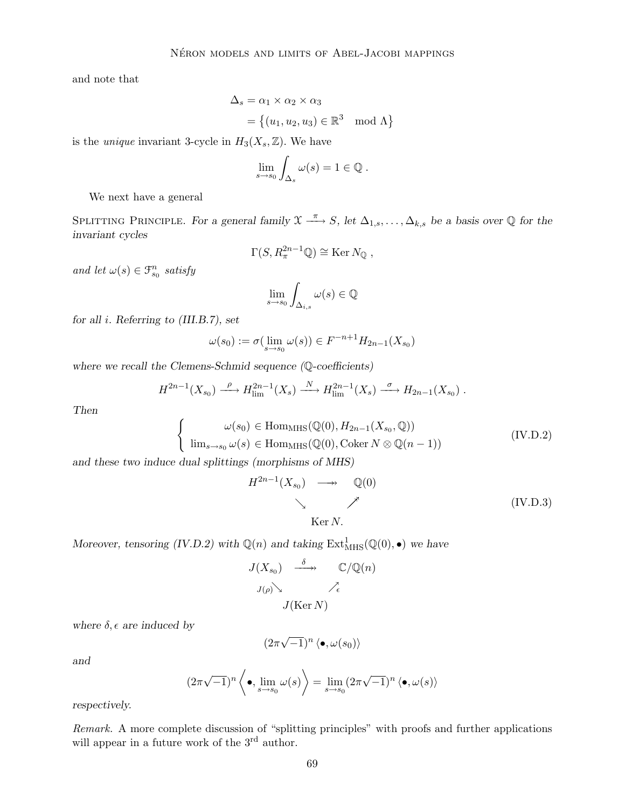and note that

$$
\Delta_s = \alpha_1 \times \alpha_2 \times \alpha_3
$$
  
= { $(u_1, u_2, u_3) \in \mathbb{R}^3 \mod \Lambda$ }

is the *unique* invariant 3-cycle in  $H_3(X_s, \mathbb{Z})$ . We have

$$
\lim_{s\to s_0}\int_{\Delta_s}\omega(s)=1\in\mathbb{Q}.
$$

We next have a general

SPLITTING PRINCIPLE. For a general family  $\mathfrak{X} \xrightarrow{\pi} S$ , let  $\Delta_{1,s}, \ldots, \Delta_{k,s}$  be a basis over  $\mathbb Q$  for the invariant cycles

$$
\Gamma(S, R_{\pi}^{2n-1}\mathbb{Q}) \cong \text{Ker } N_{\mathbb{Q}},
$$

and let  $\omega(s) \in \mathcal{F}_{s_0}^n$  satisfy

$$
\lim_{s \to s_0} \int_{\Delta_{i,s}} \omega(s) \in \mathbb{Q}
$$

for all i. Referring to (III.B.7), set

$$
\omega(s_0) := \sigma(\lim_{s \to s_0} \omega(s)) \in F^{-n+1}H_{2n-1}(X_{s_0})
$$

where we recall the Clemens-Schmid sequence (Q-coefficients)

$$
H^{2n-1}(X_{s_0}) \xrightarrow{\rho} H^{2n-1}_{\text{lim}}(X_s) \xrightarrow{N} H^{2n-1}_{\text{lim}}(X_s) \xrightarrow{\sigma} H_{2n-1}(X_{s_0}) .
$$

Then

$$
\begin{cases}\n\omega(s_0) \in \text{Hom}_{\text{MHS}}(\mathbb{Q}(0), H_{2n-1}(X_{s_0}, \mathbb{Q})) \\
\lim_{s \to s_0} \omega(s) \in \text{Hom}_{\text{MHS}}(\mathbb{Q}(0), \text{Coker } N \otimes \mathbb{Q}(n-1))\n\end{cases} \tag{IV.D.2}
$$

and these two induce dual splittings (morphisms of MHS)

$$
H^{2n-1}(X_{s_0}) \longrightarrow \mathbb{Q}(0)
$$
  
\n
$$
\searrow \nearrow
$$
 (IV.D.3)  
\n
$$
\searrow \nearrow
$$

Moreover, tensoring (IV.D.2) with  $\mathbb{Q}(n)$  and taking  $\text{Ext}^1_{\text{MHS}}(\mathbb{Q}(0), \bullet)$  we have

$$
J(X_{s_0}) \xrightarrow{\delta} \mathbb{C}/\mathbb{Q}(n)
$$
  

$$
J(\rho) \searrow \nearrow_{\epsilon}
$$
  

$$
J(\text{Ker } N)
$$

where  $\delta$ ,  $\epsilon$  are induced by

$$
(2\pi\sqrt{-1})^n\left<\bullet,\omega(s_0)\right>
$$

and

$$
(2\pi\sqrt{-1})^n \left\langle \bullet, \lim_{s \to s_0} \omega(s) \right\rangle = \lim_{s \to s_0} (2\pi\sqrt{-1})^n \left\langle \bullet, \omega(s) \right\rangle
$$

respectively.

Remark. A more complete discussion of "splitting principles" with proofs and further applications will appear in a future work of the 3<sup>rd</sup> author.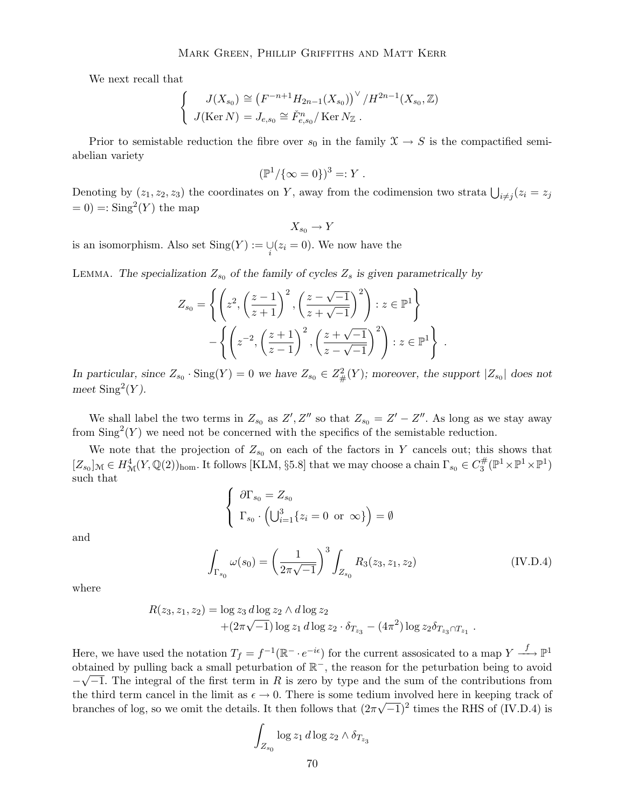We next recall that

$$
\begin{cases}\nJ(X_{s_0}) \cong (F^{-n+1}H_{2n-1}(X_{s_0}))^{\vee}/H^{2n-1}(X_{s_0},\mathbb{Z}) \\
J(\text{Ker } N) = J_{e,s_0} \cong \check{F}^n_{e,s_0}/\text{Ker } N_{\mathbb{Z}} .\n\end{cases}
$$

Prior to semistable reduction the fibre over  $s_0$  in the family  $\mathfrak{X} \to S$  is the compactified semiabelian variety

$$
(\mathbb{P}^1/\{\infty = 0\})^3 =: Y.
$$

Denoting by  $(z_1, z_2, z_3)$  the coordinates on Y, away from the codimension two strata  $\bigcup_{i \neq j} (z_i = z_j)$  $= 0$ ) =  $\text{Sing}^2(Y)$  the map

 $X_{so} \to Y$ 

is an isomorphism. Also set  $\text{Sing}(Y) := \bigcup_i (z_i = 0)$ . We now have the

LEMMA. The specialization  $Z_{s_0}$  of the family of cycles  $Z_s$  is given parametrically by

$$
Z_{s_0} = \left\{ \left( z^2, \left( \frac{z-1}{z+1} \right)^2, \left( \frac{z-\sqrt{-1}}{z+\sqrt{-1}} \right)^2 \right) : z \in \mathbb{P}^1 \right\}
$$

$$
- \left\{ \left( z^{-2}, \left( \frac{z+1}{z-1} \right)^2, \left( \frac{z+\sqrt{-1}}{z-\sqrt{-1}} \right)^2 \right) : z \in \mathbb{P}^1 \right\} .
$$

In particular, since  $Z_{s_0}$  ·  $\text{Sing}(Y) = 0$  we have  $Z_{s_0} \in Z^2_{\#}(Y)$ ; moreover, the support  $|Z_{s_0}|$  does not meet  $\text{Sing}^2(Y)$ .

We shall label the two terms in  $Z_{s_0}$  as  $Z', Z''$  so that  $Z_{s_0} = Z' - Z''$ . As long as we stay away from  $\text{Sing}^2(Y)$  we need not be concerned with the specifics of the semistable reduction.

We note that the projection of  $Z_{s_0}$  on each of the factors in Y cancels out; this shows that  $[Z_{s_0}]_{\mathcal{M}} \in H^4_{\mathcal{M}}(Y, \mathbb{Q}(2))_{\text{hom}}.$  It follows [KLM, §5.8] that we may choose a chain  $\Gamma_{s_0} \in C_3^{\#}$  $\mathbb{F}_3^{\#}(\mathbb{P}^1\times\mathbb{P}^1\times\mathbb{P}^1)$ such that

$$
\begin{cases} \n\partial \Gamma_{s_0} = Z_{s_0} \\
\Gamma_{s_0} \cdot \left( \bigcup_{i=1}^3 \{z_i = 0 \text{ or } \infty \} \right) = \emptyset \n\end{cases}
$$

and

$$
\int_{\Gamma_{s_0}} \omega(s_0) = \left(\frac{1}{2\pi\sqrt{-1}}\right)^3 \int_{Z_{s_0}} R_3(z_3, z_1, z_2)
$$
\n(IV.D.4)

where

$$
R(z_3, z_1, z_2) = \log z_3 d \log z_2 \wedge d \log z_2 + (2\pi\sqrt{-1}) \log z_1 d \log z_2 \cdot \delta_{T_{z_3}} - (4\pi^2) \log z_2 \delta_{T_{z_3} \cap T_{z_1}}.
$$

Here, we have used the notation  $T_f = f^{-1}(\mathbb{R}^- \cdot e^{-i\epsilon})$  for the current assosicated to a map  $Y \xrightarrow{f} \mathbb{P}^1$ obtained by pulling back a small peturbation of  $\mathbb{R}^-$ , the reason for the peturbation being to avoid −  $\sqrt{-1}$ . The integral of the first term in R is zero by type and the sum of the contributions from the third term cancel in the limit as  $\epsilon \to 0$ . There is some tedium involved here in keeping track of branches of log, so we omit the details. It then follows that  $(2\pi\sqrt{-1})^2$  times the RHS of (IV.D.4) is

$$
\int_{Z_{s_0}} \log z_1 d \log z_2 \wedge \delta_{T_{z_3}}
$$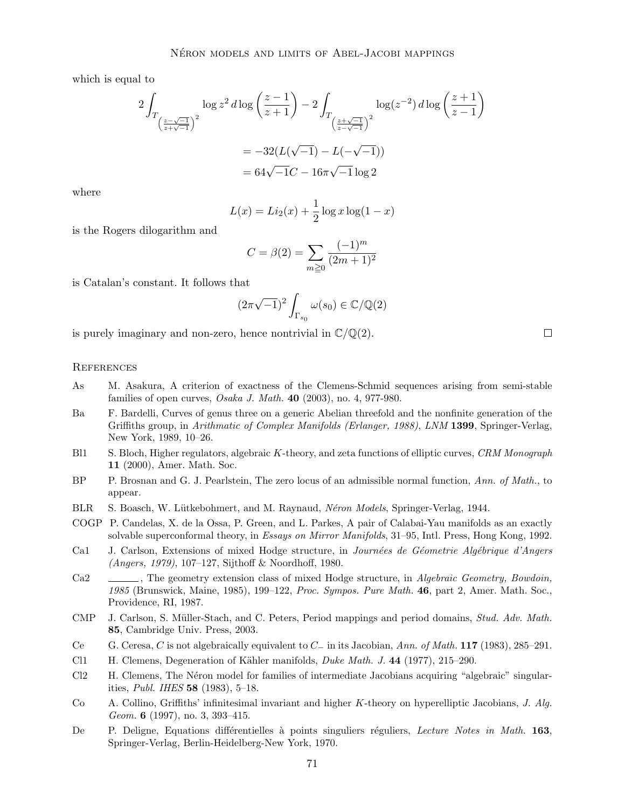which is equal to

$$
2\int_{T_{\left(\frac{z-\sqrt{-1}}{z+\sqrt{-1}}\right)^2}} \log z^2 d\log \left(\frac{z-1}{z+1}\right) - 2\int_{T_{\left(\frac{z+\sqrt{-1}}{z-\sqrt{-1}}\right)^2}} \log(z^{-2}) d\log \left(\frac{z+1}{z-1}\right)
$$

$$
= -32(L(\sqrt{-1}) - L(-\sqrt{-1}))
$$

$$
= 64\sqrt{-1}C - 16\pi\sqrt{-1}\log 2
$$

where

$$
L(x) = Li_2(x) + \frac{1}{2}\log x \log(1 - x)
$$

is the Rogers dilogarithm and

$$
C = \beta(2) = \sum_{m \ge 0} \frac{(-1)^m}{(2m+1)^2}
$$

is Catalan's constant. It follows that

$$
(2\pi\sqrt{-1})^2 \int_{\Gamma_{s_0}} \omega(s_0) \in \mathbb{C}/\mathbb{Q}(2)
$$

is purely imaginary and non-zero, hence nontrivial in  $\mathbb{C}/\mathbb{Q}(2)$ .

### **REFERENCES**

- As M. Asakura, A criterion of exactness of the Clemens-Schmid sequences arising from semi-stable families of open curves, Osaka J. Math. 40 (2003), no. 4, 977-980.
- Ba F. Bardelli, Curves of genus three on a generic Abelian threefold and the nonfinite generation of the Griffiths group, in Arithmatic of Complex Manifolds (Erlanger, 1988), LNM 1399, Springer-Verlag, New York, 1989, 10–26.
- Bl1 S. Bloch, Higher regulators, algebraic K-theory, and zeta functions of elliptic curves, CRM Monograph 11 (2000), Amer. Math. Soc.
- BP P. Brosnan and G. J. Pearlstein, The zero locus of an admissible normal function, Ann. of Math., to appear.
- BLR S. Boasch, W. Lütkebohmert, and M. Raynaud, Néron Models, Springer-Verlag, 1944.
- COGP P. Candelas, X. de la Ossa, P. Green, and L. Parkes, A pair of Calabai-Yau manifolds as an exactly solvable superconformal theory, in Essays on Mirror Manifolds, 31–95, Intl. Press, Hong Kong, 1992.
- Ca1 J. Carlson, Extensions of mixed Hodge structure, in Journées de Géometrie Algébrique d'Angers (Angers, 1979), 107–127, Sijthoff & Noordhoff, 1980.
- Ca2 , The geometry extension class of mixed Hodge structure, in Algebraic Geometry, Bowdoin, 1985 (Brunswick, Maine, 1985), 199–122, Proc. Sympos. Pure Math. 46, part 2, Amer. Math. Soc., Providence, RI, 1987.
- CMP J. Carlson, S. Müller-Stach, and C. Peters, Period mappings and period domains, *Stud. Adv. Math.* 85, Cambridge Univ. Press, 2003.
- Ce G. Ceresa, C is not algebraically equivalent to C<sup>−</sup> in its Jacobian, Ann. of Math. 117 (1983), 285–291.
- Cl1 H. Clemens, Degeneration of Kähler manifolds, Duke Math. J. 44 (1977), 215–290.
- Cl2 H. Clemens, The Néron model for families of intermediate Jacobians acquiring "algebraic" singularities, *Publ. IHES* 58 (1983),  $5-18$ .
- Co A. Collino, Griffiths' infinitesimal invariant and higher K-theory on hyperelliptic Jacobians, J. Alg. Geom. **6** (1997), no. 3, 393-415.
- De P. Deligne, Equations différentielles à points singuliers réguliers, Lecture Notes in Math. 163, Springer-Verlag, Berlin-Heidelberg-New York, 1970.

 $\Box$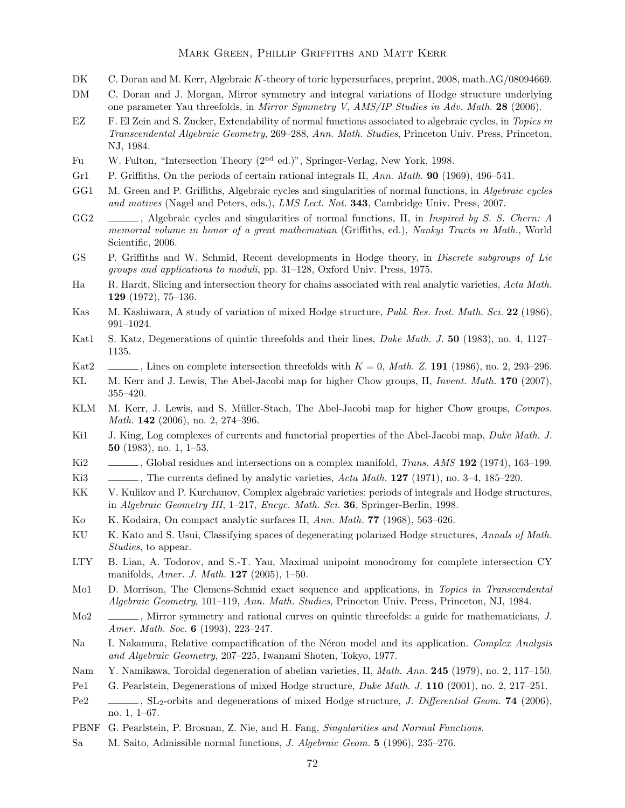#### Mark Green, Phillip Griffiths and Matt Kerr

- DK C. Doran and M. Kerr, Algebraic K-theory of toric hypersurfaces, preprint, 2008, math.AG/08094669.
- DM C. Doran and J. Morgan, Mirror symmetry and integral variations of Hodge structure underlying one parameter Yau threefolds, in Mirror Symmetry V, AMS/IP Studies in Adv. Math. 28 (2006).
- EZ F. El Zein and S. Zucker, Extendability of normal functions associated to algebraic cycles, in Topics in Transcendental Algebraic Geometry, 269–288, Ann. Math. Studies, Princeton Univ. Press, Princeton, NJ, 1984.
- Fu W. Fulton, "Intersection Theory (2nd ed.)", Springer-Verlag, New York, 1998.
- Gr1 P. Griffiths, On the periods of certain rational integrals II, Ann. Math. **90** (1969), 496–541.
- GG1 M. Green and P. Griffiths, Algebraic cycles and singularities of normal functions, in Algebraic cycles and motives (Nagel and Peters, eds.), LMS Lect. Not. 343, Cambridge Univ. Press, 2007.
- GG2 , Algebraic cycles and singularities of normal functions, II, in *Inspired by S. S. Chern: A* memorial volume in honor of a great mathematian (Griffiths, ed.), Nankyi Tracts in Math., World Scientific, 2006.
- GS P. Griffiths and W. Schmid, Recent developments in Hodge theory, in Discrete subgroups of Lie groups and applications to moduli, pp. 31–128, Oxford Univ. Press, 1975.
- Ha R. Hardt, Slicing and intersection theory for chains associated with real analytic varieties, Acta Math. 129 (1972), 75–136.
- Kas M. Kashiwara, A study of variation of mixed Hodge structure, Publ. Res. Inst. Math. Sci. 22 (1986), 991–1024.
- Kat1 S. Katz, Degenerations of quintic threefolds and their lines, *Duke Math. J.* 50 (1983), no. 4, 1127– 1135.
- Kat2 , Lines on complete intersection threefolds with  $K = 0$ , Math. Z. 191 (1986), no. 2, 293–296.
- KL M. Kerr and J. Lewis, The Abel-Jacobi map for higher Chow groups, II, *Invent. Math.* 170 (2007), 355–420.
- KLM M. Kerr, J. Lewis, and S. Müller-Stach, The Abel-Jacobi map for higher Chow groups, Compos. Math. 142 (2006), no. 2, 274–396.
- Ki1 J. King, Log complexes of currents and functorial properties of the Abel-Jacobi map, Duke Math. J. 50 (1983), no. 1, 1–53.
- Ki2 , Global residues and intersections on a complex manifold, *Trans. AMS* 192 (1974), 163–199.
- Ki3 , The currents defined by analytic varieties, Acta Math. 127 (1971), no. 3-4, 185–220.
- KK V. Kulikov and P. Kurchanov, Complex algebraic varieties: periods of integrals and Hodge structures, in Algebraic Geometry III, 1–217, Encyc. Math. Sci. 36, Springer-Berlin, 1998.
- Ko K. Kodaira, On compact analytic surfaces II, Ann. Math. 77 (1968), 563–626.
- KU K. Kato and S. Usui, Classifying spaces of degenerating polarized Hodge structures, Annals of Math. Studies, to appear.
- LTY B. Lian, A. Todorov, and S.-T. Yau, Maximal unipoint monodromy for complete intersection CY manifolds, Amer. J. Math. 127 (2005), 1–50.
- Mo1 D. Morrison, The Clemens-Schmid exact sequence and applications, in Topics in Transcendental Algebraic Geometry, 101–119, Ann. Math. Studies, Princeton Univ. Press, Princeton, NJ, 1984.
- Mo<sub>2</sub> , Mirror symmetry and rational curves on quintic threefolds: a guide for mathematicians, J. Amer. Math. Soc. 6 (1993), 223-247.
- Na I. Nakamura, Relative compactification of the Néron model and its application. Complex Analysis and Algebraic Geometry, 207–225, Iwanami Shoten, Tokyo, 1977.
- Nam Y. Namikawa, Toroidal degeneration of abelian varieties, II, *Math. Ann.* 245 (1979), no. 2, 117–150.
- Pe1 G. Pearlstein, Degenerations of mixed Hodge structure, *Duke Math. J.* **110** (2001), no. 2, 217–251.
- Pe2 , SL<sub>2</sub>-orbits and degenerations of mixed Hodge structure, *J. Differential Geom.* **74** (2006), no. 1, 1–67.
- PBNF G. Pearlstein, P. Brosnan, Z. Nie, and H. Fang, Singularities and Normal Functions.
- Sa M. Saito, Admissible normal functions, J. Algebraic Geom. 5 (1996), 235–276.